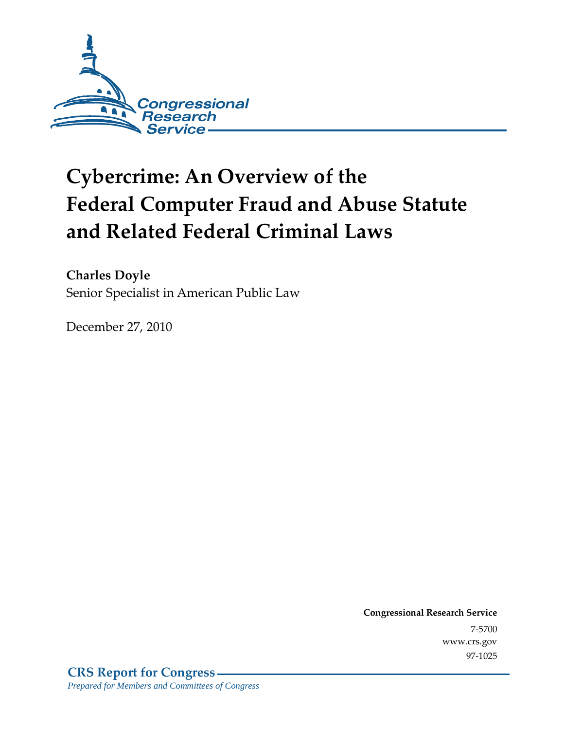

# **Cybercrime: An Overview of the Federal Computer Fraud and Abuse Statute and Related Federal Criminal Laws**

**Charles Doyle**  Senior Specialist in American Public Law

December 27, 2010

**Congressional Research Service** 7-5700 www.crs.gov 97-1025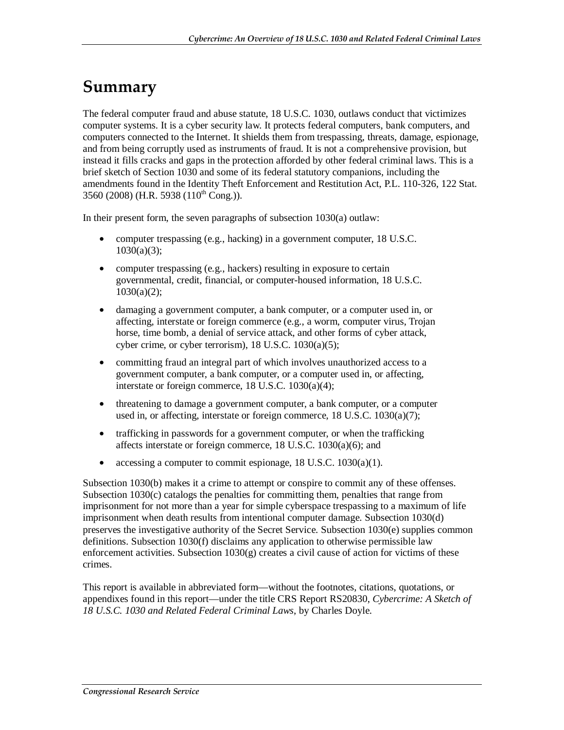# **Summary**

The federal computer fraud and abuse statute, 18 U.S.C. 1030, outlaws conduct that victimizes computer systems. It is a cyber security law. It protects federal computers, bank computers, and computers connected to the Internet. It shields them from trespassing, threats, damage, espionage, and from being corruptly used as instruments of fraud. It is not a comprehensive provision, but instead it fills cracks and gaps in the protection afforded by other federal criminal laws. This is a brief sketch of Section 1030 and some of its federal statutory companions, including the amendments found in the Identity Theft Enforcement and Restitution Act, P.L. 110-326, 122 Stat. 3560 (2008) (H.R. 5938 (110<sup>th</sup> Cong.)).

In their present form, the seven paragraphs of subsection 1030(a) outlaw:

- computer trespassing (e.g., hacking) in a government computer, 18 U.S.C.  $1030(a)(3)$ ;
- computer trespassing (e.g., hackers) resulting in exposure to certain governmental, credit, financial, or computer-housed information, 18 U.S.C.  $1030(a)(2)$ ;
- damaging a government computer, a bank computer, or a computer used in, or affecting, interstate or foreign commerce (e.g., a worm, computer virus, Trojan horse, time bomb, a denial of service attack, and other forms of cyber attack, cyber crime, or cyber terrorism), 18 U.S.C. 1030(a)(5);
- committing fraud an integral part of which involves unauthorized access to a government computer, a bank computer, or a computer used in, or affecting, interstate or foreign commerce, 18 U.S.C. 1030(a)(4);
- threatening to damage a government computer, a bank computer, or a computer used in, or affecting, interstate or foreign commerce, 18 U.S.C. 1030(a)(7);
- trafficking in passwords for a government computer, or when the trafficking affects interstate or foreign commerce, 18 U.S.C. 1030(a)(6); and
- accessing a computer to commit espionage,  $18$  U.S.C.  $1030(a)(1)$ .

Subsection 1030(b) makes it a crime to attempt or conspire to commit any of these offenses. Subsection 1030(c) catalogs the penalties for committing them, penalties that range from imprisonment for not more than a year for simple cyberspace trespassing to a maximum of life imprisonment when death results from intentional computer damage. Subsection 1030(d) preserves the investigative authority of the Secret Service. Subsection 1030(e) supplies common definitions. Subsection 1030(f) disclaims any application to otherwise permissible law enforcement activities. Subsection  $1030(g)$  creates a civil cause of action for victims of these crimes.

This report is available in abbreviated form—without the footnotes, citations, quotations, or appendixes found in this report—under the title CRS Report RS20830, *Cybercrime: A Sketch of 18 U.S.C. 1030 and Related Federal Criminal Laws*, by Charles Doyle.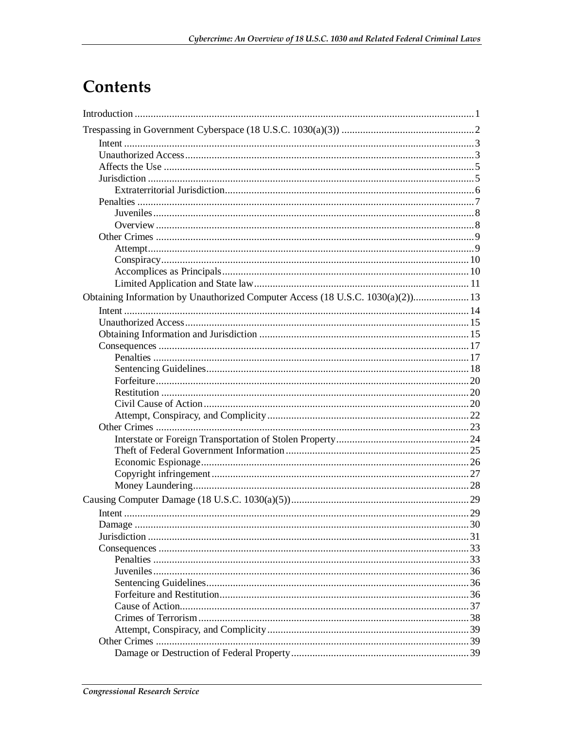# Contents

| Obtaining Information by Unauthorized Computer Access (18 U.S.C. 1030(a)(2)) 13 |    |
|---------------------------------------------------------------------------------|----|
|                                                                                 |    |
|                                                                                 |    |
|                                                                                 |    |
|                                                                                 |    |
|                                                                                 |    |
|                                                                                 |    |
|                                                                                 |    |
|                                                                                 |    |
|                                                                                 |    |
|                                                                                 |    |
|                                                                                 |    |
|                                                                                 |    |
|                                                                                 |    |
|                                                                                 |    |
|                                                                                 |    |
|                                                                                 |    |
|                                                                                 |    |
|                                                                                 |    |
|                                                                                 |    |
|                                                                                 |    |
|                                                                                 |    |
|                                                                                 |    |
|                                                                                 |    |
|                                                                                 |    |
|                                                                                 |    |
|                                                                                 | 37 |
|                                                                                 | 38 |
|                                                                                 |    |
|                                                                                 |    |
|                                                                                 |    |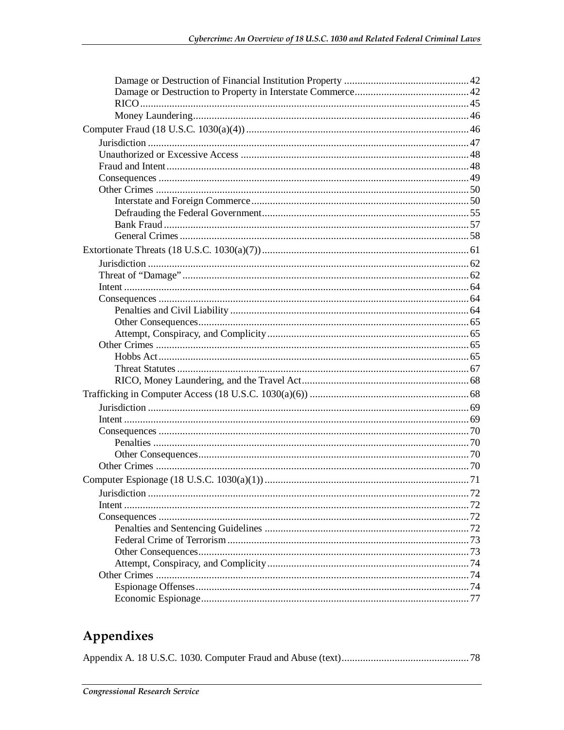| Intent. |  |
|---------|--|
|         |  |
|         |  |
|         |  |
|         |  |
|         |  |
|         |  |
|         |  |
|         |  |

# Appendixes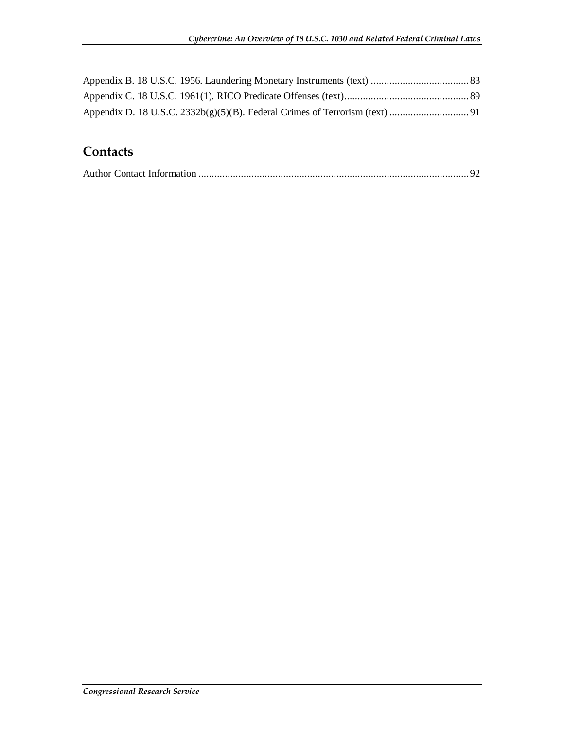## **Contacts**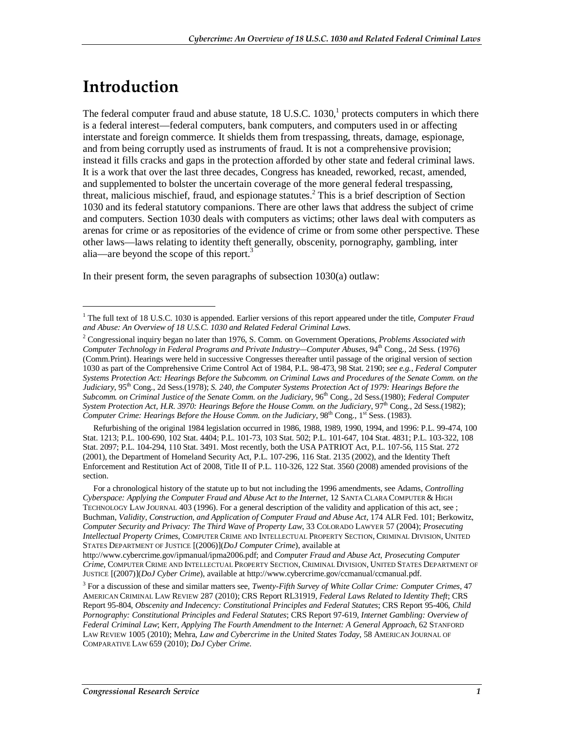# **Introduction**

<u>.</u>

The federal computer fraud and abuse statute,  $18 \text{ U.S.C. } 1030<sup>1</sup>$  protects computers in which there is a federal interest—federal computers, bank computers, and computers used in or affecting interstate and foreign commerce. It shields them from trespassing, threats, damage, espionage, and from being corruptly used as instruments of fraud. It is not a comprehensive provision; instead it fills cracks and gaps in the protection afforded by other state and federal criminal laws. It is a work that over the last three decades, Congress has kneaded, reworked, recast, amended, and supplemented to bolster the uncertain coverage of the more general federal trespassing, threat, malicious mischief, fraud, and espionage statutes.<sup>2</sup> This is a brief description of Section 1030 and its federal statutory companions. There are other laws that address the subject of crime and computers. Section 1030 deals with computers as victims; other laws deal with computers as arenas for crime or as repositories of the evidence of crime or from some other perspective. These other laws—laws relating to identity theft generally, obscenity, pornography, gambling, inter alia—are beyond the scope of this report.<sup>3</sup>

In their present form, the seven paragraphs of subsection 1030(a) outlaw:

 Refurbishing of the original 1984 legislation occurred in 1986, 1988, 1989, 1990, 1994, and 1996: P.L. 99-474, 100 Stat. 1213; P.L. 100-690, 102 Stat. 4404; P.L. 101-73, 103 Stat. 502; P.L. 101-647, 104 Stat. 4831; P.L. 103-322, 108 Stat. 2097; P.L. 104-294, 110 Stat. 3491. Most recently, both the USA PATRIOT Act, P.L. 107-56, 115 Stat. 272 (2001), the Department of Homeland Security Act, P.L. 107-296, 116 Stat. 2135 (2002), and the Identity Theft Enforcement and Restitution Act of 2008, Title II of P.L. 110-326, 122 Stat. 3560 (2008) amended provisions of the section.

 For a chronological history of the statute up to but not including the 1996 amendments, see Adams, *Controlling Cyberspace: Applying the Computer Fraud and Abuse Act to the Internet*, 12 SANTA CLARA COMPUTER & HIGH TECHNOLOGY LAW JOURNAL 403 (1996). For a general description of the validity and application of this act, see ; Buchman, *Validity, Construction, and Application of Computer Fraud and Abuse Act*, 174 ALR Fed. 101; Berkowitz, *Computer Security and Privacy: The Third Wave of Property Law*, 33 COLORADO LAWYER 57 (2004); *Prosecuting Intellectual Property Crimes*, COMPUTER CRIME AND INTELLECTUAL PROPERTY SECTION, CRIMINAL DIVISION, UNITED STATES DEPARTMENT OF JUSTICE [(2006)](*DoJ Computer Crime*), available at

3 For a discussion of these and similar matters see, *Twenty-Fifth Survey of White Collar Crime: Computer Crimes*, 47 AMERICAN CRIMINAL LAW REVIEW 287 (2010); CRS Report RL31919, *Federal Laws Related to Identity Theft*; CRS Report 95-804, *Obscenity and Indecency: Constitutional Principles and Federal Statutes*; CRS Report 95-406, *Child Pornography: Constitutional Principles and Federal Statutes*; CRS Report 97-619, *Internet Gambling: Overview of Federal Criminal Law*; Kerr, *Applying The Fourth Amendment to the Internet: A General Approach*, 62 STANFORD LAW REVIEW 1005 (2010); Mehra, *Law and Cybercrime in the United States Today*, 58 AMERICAN JOURNAL OF COMPARATIVE LAW 659 (2010); *DoJ Cyber Crime*.

<sup>&</sup>lt;sup>1</sup> The full text of 18 U.S.C. 1030 is appended. Earlier versions of this report appeared under the title, *Computer Fraud and Abuse: An Overview of 18 U.S.C. 1030 and Related Federal Criminal Laws.*

<sup>2</sup> Congressional inquiry began no later than 1976, S. Comm. on Government Operations, *Problems Associated with Computer Technology in Federal Programs and Private Industry—Computer Abuses*, 94<sup>th</sup> Cong., 2d Sess. (1976) (Comm.Print). Hearings were held in successive Congresses thereafter until passage of the original version of section 1030 as part of the Comprehensive Crime Control Act of 1984, P.L. 98-473, 98 Stat. 2190; *see e.g.*, *Federal Computer Systems Protection Act: Hearings Before the Subcomm. on Criminal Laws and Procedures of the Senate Comm. on the Judiciary*, 95<sup>th</sup> Cong., 2d Sess.(1978); *S. 240, the Computer Systems Protection Act of 1979: Hearings Before the Subcomm. on Criminal Justice of the Senate Comm. on the Judiciary*, 96<sup>th</sup> Cong., 2d Sess.(1980); *Federal Computer System Protection Act, H.R. 3970: Hearings Before the House Comm. on the Judiciary*, 97<sup>th</sup> Cong., 2d Sess.(1982); *Computer Crime: Hearings Before the House Comm. on the Judiciary*,  $98<sup>th</sup>$  Cong., 1<sup>st</sup> Sess. (1983).

http://www.cybercrime.gov/ipmanual/ipma2006.pdf; and *Computer Fraud and Abuse Act, Prosecuting Computer Crime*, COMPUTER CRIME AND INTELLECTUAL PROPERTY SECTION, CRIMINAL DIVISION, UNITED STATES DEPARTMENT OF JUSTICE [(2007)](*DoJ Cyber Crime*), available at http://www.cybercrime.gov/ccmanual/ccmanual.pdf.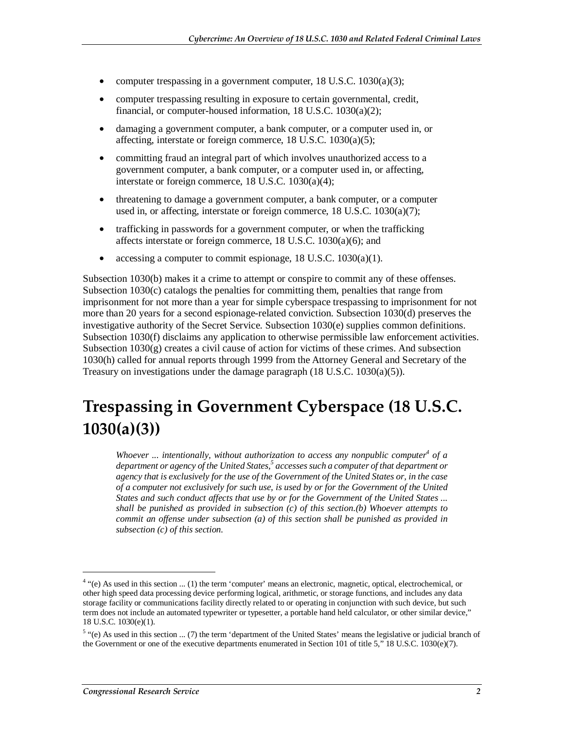- computer trespassing in a government computer,  $18 \text{ U.S.C. } 1030(a)(3);$
- computer trespassing resulting in exposure to certain governmental, credit, financial, or computer-housed information, 18 U.S.C. 1030(a)(2);
- damaging a government computer, a bank computer, or a computer used in, or affecting, interstate or foreign commerce, 18 U.S.C. 1030(a)(5);
- committing fraud an integral part of which involves unauthorized access to a government computer, a bank computer, or a computer used in, or affecting, interstate or foreign commerce, 18 U.S.C. 1030(a)(4);
- threatening to damage a government computer, a bank computer, or a computer used in, or affecting, interstate or foreign commerce, 18 U.S.C. 1030(a)(7);
- trafficking in passwords for a government computer, or when the trafficking affects interstate or foreign commerce, 18 U.S.C. 1030(a)(6); and
- accessing a computer to commit espionage, 18 U.S.C. 1030(a)(1).

Subsection 1030(b) makes it a crime to attempt or conspire to commit any of these offenses. Subsection 1030(c) catalogs the penalties for committing them, penalties that range from imprisonment for not more than a year for simple cyberspace trespassing to imprisonment for not more than 20 years for a second espionage-related conviction. Subsection 1030(d) preserves the investigative authority of the Secret Service. Subsection 1030(e) supplies common definitions. Subsection 1030(f) disclaims any application to otherwise permissible law enforcement activities. Subsection  $1030(g)$  creates a civil cause of action for victims of these crimes. And subsection 1030(h) called for annual reports through 1999 from the Attorney General and Secretary of the Treasury on investigations under the damage paragraph  $(18 \text{ U.S.C. } 1030(a)(5))$ .

# **Trespassing in Government Cyberspace (18 U.S.C. 1030(a)(3))**

*Whoever* ... intentionally, without authorization to access any nonpublic computer<sup>4</sup> of a department or agency of the United States,<sup>5</sup> accesses such a computer of that department or *agency that is exclusively for the use of the Government of the United States or, in the case of a computer not exclusively for such use, is used by or for the Government of the United States and such conduct affects that use by or for the Government of the United States ... shall be punished as provided in subsection (c) of this section.(b) Whoever attempts to commit an offense under subsection (a) of this section shall be punished as provided in subsection (c) of this section.* 

 $4$  "(e) As used in this section ... (1) the term 'computer' means an electronic, magnetic, optical, electrochemical, or other high speed data processing device performing logical, arithmetic, or storage functions, and includes any data storage facility or communications facility directly related to or operating in conjunction with such device, but such term does not include an automated typewriter or typesetter, a portable hand held calculator, or other similar device," 18 U.S.C. 1030(e)(1).

 $<sup>5</sup>$  "(e) As used in this section ... (7) the term 'department of the United States' means the legislative or judicial branch of</sup> the Government or one of the executive departments enumerated in Section 101 of title 5," 18 U.S.C. 1030(e)(7).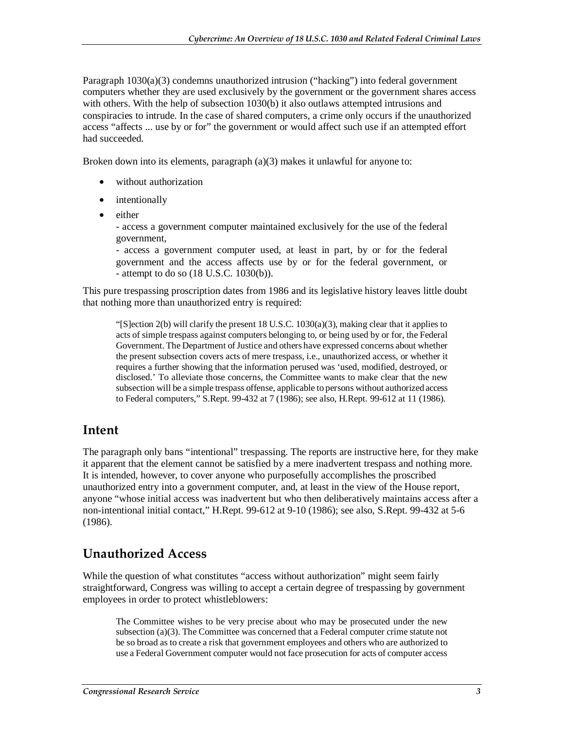Paragraph 1030(a)(3) condemns unauthorized intrusion ("hacking") into federal government computers whether they are used exclusively by the government or the government shares access with others. With the help of subsection 1030(b) it also outlaws attempted intrusions and conspiracies to intrude. In the case of shared computers, a crime only occurs if the unauthorized access "affects ... use by or for" the government or would affect such use if an attempted effort had succeeded.

Broken down into its elements, paragraph (a)(3) makes it unlawful for anyone to:

- without authorization
- intentionally
- either

- access a government computer maintained exclusively for the use of the federal government,

- access a government computer used, at least in part, by or for the federal government and the access affects use by or for the federal government, or - attempt to do so (18 U.S.C. 1030(b)).

This pure trespassing proscription dates from 1986 and its legislative history leaves little doubt that nothing more than unauthorized entry is required:

"[S]ection 2(b) will clarify the present 18 U.S.C.  $1030(a)(3)$ , making clear that it applies to acts of simple trespass against computers belonging to, or being used by or for, the Federal Government. The Department of Justice and others have expressed concerns about whether the present subsection covers acts of mere trespass, i.e., unauthorized access, or whether it requires a further showing that the information perused was 'used, modified, destroyed, or disclosed.' To alleviate those concerns, the Committee wants to make clear that the new subsection will be a simple trespass offense, applicable to persons without authorized access to Federal computers," S.Rept. 99-432 at 7 (1986); see also, H.Rept. 99-612 at 11 (1986).

## **Intent**

The paragraph only bans "intentional" trespassing. The reports are instructive here, for they make it apparent that the element cannot be satisfied by a mere inadvertent trespass and nothing more. It is intended, however, to cover anyone who purposefully accomplishes the proscribed unauthorized entry into a government computer, and, at least in the view of the House report, anyone "whose initial access was inadvertent but who then deliberatively maintains access after a non-intentional initial contact," H.Rept. 99-612 at 9-10 (1986); see also, S.Rept. 99-432 at 5-6 (1986).

## **Unauthorized Access**

While the question of what constitutes "access without authorization" might seem fairly straightforward, Congress was willing to accept a certain degree of trespassing by government employees in order to protect whistleblowers:

The Committee wishes to be very precise about who may be prosecuted under the new subsection (a)(3). The Committee was concerned that a Federal computer crime statute not be so broad as to create a risk that government employees and others who are authorized to use a Federal Government computer would not face prosecution for acts of computer access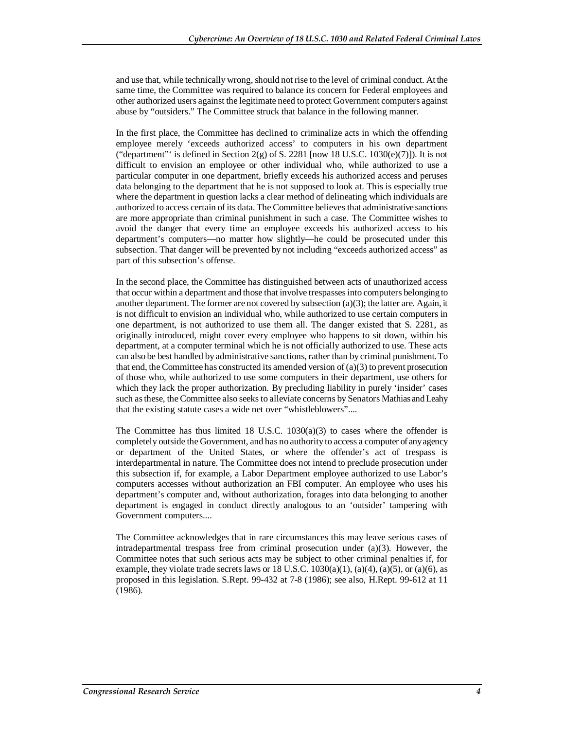and use that, while technically wrong, should not rise to the level of criminal conduct. At the same time, the Committee was required to balance its concern for Federal employees and other authorized users against the legitimate need to protect Government computers against abuse by "outsiders." The Committee struck that balance in the following manner.

In the first place, the Committee has declined to criminalize acts in which the offending employee merely 'exceeds authorized access' to computers in his own department ("department"' is defined in Section  $2(g)$  of S. 2281 [now 18 U.S.C. 1030(e)(7)]). It is not difficult to envision an employee or other individual who, while authorized to use a particular computer in one department, briefly exceeds his authorized access and peruses data belonging to the department that he is not supposed to look at. This is especially true where the department in question lacks a clear method of delineating which individuals are authorized to access certain of its data. The Committee believes that administrative sanctions are more appropriate than criminal punishment in such a case. The Committee wishes to avoid the danger that every time an employee exceeds his authorized access to his department's computers—no matter how slightly—he could be prosecuted under this subsection. That danger will be prevented by not including "exceeds authorized access" as part of this subsection's offense.

In the second place, the Committee has distinguished between acts of unauthorized access that occur within a department and those that involve trespasses into computers belonging to another department. The former are not covered by subsection  $(a)(3)$ ; the latter are. Again, it is not difficult to envision an individual who, while authorized to use certain computers in one department, is not authorized to use them all. The danger existed that S. 2281, as originally introduced, might cover every employee who happens to sit down, within his department, at a computer terminal which he is not officially authorized to use. These acts can also be best handled by administrative sanctions, rather than by criminal punishment. To that end, the Committee has constructed its amended version of  $(a)(3)$  to prevent prosecution of those who, while authorized to use some computers in their department, use others for which they lack the proper authorization. By precluding liability in purely 'insider' cases such as these, the Committee also seeks to alleviate concerns by Senators Mathias and Leahy that the existing statute cases a wide net over "whistleblowers"....

The Committee has thus limited 18 U.S.C.  $1030(a)(3)$  to cases where the offender is completely outside the Government, and has no authority to access a computer of any agency or department of the United States, or where the offender's act of trespass is interdepartmental in nature. The Committee does not intend to preclude prosecution under this subsection if, for example, a Labor Department employee authorized to use Labor's computers accesses without authorization an FBI computer. An employee who uses his department's computer and, without authorization, forages into data belonging to another department is engaged in conduct directly analogous to an 'outsider' tampering with Government computers....

The Committee acknowledges that in rare circumstances this may leave serious cases of intradepartmental trespass free from criminal prosecution under (a)(3). However, the Committee notes that such serious acts may be subject to other criminal penalties if, for example, they violate trade secrets laws or  $18$  U.S.C.  $1030(a)(1)$ ,  $(a)(4)$ ,  $(a)(5)$ , or  $(a)(6)$ , as proposed in this legislation. S.Rept. 99-432 at 7-8 (1986); see also, H.Rept. 99-612 at 11 (1986).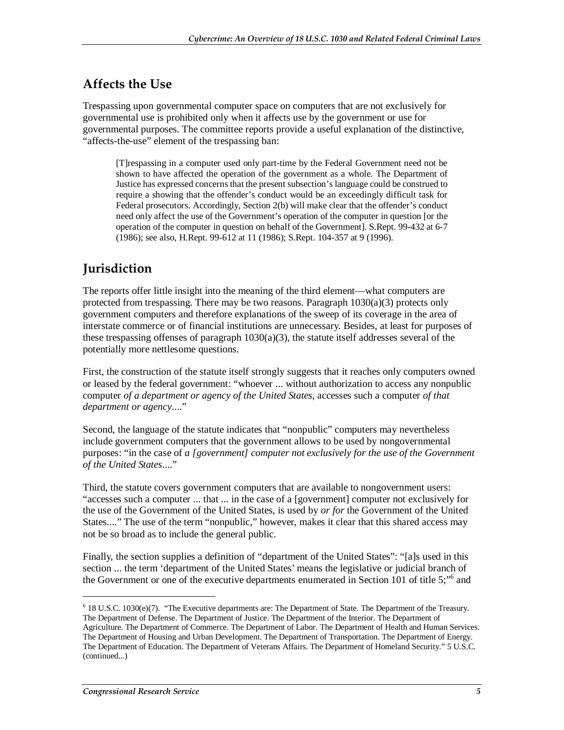## **Affects the Use**

Trespassing upon governmental computer space on computers that are not exclusively for governmental use is prohibited only when it affects use by the government or use for governmental purposes. The committee reports provide a useful explanation of the distinctive, "affects-the-use" element of the trespassing ban:

[T]respassing in a computer used only part-time by the Federal Government need not be shown to have affected the operation of the government as a whole. The Department of Justice has expressed concerns that the present subsection's language could be construed to require a showing that the offender's conduct would be an exceedingly difficult task for Federal prosecutors. Accordingly, Section 2(b) will make clear that the offender's conduct need only affect the use of the Government's operation of the computer in question [or the operation of the computer in question on behalf of the Government]. S.Rept. 99-432 at 6-7 (1986); see also, H.Rept. 99-612 at 11 (1986); S.Rept. 104-357 at 9 (1996).

# **Jurisdiction**

The reports offer little insight into the meaning of the third element—what computers are protected from trespassing. There may be two reasons. Paragraph  $1030(a)(3)$  protects only government computers and therefore explanations of the sweep of its coverage in the area of interstate commerce or of financial institutions are unnecessary. Besides, at least for purposes of these trespassing offenses of paragraph  $1030(a)(3)$ , the statute itself addresses several of the potentially more nettlesome questions.

First, the construction of the statute itself strongly suggests that it reaches only computers owned or leased by the federal government: "whoever ... without authorization to access any nonpublic computer *of a department or agency of the United States*, accesses such a computer *of that department or agency*...."

Second, the language of the statute indicates that "nonpublic" computers may nevertheless include government computers that the government allows to be used by nongovernmental purposes: "in the case of *a [government] computer not exclusively for the use of the Government of the United States*...."

Third, the statute covers government computers that are available to nongovernment users: "accesses such a computer ... that ... in the case of a [government] computer not exclusively for the use of the Government of the United States, is used by *or for* the Government of the United States...." The use of the term "nonpublic," however, makes it clear that this shared access may not be so broad as to include the general public.

Finally, the section supplies a definition of "department of the United States": "[a]s used in this section ... the term 'department of the United States' means the legislative or judicial branch of the Government or one of the executive departments enumerated in Section 101 of title 5;<sup>16</sup> and

 $6$  18 U.S.C. 1030(e)(7). "The Executive departments are: The Department of State. The Department of the Treasury. The Department of Defense. The Department of Justice. The Department of the Interior. The Department of Agriculture. The Department of Commerce. The Department of Labor. The Department of Health and Human Services. The Department of Housing and Urban Development. The Department of Transportation. The Department of Energy. The Department of Education. The Department of Veterans Affairs. The Department of Homeland Security." 5 U.S.C. (continued...)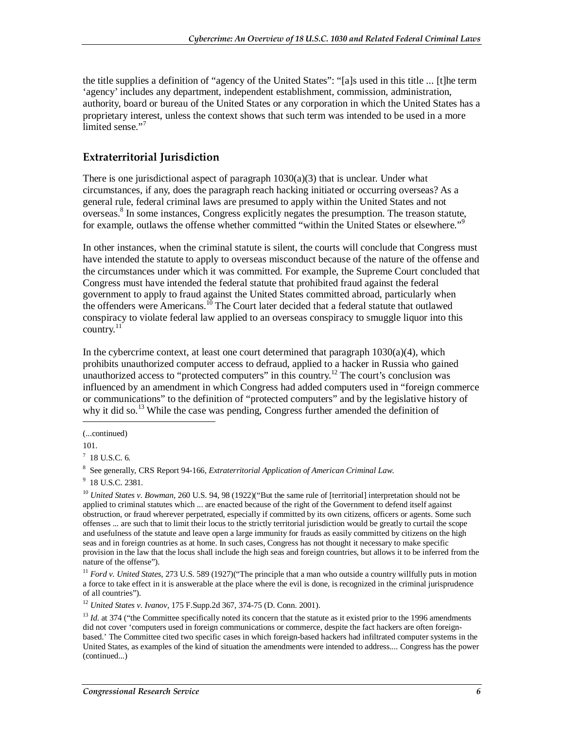the title supplies a definition of "agency of the United States": "[a]s used in this title ... [t]he term 'agency' includes any department, independent establishment, commission, administration, authority, board or bureau of the United States or any corporation in which the United States has a proprietary interest, unless the context shows that such term was intended to be used in a more limited sense."<sup>7</sup>

### **Extraterritorial Jurisdiction**

There is one jurisdictional aspect of paragraph  $1030(a)(3)$  that is unclear. Under what circumstances, if any, does the paragraph reach hacking initiated or occurring overseas? As a general rule, federal criminal laws are presumed to apply within the United States and not overseas.<sup>8</sup> In some instances, Congress explicitly negates the presumption. The treason statute, for example, outlaws the offense whether committed "within the United States or elsewhere."<sup>9</sup>

In other instances, when the criminal statute is silent, the courts will conclude that Congress must have intended the statute to apply to overseas misconduct because of the nature of the offense and the circumstances under which it was committed. For example, the Supreme Court concluded that Congress must have intended the federal statute that prohibited fraud against the federal government to apply to fraud against the United States committed abroad, particularly when the offenders were Americans.<sup>10</sup> The Court later decided that a federal statute that outlawed conspiracy to violate federal law applied to an overseas conspiracy to smuggle liquor into this country. $^{11}$ 

In the cybercrime context, at least one court determined that paragraph  $1030(a)(4)$ , which prohibits unauthorized computer access to defraud, applied to a hacker in Russia who gained unauthorized access to "protected computers" in this country.<sup>12</sup> The court's conclusion was influenced by an amendment in which Congress had added computers used in "foreign commerce or communications" to the definition of "protected computers" and by the legislative history of why it did so.<sup>13</sup> While the case was pending, Congress further amended the definition of

<sup>11</sup> *Ford v. United States*, 273 U.S. 589 (1927)("The principle that a man who outside a country willfully puts in motion a force to take effect in it is answerable at the place where the evil is done, is recognized in the criminal jurisprudence of all countries").

<sup>12</sup> *United States v. Ivanov*, 175 F.Supp.2d 367, 374-75 (D. Conn. 2001).

<sup>(...</sup>continued)

<sup>101.</sup> 

 $18$  U.S.C. 6.

<sup>8</sup> See generally, CRS Report 94-166, *Extraterritorial Application of American Criminal Law.*

<sup>&</sup>lt;sup>9</sup> 18 U.S.C. 2381.

<sup>10</sup> *United States v. Bowman*, 260 U.S. 94, 98 (1922)("But the same rule of [territorial] interpretation should not be applied to criminal statutes which ... are enacted because of the right of the Government to defend itself against obstruction, or fraud wherever perpetrated, especially if committed by its own citizens, officers or agents. Some such offenses ... are such that to limit their locus to the strictly territorial jurisdiction would be greatly to curtail the scope and usefulness of the statute and leave open a large immunity for frauds as easily committed by citizens on the high seas and in foreign countries as at home. In such cases, Congress has not thought it necessary to make specific provision in the law that the locus shall include the high seas and foreign countries, but allows it to be inferred from the nature of the offense").

<sup>&</sup>lt;sup>13</sup> *Id.* at 374 ("the Committee specifically noted its concern that the statute as it existed prior to the 1996 amendments did not cover 'computers used in foreign communications or commerce, despite the fact hackers are often foreignbased.' The Committee cited two specific cases in which foreign-based hackers had infiltrated computer systems in the United States, as examples of the kind of situation the amendments were intended to address.... Congress has the power (continued...)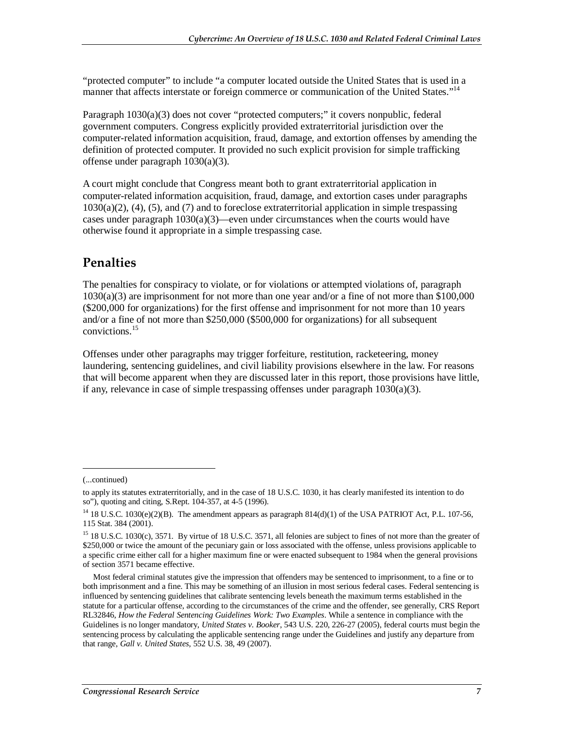"protected computer" to include "a computer located outside the United States that is used in a manner that affects interstate or foreign commerce or communication of the United States."<sup>14</sup>

Paragraph 1030(a)(3) does not cover "protected computers;" it covers nonpublic, federal government computers. Congress explicitly provided extraterritorial jurisdiction over the computer-related information acquisition, fraud, damage, and extortion offenses by amending the definition of protected computer. It provided no such explicit provision for simple trafficking offense under paragraph 1030(a)(3).

A court might conclude that Congress meant both to grant extraterritorial application in computer-related information acquisition, fraud, damage, and extortion cases under paragraphs  $1030(a)(2)$ ,  $(4)$ ,  $(5)$ , and  $(7)$  and to foreclose extraterritorial application in simple trespassing cases under paragraph  $1030(a)(3)$ —even under circumstances when the courts would have otherwise found it appropriate in a simple trespassing case.

## **Penalties**

The penalties for conspiracy to violate, or for violations or attempted violations of, paragraph 1030(a)(3) are imprisonment for not more than one year and/or a fine of not more than \$100,000 (\$200,000 for organizations) for the first offense and imprisonment for not more than 10 years and/or a fine of not more than \$250,000 (\$500,000 for organizations) for all subsequent convictions.<sup>15</sup>

Offenses under other paragraphs may trigger forfeiture, restitution, racketeering, money laundering, sentencing guidelines, and civil liability provisions elsewhere in the law. For reasons that will become apparent when they are discussed later in this report, those provisions have little, if any, relevance in case of simple trespassing offenses under paragraph  $1030(a)(3)$ .

<sup>(...</sup>continued)

to apply its statutes extraterritorially, and in the case of 18 U.S.C. 1030, it has clearly manifested its intention to do so"), quoting and citing, S.Rept. 104-357, at 4-5 (1996).

<sup>&</sup>lt;sup>14</sup> 18 U.S.C. 1030(e)(2)(B). The amendment appears as paragraph  $814(d)(1)$  of the USA PATRIOT Act, P.L. 107-56, 115 Stat. 384 (2001).

<sup>&</sup>lt;sup>15</sup> 18 U.S.C. 1030(c), 3571. By virtue of 18 U.S.C. 3571, all felonies are subject to fines of not more than the greater of \$250,000 or twice the amount of the pecuniary gain or loss associated with the offense, unless provisions applicable to a specific crime either call for a higher maximum fine or were enacted subsequent to 1984 when the general provisions of section 3571 became effective.

Most federal criminal statutes give the impression that offenders may be sentenced to imprisonment, to a fine or to both imprisonment and a fine. This may be something of an illusion in most serious federal cases. Federal sentencing is influenced by sentencing guidelines that calibrate sentencing levels beneath the maximum terms established in the statute for a particular offense, according to the circumstances of the crime and the offender, see generally, CRS Report RL32846, *How the Federal Sentencing Guidelines Work: Two Examples*. While a sentence in compliance with the Guidelines is no longer mandatory, *United States v. Booker*, 543 U.S. 220, 226-27 (2005), federal courts must begin the sentencing process by calculating the applicable sentencing range under the Guidelines and justify any departure from that range, *Gall v. United States*, 552 U.S. 38, 49 (2007).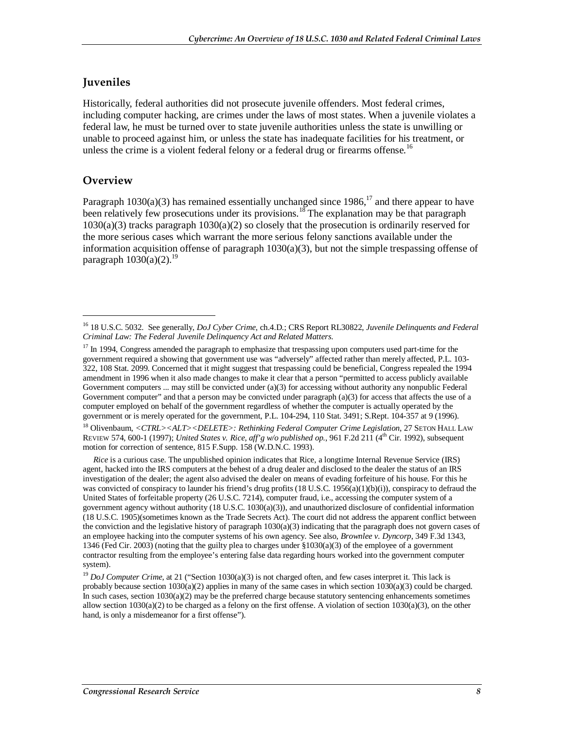### **Juveniles**

Historically, federal authorities did not prosecute juvenile offenders. Most federal crimes, including computer hacking, are crimes under the laws of most states. When a juvenile violates a federal law, he must be turned over to state juvenile authorities unless the state is unwilling or unable to proceed against him, or unless the state has inadequate facilities for his treatment, or unless the crime is a violent federal felony or a federal drug or firearms offense.<sup>16</sup>

#### **Overview**

1

Paragraph 1030(a)(3) has remained essentially unchanged since  $1986$ ,<sup>17</sup> and there appear to have been relatively few prosecutions under its provisions.<sup>18</sup> The explanation may be that paragraph  $1030(a)(3)$  tracks paragraph  $1030(a)(2)$  so closely that the prosecution is ordinarily reserved for the more serious cases which warrant the more serious felony sanctions available under the information acquisition offense of paragraph  $1030(a)(3)$ , but not the simple trespassing offense of paragraph  $1030(a)(2)$ <sup>19</sup>

18 Olivenbaum, *<CTRL><ALT><DELETE>: Rethinking Federal Computer Crime Legislation*, 27 SETON HALL LAW REVIEW 574, 600-1 (1997); *United States v. Rice*, *aff'g w/o published op.*, 961 F.2d 211 (4th Cir. 1992), subsequent motion for correction of sentence, 815 F.Supp. 158 (W.D.N.C. 1993).

*Rice* is a curious case. The unpublished opinion indicates that Rice, a longtime Internal Revenue Service (IRS) agent, hacked into the IRS computers at the behest of a drug dealer and disclosed to the dealer the status of an IRS investigation of the dealer; the agent also advised the dealer on means of evading forfeiture of his house. For this he was convicted of conspiracy to launder his friend's drug profits (18 U.S.C. 1956(a)(1)(b)(i)), conspiracy to defraud the United States of forfeitable property (26 U.S.C. 7214), computer fraud, i.e., accessing the computer system of a government agency without authority (18 U.S.C. 1030(a)(3)), and unauthorized disclosure of confidential information (18 U.S.C. 1905)(sometimes known as the Trade Secrets Act). The court did not address the apparent conflict between the conviction and the legislative history of paragraph 1030(a)(3) indicating that the paragraph does not govern cases of an employee hacking into the computer systems of his own agency. See also, *Brownlee v. Dyncorp*, 349 F.3d 1343, 1346 (Fed Cir. 2003) (noting that the guilty plea to charges under  $\S 1030(a)(3)$  of the employee of a government contractor resulting from the employee's entering false data regarding hours worked into the government computer system).

<sup>16 18</sup> U.S.C. 5032. See generally, *DoJ Cyber Crime*, ch.4.D.; CRS Report RL30822, *Juvenile Delinquents and Federal Criminal Law: The Federal Juvenile Delinquency Act and Related Matters*.

<sup>&</sup>lt;sup>17</sup> In 1994, Congress amended the paragraph to emphasize that trespassing upon computers used part-time for the government required a showing that government use was "adversely" affected rather than merely affected, P.L. 103- 322, 108 Stat. 2099. Concerned that it might suggest that trespassing could be beneficial, Congress repealed the 1994 amendment in 1996 when it also made changes to make it clear that a person "permitted to access publicly available Government computers ... may still be convicted under (a)(3) for accessing without authority any nonpublic Federal Government computer" and that a person may be convicted under paragraph  $(a)(3)$  for access that affects the use of a computer employed on behalf of the government regardless of whether the computer is actually operated by the government or is merely operated for the government, P.L. 104-294, 110 Stat. 3491; S.Rept. 104-357 at 9 (1996).

<sup>&</sup>lt;sup>19</sup> *DoJ Computer Crime*, at 21 ("Section 1030(a)(3) is not charged often, and few cases interpret it. This lack is probably because section  $1030(a)(2)$  applies in many of the same cases in which section  $1030(a)(3)$  could be charged. In such cases, section  $1030(a)(2)$  may be the preferred charge because statutory sentencing enhancements sometimes allow section  $1030(a)(2)$  to be charged as a felony on the first offense. A violation of section  $1030(a)(3)$ , on the other hand, is only a misdemeanor for a first offense").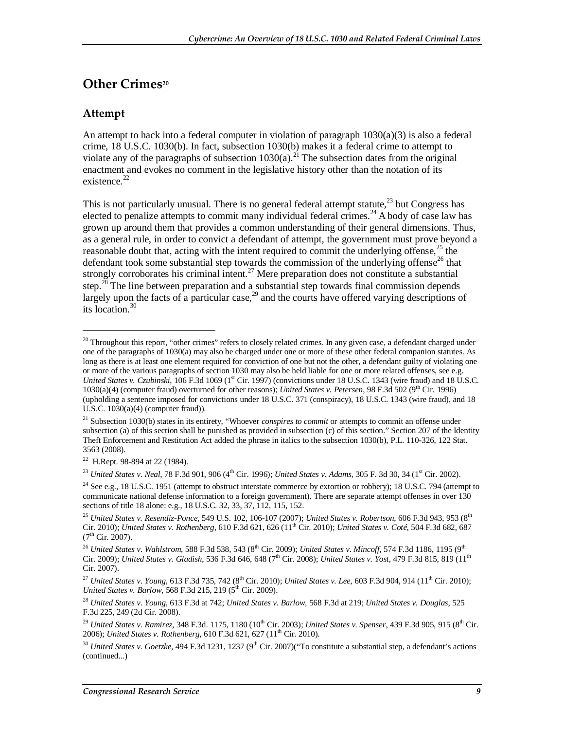### **Other Crimes<sup>20</sup>**

#### **Attempt**

1

An attempt to hack into a federal computer in violation of paragraph  $1030(a)(3)$  is also a federal crime, 18 U.S.C. 1030(b). In fact, subsection 1030(b) makes it a federal crime to attempt to violate any of the paragraphs of subsection  $1030(a)$ .<sup>21</sup> The subsection dates from the original enactment and evokes no comment in the legislative history other than the notation of its existence. $^{22}$ 

This is not particularly unusual. There is no general federal attempt statute.<sup>23</sup> but Congress has elected to penalize attempts to commit many individual federal crimes.<sup>24</sup> A body of case law has grown up around them that provides a common understanding of their general dimensions. Thus, as a general rule, in order to convict a defendant of attempt, the government must prove beyond a reasonable doubt that, acting with the intent required to commit the underlying offense, $^{25}$  the defendant took some substantial step towards the commission of the underlying offense<sup>26</sup> that strongly corroborates his criminal intent.<sup>27</sup> Mere preparation does not constitute a substantial step.<sup>28</sup> The line between preparation and a substantial step towards final commission depends largely upon the facts of a particular case,  $^{29}$  and the courts have offered varying descriptions of its location.<sup>30</sup>

 $20$  Throughout this report, "other crimes" refers to closely related crimes. In any given case, a defendant charged under one of the paragraphs of 1030(a) may also be charged under one or more of these other federal companion statutes. As long as there is at least one element required for conviction of one but not the other, a defendant guilty of violating one or more of the various paragraphs of section 1030 may also be held liable for one or more related offenses, see e.g. *United States v. Czubinski*, 106 F.3d 1069 (1<sup>st</sup> Cir. 1997) (convictions under 18 U.S.C. 1343 (wire fraud) and 18 U.S.C. 1030(a)(4) (computer fraud) overturned for other reasons); *United States v. Petersen*, 98 F.3d 502 (9th Cir. 1996) (upholding a sentence imposed for convictions under 18 U.S.C. 371 (conspiracy), 18 U.S.C. 1343 (wire fraud), and 18 U.S.C. 1030(a)(4) (computer fraud)).

<sup>21</sup> Subsection 1030(b) states in its entirety, "Whoever *conspires to commit* or attempts to commit an offense under subsection (a) of this section shall be punished as provided in subsection (c) of this section." Section 207 of the Identity Theft Enforcement and Restitution Act added the phrase in italics to the subsection 1030(b), P.L. 110-326, 122 Stat. 3563 (2008).

<sup>&</sup>lt;sup>22</sup> H.Rept. 98-894 at 22 (1984).

<sup>23</sup> *United States v. Neal*, 78 F.3d 901, 906 (4th Cir. 1996); *United States v. Adams*, 305 F. 3d 30, 34 (1st Cir. 2002).

<sup>&</sup>lt;sup>24</sup> See e.g., 18 U.S.C. 1951 (attempt to obstruct interstate commerce by extortion or robbery); 18 U.S.C. 794 (attempt to communicate national defense information to a foreign government). There are separate attempt offenses in over 130 sections of title 18 alone: e.g., 18 U.S.C. 32, 33, 37, 112, 115, 152.

<sup>25</sup> *United States v. Resendiz-Ponce*, 549 U.S. 102, 106-107 (2007); *United States v. Robertson*, 606 F.3d 943, 953 (8th Cir. 2010); *United States v. Rothenberg*, 610 F.3d 621, 626 (11th Cir. 2010); *United States v. Coté*, 504 F.3d 682, 687  $(7<sup>th</sup>$  Cir. 2007).

<sup>&</sup>lt;sup>26</sup> *United States v. Wahlstrom,* 588 F.3d 538, 543 (8<sup>th</sup> Cir. 2009); *United States v. Mincoff*, 574 F.3d 1186, 1195 (9<sup>th</sup> Cir. 2009); *United States v. Gladish*, 536 F.3d 646, 648 (7<sup>th</sup> Cir. 2008); *United States v. Yost*, 479 F.3d 815, 819 (11<sup>th</sup>) Cir. 2007).

<sup>&</sup>lt;sup>27</sup> *United States v. Young,* 613 F.3d 735, 742 (8<sup>th</sup> Cir. 2010); *United States v. Lee,* 603 F.3d 904, 914 (11<sup>th</sup> Cir. 2010); *United States v. Barlow*, 568 F.3d 215, 219 (5<sup>th</sup> Cir. 2009).

<sup>28</sup> *United States v. Young*, 613 F.3d at 742; *United States v. Barlow*, 568 F.3d at 219; *United States v. Douglas*, 525 F.3d 225, 249 (2d Cir. 2008).

<sup>&</sup>lt;sup>29</sup> *United States v. Ramirez*, 348 F.3d. 1175, 1180 (10<sup>th</sup> Cir. 2003); *United States v. Spenser*, 439 F.3d 905, 915 (8<sup>th</sup> Cir. 2006); *United States v. Rothenberg*, 610 F.3d 621, 627 (11<sup>th</sup> Cir. 2010).

 $30$  *United States v. Goetzke*, 494 F.3d 1231, 1237 (9<sup>th</sup> Cir. 2007)("To constitute a substantial step, a defendant's actions (continued...)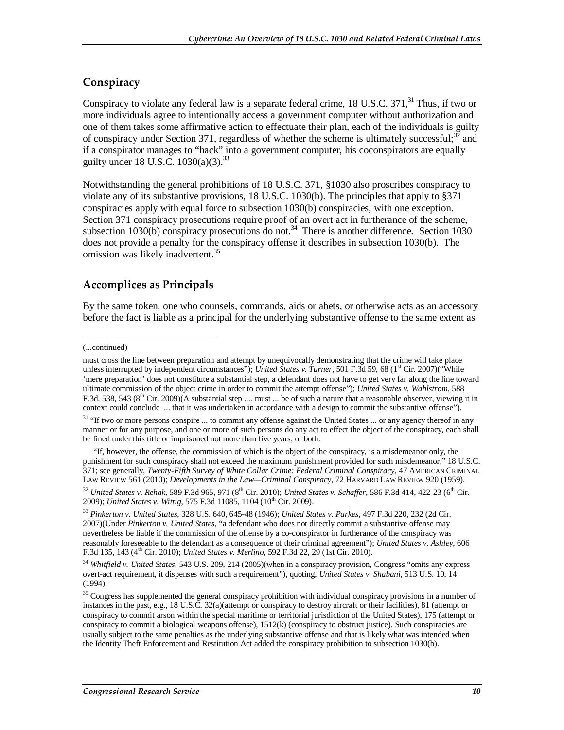### **Conspiracy**

Conspiracy to violate any federal law is a separate federal crime, 18 U.S.C. 371,<sup>31</sup> Thus, if two or more individuals agree to intentionally access a government computer without authorization and one of them takes some affirmative action to effectuate their plan, each of the individuals is guilty of conspiracy under Section 371, regardless of whether the scheme is ultimately successful:  $32$  and if a conspirator manages to "hack" into a government computer, his coconspirators are equally guilty under 18 U.S.C. 1030(a)(3).<sup>33</sup>

Notwithstanding the general prohibitions of 18 U.S.C. 371, §1030 also proscribes conspiracy to violate any of its substantive provisions, 18 U.S.C. 1030(b). The principles that apply to §371 conspiracies apply with equal force to subsection 1030(b) conspiracies, with one exception. Section 371 conspiracy prosecutions require proof of an overt act in furtherance of the scheme, subsection 1030(b) conspiracy prosecutions do not.<sup>34</sup> There is another difference. Section 1030 does not provide a penalty for the conspiracy offense it describes in subsection 1030(b). The omission was likely inadvertent.<sup>35</sup>

### **Accomplices as Principals**

By the same token, one who counsels, commands, aids or abets, or otherwise acts as an accessory before the fact is liable as a principal for the underlying substantive offense to the same extent as

(...continued)

1

 "If, however, the offense, the commission of which is the object of the conspiracy, is a misdemeanor only, the punishment for such conspiracy shall not exceed the maximum punishment provided for such misdemeanor," 18 U.S.C. 371; see generally, *Twenty-Fifth Survey of White Collar Crime: Federal Criminal Conspiracy*, 47 AMERICAN CRIMINAL LAW REVIEW 561 (2010); *Developments in the Law—Criminal Conspiracy*, 72 HARVARD LAW REVIEW 920 (1959).

must cross the line between preparation and attempt by unequivocally demonstrating that the crime will take place unless interrupted by independent circumstances"); *United States v. Turner*, 501 F.3d 59, 68 (1<sup>st</sup> Cir. 2007)("While 'mere preparation' does not constitute a substantial step, a defendant does not have to get very far along the line toward ultimate commission of the object crime in order to commit the attempt offense"); *United States v. Wahlstrom*, 588 F.3d. 538, 543 (8<sup>th</sup> Cir. 2009)(A substantial step .... must ... be of such a nature that a reasonable observer, viewing it in context could conclude ... that it was undertaken in accordance with a design to commit the substantive offense").

<sup>&</sup>lt;sup>31</sup> "If two or more persons conspire ... to commit any offense against the United States ... or any agency thereof in any manner or for any purpose, and one or more of such persons do any act to effect the object of the conspiracy, each shall be fined under this title or imprisoned not more than five years, or both.

 $32$  *United States v. Rehak,* 589 F.3d 965, 971 (8<sup>th</sup> Cir. 2010); *United States v. Schaffer*, 586 F.3d 414, 422-23 (6<sup>th</sup> Cir. 2009); *United States v. Wittig*, 575 F.3d 11085, 1104 (10<sup>th</sup> Cir. 2009).

<sup>33</sup> *Pinkerton v. United States*, 328 U.S. 640, 645-48 (1946); *United States v. Parkes*, 497 F.3d 220, 232 (2d Cir. 2007)(Under *Pinkerton v. United States*, "a defendant who does not directly commit a substantive offense may nevertheless be liable if the commission of the offense by a co-conspirator in furtherance of the conspiracy was reasonably foreseeable to the defendant as a consequence of their criminal agreement"); *United States v. Ashley*, 606 F.3d 135, 143 (4th Cir. 2010); *United States v. Merlino*, 592 F.3d 22, 29 (1st Cir. 2010).

<sup>34</sup> *Whitfield v. United States*, 543 U.S. 209, 214 (2005)(when in a conspiracy provision, Congress "omits any express overt-act requirement, it dispenses with such a requirement"), quoting, *United States v. Shabani*, 513 U.S. 10, 14 (1994).

<sup>&</sup>lt;sup>35</sup> Congress has supplemented the general conspiracy prohibition with individual conspiracy provisions in a number of instances in the past, e.g., 18 U.S.C. 32(a)(attempt or conspiracy to destroy aircraft or their facilities), 81 (attempt or conspiracy to commit arson within the special maritime or territorial jurisdiction of the United States), 175 (attempt or conspiracy to commit a biological weapons offense), 1512(k) (conspiracy to obstruct justice). Such conspiracies are usually subject to the same penalties as the underlying substantive offense and that is likely what was intended when the Identity Theft Enforcement and Restitution Act added the conspiracy prohibition to subsection 1030(b).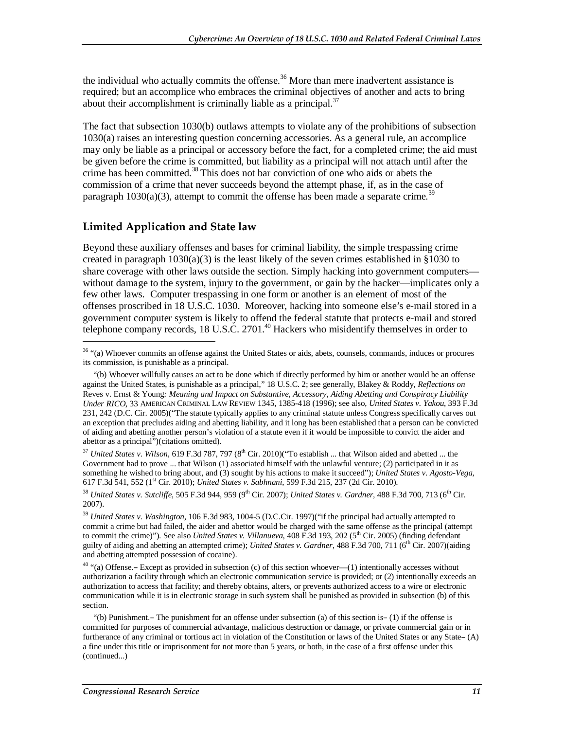the individual who actually commits the offense.<sup>36</sup> More than mere inadvertent assistance is required; but an accomplice who embraces the criminal objectives of another and acts to bring about their accomplishment is criminally liable as a principal. $37$ 

The fact that subsection 1030(b) outlaws attempts to violate any of the prohibitions of subsection 1030(a) raises an interesting question concerning accessories. As a general rule, an accomplice may only be liable as a principal or accessory before the fact, for a completed crime; the aid must be given before the crime is committed, but liability as a principal will not attach until after the crime has been committed.38 This does not bar conviction of one who aids or abets the commission of a crime that never succeeds beyond the attempt phase, if, as in the case of paragraph 1030(a)(3), attempt to commit the offense has been made a separate crime.<sup>39</sup>

### **Limited Application and State law**

<u>.</u>

Beyond these auxiliary offenses and bases for criminal liability, the simple trespassing crime created in paragraph  $1030(a)(3)$  is the least likely of the seven crimes established in §1030 to share coverage with other laws outside the section. Simply hacking into government computers without damage to the system, injury to the government, or gain by the hacker—implicates only a few other laws. Computer trespassing in one form or another is an element of most of the offenses proscribed in 18 U.S.C. 1030. Moreover, hacking into someone else's e-mail stored in a government computer system is likely to offend the federal statute that protects e-mail and stored telephone company records, 18 U.S.C. 2701.<sup>40</sup> Hackers who misidentify themselves in order to

 $37$  *United States v. Wilson*, 619 F.3d 787, 797 ( $8<sup>th</sup>$  Cir. 2010)("To establish ... that Wilson aided and abetted ... the Government had to prove ... that Wilson (1) associated himself with the unlawful venture; (2) participated in it as something he wished to bring about, and (3) sought by his actions to make it succeed"); *United States v. Agosto-Vega*, 617 F.3d 541, 552 (1st Cir. 2010); *United States v. Sabhnani*, 599 F.3d 215, 237 (2d Cir. 2010).

 $40$  "(a) Offense. – Except as provided in subsection (c) of this section whoever—(1) intentionally accesses without authorization a facility through which an electronic communication service is provided; or (2) intentionally exceeds an authorization to access that facility; and thereby obtains, alters, or prevents authorized access to a wire or electronic communication while it is in electronic storage in such system shall be punished as provided in subsection (b) of this section.

<sup>&</sup>lt;sup>36</sup> "(a) Whoever commits an offense against the United States or aids, abets, counsels, commands, induces or procures its commission, is punishable as a principal.

 <sup>&</sup>quot;(b) Whoever willfully causes an act to be done which if directly performed by him or another would be an offense against the United States, is punishable as a principal," 18 U.S.C. 2; see generally, Blakey & Roddy, *Reflections on* Reves v. Ernst & Young*: Meaning and Impact on Substantive, Accessory, Aiding Abetting and Conspiracy Liability Under RICO*, 33 AMERICAN CRIMINAL LAW REVIEW 1345, 1385-418 (1996); see also, *United States v. Yakou*, 393 F.3d 231, 242 (D.C. Cir. 2005)("The statute typically applies to any criminal statute unless Congress specifically carves out an exception that precludes aiding and abetting liability, and it long has been established that a person can be convicted of aiding and abetting another person's violation of a statute even if it would be impossible to convict the aider and abettor as a principal")(citations omitted).

<sup>38</sup> *United States v. Sutcliffe*, 505 F.3d 944, 959 (9th Cir. 2007); *United States v. Gardner*, 488 F.3d 700, 713 (6th Cir. 2007).

<sup>&</sup>lt;sup>39</sup> United States v. Washington, 106 F.3d 983, 1004-5 (D.C.Cir. 1997)("if the principal had actually attempted to commit a crime but had failed, the aider and abettor would be charged with the same offense as the principal (attempt to commit the crime)"). See also *United States v. Villanueva*, 408 F.3d 193, 202 (5<sup>th</sup> Cir. 2005) (finding defendant guilty of aiding and abetting an attempted crime); *United States v. Gardner*, 488 F.3d 700, 711 (6<sup>th</sup> Cir. 2007)(aiding and abetting attempted possession of cocaine).

<sup>&</sup>quot;(b) Punishment. The punishment for an offense under subsection (a) of this section is- $(1)$  if the offense is committed for purposes of commercial advantage, malicious destruction or damage, or private commercial gain or in furtherance of any criminal or tortious act in violation of the Constitution or laws of the United States or any State  $(A)$ a fine under this title or imprisonment for not more than 5 years, or both, in the case of a first offense under this (continued...)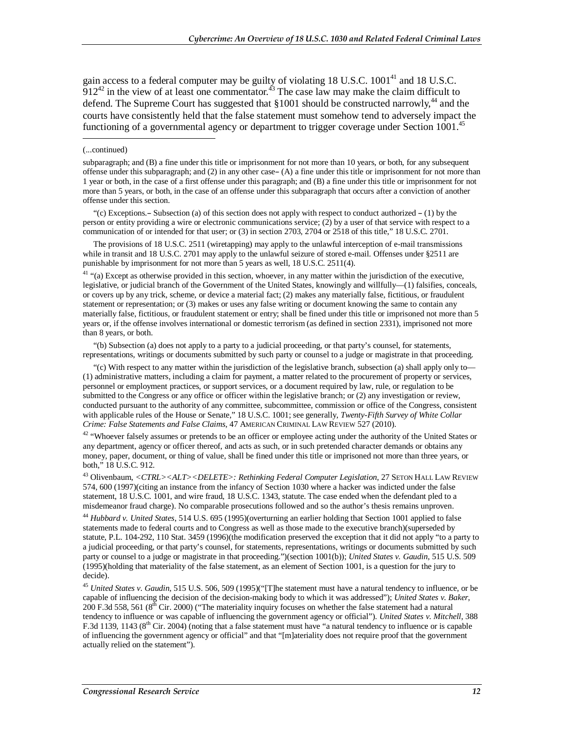gain access to a federal computer may be guilty of violating 18 U.S.C.  $1001<sup>41</sup>$  and 18 U.S.C.  $912^{42}$  in the view of at least one commentator.<sup>43</sup> The case law may make the claim difficult to defend. The Supreme Court has suggested that  $$1001$  should be constructed narrowly,<sup>44</sup> and the courts have consistently held that the false statement must somehow tend to adversely impact the functioning of a governmental agency or department to trigger coverage under Section  $1001$ .<sup>45</sup>

#### (...continued)

1

"(c) Exceptions. $-$  Subsection (a) of this section does not apply with respect to conduct authorized  $-$  (1) by the person or entity providing a wire or electronic communications service; (2) by a user of that service with respect to a communication of or intended for that user; or (3) in section 2703, 2704 or 2518 of this title," 18 U.S.C. 2701.

 The provisions of 18 U.S.C. 2511 (wiretapping) may apply to the unlawful interception of e-mail transmissions while in transit and 18 U.S.C. 2701 may apply to the unlawful seizure of stored e-mail. Offenses under §2511 are punishable by imprisonment for not more than 5 years as well, 18 U.S.C. 2511(4).

 $41$  "(a) Except as otherwise provided in this section, whoever, in any matter within the jurisdiction of the executive, legislative, or judicial branch of the Government of the United States, knowingly and willfully—(1) falsifies, conceals, or covers up by any trick, scheme, or device a material fact; (2) makes any materially false, fictitious, or fraudulent statement or representation; or (3) makes or uses any false writing or document knowing the same to contain any materially false, fictitious, or fraudulent statement or entry; shall be fined under this title or imprisoned not more than 5 years or, if the offense involves international or domestic terrorism (as defined in section 2331), imprisoned not more than 8 years, or both.

 "(b) Subsection (a) does not apply to a party to a judicial proceeding, or that party's counsel, for statements, representations, writings or documents submitted by such party or counsel to a judge or magistrate in that proceeding.

 "(c) With respect to any matter within the jurisdiction of the legislative branch, subsection (a) shall apply only to— (1) administrative matters, including a claim for payment, a matter related to the procurement of property or services, personnel or employment practices, or support services, or a document required by law, rule, or regulation to be submitted to the Congress or any office or officer within the legislative branch; or (2) any investigation or review, conducted pursuant to the authority of any committee, subcommittee, commission or office of the Congress, consistent with applicable rules of the House or Senate," 18 U.S.C. 1001; see generally, *Twenty-Fifth Survey of White Collar Crime: False Statements and False Claims*, 47 AMERICAN CRIMINAL LAW REVIEW 527 (2010).

<sup>42</sup> "Whoever falsely assumes or pretends to be an officer or employee acting under the authority of the United States or any department, agency or officer thereof, and acts as such, or in such pretended character demands or obtains any money, paper, document, or thing of value, shall be fined under this title or imprisoned not more than three years, or both," 18 U.S.C. 912.

43 Olivenbaum, *<CTRL><ALT><DELETE>: Rethinking Federal Computer Legislation*, 27 SETON HALL LAW REVIEW 574, 600 (1997)(citing an instance from the infancy of Section 1030 where a hacker was indicted under the false statement, 18 U.S.C. 1001, and wire fraud, 18 U.S.C. 1343, statute. The case ended when the defendant pled to a misdemeanor fraud charge). No comparable prosecutions followed and so the author's thesis remains unproven.

<sup>44</sup> *Hubbard v. United States*, 514 U.S. 695 (1995)(overturning an earlier holding that Section 1001 applied to false statements made to federal courts and to Congress as well as those made to the executive branch)(superseded by statute, P.L. 104-292, 110 Stat. 3459 (1996)(the modification preserved the exception that it did not apply "to a party to a judicial proceeding, or that party's counsel, for statements, representations, writings or documents submitted by such party or counsel to a judge or magistrate in that proceeding.")(section 1001(b)); *United States v. Gaudin*, 515 U.S. 509 (1995)(holding that materiality of the false statement, as an element of Section 1001, is a question for the jury to decide).

<sup>45</sup> *United States v. Gaudin*, 515 U.S. 506, 509 (1995)("[T]he statement must have a natural tendency to influence, or be capable of influencing the decision of the decision-making body to which it was addressed"); *United States v. Baker*, 200 F.3d 558, 561 ( $8<sup>th</sup>$  Cir. 2000) ("The materiality inquiry focuses on whether the false statement had a natural tendency to influence or was capable of influencing the government agency or official"). *United States v. Mitchell*, 388 F.3d 1139, 1143 ( $8<sup>th</sup>$  Cir. 2004) (noting that a false statement must have "a natural tendency to influence or is capable of influencing the government agency or official" and that "[m]ateriality does not require proof that the government actually relied on the statement").

subparagraph; and (B) a fine under this title or imprisonment for not more than 10 years, or both, for any subsequent offense under this subparagraph; and  $(2)$  in any other case- $(A)$  a fine under this title or imprisonment for not more than 1 year or both, in the case of a first offense under this paragraph; and (B) a fine under this title or imprisonment for not more than 5 years, or both, in the case of an offense under this subparagraph that occurs after a conviction of another offense under this section.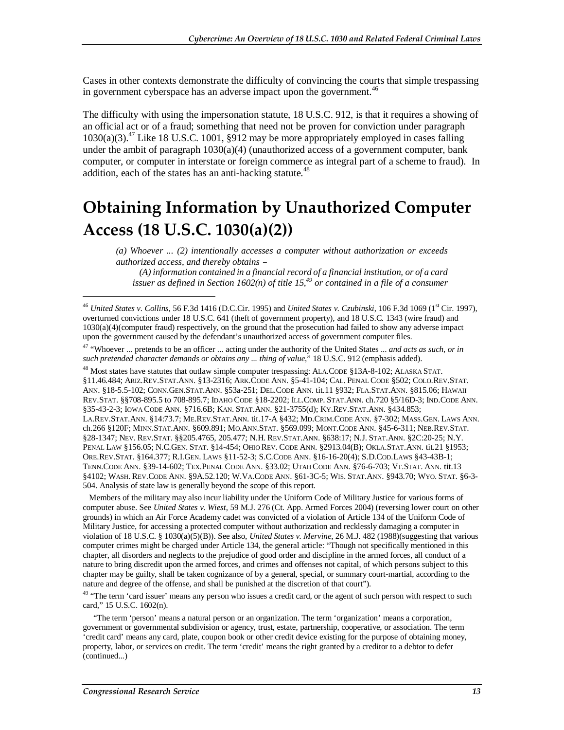Cases in other contexts demonstrate the difficulty of convincing the courts that simple trespassing in government cyberspace has an adverse impact upon the government.<sup>46</sup>

The difficulty with using the impersonation statute, 18 U.S.C. 912, is that it requires a showing of an official act or of a fraud; something that need not be proven for conviction under paragraph  $1030(a)(3)$ .<sup>47</sup> Like 18 U.S.C. 1001, §912 may be more appropriately employed in cases falling under the ambit of paragraph  $1030(a)(4)$  (unauthorized access of a government computer, bank computer, or computer in interstate or foreign commerce as integral part of a scheme to fraud). In addition, each of the states has an anti-hacking statute.<sup>48</sup>

# **Obtaining Information by Unauthorized Computer Access (18 U.S.C. 1030(a)(2))**

*(a) Whoever ... (2) intentionally accesses a computer without authorization or exceeds authorized access, and thereby obtains -*

 *(A) information contained in a financial record of a financial institution, or of a card issuer as defined in Section 1602(n) of title 15,<sup>49</sup> or contained in a file of a consumer* 

48 Most states have statutes that outlaw simple computer trespassing: ALA.CODE §13A-8-102; ALASKA STAT. §11.46.484; ARIZ.REV.STAT.ANN. §13-2316; ARK.CODE ANN. §5-41-104; CAL. PENAL CODE §502; COLO.REV.STAT. ANN. §18-5.5-102; CONN.GEN.STAT.ANN. §53a-251; DEL.CODE ANN. tit.11 §932; FLA.STAT.ANN. §815.06; HAWAII REV.STAT. §§708-895.5 to 708-895.7; IDAHO CODE §18-2202; ILL.COMP. STAT.ANN. ch.720 §5/16D-3; IND.CODE ANN. §35-43-2-3; IOWA CODE ANN. §716.6B; KAN. STAT.ANN. §21-3755(d); KY.REV.STAT.ANN. §434.853; LA.REV.STAT.ANN. §14:73.7; ME.REV.STAT.ANN. tit.17-A §432; MD.CRIM.CODE ANN. §7-302; MASS.GEN. LAWS ANN. ch.266 §120F; MINN.STAT.ANN. §609.891; MO.ANN.STAT. §569.099; MONT.CODE ANN. §45-6-311; NEB.REV.STAT. §28-1347; NEV. REV.STAT. §§205.4765, 205.477; N.H. REV.STAT.ANN. §638:17; N.J. STAT.ANN. §2C:20-25; N.Y. PENAL LAW §156.05; N.C.GEN. STAT. §14-454; OHIO REV. CODE ANN. §2913.04(B); OKLA.STAT.ANN. tit.21 §1953; ORE.REV.STAT. §164.377; R.I.GEN. LAWS §11-52-3; S.C.CODE ANN. §16-16-20(4); S.D.COD.LAWS §43-43B-1; TENN.CODE ANN. §39-14-602; TEX.PENAL CODE ANN. §33.02; UTAH CODE ANN. §76-6-703; VT.STAT. ANN. tit.13 §4102; WASH. REV.CODE ANN. §9A.52.120; W.VA.CODE ANN. §61-3C-5; WIS. STAT.ANN. §943.70; WYO. STAT. §6-3- 504. Analysis of state law is generally beyond the scope of this report.

 Members of the military may also incur liability under the Uniform Code of Military Justice for various forms of computer abuse. See *United States v. Wiest*, 59 M.J. 276 (Ct. App. Armed Forces 2004) (reversing lower court on other grounds) in which an Air Force Academy cadet was convicted of a violation of Article 134 of the Uniform Code of Military Justice, for accessing a protected computer without authorization and recklessly damaging a computer in violation of 18 U.S.C. § 1030(a)(5)(B)). See also, *United States v. Mervine*, 26 M.J. 482 (1988)(suggesting that various computer crimes might be charged under Article 134, the general article: "Though not specifically mentioned in this chapter, all disorders and neglects to the prejudice of good order and discipline in the armed forces, all conduct of a nature to bring discredit upon the armed forces, and crimes and offenses not capital, of which persons subject to this chapter may be guilty, shall be taken cognizance of by a general, special, or summary court-martial, according to the nature and degree of the offense, and shall be punished at the discretion of that court").

<sup>49</sup> "The term 'card issuer' means any person who issues a credit card, or the agent of such person with respect to such card," 15 U.S.C. 1602(n).

 "The term 'person' means a natural person or an organization. The term 'organization' means a corporation, government or governmental subdivision or agency, trust, estate, partnership, cooperative, or association. The term 'credit card' means any card, plate, coupon book or other credit device existing for the purpose of obtaining money, property, labor, or services on credit. The term 'credit' means the right granted by a creditor to a debtor to defer (continued...)

<sup>46</sup> *United States v. Collins*, 56 F.3d 1416 (D.C.Cir. 1995) and *United States v. Czubinski*, 106 F.3d 1069 (1st Cir. 1997), overturned convictions under 18 U.S.C. 641 (theft of government property), and 18 U.S.C. 1343 (wire fraud) and 1030(a)(4)(computer fraud) respectively, on the ground that the prosecution had failed to show any adverse impact upon the government caused by the defendant's unauthorized access of government computer files.

<sup>47 &</sup>quot;Whoever ... pretends to be an officer ... acting under the authority of the United States ... *and acts as such, or in*  such pretended character demands or obtains any ... thing of value," 18 U.S.C. 912 (emphasis added).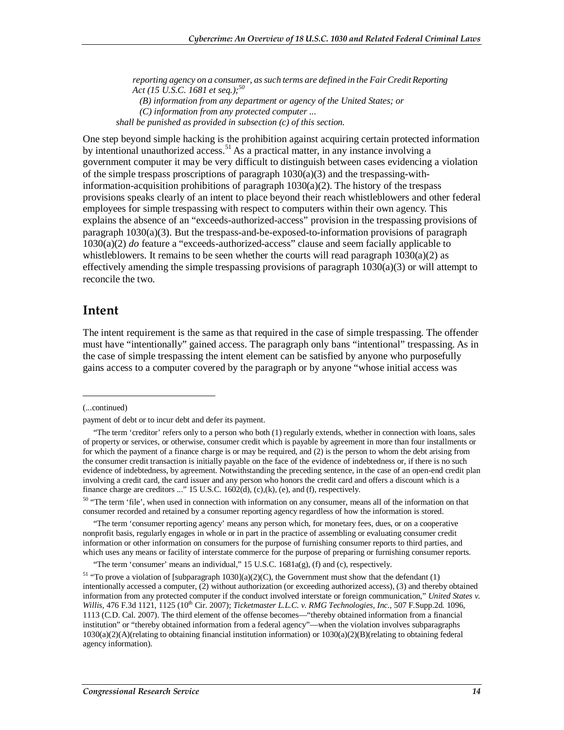*reporting agency on a consumer, as such terms are defined in the Fair Credit Reporting Act (15 U.S.C. 1681 et seq.);<sup>50</sup> (B) information from any department or agency of the United States; or (C) information from any protected computer ... shall be punished as provided in subsection (c) of this section.*

One step beyond simple hacking is the prohibition against acquiring certain protected information by intentional unauthorized access.<sup>51</sup> As a practical matter, in any instance involving a government computer it may be very difficult to distinguish between cases evidencing a violation of the simple trespass proscriptions of paragraph  $1030(a)(3)$  and the trespassing-withinformation-acquisition prohibitions of paragraph  $1030(a)(2)$ . The history of the trespass provisions speaks clearly of an intent to place beyond their reach whistleblowers and other federal employees for simple trespassing with respect to computers within their own agency. This explains the absence of an "exceeds-authorized-access" provision in the trespassing provisions of paragraph  $1030(a)(3)$ . But the trespass-and-be-exposed-to-information provisions of paragraph 1030(a)(2) *do* feature a "exceeds-authorized-access" clause and seem facially applicable to whistleblowers. It remains to be seen whether the courts will read paragraph  $1030(a)(2)$  as effectively amending the simple trespassing provisions of paragraph  $1030(a)(3)$  or will attempt to reconcile the two.

### **Intent**

The intent requirement is the same as that required in the case of simple trespassing. The offender must have "intentionally" gained access. The paragraph only bans "intentional" trespassing. As in the case of simple trespassing the intent element can be satisfied by anyone who purposefully gains access to a computer covered by the paragraph or by anyone "whose initial access was

(...continued)

<u>.</u>

"The term 'consumer' means an individual," 15 U.S.C. 1681a(g), (f) and (c), respectively.

payment of debt or to incur debt and defer its payment.

 <sup>&</sup>quot;The term 'creditor' refers only to a person who both (1) regularly extends, whether in connection with loans, sales of property or services, or otherwise, consumer credit which is payable by agreement in more than four installments or for which the payment of a finance charge is or may be required, and (2) is the person to whom the debt arising from the consumer credit transaction is initially payable on the face of the evidence of indebtedness or, if there is no such evidence of indebtedness, by agreement. Notwithstanding the preceding sentence, in the case of an open-end credit plan involving a credit card, the card issuer and any person who honors the credit card and offers a discount which is a finance charge are creditors ..." 15 U.S.C. 1602(d), (c),(k), (e), and (f), respectively.

<sup>&</sup>lt;sup>50</sup> "The term 'file', when used in connection with information on any consumer, means all of the information on that consumer recorded and retained by a consumer reporting agency regardless of how the information is stored.

 <sup>&</sup>quot;The term 'consumer reporting agency' means any person which, for monetary fees, dues, or on a cooperative nonprofit basis, regularly engages in whole or in part in the practice of assembling or evaluating consumer credit information or other information on consumers for the purpose of furnishing consumer reports to third parties, and which uses any means or facility of interstate commerce for the purpose of preparing or furnishing consumer reports.

<sup>&</sup>lt;sup>51</sup> "To prove a violation of [subparagraph  $1030$ ](a)(2)(C), the Government must show that the defendant (1) intentionally accessed a computer, (2) without authorization (or exceeding authorized access), (3) and thereby obtained information from any protected computer if the conduct involved interstate or foreign communication," *United States v. Willis*, 476 F.3d 1121, 1125 (10<sup>th</sup> Cir. 2007); *Ticketmaster L.L.C. v. RMG Technologies, Inc.*, 507 F.Supp.2d. 1096, 1113 (C.D. Cal. 2007). The third element of the offense becomes—"thereby obtained information from a financial institution" or "thereby obtained information from a federal agency"—when the violation involves subparagraphs 1030(a)(2)(A)(relating to obtaining financial institution information) or 1030(a)(2)(B)(relating to obtaining federal agency information).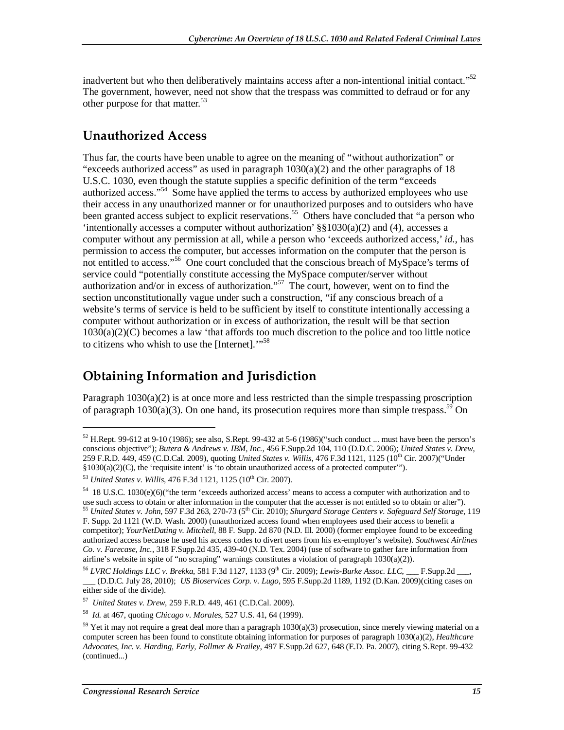inadvertent but who then deliberatively maintains access after a non-intentional initial contact."<sup>52</sup> The government, however, need not show that the trespass was committed to defraud or for any other purpose for that matter.<sup>53</sup>

# **Unauthorized Access**

Thus far, the courts have been unable to agree on the meaning of "without authorization" or "exceeds authorized access" as used in paragraph  $1030(a)(2)$  and the other paragraphs of 18 U.S.C. 1030, even though the statute supplies a specific definition of the term "exceeds authorized access."<sup>54</sup> Some have applied the terms to access by authorized employees who use their access in any unauthorized manner or for unauthorized purposes and to outsiders who have been granted access subject to explicit reservations.<sup>55</sup> Others have concluded that "a person who 'intentionally accesses a computer without authorization'  $\S$ §1030(a)(2) and (4), accesses a computer without any permission at all, while a person who 'exceeds authorized access,' *id.*, has permission to access the computer, but accesses information on the computer that the person is not entitled to access."<sup>56</sup> One court concluded that the conscious breach of MySpace's terms of service could "potentially constitute accessing the MySpace computer/server without authorization and/or in excess of authorization."<sup>57</sup> The court, however, went on to find the section unconstitutionally vague under such a construction, "if any conscious breach of a website's terms of service is held to be sufficient by itself to constitute intentionally accessing a computer without authorization or in excess of authorization, the result will be that section 1030(a)(2)(C) becomes a law 'that affords too much discretion to the police and too little notice to citizens who whish to use the [Internet].'"58

## **Obtaining Information and Jurisdiction**

Paragraph 1030(a)(2) is at once more and less restricted than the simple trespassing proscription of paragraph 1030(a)(3). On one hand, its prosecution requires more than simple trespass.<sup>59</sup> On

 $52$  H.Rept. 99-612 at 9-10 (1986); see also, S.Rept. 99-432 at 5-6 (1986)("such conduct ... must have been the person's conscious objective"); *Butera & Andrews v. IBM, Inc.*, 456 F.Supp.2d 104, 110 (D.D.C. 2006); *United States v. Drew*, 259 F.R.D. 449, 459 (C.D.Cal. 2009), quoting *United States v. Willis*, 476 F.3d 1121, 1125 (10th Cir. 2007)("Under §1030(a)(2)(C), the 'requisite intent' is 'to obtain unauthorized access of a protected computer'").

<sup>&</sup>lt;sup>53</sup> *United States v. Willis*, 476 F.3d 1121, 1125 (10<sup>th</sup> Cir. 2007).

 $54$  18 U.S.C. 1030(e)(6)("the term 'exceeds authorized access' means to access a computer with authorization and to use such access to obtain or alter information in the computer that the accesser is not entitled so to obtain or alter"). <sup>55</sup> *United States v. John*, 597 F.3d 263, 270-73 (5th Cir. 2010); *Shurgard Storage Centers v. Safeguard Self Storage*, 119 F. Supp. 2d 1121 (W.D. Wash. 2000) (unauthorized access found when employees used their access to benefit a competitor); *YourNetDating v. Mitchell*, 88 F. Supp. 2d 870 (N.D. Ill. 2000) (former employee found to be exceeding authorized access because he used his access codes to divert users from his ex-employer's website). *Southwest Airlines Co. v. Farecase, Inc.*, 318 F.Supp.2d 435, 439-40 (N.D. Tex. 2004) (use of software to gather fare information from airline's website in spite of "no scraping" warnings constitutes a violation of paragraph 1030(a)(2)).

<sup>56</sup> *LVRC Holdings LLC v. Brekka*, 581 F.3d 1127, 1133 (9<sup>th</sup> Cir. 2009); *Lewis-Burke Assoc. LLC*, \_\_\_ F.Supp.2d \_ \_\_\_ (D.D.C. July 28, 2010); *US Bioservices Corp. v. Lugo*, 595 F.Supp.2d 1189, 1192 (D.Kan. 2009)(citing cases on either side of the divide).

<sup>57</sup> *United States v. Drew*, 259 F.R.D. 449, 461 (C.D.Cal. 2009).

<sup>58</sup> *Id.* at 467, quoting *Chicago v. Morales*, 527 U.S. 41, 64 (1999).

<sup>&</sup>lt;sup>59</sup> Yet it may not require a great deal more than a paragraph  $1030(a)(3)$  prosecution, since merely viewing material on a computer screen has been found to constitute obtaining information for purposes of paragraph 1030(a)(2), *Healthcare Advocates, Inc. v. Harding, Early, Follmer & Frailey*, 497 F.Supp.2d 627, 648 (E.D. Pa. 2007), citing S.Rept. 99-432 (continued...)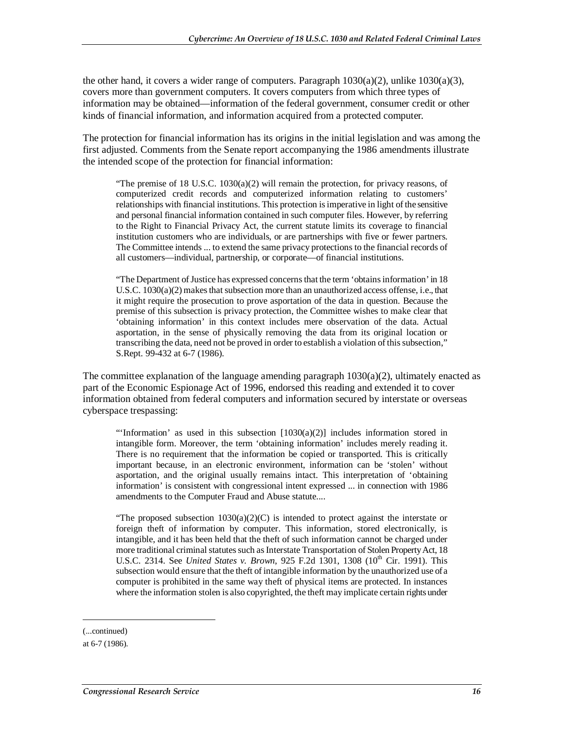the other hand, it covers a wider range of computers. Paragraph  $1030(a)(2)$ , unlike  $1030(a)(3)$ , covers more than government computers. It covers computers from which three types of information may be obtained—information of the federal government, consumer credit or other kinds of financial information, and information acquired from a protected computer.

The protection for financial information has its origins in the initial legislation and was among the first adjusted. Comments from the Senate report accompanying the 1986 amendments illustrate the intended scope of the protection for financial information:

"The premise of 18 U.S.C. 1030(a)(2) will remain the protection, for privacy reasons, of computerized credit records and computerized information relating to customers' relationships with financial institutions. This protection is imperative in light of the sensitive and personal financial information contained in such computer files. However, by referring to the Right to Financial Privacy Act, the current statute limits its coverage to financial institution customers who are individuals, or are partnerships with five or fewer partners. The Committee intends ... to extend the same privacy protections to the financial records of all customers—individual, partnership, or corporate—of financial institutions.

"The Department of Justice has expressed concerns that the term 'obtains information' in 18 U.S.C.  $1030(a)(2)$  makes that subsection more than an unauthorized access offense, i.e., that it might require the prosecution to prove asportation of the data in question. Because the premise of this subsection is privacy protection, the Committee wishes to make clear that 'obtaining information' in this context includes mere observation of the data. Actual asportation, in the sense of physically removing the data from its original location or transcribing the data, need not be proved in order to establish a violation of this subsection," S.Rept. 99-432 at 6-7 (1986).

The committee explanation of the language amending paragraph  $1030(a)(2)$ , ultimately enacted as part of the Economic Espionage Act of 1996, endorsed this reading and extended it to cover information obtained from federal computers and information secured by interstate or overseas cyberspace trespassing:

"'Information' as used in this subsection  $[1030(a)(2)]$  includes information stored in intangible form. Moreover, the term 'obtaining information' includes merely reading it. There is no requirement that the information be copied or transported. This is critically important because, in an electronic environment, information can be 'stolen' without asportation, and the original usually remains intact. This interpretation of 'obtaining information' is consistent with congressional intent expressed ... in connection with 1986 amendments to the Computer Fraud and Abuse statute....

"The proposed subsection  $1030(a)(2)(C)$  is intended to protect against the interstate or foreign theft of information by computer. This information, stored electronically, is intangible, and it has been held that the theft of such information cannot be charged under more traditional criminal statutes such as Interstate Transportation of Stolen Property Act, 18 U.S.C. 2314. See *United States v. Brown*, 925 F.2d 1301, 1308 (10<sup>th</sup> Cir. 1991). This subsection would ensure that the theft of intangible information by the unauthorized use of a computer is prohibited in the same way theft of physical items are protected. In instances where the information stolen is also copyrighted, the theft may implicate certain rights under

<sup>(...</sup>continued)

at 6-7 (1986).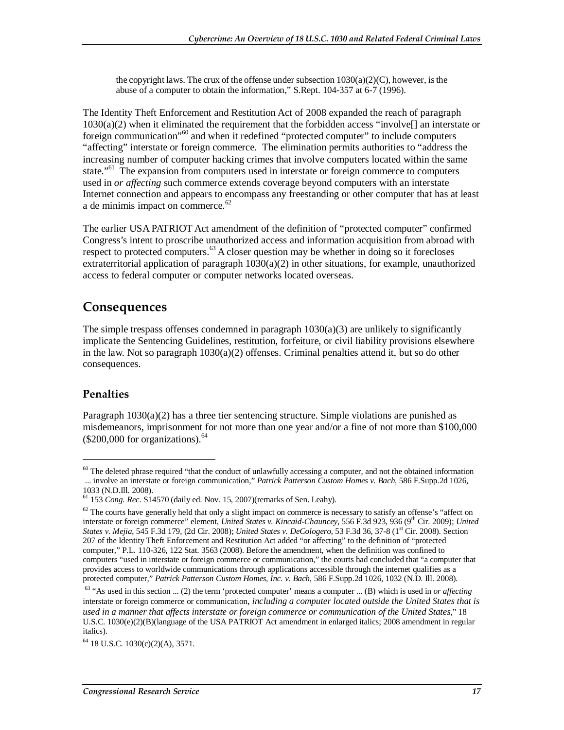the copyright laws. The crux of the offense under subsection  $1030(a)(2)(C)$ , however, is the abuse of a computer to obtain the information," S.Rept. 104-357 at 6-7 (1996).

The Identity Theft Enforcement and Restitution Act of 2008 expanded the reach of paragraph 1030(a)(2) when it eliminated the requirement that the forbidden access "involve[] an interstate or foreign communication"60 and when it redefined "protected computer" to include computers "affecting" interstate or foreign commerce. The elimination permits authorities to "address the increasing number of computer hacking crimes that involve computers located within the same state."<sup>61</sup> The expansion from computers used in interstate or foreign commerce to computers used in *or affecting* such commerce extends coverage beyond computers with an interstate Internet connection and appears to encompass any freestanding or other computer that has at least a de minimis impact on commerce.<sup>62</sup>

The earlier USA PATRIOT Act amendment of the definition of "protected computer" confirmed Congress's intent to proscribe unauthorized access and information acquisition from abroad with respect to protected computers.<sup>63</sup> A closer question may be whether in doing so it forecloses extraterritorial application of paragraph 1030(a)(2) in other situations, for example*,* unauthorized access to federal computer or computer networks located overseas.

### **Consequences**

The simple trespass offenses condemned in paragraph  $1030(a)(3)$  are unlikely to significantly implicate the Sentencing Guidelines, restitution, forfeiture, or civil liability provisions elsewhere in the law. Not so paragraph  $1030(a)(2)$  offenses. Criminal penalties attend it, but so do other consequences.

### **Penalties**

1

Paragraph 1030(a)(2) has a three tier sentencing structure. Simple violations are punished as misdemeanors, imprisonment for not more than one year and/or a fine of not more than \$100,000  $($200,000$  for organizations).<sup>64</sup>

 $60$  The deleted phrase required "that the conduct of unlawfully accessing a computer, and not the obtained information ... involve an interstate or foreign communication," *Patrick Patterson Custom Homes v. Bach*, 586 F.Supp.2d 1026, 1033 (N.D.Ill. 2008).

<sup>61 153</sup> *Cong. Rec.* S14570 (daily ed. Nov. 15, 2007)(remarks of Sen. Leahy)*.*

 $62$  The courts have generally held that only a slight impact on commerce is necessary to satisfy an offense's "affect on interstate or foreign commerce" element, *United States v. Kincaid-Chauncey*, 556 F.3d 923, 936 (9th Cir. 2009); *United States v. Mejia*, 545 F.3d 179, (2d Cir. 2008); *United States v. DeCologero*, 53 F.3d 36, 37-8 (1st Cir. 2008). Section 207 of the Identity Theft Enforcement and Restitution Act added "or affecting" to the definition of "protected computer," P.L. 110-326, 122 Stat. 3563 (2008). Before the amendment, when the definition was confined to computers "used in interstate or foreign commerce or communication," the courts had concluded that "a computer that provides access to worldwide communications through applications accessible through the internet qualifies as a protected computer," *Patrick Patterson Custom Homes, Inc. v. Bach*, 586 F.Supp.2d 1026, 1032 (N.D. Ill. 2008).

 $63$  "As used in this section ... (2) the term 'protected computer' means a computer ... (B) which is used in *or affecting* interstate or foreign commerce or communication, *including a computer located outside the United States that is used in a manner that affects interstate or foreign commerce or communication of the United States*," 18 U.S.C. 1030(e)(2)(B)(language of the USA PATRIOT Act amendment in enlarged italics; 2008 amendment in regular italics).

 $64$  18 U.S.C. 1030(c)(2)(A), 3571.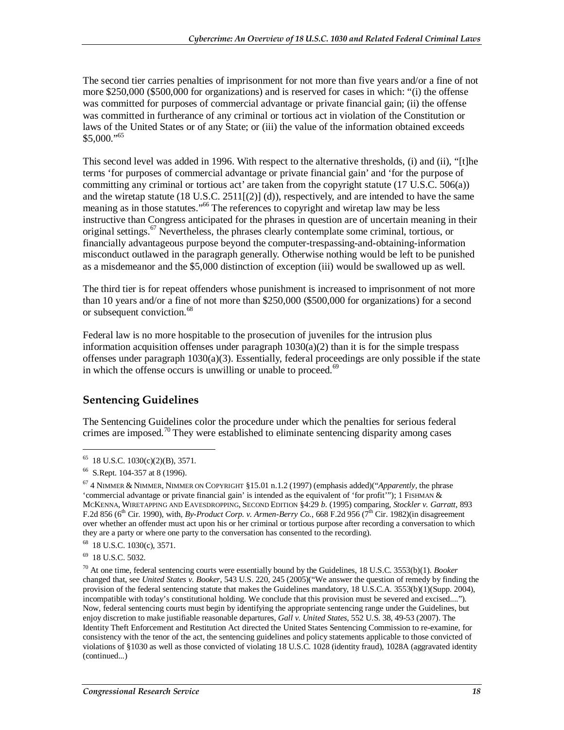The second tier carries penalties of imprisonment for not more than five years and/or a fine of not more \$250,000 (\$500,000 for organizations) and is reserved for cases in which: "(i) the offense was committed for purposes of commercial advantage or private financial gain; (ii) the offense was committed in furtherance of any criminal or tortious act in violation of the Constitution or laws of the United States or of any State; or (iii) the value of the information obtained exceeds  $$5,000$ ."<sup>65</sup>

This second level was added in 1996. With respect to the alternative thresholds, (i) and (ii), "[t]he terms 'for purposes of commercial advantage or private financial gain' and 'for the purpose of committing any criminal or tortious act' are taken from the copyright statute (17 U.S.C. 506(a)) and the wiretap statute (18 U.S.C. 2511[(2)] (d)), respectively, and are intended to have the same meaning as in those statutes."<sup>66</sup> The references to copyright and wiretap law may be less instructive than Congress anticipated for the phrases in question are of uncertain meaning in their original settings.<sup>67</sup> Nevertheless, the phrases clearly contemplate some criminal, tortious, or financially advantageous purpose beyond the computer-trespassing-and-obtaining-information misconduct outlawed in the paragraph generally. Otherwise nothing would be left to be punished as a misdemeanor and the \$5,000 distinction of exception (iii) would be swallowed up as well.

The third tier is for repeat offenders whose punishment is increased to imprisonment of not more than 10 years and/or a fine of not more than \$250,000 (\$500,000 for organizations) for a second or subsequent conviction.<sup>68</sup>

Federal law is no more hospitable to the prosecution of juveniles for the intrusion plus information acquisition offenses under paragraph  $1030(a)(2)$  than it is for the simple trespass offenses under paragraph  $1030(a)(3)$ . Essentially, federal proceedings are only possible if the state in which the offense occurs is unwilling or unable to proceed. $69$ 

### **Sentencing Guidelines**

The Sentencing Guidelines color the procedure under which the penalties for serious federal crimes are imposed.<sup>70</sup> They were established to eliminate sentencing disparity among cases

 $65$  18 U.S.C. 1030(c)(2)(B), 3571.

 $66$  S.Rept. 104-357 at 8 (1996).

<sup>67 4</sup> NIMMER & NIMMER, NIMMER ON COPYRIGHT §15.01 n.1.2 (1997) (emphasis added)("*Apparently*, the phrase 'commercial advantage or private financial gain' is intended as the equivalent of 'for profit'"); 1 FISHMAN & MCKENNA, WIRETAPPING AND EAVESDROPPING, SECOND EDITION §4:29 *b.* (1995) comparing, *Stockler v. Garratt*, 893 F.2d 856 ( $6^{th}$  Cir. 1990), with, *By-Product Corp. v. Armen-Berry Co.*, 668 F.2d 956 ( $7^{th}$  Cir. 1982)(in disagreement over whether an offender must act upon his or her criminal or tortious purpose after recording a conversation to which they are a party or where one party to the conversation has consented to the recording).

<sup>68 18</sup> U.S.C. 1030(c), 3571.

<sup>69 18</sup> U.S.C. 5032.

<sup>70</sup> At one time, federal sentencing courts were essentially bound by the Guidelines, 18 U.S.C. 3553(b)(1). *Booker* changed that, see *United States v. Booker*, 543 U.S. 220, 245 (2005)("We answer the question of remedy by finding the provision of the federal sentencing statute that makes the Guidelines mandatory, 18 U.S.C.A. 3553(b)(1)(Supp. 2004), incompatible with today's constitutional holding. We conclude that this provision must be severed and excised...."). Now, federal sentencing courts must begin by identifying the appropriate sentencing range under the Guidelines, but enjoy discretion to make justifiable reasonable departures, *Gall v. United States*, 552 U.S. 38, 49-53 (2007). The Identity Theft Enforcement and Restitution Act directed the United States Sentencing Commission to re-examine, for consistency with the tenor of the act, the sentencing guidelines and policy statements applicable to those convicted of violations of §1030 as well as those convicted of violating 18 U.S.C. 1028 (identity fraud), 1028A (aggravated identity (continued...)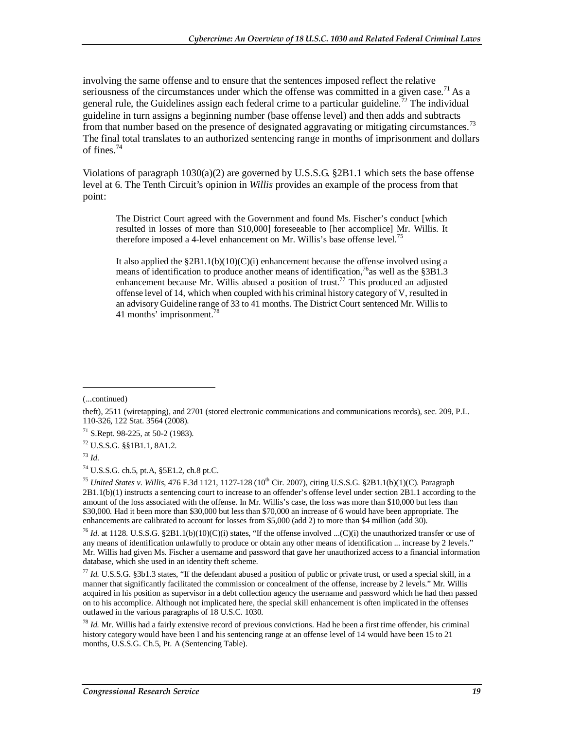involving the same offense and to ensure that the sentences imposed reflect the relative seriousness of the circumstances under which the offense was committed in a given case.<sup>71</sup> As a general rule, the Guidelines assign each federal crime to a particular guideline.<sup>72</sup> The individual guideline in turn assigns a beginning number (base offense level) and then adds and subtracts from that number based on the presence of designated aggravating or mitigating circumstances.<sup>73</sup> The final total translates to an authorized sentencing range in months of imprisonment and dollars of fines  $74$ 

Violations of paragraph  $1030(a)(2)$  are governed by U.S.S.G. §2B1.1 which sets the base offense level at 6. The Tenth Circuit's opinion in *Willis* provides an example of the process from that point:

The District Court agreed with the Government and found Ms. Fischer's conduct [which resulted in losses of more than \$10,000] foreseeable to [her accomplice] Mr. Willis. It therefore imposed a 4-level enhancement on Mr. Willis's base offense level.<sup>75</sup>

It also applied the  $\S 2B1.1(b)(10)(C)(i)$  enhancement because the offense involved using a means of identification to produce another means of identification,<sup>76</sup>as well as the  $§$ 3B1.3 enhancement because Mr. Willis abused a position of trust.77 This produced an adjusted offense level of 14, which when coupled with his criminal history category of V, resulted in an advisory Guideline range of 33 to 41 months. The District Court sentenced Mr. Willis to 41 months' imprisonment.<sup>78</sup>

(...continued)

1

<sup>75</sup> *United States v. Willis*, 476 F.3d 1121, 1127-128 (10<sup>th</sup> Cir. 2007), citing U.S.S.G. §2B1.1(b)(1)(C). Paragraph 2B1.1(b)(1) instructs a sentencing court to increase to an offender's offense level under section 2B1.1 according to the amount of the loss associated with the offense. In Mr. Willis's case, the loss was more than \$10,000 but less than \$30,000. Had it been more than \$30,000 but less than \$70,000 an increase of 6 would have been appropriate. The enhancements are calibrated to account for losses from \$5,000 (add 2) to more than \$4 million (add 30).

<sup>76</sup> *Id.* at 1128. U.S.S.G. §2B1.1(b)(10)(C)(i) states, "If the offense involved ...(C)(i) the unauthorized transfer or use of any means of identification unlawfully to produce or obtain any other means of identification ... increase by 2 levels." Mr. Willis had given Ms. Fischer a username and password that gave her unauthorized access to a financial information database, which she used in an identity theft scheme.

<sup>77</sup> *Id.* U.S.S.G. §3b1.3 states, "If the defendant abused a position of public or private trust, or used a special skill, in a manner that significantly facilitated the commission or concealment of the offense, increase by 2 levels." Mr. Willis acquired in his position as supervisor in a debt collection agency the username and password which he had then passed on to his accomplice. Although not implicated here, the special skill enhancement is often implicated in the offenses outlawed in the various paragraphs of 18 U.S.C. 1030.

<sup>78</sup> *Id.* Mr. Willis had a fairly extensive record of previous convictions. Had he been a first time offender, his criminal history category would have been I and his sentencing range at an offense level of 14 would have been 15 to 21 months, U.S.S.G. Ch.5, Pt. A (Sentencing Table).

theft), 2511 (wiretapping), and 2701 (stored electronic communications and communications records), sec. 209, P.L. 110-326, 122 Stat. 3564 (2008).

 $71$  S.Rept. 98-225, at 50-2 (1983).

<sup>72</sup> U.S.S.G. §§1B1.1, 8A1.2.

<sup>73</sup> *Id*.

<sup>74</sup> U.S.S.G. ch.5, pt.A, §5E1.2, ch.8 pt.C.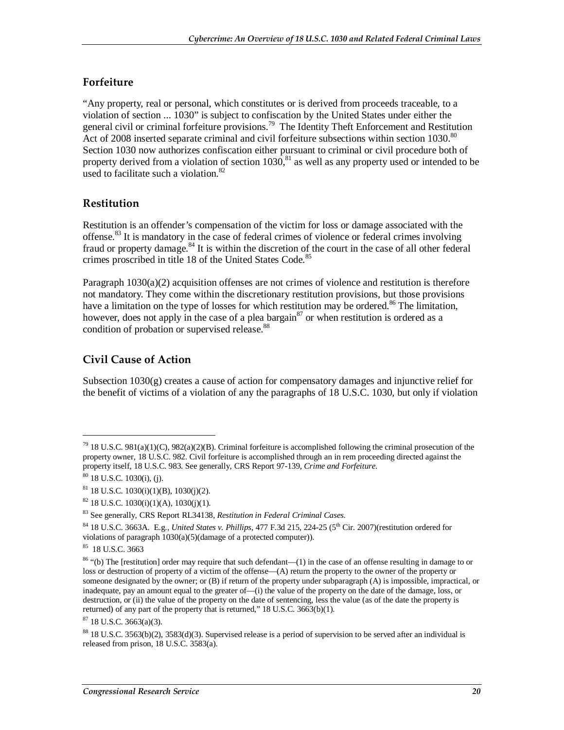### **Forfeiture**

"Any property, real or personal, which constitutes or is derived from proceeds traceable, to a violation of section ... 1030" is subject to confiscation by the United States under either the general civil or criminal forfeiture provisions.<sup>79</sup> The Identity Theft Enforcement and Restitution Act of 2008 inserted separate criminal and civil forfeiture subsections within section  $1030$ .<sup>80</sup> Section 1030 now authorizes confiscation either pursuant to criminal or civil procedure both of property derived from a violation of section  $1030$ ,<sup>81</sup> as well as any property used or intended to be used to facilitate such a violation.  $82$ 

### **Restitution**

Restitution is an offender's compensation of the victim for loss or damage associated with the offense.<sup>83</sup> It is mandatory in the case of federal crimes of violence or federal crimes involving fraud or property damage.<sup>84</sup> It is within the discretion of the court in the case of all other federal crimes proscribed in title 18 of the United States Code.<sup>85</sup>

Paragraph 1030(a)(2) acquisition offenses are not crimes of violence and restitution is therefore not mandatory. They come within the discretionary restitution provisions, but those provisions have a limitation on the type of losses for which restitution may be ordered.<sup>86</sup> The limitation, however, does not apply in the case of a plea bargain<sup>87</sup> or when restitution is ordered as a condition of probation or supervised release.<sup>88</sup>

### **Civil Cause of Action**

Subsection  $1030(g)$  creates a cause of action for compensatory damages and injunctive relief for the benefit of victims of a violation of any the paragraphs of 18 U.S.C. 1030, but only if violation

<u>.</u>

 $79$  18 U.S.C. 981(a)(1)(C), 982(a)(2)(B). Criminal forfeiture is accomplished following the criminal prosecution of the property owner, 18 U.S.C. 982. Civil forfeiture is accomplished through an in rem proceeding directed against the property itself, 18 U.S.C. 983. See generally, CRS Report 97-139, *Crime and Forfeiture*.

 $80$  18 U.S.C. 1030(i), (j).

 $81$  18 U.S.C. 1030(i)(1)(B), 1030(j)(2).

 $82$  18 U.S.C. 1030(i)(1)(A), 1030(j)(1).

<sup>83</sup> See generally, CRS Report RL34138, *Restitution in Federal Criminal Cases*.

<sup>&</sup>lt;sup>84</sup> 18 U.S.C. 3663A. E.g., *United States v. Phillips*, 477 F.3d 215, 224-25 (5<sup>th</sup> Cir. 2007)(restitution ordered for violations of paragraph 1030(a)(5)(damage of a protected computer)).

<sup>85 18</sup> U.S.C. 3663

<sup>86 &</sup>quot;(b) The [restitution] order may require that such defendant—(1) in the case of an offense resulting in damage to or loss or destruction of property of a victim of the offense—(A) return the property to the owner of the property or someone designated by the owner; or (B) if return of the property under subparagraph (A) is impossible, impractical, or inadequate, pay an amount equal to the greater of—(i) the value of the property on the date of the damage, loss, or destruction, or (ii) the value of the property on the date of sentencing, less the value (as of the date the property is returned) of any part of the property that is returned,"  $18 \text{ U.S.C. } 3663(b)(1)$ .

 $87$  18 U.S.C. 3663(a)(3).

<sup>&</sup>lt;sup>88</sup> 18 U.S.C. 3563(b)(2), 3583(d)(3). Supervised release is a period of supervision to be served after an individual is released from prison, 18 U.S.C. 3583(a).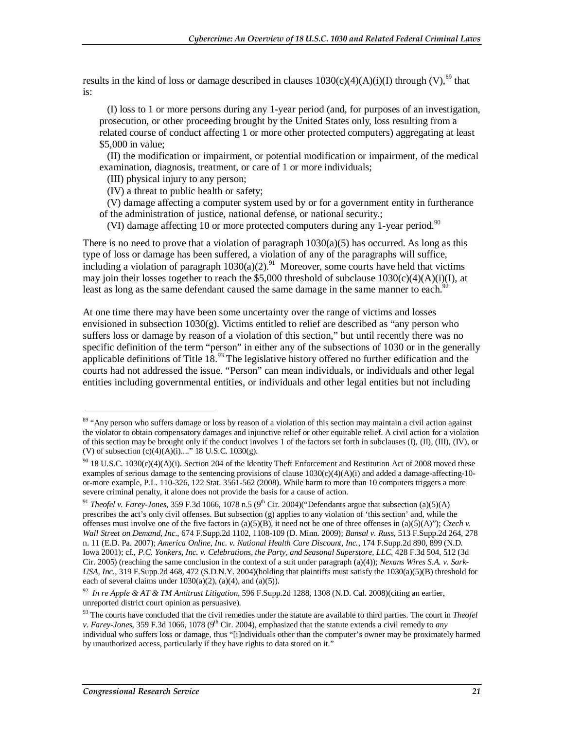results in the kind of loss or damage described in clauses  $1030(c)(4)(A)(i)(I)$  through (V),<sup>89</sup> that is:

 (I) loss to 1 or more persons during any 1-year period (and, for purposes of an investigation, prosecution, or other proceeding brought by the United States only, loss resulting from a related course of conduct affecting 1 or more other protected computers) aggregating at least \$5,000 in value;

 (II) the modification or impairment, or potential modification or impairment, of the medical examination, diagnosis, treatment, or care of 1 or more individuals;

(III) physical injury to any person;

(IV) a threat to public health or safety;

 (V) damage affecting a computer system used by or for a government entity in furtherance of the administration of justice, national defense, or national security.;

(VI) damage affecting 10 or more protected computers during any 1-year period.<sup>90</sup>

There is no need to prove that a violation of paragraph  $1030(a)(5)$  has occurred. As long as this type of loss or damage has been suffered, a violation of any of the paragraphs will suffice, including a violation of paragraph  $1030(a)(2)$ .<sup>91</sup> Moreover, some courts have held that victims may join their losses together to reach the \$5,000 threshold of subclause  $1030(c)(4)(A)(i)(I)$ , at least as long as the same defendant caused the same damage in the same manner to each.<sup>92</sup>

At one time there may have been some uncertainty over the range of victims and losses envisioned in subsection 1030(g). Victims entitled to relief are described as "any person who suffers loss or damage by reason of a violation of this section," but until recently there was no specific definition of the term "person" in either any of the subsections of 1030 or in the generally applicable definitions of Title 18.<sup>93</sup> The legislative history offered no further edification and the courts had not addressed the issue. "Person" can mean individuals, or individuals and other legal entities including governmental entities, or individuals and other legal entities but not including

<sup>&</sup>lt;sup>89</sup> "Any person who suffers damage or loss by reason of a violation of this section may maintain a civil action against the violator to obtain compensatory damages and injunctive relief or other equitable relief. A civil action for a violation of this section may be brought only if the conduct involves 1 of the factors set forth in subclauses (I), (II), (III), (IV), or (V) of subsection  $(c)(4)(A)(i)$ ...." 18 U.S.C. 1030(g).

 $90$  18 U.S.C. 1030(c)(4)(A)(i). Section 204 of the Identity Theft Enforcement and Restitution Act of 2008 moved these examples of serious damage to the sentencing provisions of clause  $1030(c)(4)(A)(i)$  and added a damage-affecting-10or-more example, P.L. 110-326, 122 Stat. 3561-562 (2008). While harm to more than 10 computers triggers a more severe criminal penalty, it alone does not provide the basis for a cause of action.

<sup>&</sup>lt;sup>91</sup> *Theofel v. Farey-Jones*, 359 F.3d 1066, 1078 n.5 (9<sup>th</sup> Cir. 2004)("Defendants argue that subsection (a)(5)(A) prescribes the act's only civil offenses. But subsection (g) applies to any violation of 'this section' and, while the offenses must involve one of the five factors in (a)(5)(B), it need not be one of three offenses in (a)(5)(A)"); *Czech v. Wall Street on Demand, Inc*., 674 F.Supp.2d 1102, 1108-109 (D. Minn. 2009); *Bansal v. Russ*, 513 F.Supp.2d 264, 278 n. 11 (E.D. Pa. 2007); *America Online, Inc. v. National Health Care Discount, Inc.,* 174 F.Supp.2d 890, 899 (N.D. Iowa 2001); cf., *P.C. Yonkers, Inc. v. Celebrations, the Party, and Seasonal Superstore, LLC*, 428 F.3d 504, 512 (3d Cir. 2005) (reaching the same conclusion in the context of a suit under paragraph (a)(4)); *Nexans Wires S.A. v. Sark-USA, Inc.*, 319 F.Supp.2d 468, 472 (S.D.N.Y. 2004)(holding that plaintiffs must satisfy the 1030(a)(5)(B) threshold for each of several claims under  $1030(a)(2)$ ,  $(a)(4)$ , and  $(a)(5)$ ).

<sup>92</sup> *In re Apple & AT & TM Antitrust Litigation*, 596 F.Supp.2d 1288, 1308 (N.D. Cal. 2008)(citing an earlier, unreported district court opinion as persuasive).

<sup>93</sup> The courts have concluded that the civil remedies under the statute are available to third parties. The court in *Theofel v. Farey-Jones*, 359 F.3d 1066, 1078 (9<sup>th</sup> Cir. 2004), emphasized that the statute extends a civil remedy to *any* individual who suffers loss or damage, thus "[i]ndividuals other than the computer's owner may be proximately harmed by unauthorized access, particularly if they have rights to data stored on it."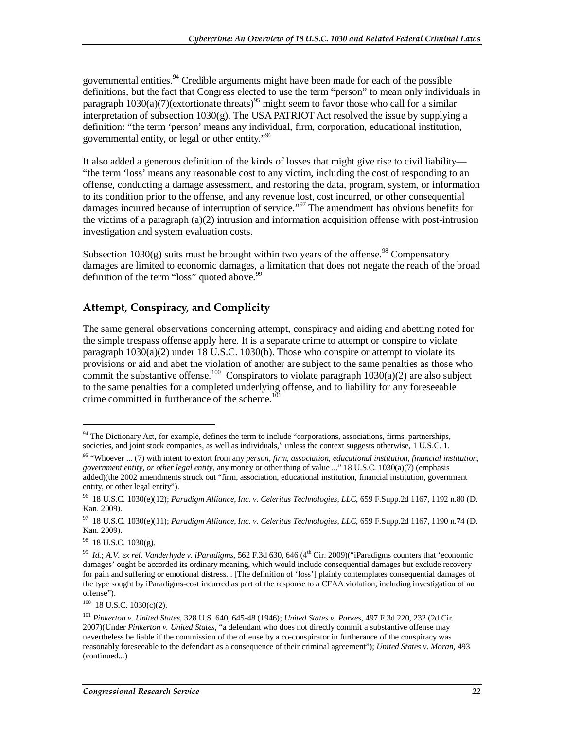governmental entities.<sup>94</sup> Credible arguments might have been made for each of the possible definitions, but the fact that Congress elected to use the term "person" to mean only individuals in paragraph  $1030(a)(7)$ (extortionate threats)<sup>95</sup> might seem to favor those who call for a similar interpretation of subsection  $1030(g)$ . The USA PATRIOT Act resolved the issue by supplying a definition: "the term 'person' means any individual, firm, corporation, educational institution, governmental entity, or legal or other entity."<sup>96</sup>

It also added a generous definition of the kinds of losses that might give rise to civil liability— "the term 'loss' means any reasonable cost to any victim, including the cost of responding to an offense, conducting a damage assessment, and restoring the data, program, system, or information to its condition prior to the offense, and any revenue lost, cost incurred, or other consequential damages incurred because of interruption of service."<sup>97</sup> The amendment has obvious benefits for the victims of a paragraph  $(a)(2)$  intrusion and information acquisition offense with post-intrusion investigation and system evaluation costs.

Subsection  $1030(g)$  suits must be brought within two years of the offense.<sup>98</sup> Compensatory damages are limited to economic damages, a limitation that does not negate the reach of the broad definition of the term "loss" quoted above. $99$ 

### **Attempt, Conspiracy, and Complicity**

The same general observations concerning attempt, conspiracy and aiding and abetting noted for the simple trespass offense apply here. It is a separate crime to attempt or conspire to violate paragraph  $1030(a)(2)$  under 18 U.S.C. 1030(b). Those who conspire or attempt to violate its provisions or aid and abet the violation of another are subject to the same penalties as those who commit the substantive offense.<sup>100</sup> Conspirators to violate paragraph  $1030(a)(2)$  are also subject to the same penalties for a completed underlying offense, and to liability for any foreseeable crime committed in furtherance of the scheme.<sup>101</sup>

<u>.</u>

<sup>&</sup>lt;sup>94</sup> The Dictionary Act, for example, defines the term to include "corporations, associations, firms, partnerships, societies, and joint stock companies, as well as individuals," unless the context suggests otherwise, 1 U.S.C. 1.

<sup>95 &</sup>quot;Whoever ... (7) with intent to extort from any *person, firm, association, educational institution, financial institution, government entity, or other legal entity*, any money or other thing of value ..." 18 U.S.C. 1030(a)(7) (emphasis added)(the 2002 amendments struck out "firm, association, educational institution, financial institution, government entity, or other legal entity").

<sup>96 18</sup> U.S.C. 1030(e)(12); *Paradigm Alliance, Inc. v. Celeritas Technologies, LLC*, 659 F.Supp.2d 1167, 1192 n.80 (D. Kan. 2009).

<sup>97 18</sup> U.S.C. 1030(e)(11); *Paradigm Alliance, Inc. v. Celeritas Technologies, LLC*, 659 F.Supp.2d 1167, 1190 n.74 (D. Kan. 2009).

<sup>98 18</sup> U.S.C. 1030(g).

<sup>99</sup> *Id.*; *A.V. ex rel. Vanderhyde v. iParadigms*, 562 F.3d 630, 646 (4th Cir. 2009)("iParadigms counters that 'economic damages' ought be accorded its ordinary meaning, which would include consequential damages but exclude recovery for pain and suffering or emotional distress... [The definition of 'loss'] plainly contemplates consequential damages of the type sought by iParadigms-cost incurred as part of the response to a CFAA violation, including investigation of an offense").

 $100$  18 U.S.C.  $1030(c)(2)$ .

<sup>101</sup> *Pinkerton v. United States*, 328 U.S. 640, 645-48 (1946); *United States v. Parkes*, 497 F.3d 220, 232 (2d Cir. 2007)(Under *Pinkerton v. United States*, "a defendant who does not directly commit a substantive offense may nevertheless be liable if the commission of the offense by a co-conspirator in furtherance of the conspiracy was reasonably foreseeable to the defendant as a consequence of their criminal agreement"); *United States v. Moran*, 493 (continued...)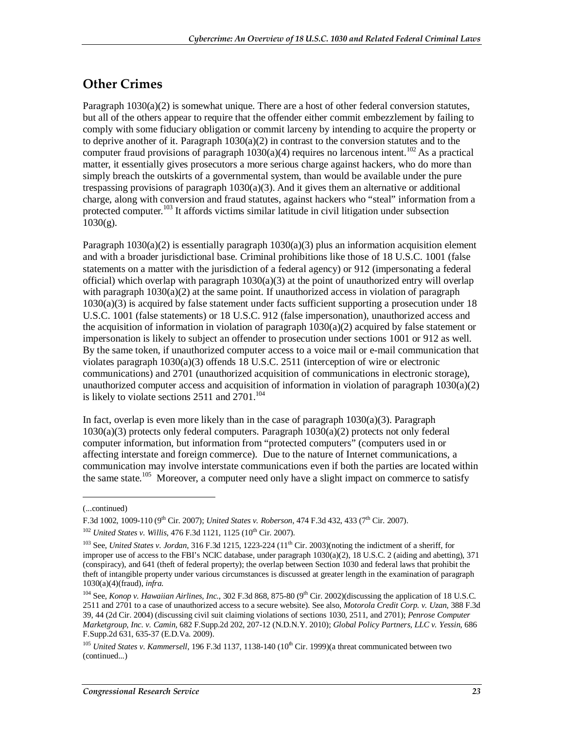# **Other Crimes**

Paragraph 1030(a)(2) is somewhat unique. There are a host of other federal conversion statutes, but all of the others appear to require that the offender either commit embezzlement by failing to comply with some fiduciary obligation or commit larceny by intending to acquire the property or to deprive another of it. Paragraph  $1030(a)(2)$  in contrast to the conversion statutes and to the computer fraud provisions of paragraph  $1030(a)(4)$  requires no larcenous intent.<sup>102</sup> As a practical matter, it essentially gives prosecutors a more serious charge against hackers, who do more than simply breach the outskirts of a governmental system, than would be available under the pure trespassing provisions of paragraph  $1030(a)(3)$ . And it gives them an alternative or additional charge, along with conversion and fraud statutes, against hackers who "steal" information from a protected computer.<sup>103</sup> It affords victims similar latitude in civil litigation under subsection  $1030(g)$ .

Paragraph  $1030(a)(2)$  is essentially paragraph  $1030(a)(3)$  plus an information acquisition element and with a broader jurisdictional base. Criminal prohibitions like those of 18 U.S.C. 1001 (false statements on a matter with the jurisdiction of a federal agency) or 912 (impersonating a federal official) which overlap with paragraph  $1030(a)(3)$  at the point of unauthorized entry will overlap with paragraph  $1030(a)(2)$  at the same point. If unauthorized access in violation of paragraph  $1030(a)(3)$  is acquired by false statement under facts sufficient supporting a prosecution under 18 U.S.C. 1001 (false statements) or 18 U.S.C. 912 (false impersonation), unauthorized access and the acquisition of information in violation of paragraph  $1030(a)(2)$  acquired by false statement or impersonation is likely to subject an offender to prosecution under sections 1001 or 912 as well. By the same token, if unauthorized computer access to a voice mail or e-mail communication that violates paragraph 1030(a)(3) offends 18 U.S.C. 2511 (interception of wire or electronic communications) and 2701 (unauthorized acquisition of communications in electronic storage), unauthorized computer access and acquisition of information in violation of paragraph 1030(a)(2) is likely to violate sections  $2511$  and  $2701$ <sup>104</sup>

In fact, overlap is even more likely than in the case of paragraph  $1030(a)(3)$ . Paragraph  $1030(a)(3)$  protects only federal computers. Paragraph  $1030(a)(2)$  protects not only federal computer information, but information from "protected computers" (computers used in or affecting interstate and foreign commerce). Due to the nature of Internet communications, a communication may involve interstate communications even if both the parties are located within the same state.<sup>105</sup> Moreover, a computer need only have a slight impact on commerce to satisfy

<sup>(...</sup>continued)

F.3d 1002, 1009-110 (9<sup>th</sup> Cir. 2007); *United States v. Roberson*, 474 F.3d 432, 433 (7<sup>th</sup> Cir. 2007).

<sup>&</sup>lt;sup>102</sup> *United States v. Willis*, 476 F.3d 1121, 1125 (10<sup>th</sup> Cir. 2007).

<sup>&</sup>lt;sup>103</sup> See, *United States v. Jordan*, 316 F.3d 1215, 1223-224 (11<sup>th</sup> Cir. 2003)(noting the indictment of a sheriff, for improper use of access to the FBI's NCIC database, under paragraph 1030(a)(2), 18 U.S.C. 2 (aiding and abetting), 371 (conspiracy), and 641 (theft of federal property); the overlap between Section 1030 and federal laws that prohibit the theft of intangible property under various circumstances is discussed at greater length in the examination of paragraph 1030(a)(4)(fraud), *infra*.

 $104$  See, *Konop v. Hawaiian Airlines, Inc.*, 302 F.3d 868, 875-80 (9<sup>th</sup> Cir. 2002)(discussing the application of 18 U.S.C. 2511 and 2701 to a case of unauthorized access to a secure website). See also, *Motorola Credit Corp. v. Uzan*, 388 F.3d 39, 44 (2d Cir. 2004) (discussing civil suit claiming violations of sections 1030, 2511, and 2701); *Penrose Computer Marketgroup, Inc. v. Camin*, 682 F.Supp.2d 202, 207-12 (N.D.N.Y. 2010); *Global Policy Partners, LLC v. Yessin*, 686 F.Supp.2d 631, 635-37 (E.D.Va. 2009).

<sup>&</sup>lt;sup>105</sup> *United States v. Kammersell*, 196 F.3d 1137, 1138-140 (10<sup>th</sup> Cir. 1999)(a threat communicated between two (continued...)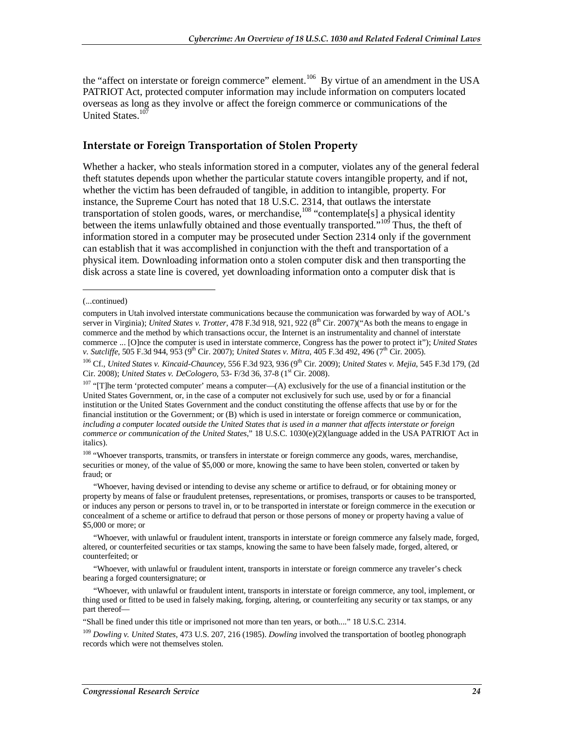the "affect on interstate or foreign commerce" element.<sup>106</sup> By virtue of an amendment in the USA PATRIOT Act, protected computer information may include information on computers located overseas as long as they involve or affect the foreign commerce or communications of the United States.<sup>107</sup>

#### **Interstate or Foreign Transportation of Stolen Property**

Whether a hacker, who steals information stored in a computer, violates any of the general federal theft statutes depends upon whether the particular statute covers intangible property, and if not, whether the victim has been defrauded of tangible, in addition to intangible, property. For instance, the Supreme Court has noted that 18 U.S.C. 2314, that outlaws the interstate transportation of stolen goods, wares, or merchandise,  $^{108}$  "contemplate[s] a physical identity between the items unlawfully obtained and those eventually transported."<sup>109</sup> Thus, the theft of information stored in a computer may be prosecuted under Section 2314 only if the government can establish that it was accomplished in conjunction with the theft and transportation of a physical item. Downloading information onto a stolen computer disk and then transporting the disk across a state line is covered, yet downloading information onto a computer disk that is

<u>.</u>

 $107$  "[T]he term 'protected computer' means a computer—(A) exclusively for the use of a financial institution or the United States Government, or, in the case of a computer not exclusively for such use, used by or for a financial institution or the United States Government and the conduct constituting the offense affects that use by or for the financial institution or the Government; or (B) which is used in interstate or foreign commerce or communication*, including a computer located outside the United States that is used in a manner that affects interstate or foreign commerce or communication of the United States*," 18 U.S.C. 1030(e)(2)(language added in the USA PATRIOT Act in italics).

<sup>108</sup> "Whoever transports, transmits, or transfers in interstate or foreign commerce any goods, wares, merchandise, securities or money, of the value of \$5,000 or more, knowing the same to have been stolen, converted or taken by fraud; or

 "Whoever, having devised or intending to devise any scheme or artifice to defraud, or for obtaining money or property by means of false or fraudulent pretenses, representations, or promises, transports or causes to be transported, or induces any person or persons to travel in, or to be transported in interstate or foreign commerce in the execution or concealment of a scheme or artifice to defraud that person or those persons of money or property having a value of \$5,000 or more; or

 "Whoever, with unlawful or fraudulent intent, transports in interstate or foreign commerce any falsely made, forged, altered, or counterfeited securities or tax stamps, knowing the same to have been falsely made, forged, altered, or counterfeited; or

 "Whoever, with unlawful or fraudulent intent, transports in interstate or foreign commerce any traveler's check bearing a forged countersignature; or

 "Whoever, with unlawful or fraudulent intent, transports in interstate or foreign commerce, any tool, implement, or thing used or fitted to be used in falsely making, forging, altering, or counterfeiting any security or tax stamps, or any part thereof—

"Shall be fined under this title or imprisoned not more than ten years, or both...." 18 U.S.C. 2314.

<sup>109</sup> *Dowling v. United States*, 473 U.S. 207, 216 (1985). *Dowling* involved the transportation of bootleg phonograph records which were not themselves stolen.

<sup>(...</sup>continued)

computers in Utah involved interstate communications because the communication was forwarded by way of AOL's server in Virginia); *United States v. Trotter*, 478 F.3d 918, 921, 922 (8<sup>th</sup> Cir. 2007)("As both the means to engage in commerce and the method by which transactions occur, the Internet is an instrumentality and channel of interstate commerce ... [O]nce the computer is used in interstate commerce, Congress has the power to protect it"); *United States v. Sutcliffe*, 505 F.3d 944, 953 (9<sup>th</sup> Cir. 2007); *United States v. Mitra*, 405 F.3d 492, 496 (7<sup>th</sup> Cir. 2005).

<sup>106</sup> Cf., *United States v. Kincaid-Chauncey*, 556 F.3d 923, 936 (9th Cir. 2009); *United States v. Mejia*, 545 F.3d 179, (2d Cir. 2008); *United States v. DeCologero*, 53- F/3d 36, 37-8 (1<sup>st</sup> Cir. 2008).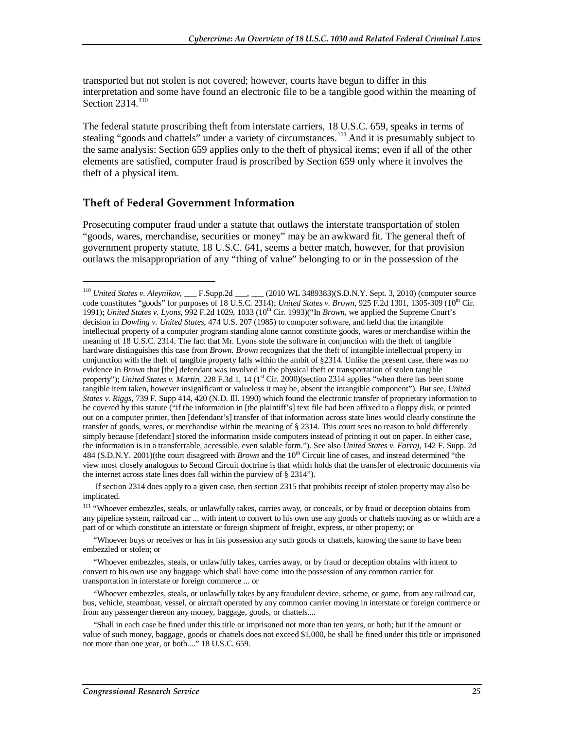transported but not stolen is not covered; however, courts have begun to differ in this interpretation and some have found an electronic file to be a tangible good within the meaning of Section 2314.<sup>110</sup>

The federal statute proscribing theft from interstate carriers, 18 U.S.C. 659, speaks in terms of stealing "goods and chattels" under a variety of circumstances.<sup>111</sup> And it is presumably subject to the same analysis: Section 659 applies only to the theft of physical items; even if all of the other elements are satisfied, computer fraud is proscribed by Section 659 only where it involves the theft of a physical item.

#### **Theft of Federal Government Information**

<u>.</u>

Prosecuting computer fraud under a statute that outlaws the interstate transportation of stolen "goods, wares, merchandise, securities or money" may be an awkward fit. The general theft of government property statute, 18 U.S.C. 641, seems a better match, however, for that provision outlaws the misappropriation of any "thing of value" belonging to or in the possession of the

 "Whoever buys or receives or has in his possession any such goods or chattels, knowing the same to have been embezzled or stolen; or

 "Whoever embezzles, steals, or unlawfully takes, carries away, or by fraud or deception obtains with intent to convert to his own use any baggage which shall have come into the possession of any common carrier for transportation in interstate or foreign commerce ... or

 "Whoever embezzles, steals, or unlawfully takes by any fraudulent device, scheme, or game, from any railroad car, bus, vehicle, steamboat, vessel, or aircraft operated by any common carrier moving in interstate or foreign commerce or from any passenger thereon any money, baggage, goods, or chattels....

<sup>&</sup>lt;sup>110</sup> *United States v. Aleynikov*, \_\_\_ F.Supp.2d \_\_\_, \_\_\_ (2010 WL 3489383)(S.D.N.Y. Sept. 3, 2010) (computer source code constitutes "goods" for purposes of 18 U.S.C. 2314); *United States v. Brown*, 925 F.2d 1301, 1305-309 ( $10^{th}$  Cir. 1991); *United States v. Lyons*, 992 F.2d 1029, 1033 (10<sup>th</sup> Cir. 1993)("In *Brown*, we applied the Supreme Court's decision in *Dowling v. United States*, 474 U.S. 207 (1985) to computer software, and held that the intangible intellectual property of a computer program standing alone cannot constitute goods, wares or merchandise within the meaning of 18 U.S.C. 2314. The fact that Mr. Lyons stole the software in conjunction with the theft of tangible hardware distinguishes this case from *Brown. Brown* recognizes that the theft of intangible intellectual property in conjunction with the theft of tangible property falls within the ambit of §2314. Unlike the present case, there was no evidence in *Brown* that [the] defendant was involved in the physical theft or transportation of stolen tangible property"); *United States v. Martin*, 228 F.3d 1, 14 (1<sup>st</sup> Cir. 2000)(section 2314 applies "when there has been some tangible item taken, however insignificant or valueless it may be, absent the intangible component"). But see, *United States v. Riggs*, 739 F. Supp 414, 420 (N.D. Ill. 1990) which found the electronic transfer of proprietary information to be covered by this statute ("if the information in [the plaintiff's] text file had been affixed to a floppy disk, or printed out on a computer printer, then [defendant's] transfer of that information across state lines would clearly constitute the transfer of goods, wares, or merchandise within the meaning of § 2314. This court sees no reason to hold differently simply because [defendant] stored the information inside computers instead of printing it out on paper. In either case, the information is in a transferrable, accessible, even salable form."). See also *United States v. Farraj*, 142 F. Supp. 2d 484 (S.D.N.Y. 2001)(the court disagreed with *Brown* and the 10<sup>th</sup> Circuit line of cases, and instead determined "the view most closely analogous to Second Circuit doctrine is that which holds that the transfer of electronic documents via the internet across state lines does fall within the purview of § 2314").

If section 2314 does apply to a given case, then section 2315 that prohibits receipt of stolen property may also be implicated.

<sup>&</sup>lt;sup>111</sup> "Whoever embezzles, steals, or unlawfully takes, carries away, or conceals, or by fraud or deception obtains from any pipeline system, railroad car ... with intent to convert to his own use any goods or chattels moving as or which are a part of or which constitute an interstate or foreign shipment of freight, express, or other property; or

 <sup>&</sup>quot;Shall in each case be fined under this title or imprisoned not more than ten years, or both; but if the amount or value of such money, baggage, goods or chattels does not exceed \$1,000, he shall be fined under this title or imprisoned not more than one year, or both...." 18 U.S.C. 659.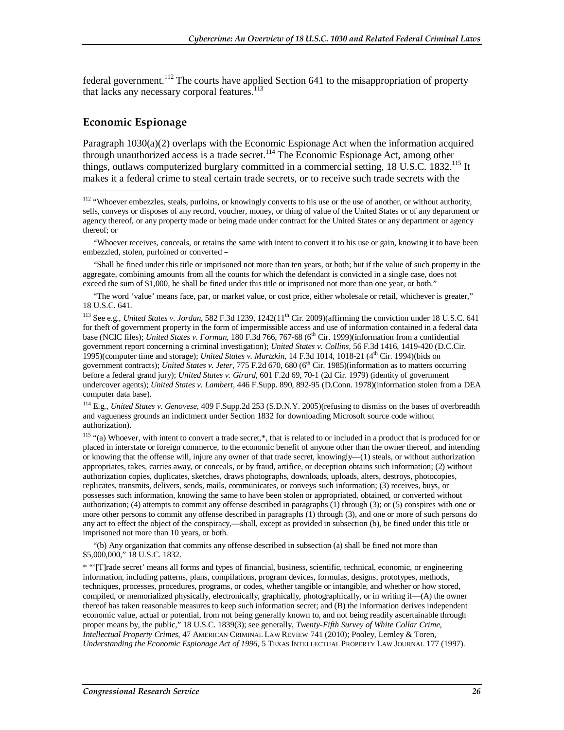federal government.<sup>112</sup> The courts have applied Section 641 to the misappropriation of property that lacks any necessary corporal features.<sup>113</sup>

#### **Economic Espionage**

<u>.</u>

Paragraph 1030(a)(2) overlaps with the Economic Espionage Act when the information acquired through unauthorized access is a trade secret.<sup>114</sup> The Economic Espionage Act, among other things, outlaws computerized burglary committed in a commercial setting, 18 U.S.C. 1832.<sup>115</sup> It makes it a federal crime to steal certain trade secrets, or to receive such trade secrets with the

 "Whoever receives, conceals, or retains the same with intent to convert it to his use or gain, knowing it to have been embezzled, stolen, purloined or converted -

 "Shall be fined under this title or imprisoned not more than ten years, or both; but if the value of such property in the aggregate, combining amounts from all the counts for which the defendant is convicted in a single case, does not exceed the sum of \$1,000, he shall be fined under this title or imprisoned not more than one year, or both."

 "The word 'value' means face, par, or market value, or cost price, either wholesale or retail, whichever is greater," 18 U.S.C. 641.

<sup>113</sup> See e.g., *United States v. Jordan*, 582 F.3d 1239, 1242( $11<sup>th</sup>$  Cir. 2009)(affirming the conviction under 18 U.S.C. 641 for theft of government property in the form of impermissible access and use of information contained in a federal data base (NCIC files); *United States v. Forman*, 180 F.3d 766, 767-68 (6<sup>th</sup> Cir. 1999)(information from a confidential government report concerning a criminal investigation); *United States v. Collins*, 56 F.3d 1416, 1419-420 (D.C.Cir. 1995)(computer time and storage); *United States v. Martzkin*, 14 F.3d 1014, 1018-21 (4<sup>th</sup> Cir. 1994)(bids on government contracts); *United States v. Jeter*, 775 F.2d 670, 680 (6<sup>th</sup> Cir. 1985)(information as to matters occurring before a federal grand jury); *United States v. Girard*, 601 F.2d 69, 70-1 (2d Cir. 1979) (identity of government undercover agents); *United States v. Lambert*, 446 F.Supp. 890, 892-95 (D.Conn. 1978)(information stolen from a DEA computer data base).

114 E.g*.*, *United States v. Genovese*, 409 F.Supp.2d 253 (S.D.N.Y. 2005)(refusing to dismiss on the bases of overbreadth and vagueness grounds an indictment under Section 1832 for downloading Microsoft source code without authorization).

115 "(a) Whoever, with intent to convert a trade secret,\*, that is related to or included in a product that is produced for or placed in interstate or foreign commerce, to the economic benefit of anyone other than the owner thereof, and intending or knowing that the offense will, injure any owner of that trade secret, knowingly—(1) steals, or without authorization appropriates, takes, carries away, or conceals, or by fraud, artifice, or deception obtains such information; (2) without authorization copies, duplicates, sketches, draws photographs, downloads, uploads, alters, destroys, photocopies, replicates, transmits, delivers, sends, mails, communicates, or conveys such information; (3) receives, buys, or possesses such information, knowing the same to have been stolen or appropriated, obtained, or converted without authorization; (4) attempts to commit any offense described in paragraphs (1) through (3); or (5) conspires with one or more other persons to commit any offense described in paragraphs (1) through (3), and one or more of such persons do any act to effect the object of the conspiracy,—shall, except as provided in subsection (b), be fined under this title or imprisoned not more than 10 years, or both.

 "(b) Any organization that commits any offense described in subsection (a) shall be fined not more than \$5,000,000," 18 U.S.C. 1832.

\* "'[T]rade secret' means all forms and types of financial, business, scientific, technical, economic, or engineering information, including patterns, plans, compilations, program devices, formulas, designs, prototypes, methods, techniques, processes, procedures, programs, or codes, whether tangible or intangible, and whether or how stored, compiled, or memorialized physically, electronically, graphically, photographically, or in writing if—(A) the owner thereof has taken reasonable measures to keep such information secret; and (B) the information derives independent economic value, actual or potential, from not being generally known to, and not being readily ascertainable through proper means by, the public," 18 U.S.C. 1839(3); see generally, *Twenty-Fifth Survey of White Collar Crime, Intellectual Property Crimes*, 47 AMERICAN CRIMINAL LAW REVIEW 741 (2010); Pooley, Lemley & Toren, *Understanding the Economic Espionage Act of 1996*, 5 TEXAS INTELLECTUAL PROPERTY LAW JOURNAL 177 (1997).

<sup>&</sup>lt;sup>112</sup> "Whoever embezzles, steals, purloins, or knowingly converts to his use or the use of another, or without authority, sells, conveys or disposes of any record, voucher, money, or thing of value of the United States or of any department or agency thereof, or any property made or being made under contract for the United States or any department or agency thereof; or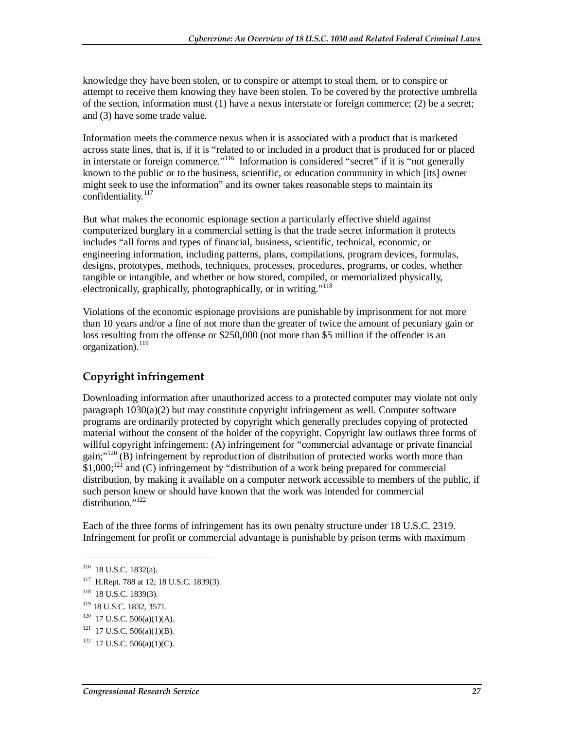knowledge they have been stolen, or to conspire or attempt to steal them, or to conspire or attempt to receive them knowing they have been stolen. To be covered by the protective umbrella of the section, information must (1) have a nexus interstate or foreign commerce; (2) be a secret; and (3) have some trade value.

Information meets the commerce nexus when it is associated with a product that is marketed across state lines, that is, if it is "related to or included in a product that is produced for or placed in interstate or foreign commerce."<sup>116</sup> Information is considered "secret" if it is "not generally known to the public or to the business, scientific, or education community in which [its] owner might seek to use the information" and its owner takes reasonable steps to maintain its confidentiality.<sup>117</sup>

But what makes the economic espionage section a particularly effective shield against computerized burglary in a commercial setting is that the trade secret information it protects includes "all forms and types of financial, business, scientific, technical, economic, or engineering information, including patterns, plans, compilations, program devices, formulas, designs, prototypes, methods, techniques, processes, procedures, programs, or codes, whether tangible or intangible, and whether or how stored, compiled, or memorialized physically, electronically, graphically, photographically, or in writing."<sup>118</sup>

Violations of the economic espionage provisions are punishable by imprisonment for not more than 10 years and/or a fine of not more than the greater of twice the amount of pecuniary gain or loss resulting from the offense or \$250,000 (not more than \$5 million if the offender is an organization).<sup>119</sup>

### **Copyright infringement**

Downloading information after unauthorized access to a protected computer may violate not only paragraph 1030(a)(2) but may constitute copyright infringement as well. Computer software programs are ordinarily protected by copyright which generally precludes copying of protected material without the consent of the holder of the copyright. Copyright law outlaws three forms of willful copyright infringement: (A) infringement for "commercial advantage or private financial gain; $"^{120}$  (B) infringement by reproduction of distribution of protected works worth more than  $$1,000;^{121}$  and (C) infringement by "distribution of a work being prepared for commercial distribution, by making it available on a computer network accessible to members of the public, if such person knew or should have known that the work was intended for commercial distribution."<sup>122</sup>

Each of the three forms of infringement has its own penalty structure under 18 U.S.C. 2319. Infringement for profit or commercial advantage is punishable by prison terms with maximum

<u>.</u>

 $116$  18 U.S.C. 1832(a).

<sup>&</sup>lt;sup>117</sup> H.Rept. 788 at 12; 18 U.S.C. 1839(3).

<sup>118 18</sup> U.S.C. 1839(3).

<sup>119 18</sup> U.S.C. 1832, 3571.

 $120$  17 U.S.C.  $506(a)(1)(A)$ .

 $121$  17 U.S.C. 506(a)(1)(B).

 $122$  17 U.S.C. 506(a)(1)(C).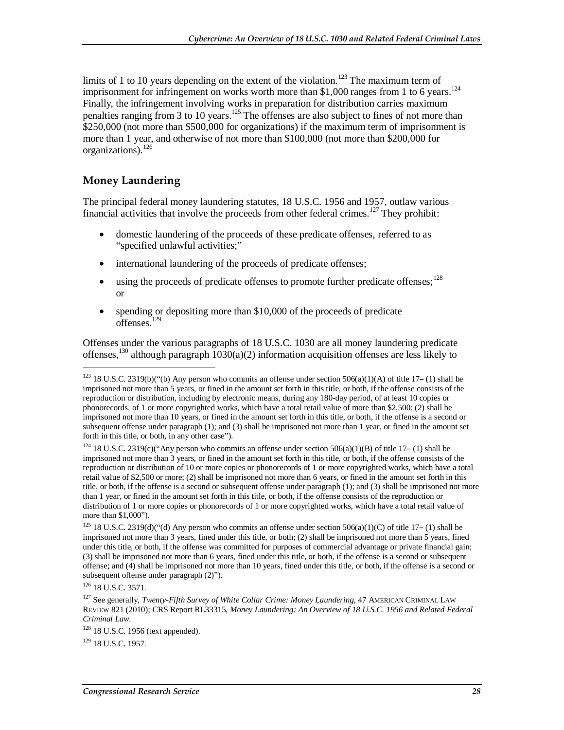limits of 1 to 10 years depending on the extent of the violation.<sup>123</sup> The maximum term of imprisonment for infringement on works worth more than \$1,000 ranges from 1 to 6 years.<sup>124</sup> Finally, the infringement involving works in preparation for distribution carries maximum penalties ranging from 3 to 10 years.<sup>125</sup> The offenses are also subject to fines of not more than \$250,000 (not more than \$500,000 for organizations) if the maximum term of imprisonment is more than 1 year, and otherwise of not more than \$100,000 (not more than \$200,000 for organizations).<sup>126</sup>

### **Money Laundering**

The principal federal money laundering statutes, 18 U.S.C. 1956 and 1957, outlaw various financial activities that involve the proceeds from other federal crimes.<sup>127</sup> They prohibit:

- domestic laundering of the proceeds of these predicate offenses, referred to as "specified unlawful activities;"
- international laundering of the proceeds of predicate offenses;
- using the proceeds of predicate offenses to promote further predicate offenses; $^{128}$ or
- spending or depositing more than \$10,000 of the proceeds of predicate offenses.<sup>129</sup>

Offenses under the various paragraphs of 18 U.S.C. 1030 are all money laundering predicate offenses,  $130$  although paragraph  $1030(a)(2)$  information acquisition offenses are less likely to

<sup>&</sup>lt;sup>123</sup> 18 U.S.C. 2319(b)("(b) Any person who commits an offense under section 506(a)(1)(A) of title 17–(1) shall be imprisoned not more than 5 years, or fined in the amount set forth in this title, or both, if the offense consists of the reproduction or distribution, including by electronic means, during any 180-day period, of at least 10 copies or phonorecords, of 1 or more copyrighted works, which have a total retail value of more than \$2,500; (2) shall be imprisoned not more than 10 years, or fined in the amount set forth in this title, or both, if the offense is a second or subsequent offense under paragraph (1); and (3) shall be imprisoned not more than 1 year, or fined in the amount set forth in this title, or both, in any other case").

<sup>&</sup>lt;sup>124</sup> 18 U.S.C. 2319(c)("Any person who commits an offense under section  $506(a)(1)(B)$  of title 17-(1) shall be imprisoned not more than 3 years, or fined in the amount set forth in this title, or both, if the offense consists of the reproduction or distribution of 10 or more copies or phonorecords of 1 or more copyrighted works, which have a total retail value of \$2,500 or more; (2) shall be imprisoned not more than 6 years, or fined in the amount set forth in this title, or both, if the offense is a second or subsequent offense under paragraph (1); and (3) shall be imprisoned not more than 1 year, or fined in the amount set forth in this title, or both, if the offense consists of the reproduction or distribution of 1 or more copies or phonorecords of 1 or more copyrighted works, which have a total retail value of more than \$1,000").

<sup>&</sup>lt;sup>125</sup> 18 U.S.C. 2319(d)("(d) Any person who commits an offense under section  $506(a)(1)(C)$  of title 17-(1) shall be imprisoned not more than 3 years, fined under this title, or both; (2) shall be imprisoned not more than 5 years, fined under this title, or both, if the offense was committed for purposes of commercial advantage or private financial gain; (3) shall be imprisoned not more than 6 years, fined under this title, or both, if the offense is a second or subsequent offense; and (4) shall be imprisoned not more than 10 years, fined under this title, or both, if the offense is a second or subsequent offense under paragraph (2)").

 $126$  18 U.S.C. 3571.

<sup>&</sup>lt;sup>127</sup> See generally, *Twenty-Fifth Survey of White Collar Crime: Money Laundering*, 47 AMERICAN CRIMINAL LAW REVIEW 821 (2010); CRS Report RL33315, *Money Laundering: An Overview of 18 U.S.C. 1956 and Related Federal Criminal Law.* 128 18 U.S.C. 1956 (text appended).

<sup>129 18</sup> U.S.C. 1957.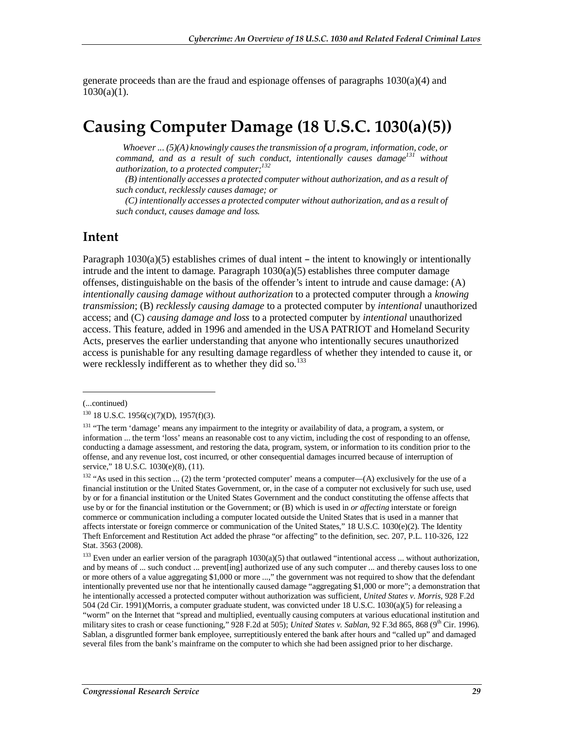generate proceeds than are the fraud and espionage offenses of paragraphs 1030(a)(4) and 1030(a)(1).

# **Causing Computer Damage (18 U.S.C. 1030(a)(5))**

 *Whoever ... (5)(A) knowingly causes the transmission of a program, information, code, or command, and as a result of such conduct, intentionally causes damage*<sup>131</sup> without *authorization, to a protected computer;132*

 *(B) intentionally accesses a protected computer without authorization, and as a result of such conduct, recklessly causes damage; or* 

 *(C) intentionally accesses a protected computer without authorization, and as a result of such conduct, causes damage and loss.* 

### **Intent**

Paragraph  $1030(a)(5)$  establishes crimes of dual intent – the intent to knowingly or intentionally intrude and the intent to damage. Paragraph  $1030(a)(5)$  establishes three computer damage offenses, distinguishable on the basis of the offender's intent to intrude and cause damage: (A) *intentionally causing damage without authorization* to a protected computer through a *knowing transmission*; (B) *recklessly causing damage* to a protected computer by *intentional* unauthorized access; and (C) *causing damage and loss* to a protected computer by *intentional* unauthorized access. This feature, added in 1996 and amended in the USA PATRIOT and Homeland Security Acts, preserves the earlier understanding that anyone who intentionally secures unauthorized access is punishable for any resulting damage regardless of whether they intended to cause it, or were recklessly indifferent as to whether they did so. $^{133}$ 

<sup>(...</sup>continued)

 $130$  18 U.S.C. 1956(c)(7)(D), 1957(f)(3).

<sup>&</sup>lt;sup>131</sup> "The term 'damage' means any impairment to the integrity or availability of data, a program, a system, or information ... the term 'loss' means an reasonable cost to any victim, including the cost of responding to an offense, conducting a damage assessment, and restoring the data, program, system, or information to its condition prior to the offense, and any revenue lost, cost incurred, or other consequential damages incurred because of interruption of service," 18 U.S.C. 1030(e)(8), (11).

 $132$  "As used in this section ... (2) the term 'protected computer' means a computer—(A) exclusively for the use of a financial institution or the United States Government, or, in the case of a computer not exclusively for such use, used by or for a financial institution or the United States Government and the conduct constituting the offense affects that use by or for the financial institution or the Government; or (B) which is used in *or affecting* interstate or foreign commerce or communication including a computer located outside the United States that is used in a manner that affects interstate or foreign commerce or communication of the United States," 18 U.S.C. 1030(e)(2). The Identity Theft Enforcement and Restitution Act added the phrase "or affecting" to the definition, sec. 207, P.L. 110-326, 122 Stat. 3563 (2008).

 $133$  Even under an earlier version of the paragraph  $1030(a)(5)$  that outlawed "intentional access ... without authorization, and by means of ... such conduct ... prevent [ing] authorized use of any such computer ... and thereby causes loss to one or more others of a value aggregating \$1,000 or more ...," the government was not required to show that the defendant intentionally prevented use nor that he intentionally caused damage "aggregating \$1,000 or more"; a demonstration that he intentionally accessed a protected computer without authorization was sufficient, *United States v. Morris*, 928 F.2d 504 (2d Cir. 1991)(Morris, a computer graduate student, was convicted under 18 U.S.C. 1030(a)(5) for releasing a "worm" on the Internet that "spread and multiplied, eventually causing computers at various educational institution and military sites to crash or cease functioning,"  $928$  F.2d at 505); *United States v. Sablan*,  $92$  F.3d 865, 868 (9<sup>th</sup> Cir. 1996). Sablan, a disgruntled former bank employee, surreptitiously entered the bank after hours and "called up" and damaged several files from the bank's mainframe on the computer to which she had been assigned prior to her discharge.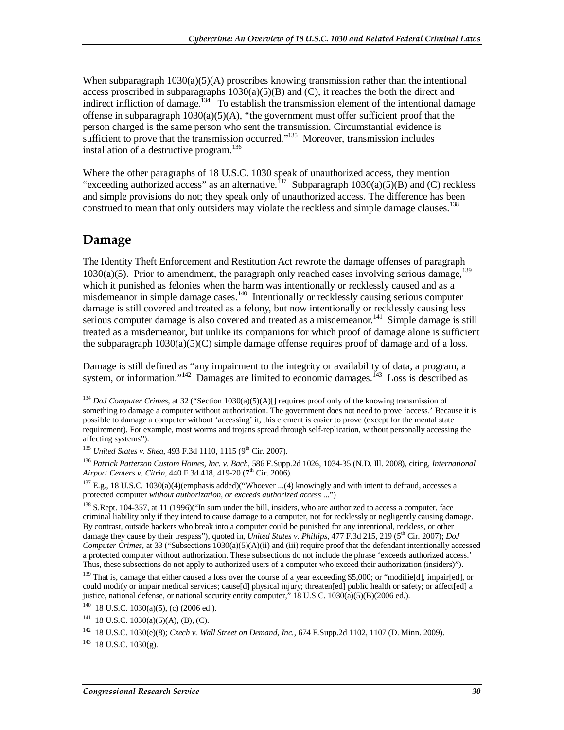When subparagraph  $1030(a)(5)(A)$  proscribes knowing transmission rather than the intentional access proscribed in subparagraphs  $1030(a)(5)(B)$  and (C), it reaches the both the direct and indirect infliction of damage.<sup>134</sup> To establish the transmission element of the intentional damage offense in subparagraph  $1030(a)(5)(A)$ , "the government must offer sufficient proof that the person charged is the same person who sent the transmission. Circumstantial evidence is sufficient to prove that the transmission occurred. $1.135$  Moreover, transmission includes installation of a destructive program.<sup>136</sup>

Where the other paragraphs of 18 U.S.C. 1030 speak of unauthorized access, they mention "exceeding authorized access" as an alternative.<sup>137</sup> Subparagraph  $1030(a)(5)(B)$  and (C) reckless and simple provisions do not; they speak only of unauthorized access. The difference has been construed to mean that only outsiders may violate the reckless and simple damage clauses.<sup>138</sup>

## **Damage**

The Identity Theft Enforcement and Restitution Act rewrote the damage offenses of paragraph 1030(a)(5). Prior to amendment, the paragraph only reached cases involving serious damage,  $139$ which it punished as felonies when the harm was intentionally or recklessly caused and as a misdemeanor in simple damage cases.<sup>140</sup> Intentionally or recklessly causing serious computer damage is still covered and treated as a felony, but now intentionally or recklessly causing less serious computer damage is also covered and treated as a misdemeanor.<sup>141</sup> Simple damage is still treated as a misdemeanor, but unlike its companions for which proof of damage alone is sufficient the subparagraph  $1030(a)(5)(C)$  simple damage offense requires proof of damage and of a loss.

Damage is still defined as "any impairment to the integrity or availability of data, a program, a system, or information."<sup>142</sup> Damages are limited to economic damages.<sup>143</sup> Loss is described as

<sup>&</sup>lt;sup>134</sup> *DoJ Computer Crimes*, at 32 ("Section 1030(a)(5)(A)[] requires proof only of the knowing transmission of something to damage a computer without authorization. The government does not need to prove 'access.' Because it is possible to damage a computer without 'accessing' it, this element is easier to prove (except for the mental state requirement). For example, most worms and trojans spread through self-replication, without personally accessing the affecting systems").

<sup>&</sup>lt;sup>135</sup> *United States v. Shea*, 493 F.3d 1110, 1115 (9<sup>th</sup> Cir. 2007).

<sup>136</sup> *Patrick Patterson Custom Homes, Inc. v. Bach,* 586 F.Supp.2d 1026, 1034-35 (N.D. Ill. 2008), citing, *International Airport Centers v. Citrin,* 440 F.3d 418, 419-20 (7<sup>th</sup> Cir. 2006).

 $137$  E.g., 18 U.S.C. 1030(a)(4)(emphasis added)("Whoever ...(4) knowingly and with intent to defraud, accesses a protected computer *without authorization, or exceeds authorized access* ...")

<sup>&</sup>lt;sup>138</sup> S.Rept. 104-357, at 11 (1996)("In sum under the bill, insiders, who are authorized to access a computer, face criminal liability only if they intend to cause damage to a computer, not for recklessly or negligently causing damage. By contrast, outside hackers who break into a computer could be punished for any intentional, reckless, or other damage they cause by their trespass"), quoted in, *United States v. Phillips*, 477 F.3d 215, 219 (5<sup>th</sup> Cir. 2007); *DoJ Computer Crimes*, at 33 ("Subsections 1030(a)(5)(A)(ii) and (iii) require proof that the defendant intentionally accessed a protected computer without authorization. These subsections do not include the phrase 'exceeds authorized access.' Thus, these subsections do not apply to authorized users of a computer who exceed their authorization (insiders)").

<sup>&</sup>lt;sup>139</sup> That is, damage that either caused a loss over the course of a year exceeding \$5,000; or "modifie[d], impair[ed], or could modify or impair medical services; cause[d] physical injury; threaten[ed] public health or safety; or affect[ed] a justice, national defense, or national security entity computer,"  $18 \text{ U.S.C. } 1030(a)(5)(B)(2006 ed.).$ 

 $140$  18 U.S.C. 1030(a)(5), (c) (2006 ed.).

 $141$  18 U.S.C. 1030(a)(5)(A), (B), (C).

<sup>142 18</sup> U.S.C. 1030(e)(8); *Czech v. Wall Street on Demand, Inc.*, 674 F.Supp.2d 1102, 1107 (D. Minn. 2009).

<sup>143 18</sup> U.S.C. 1030(g).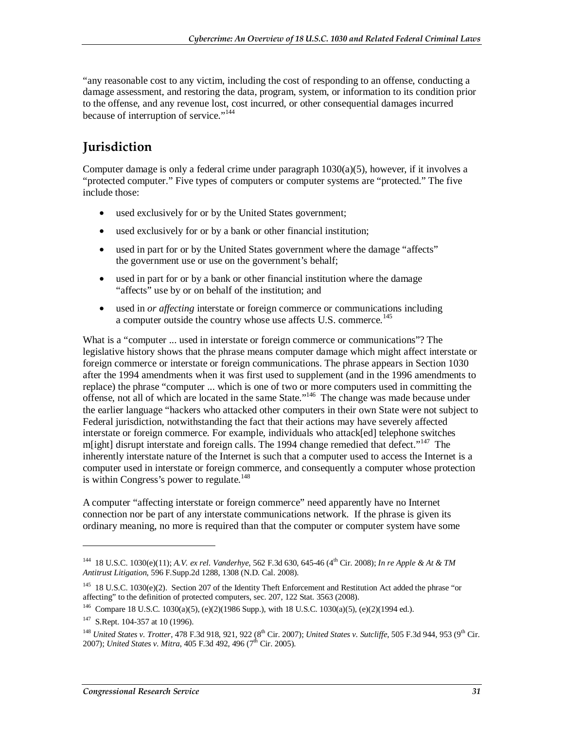"any reasonable cost to any victim, including the cost of responding to an offense, conducting a damage assessment, and restoring the data, program, system, or information to its condition prior to the offense, and any revenue lost, cost incurred, or other consequential damages incurred because of interruption of service."<sup>144</sup>

# **Jurisdiction**

Computer damage is only a federal crime under paragraph  $1030(a)(5)$ , however, if it involves a "protected computer." Five types of computers or computer systems are "protected." The five include those:

- used exclusively for or by the United States government;
- used exclusively for or by a bank or other financial institution;
- used in part for or by the United States government where the damage "affects" the government use or use on the government's behalf;
- used in part for or by a bank or other financial institution where the damage "affects" use by or on behalf of the institution; and
- used in *or affecting* interstate or foreign commerce or communications including a computer outside the country whose use affects U.S. commerce.<sup>145</sup>

What is a "computer ... used in interstate or foreign commerce or communications"? The legislative history shows that the phrase means computer damage which might affect interstate or foreign commerce or interstate or foreign communications. The phrase appears in Section 1030 after the 1994 amendments when it was first used to supplement (and in the 1996 amendments to replace) the phrase "computer ... which is one of two or more computers used in committing the offense, not all of which are located in the same State."146 The change was made because under the earlier language "hackers who attacked other computers in their own State were not subject to Federal jurisdiction, notwithstanding the fact that their actions may have severely affected interstate or foreign commerce. For example, individuals who attack[ed] telephone switches m[ight] disrupt interstate and foreign calls. The 1994 change remedied that defect."<sup>147</sup> The inherently interstate nature of the Internet is such that a computer used to access the Internet is a computer used in interstate or foreign commerce, and consequently a computer whose protection is within Congress's power to regulate. $148$ 

A computer "affecting interstate or foreign commerce" need apparently have no Internet connection nor be part of any interstate communications network. If the phrase is given its ordinary meaning, no more is required than that the computer or computer system have some

<u>.</u>

<sup>144 18</sup> U.S.C. 1030(e)(11); *A.V. ex rel. Vanderhye*, 562 F.3d 630, 645-46 (4th Cir. 2008); *In re Apple & At & TM Antitrust Litigation*, 596 F.Supp.2d 1288, 1308 (N.D. Cal. 2008).

<sup>&</sup>lt;sup>145</sup> 18 U.S.C. 1030(e)(2). Section 207 of the Identity Theft Enforcement and Restitution Act added the phrase "or affecting" to the definition of protected computers, sec. 207, 122 Stat. 3563 (2008).

<sup>&</sup>lt;sup>146</sup> Compare 18 U.S.C. 1030(a)(5), (e)(2)(1986 Supp.), with 18 U.S.C. 1030(a)(5), (e)(2)(1994 ed.).

 $147$  S.Rept. 104-357 at 10 (1996).

<sup>&</sup>lt;sup>148</sup> *United States v. Trotter*, 478 F.3d 918, 921, 922 (8<sup>th</sup> Cir. 2007); *United States v. Sutcliffe*, 505 F.3d 944, 953 (9<sup>th</sup> Cir. 2007); *United States v. Mitra*, 405 F.3d 492, 496 (7<sup>th</sup> Cir. 2005).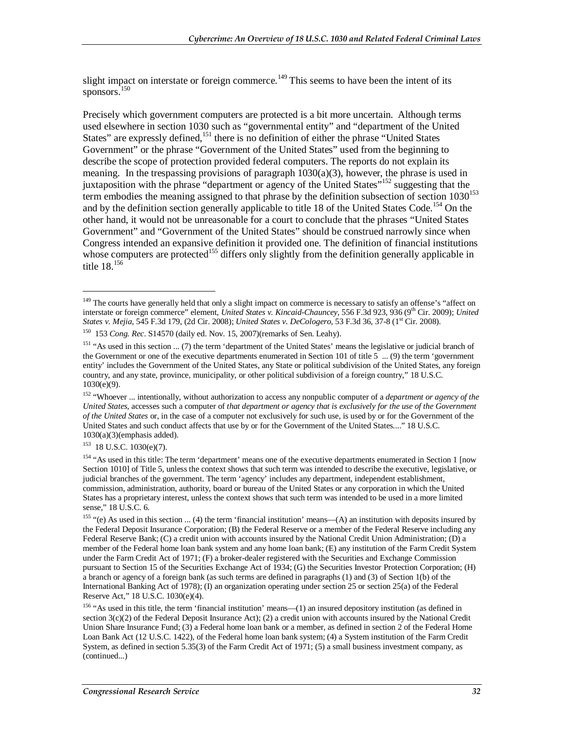slight impact on interstate or foreign commerce.<sup>149</sup> This seems to have been the intent of its sponsors.<sup>150</sup>

Precisely which government computers are protected is a bit more uncertain. Although terms used elsewhere in section 1030 such as "governmental entity" and "department of the United States" are expressly defined, <sup>151</sup> there is no definition of either the phrase "United States" Government" or the phrase "Government of the United States" used from the beginning to describe the scope of protection provided federal computers. The reports do not explain its meaning. In the trespassing provisions of paragraph  $1030(a)(3)$ , however, the phrase is used in juxtaposition with the phrase "department or agency of the United States"152 suggesting that the term embodies the meaning assigned to that phrase by the definition subsection of section 1030<sup>153</sup> and by the definition section generally applicable to title 18 of the United States Code.<sup>154</sup> On the other hand, it would not be unreasonable for a court to conclude that the phrases "United States Government" and "Government of the United States" should be construed narrowly since when Congress intended an expansive definition it provided one. The definition of financial institutions whose computers are protected<sup>155</sup> differs only slightly from the definition generally applicable in title 18.<sup>156</sup>

 $153$  18 U.S.C. 1030(e)(7).

 $<sup>149</sup>$  The courts have generally held that only a slight impact on commerce is necessary to satisfy an offense's "affect on</sup> interstate or foreign commerce" element, *United States v. Kincaid-Chauncey*, 556 F.3d 923, 936 (9th Cir. 2009); *United States v. Mejia*, 545 F.3d 179, (2d Cir. 2008); *United States v. DeCologero*, 53 F.3d 36, 37-8 (1<sup>st</sup> Cir. 2008). <sup>150</sup> 153 *Cong. Rec.* S14570 (daily ed. Nov. 15, 2007)(remarks of Sen. Leahy).

<sup>&</sup>lt;sup>151</sup> "As used in this section ... (7) the term 'department of the United States' means the legislative or judicial branch of the Government or one of the executive departments enumerated in Section 101 of title  $5 \dots (9)$  the term 'government entity' includes the Government of the United States, any State or political subdivision of the United States, any foreign country, and any state, province, municipality, or other political subdivision of a foreign country," 18 U.S.C. 1030(e)(9).

<sup>152 &</sup>quot;Whoever ... intentionally, without authorization to access any nonpublic computer of a *department or agency of the United States*, accesses such a computer of *that department or agency that is exclusively for the use of the Government of the United States* or, in the case of a computer not exclusively for such use, is used by or for the Government of the United States and such conduct affects that use by or for the Government of the United States...." 18 U.S.C. 1030(a)(3)(emphasis added).

<sup>&</sup>lt;sup>154</sup> "As used in this title: The term 'department' means one of the executive departments enumerated in Section 1 [now Section 1010] of Title 5, unless the context shows that such term was intended to describe the executive, legislative, or judicial branches of the government. The term 'agency' includes any department, independent establishment, commission, administration, authority, board or bureau of the United States or any corporation in which the United States has a proprietary interest, unless the context shows that such term was intended to be used in a more limited sense," 18 U.S.C. 6.

<sup>&</sup>lt;sup>155</sup> "(e) As used in this section ... (4) the term 'financial institution' means—(A) an institution with deposits insured by the Federal Deposit Insurance Corporation; (B) the Federal Reserve or a member of the Federal Reserve including any Federal Reserve Bank; (C) a credit union with accounts insured by the National Credit Union Administration; (D) a member of the Federal home loan bank system and any home loan bank; (E) any institution of the Farm Credit System under the Farm Credit Act of 1971; (F) a broker-dealer registered with the Securities and Exchange Commission pursuant to Section 15 of the Securities Exchange Act of 1934; (G) the Securities Investor Protection Corporation; (H) a branch or agency of a foreign bank (as such terms are defined in paragraphs (1) and (3) of Section 1(b) of the International Banking Act of 1978); (I) an organization operating under section 25 or section 25(a) of the Federal Reserve Act," 18 U.S.C. 1030(e)(4).

 $156$  "As used in this title, the term 'financial institution' means—(1) an insured depository institution (as defined in section  $3(c)(2)$  of the Federal Deposit Insurance Act); (2) a credit union with accounts insured by the National Credit Union Share Insurance Fund; (3) a Federal home loan bank or a member, as defined in section 2 of the Federal Home Loan Bank Act (12 U.S.C. 1422), of the Federal home loan bank system; (4) a System institution of the Farm Credit System, as defined in section 5.35(3) of the Farm Credit Act of 1971; (5) a small business investment company, as (continued...)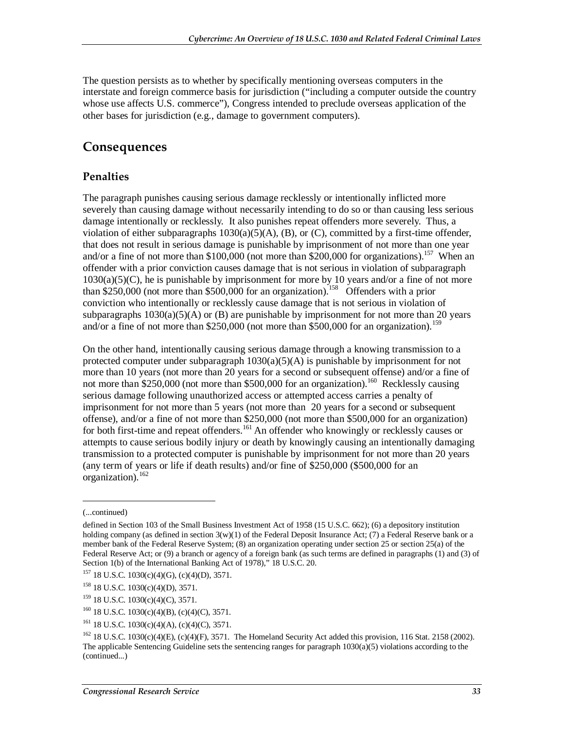The question persists as to whether by specifically mentioning overseas computers in the interstate and foreign commerce basis for jurisdiction ("including a computer outside the country whose use affects U.S. commerce"), Congress intended to preclude overseas application of the other bases for jurisdiction (e.g., damage to government computers).

### **Consequences**

### **Penalties**

The paragraph punishes causing serious damage recklessly or intentionally inflicted more severely than causing damage without necessarily intending to do so or than causing less serious damage intentionally or recklessly. It also punishes repeat offenders more severely. Thus, a violation of either subparagraphs  $1030(a)(5)(A)$ , (B), or (C), committed by a first-time offender, that does not result in serious damage is punishable by imprisonment of not more than one year and/or a fine of not more than \$100,000 (not more than \$200,000 for organizations).<sup>157</sup> When an offender with a prior conviction causes damage that is not serious in violation of subparagraph  $1030(a)(5)(C)$ , he is punishable by imprisonment for more by 10 years and/or a fine of not more than \$250,000 (not more than \$500,000 for an organization).<sup>158</sup> Offenders with a prior conviction who intentionally or recklessly cause damage that is not serious in violation of subparagraphs  $1030(a)(5)(A)$  or (B) are punishable by imprisonment for not more than 20 years and/or a fine of not more than \$250,000 (not more than \$500,000 for an organization).<sup>159</sup>

On the other hand, intentionally causing serious damage through a knowing transmission to a protected computer under subparagraph  $1030(a)(5)(A)$  is punishable by imprisonment for not more than 10 years (not more than 20 years for a second or subsequent offense) and/or a fine of not more than \$250,000 (not more than \$500,000 for an organization).<sup>160</sup> Recklessly causing serious damage following unauthorized access or attempted access carries a penalty of imprisonment for not more than 5 years (not more than 20 years for a second or subsequent offense), and/or a fine of not more than \$250,000 (not more than \$500,000 for an organization) for both first-time and repeat offenders.<sup>161</sup> An offender who knowingly or recklessly causes or attempts to cause serious bodily injury or death by knowingly causing an intentionally damaging transmission to a protected computer is punishable by imprisonment for not more than 20 years (any term of years or life if death results) and/or fine of \$250,000 (\$500,000 for an organization).<sup>162</sup>

<u>.</u>

<sup>(...</sup>continued)

defined in Section 103 of the Small Business Investment Act of 1958 (15 U.S.C. 662); (6) a depository institution holding company (as defined in section  $3(w)(1)$  of the Federal Deposit Insurance Act; (7) a Federal Reserve bank or a member bank of the Federal Reserve System; (8) an organization operating under section 25 or section 25(a) of the Federal Reserve Act; or (9) a branch or agency of a foreign bank (as such terms are defined in paragraphs (1) and (3) of Section 1(b) of the International Banking Act of 1978)," 18 U.S.C. 20.

 $157$  18 U.S.C.  $1030(c)(4)(G)$ ,  $(c)(4)(D)$ , 3571.

 $158$  18 U.S.C. 1030(c)(4)(D), 3571.

<sup>159 18</sup> U.S.C. 1030(c)(4)(C), 3571.

 $160$  18 U.S.C.  $1030(c)(4)(B)$ ,  $(c)(4)(C)$ , 3571.

<sup>&</sup>lt;sup>161</sup> 18 U.S.C. 1030(c)(4)(A), (c)(4)(C), 3571.

 $162$  18 U.S.C. 1030(c)(4)(E), (c)(4)(F), 3571. The Homeland Security Act added this provision, 116 Stat. 2158 (2002). The applicable Sentencing Guideline sets the sentencing ranges for paragraph  $1030(a)(5)$  violations according to the (continued...)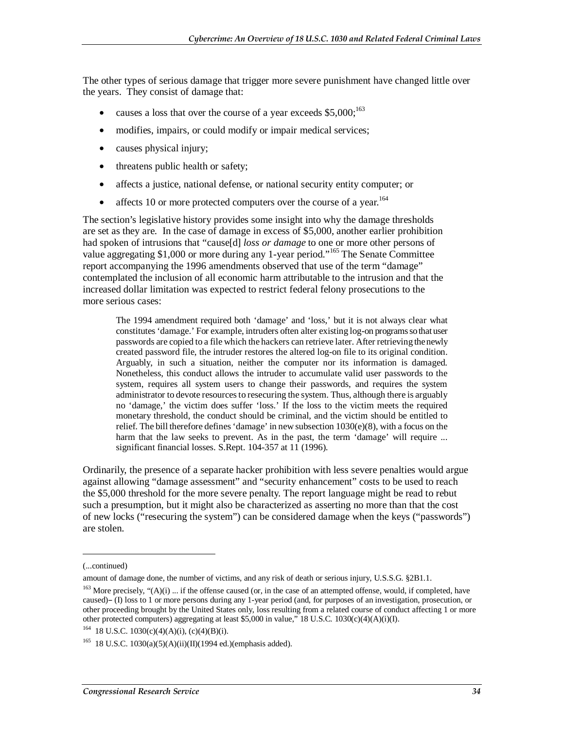The other types of serious damage that trigger more severe punishment have changed little over the years. They consist of damage that:

- causes a loss that over the course of a year exceeds  $$5,000$ ;<sup>163</sup>
- modifies, impairs, or could modify or impair medical services;
- causes physical injury;
- threatens public health or safety;
- affects a justice, national defense, or national security entity computer; or
- affects 10 or more protected computers over the course of a year.<sup>164</sup>

The section's legislative history provides some insight into why the damage thresholds are set as they are. In the case of damage in excess of \$5,000, another earlier prohibition had spoken of intrusions that "cause[d] *loss or damage* to one or more other persons of value aggregating \$1,000 or more during any 1-year period."165 The Senate Committee report accompanying the 1996 amendments observed that use of the term "damage" contemplated the inclusion of all economic harm attributable to the intrusion and that the increased dollar limitation was expected to restrict federal felony prosecutions to the more serious cases:

The 1994 amendment required both 'damage' and 'loss,' but it is not always clear what constitutes 'damage.' For example, intruders often alter existing log-on programs so that user passwords are copied to a file which the hackers can retrieve later. After retrieving the newly created password file, the intruder restores the altered log-on file to its original condition. Arguably, in such a situation, neither the computer nor its information is damaged. Nonetheless, this conduct allows the intruder to accumulate valid user passwords to the system, requires all system users to change their passwords, and requires the system administrator to devote resources to resecuring the system. Thus, although there is arguably no 'damage,' the victim does suffer 'loss.' If the loss to the victim meets the required monetary threshold, the conduct should be criminal, and the victim should be entitled to relief. The bill therefore defines 'damage' in new subsection 1030(e)(8), with a focus on the harm that the law seeks to prevent. As in the past, the term 'damage' will require ... significant financial losses. S.Rept. 104-357 at 11 (1996).

Ordinarily, the presence of a separate hacker prohibition with less severe penalties would argue against allowing "damage assessment" and "security enhancement" costs to be used to reach the \$5,000 threshold for the more severe penalty. The report language might be read to rebut such a presumption, but it might also be characterized as asserting no more than that the cost of new locks ("resecuring the system") can be considered damage when the keys ("passwords") are stolen.

<sup>(...</sup>continued)

amount of damage done, the number of victims, and any risk of death or serious injury, U.S.S.G. §2B1.1.

 $163$  More precisely, "(A)(i) ... if the offense caused (or, in the case of an attempted offense, would, if completed, have caused) $-$  (I) loss to 1 or more persons during any 1-year period (and, for purposes of an investigation, prosecution, or other proceeding brought by the United States only, loss resulting from a related course of conduct affecting 1 or more other protected computers) aggregating at least \$5,000 in value," 18 U.S.C. 1030(c)(4)(A)(i)(I).

<sup>&</sup>lt;sup>164</sup> 18 U.S.C. 1030(c)(4)(A)(i), (c)(4)(B)(i).

<sup>&</sup>lt;sup>165</sup> 18 U.S.C. 1030(a)(5)(A)(ii)(II)(1994 ed.)(emphasis added).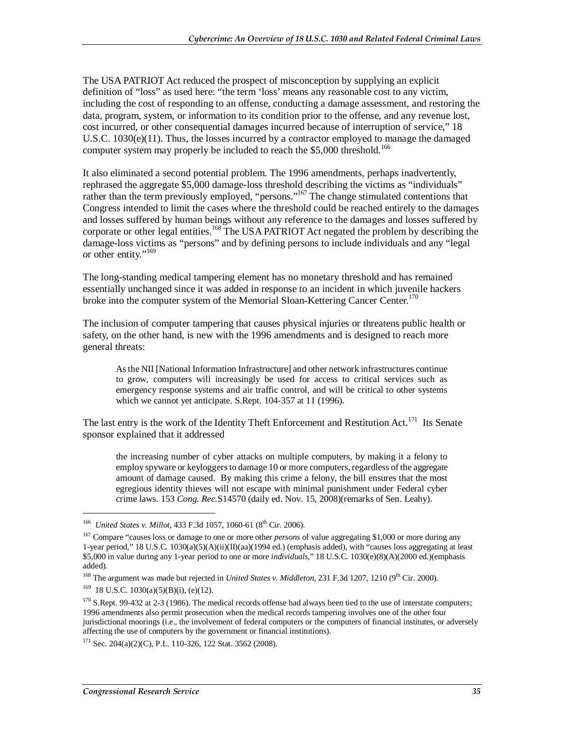The USA PATRIOT Act reduced the prospect of misconception by supplying an explicit definition of "loss" as used here: "the term 'loss' means any reasonable cost to any victim, including the cost of responding to an offense, conducting a damage assessment, and restoring the data, program, system, or information to its condition prior to the offense, and any revenue lost, cost incurred, or other consequential damages incurred because of interruption of service," 18 U.S.C. 1030(e)(11). Thus, the losses incurred by a contractor employed to manage the damaged computer system may properly be included to reach the \$5,000 threshold.<sup>166</sup>

It also eliminated a second potential problem. The 1996 amendments, perhaps inadvertently, rephrased the aggregate \$5,000 damage-loss threshold describing the victims as "individuals" rather than the term previously employed, "persons."<sup>167</sup> The change stimulated contentions that Congress intended to limit the cases where the threshold could be reached entirely to the damages and losses suffered by human beings without any reference to the damages and losses suffered by corporate or other legal entities.<sup>168</sup> The USA PATRIOT Act negated the problem by describing the damage-loss victims as "persons" and by defining persons to include individuals and any "legal or other entity."<sup>169</sup>

The long-standing medical tampering element has no monetary threshold and has remained essentially unchanged since it was added in response to an incident in which juvenile hackers broke into the computer system of the Memorial Sloan-Kettering Cancer Center.<sup>170</sup>

The inclusion of computer tampering that causes physical injuries or threatens public health or safety, on the other hand, is new with the 1996 amendments and is designed to reach more general threats:

As the NII [National Information Infrastructure] and other network infrastructures continue to grow, computers will increasingly be used for access to critical services such as emergency response systems and air traffic control, and will be critical to other systems which we cannot yet anticipate. S.Rept. 104-357 at 11 (1996).

The last entry is the work of the Identity Theft Enforcement and Restitution Act.<sup>171</sup> Its Senate sponsor explained that it addressed

the increasing number of cyber attacks on multiple computers, by making it a felony to employ spyware or keyloggers to damage 10 or more computers, regardless of the aggregate amount of damage caused. By making this crime a felony, the bill ensures that the most egregious identity thieves will not escape with minimal punishment under Federal cyber crime laws. 153 *Cong. Rec.*S14570 (daily ed. Nov. 15, 2008)(remarks of Sen. Leahy).

<u>.</u>

<sup>&</sup>lt;sup>166</sup> *United States v. Millot,* 433 F.3d 1057, 1060-61 (8<sup>th</sup> Cir. 2006).

<sup>&</sup>lt;sup>167</sup> Compare "causes loss or damage to one or more other *persons* of value aggregating \$1,000 or more during any 1-year period," 18 U.S.C. 1030(a)(5)(A)(ii)(II)(aa)(1994 ed.) (emphasis added), with "causes loss aggregating at least \$5,000 in value during any 1-year period to one or more *individuals*," 18 U.S.C. 1030(e)(8)(A)(2000 ed.)(emphasis added).

<sup>&</sup>lt;sup>168</sup> The argument was made but rejected in *United States v. Middleton*, 231 F.3d 1207, 1210 (9<sup>th</sup> Cir. 2000).<br><sup>169</sup> 18 U.S.C. 1030(a)(5)(B)(i), (e)(12).

 $170$  S.Rept. 99-432 at 2-3 (1986). The medical records offense had always been tied to the use of interstate computers; 1996 amendments also permit prosecution when the medical records tampering involves one of the other four jurisdictional moorings (i.e., the involvement of federal computers or the computers of financial institutes, or adversely affecting the use of computers by the government or financial institutions).

 $171$  Sec. 204(a)(2)(C), P.L. 110-326, 122 Stat. 3562 (2008).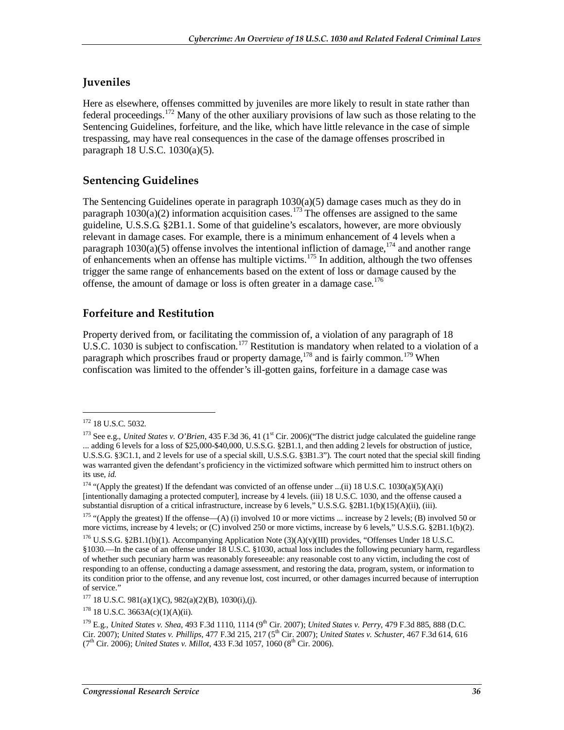### **Juveniles**

Here as elsewhere, offenses committed by juveniles are more likely to result in state rather than federal proceedings.172 Many of the other auxiliary provisions of law such as those relating to the Sentencing Guidelines, forfeiture, and the like, which have little relevance in the case of simple trespassing, may have real consequences in the case of the damage offenses proscribed in paragraph 18 U.S.C. 1030(a)(5).

### **Sentencing Guidelines**

The Sentencing Guidelines operate in paragraph  $1030(a)(5)$  damage cases much as they do in paragraph  $1030(a)(2)$  information acquisition cases.<sup>173</sup> The offenses are assigned to the same guideline, U.S.S.G. §2B1.1. Some of that guideline's escalators, however, are more obviously relevant in damage cases. For example, there is a minimum enhancement of 4 levels when a paragraph 1030(a)(5) offense involves the intentional infliction of damage,  $174$  and another range of enhancements when an offense has multiple victims.<sup>175</sup> In addition, although the two offenses trigger the same range of enhancements based on the extent of loss or damage caused by the offense, the amount of damage or loss is often greater in a damage case.<sup>176</sup>

### **Forfeiture and Restitution**

Property derived from, or facilitating the commission of, a violation of any paragraph of 18 U.S.C. 1030 is subject to confiscation.<sup>177</sup> Restitution is mandatory when related to a violation of a paragraph which proscribes fraud or property damage,  $178$  and is fairly common.<sup>179</sup> When confiscation was limited to the offender's ill-gotten gains, forfeiture in a damage case was

 $172$  18 U.S.C. 5032.

<sup>&</sup>lt;sup>173</sup> See e.g., *United States v. O'Brien*, 435 F.3d 36, 41 (1<sup>st</sup> Cir. 2006)("The district judge calculated the guideline range ... adding 6 levels for a loss of \$25,000-\$40,000, U.S.S.G. \$2B1.1, and then adding 2 levels for obstruction of justice, U.S.S.G. §3C1.1, and 2 levels for use of a special skill, U.S.S.G. §3B1.3"). The court noted that the special skill finding was warranted given the defendant's proficiency in the victimized software which permitted him to instruct others on its use, *id.*

<sup>&</sup>lt;sup>174</sup> "(Apply the greatest) If the defendant was convicted of an offense under ...(ii) 18 U.S.C. 1030(a)(5)(A)(i) [intentionally damaging a protected computer], increase by 4 levels. (iii) 18 U.S.C. 1030, and the offense caused a substantial disruption of a critical infrastructure, increase by 6 levels," U.S.S.G. §2B1.1(b)(15)(A)(ii), (iii).

<sup>&</sup>lt;sup>175</sup> "(Apply the greatest) If the offense—(A) (i) involved 10 or more victims ... increase by 2 levels; (B) involved 50 or more victims, increase by 4 levels; or (C) involved 250 or more victims, increase by 6 levels," U.S.S.G. §2B1.1(b)(2).

<sup>&</sup>lt;sup>176</sup> U.S.S.G. §2B1.1(b)(1). Accompanying Application Note  $(3)(A)(v)(III)$  provides, "Offenses Under 18 U.S.C. §1030.—In the case of an offense under 18 U.S.C. §1030, actual loss includes the following pecuniary harm, regardless of whether such pecuniary harm was reasonably foreseeable: any reasonable cost to any victim, including the cost of responding to an offense, conducting a damage assessment, and restoring the data, program, system, or information to its condition prior to the offense, and any revenue lost, cost incurred, or other damages incurred because of interruption of service."

<sup>177 18</sup> U.S.C. 981(a)(1)(C), 982(a)(2)(B), 1030(i),(j).

 $178$  18 U.S.C. 3663A(c)(1)(A)(ii).

<sup>&</sup>lt;sup>179</sup> E.g., *United States v. Shea*, 493 F.3d 1110, 1114 (9<sup>th</sup> Cir. 2007); *United States v. Perry*, 479 F.3d 885, 888 (D.C. Cir. 2007); *United States v. Phillips*, 477 F.3d 215, 217 (5th Cir. 2007); *United States v. Schuster*, 467 F.3d 614, 616 (7<sup>th</sup> Cir. 2006); *United States v. Millot*, 433 F.3d 1057, 1060 (8<sup>th</sup> Cir. 2006).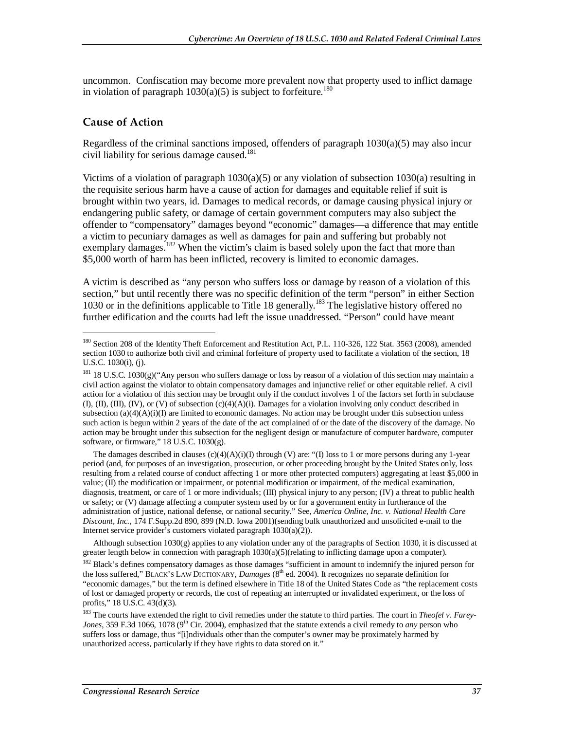uncommon. Confiscation may become more prevalent now that property used to inflict damage in violation of paragraph  $1030(a)(5)$  is subject to forfeiture.<sup>180</sup>

#### **Cause of Action**

<u>.</u>

Regardless of the criminal sanctions imposed, offenders of paragraph  $1030(a)(5)$  may also incur civil liability for serious damage caused.<sup>181</sup>

Victims of a violation of paragraph 1030(a)(5) or any violation of subsection 1030(a) resulting in the requisite serious harm have a cause of action for damages and equitable relief if suit is brought within two years, id. Damages to medical records, or damage causing physical injury or endangering public safety, or damage of certain government computers may also subject the offender to "compensatory" damages beyond "economic" damages—a difference that may entitle a victim to pecuniary damages as well as damages for pain and suffering but probably not exemplary damages.<sup>182</sup> When the victim's claim is based solely upon the fact that more than \$5,000 worth of harm has been inflicted, recovery is limited to economic damages.

A victim is described as "any person who suffers loss or damage by reason of a violation of this section," but until recently there was no specific definition of the term "person" in either Section 1030 or in the definitions applicable to Title 18 generally.<sup>183</sup> The legislative history offered no further edification and the courts had left the issue unaddressed. "Person" could have meant

The damages described in clauses  $(c)(4)(A)(i)(I)$  through  $(V)$  are: " $(I)$  loss to 1 or more persons during any 1-year period (and, for purposes of an investigation, prosecution, or other proceeding brought by the United States only, loss resulting from a related course of conduct affecting 1 or more other protected computers) aggregating at least \$5,000 in value; (II) the modification or impairment, or potential modification or impairment, of the medical examination, diagnosis, treatment, or care of 1 or more individuals; (III) physical injury to any person; (IV) a threat to public health or safety; or (V) damage affecting a computer system used by or for a government entity in furtherance of the administration of justice, national defense, or national security." See, *America Online, Inc. v. National Health Care Discount, Inc.,* 174 F.Supp.2d 890, 899 (N.D. Iowa 2001)(sending bulk unauthorized and unsolicited e-mail to the Internet service provider's customers violated paragraph 1030(a)(2)).

 Although subsection 1030(g) applies to any violation under any of the paragraphs of Section 1030, it is discussed at greater length below in connection with paragraph 1030(a)(5)(relating to inflicting damage upon a computer).

<sup>182</sup> Black's defines compensatory damages as those damages "sufficient in amount to indemnify the injured person for the loss suffered," BLACK's LAW DICTIONARY, *Damages* (8<sup>th</sup> ed. 2004). It recognizes no separate definition for "economic damages," but the term is defined elsewhere in Title 18 of the United States Code as "the replacement costs of lost or damaged property or records, the cost of repeating an interrupted or invalidated experiment, or the loss of profits," 18 U.S.C. 43(d)(3).

<sup>&</sup>lt;sup>180</sup> Section 208 of the Identity Theft Enforcement and Restitution Act, P.L. 110-326, 122 Stat. 3563 (2008), amended section 1030 to authorize both civil and criminal forfeiture of property used to facilitate a violation of the section, 18 U.S.C. 1030(i), (j).

<sup>&</sup>lt;sup>181</sup> 18 U.S.C. 1030(g)("Any person who suffers damage or loss by reason of a violation of this section may maintain a civil action against the violator to obtain compensatory damages and injunctive relief or other equitable relief. A civil action for a violation of this section may be brought only if the conduct involves 1 of the factors set forth in subclause  $(I), (II), (III), (IV),$  or  $(V)$  of subsection  $(c)(4)(A)(i)$ . Damages for a violation involving only conduct described in subsection (a)(4)(A)(i)(I) are limited to economic damages. No action may be brought under this subsection unless such action is begun within 2 years of the date of the act complained of or the date of the discovery of the damage. No action may be brought under this subsection for the negligent design or manufacture of computer hardware, computer software, or firmware," 18 U.S.C. 1030(g).

<sup>&</sup>lt;sup>183</sup> The courts have extended the right to civil remedies under the statute to third parties. The court in *Theofel v. Farey*-*Jones*, 359 F.3d 1066, 1078 (9<sup>th</sup> Cir. 2004), emphasized that the statute extends a civil remedy to *any* person who suffers loss or damage, thus "[i]ndividuals other than the computer's owner may be proximately harmed by unauthorized access, particularly if they have rights to data stored on it."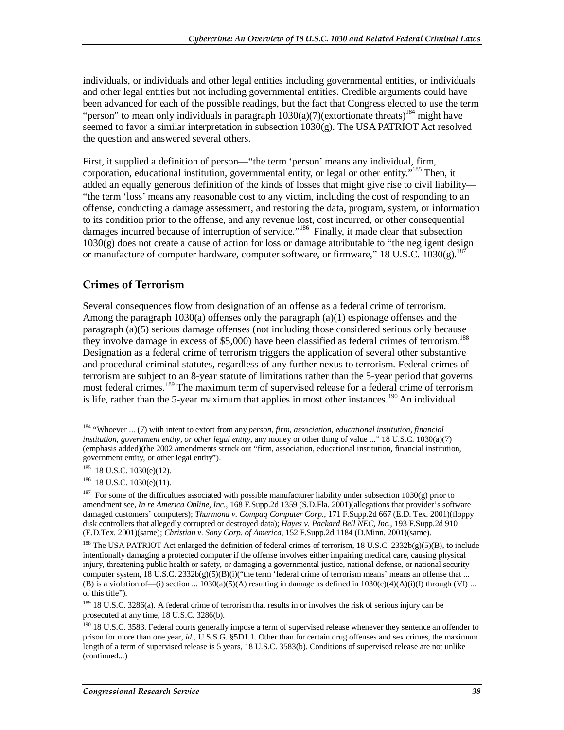individuals, or individuals and other legal entities including governmental entities, or individuals and other legal entities but not including governmental entities. Credible arguments could have been advanced for each of the possible readings, but the fact that Congress elected to use the term "person" to mean only individuals in paragraph  $1030(a)(7)$ (extortionate threats)<sup>184</sup> might have seemed to favor a similar interpretation in subsection 1030(g). The USA PATRIOT Act resolved the question and answered several others.

First, it supplied a definition of person—"the term 'person' means any individual, firm, corporation, educational institution, governmental entity, or legal or other entity."185 Then, it added an equally generous definition of the kinds of losses that might give rise to civil liability— "the term 'loss' means any reasonable cost to any victim, including the cost of responding to an offense, conducting a damage assessment, and restoring the data, program, system, or information to its condition prior to the offense, and any revenue lost, cost incurred, or other consequential damages incurred because of interruption of service."<sup>186</sup> Finally, it made clear that subsection  $1030(g)$  does not create a cause of action for loss or damage attributable to "the negligent design or manufacture of computer hardware, computer software, or firmware," 18 U.S.C.  $1030(g)$ .<sup>187</sup>

### **Crimes of Terrorism**

Several consequences flow from designation of an offense as a federal crime of terrorism. Among the paragraph  $1030(a)$  offenses only the paragraph  $(a)(1)$  espionage offenses and the paragraph (a)(5) serious damage offenses (not including those considered serious only because they involve damage in excess of  $$5,000$ ) have been classified as federal crimes of terrorism.<sup>188</sup> Designation as a federal crime of terrorism triggers the application of several other substantive and procedural criminal statutes, regardless of any further nexus to terrorism. Federal crimes of terrorism are subject to an 8-year statute of limitations rather than the 5-year period that governs most federal crimes.189 The maximum term of supervised release for a federal crime of terrorism is life, rather than the 5-year maximum that applies in most other instances.<sup>190</sup> An individual

<sup>184 &</sup>quot;Whoever ... (7) with intent to extort from any *person, firm, association, educational institution, financial institution, government entity, or other legal entity, any money or other thing of value ...*" 18 U.S.C. 1030(a)(7) (emphasis added)(the 2002 amendments struck out "firm, association, educational institution, financial institution, government entity, or other legal entity").

 $185$  18 U.S.C. 1030(e)(12).

 $186$  18 U.S.C. 1030(e)(11).

<sup>&</sup>lt;sup>187</sup> For some of the difficulties associated with possible manufacturer liability under subsection 1030(g) prior to amendment see, *In re America Online, Inc.*, 168 F.Supp.2d 1359 (S.D.Fla. 2001)(allegations that provider's software damaged customers' computers); *Thurmond v. Compaq Computer Corp.*, 171 F.Supp.2d 667 (E.D. Tex. 2001)(floppy disk controllers that allegedly corrupted or destroyed data); *Hayes v. Packard Bell NEC, Inc.*, 193 F.Supp.2d 910 (E.D.Tex. 2001)(same); *Christian v. Sony Corp. of America*, 152 F.Supp.2d 1184 (D.Minn. 2001)(same).

<sup>&</sup>lt;sup>188</sup> The USA PATRIOT Act enlarged the definition of federal crimes of terrorism, 18 U.S.C. 2332b(g)(5)(B), to include intentionally damaging a protected computer if the offense involves either impairing medical care, causing physical injury, threatening public health or safety, or damaging a governmental justice, national defense, or national security computer system, 18 U.S.C.  $2332b(g)(5)(B)(i)$  ("the term 'federal crime of terrorism means' means an offense that ... (B) is a violation of—(i) section ...  $1030(a)(5)(A)$  resulting in damage as defined in  $1030(c)(4)(A)(i)(I)$  through (VI) ... of this title").

<sup>&</sup>lt;sup>189</sup> 18 U.S.C. 3286(a). A federal crime of terrorism that results in or involves the risk of serious injury can be prosecuted at any time, 18 U.S.C. 3286(b).

<sup>&</sup>lt;sup>190</sup> 18 U.S.C. 3583. Federal courts generally impose a term of supervised release whenever they sentence an offender to prison for more than one year, *id.,* U.S.S.G. §5D1.1. Other than for certain drug offenses and sex crimes, the maximum length of a term of supervised release is 5 years, 18 U.S.C. 3583(b). Conditions of supervised release are not unlike (continued...)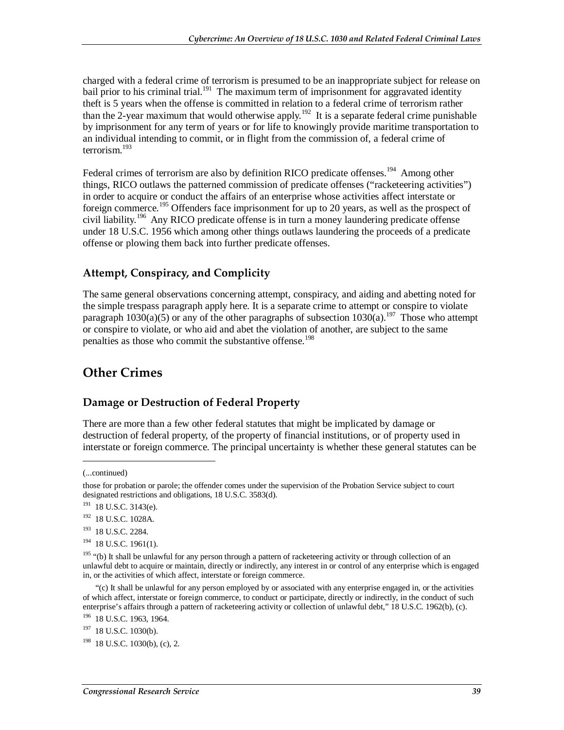charged with a federal crime of terrorism is presumed to be an inappropriate subject for release on bail prior to his criminal trial.<sup>191</sup> The maximum term of imprisonment for aggravated identity theft is 5 years when the offense is committed in relation to a federal crime of terrorism rather than the 2-year maximum that would otherwise apply.<sup>192</sup> It is a separate federal crime punishable by imprisonment for any term of years or for life to knowingly provide maritime transportation to an individual intending to commit, or in flight from the commission of, a federal crime of terrorism<sup>193</sup>

Federal crimes of terrorism are also by definition RICO predicate offenses.<sup>194</sup> Among other things, RICO outlaws the patterned commission of predicate offenses ("racketeering activities") in order to acquire or conduct the affairs of an enterprise whose activities affect interstate or foreign commerce.<sup>195</sup> Offenders face imprisonment for up to 20 years, as well as the prospect of civil liability.196 Any RICO predicate offense is in turn a money laundering predicate offense under 18 U.S.C. 1956 which among other things outlaws laundering the proceeds of a predicate offense or plowing them back into further predicate offenses.

### **Attempt, Conspiracy, and Complicity**

The same general observations concerning attempt, conspiracy, and aiding and abetting noted for the simple trespass paragraph apply here. It is a separate crime to attempt or conspire to violate paragraph  $1030(a)(5)$  or any of the other paragraphs of subsection  $1030(a)$ .<sup>197</sup> Those who attempt or conspire to violate, or who aid and abet the violation of another, are subject to the same penalties as those who commit the substantive offense.<sup>198</sup>

## **Other Crimes**

### **Damage or Destruction of Federal Property**

There are more than a few other federal statutes that might be implicated by damage or destruction of federal property, of the property of financial institutions, or of property used in interstate or foreign commerce. The principal uncertainty is whether these general statutes can be

<sup>(...</sup>continued)

those for probation or parole; the offender comes under the supervision of the Probation Service subject to court designated restrictions and obligations, 18 U.S.C. 3583(d).

 $191$  18 U.S.C. 3143(e).

<sup>192 18</sup> U.S.C. 1028A.

<sup>&</sup>lt;sup>193</sup> 18 U.S.C. 2284.

<sup>&</sup>lt;sup>194</sup> 18 U.S.C. 1961(1).

<sup>&</sup>lt;sup>195</sup> "(b) It shall be unlawful for any person through a pattern of racketeering activity or through collection of an unlawful debt to acquire or maintain, directly or indirectly, any interest in or control of any enterprise which is engaged in, or the activities of which affect, interstate or foreign commerce.

 <sup>&</sup>quot;(c) It shall be unlawful for any person employed by or associated with any enterprise engaged in, or the activities of which affect, interstate or foreign commerce, to conduct or participate, directly or indirectly, in the conduct of such enterprise's affairs through a pattern of racketeering activity or collection of unlawful debt," 18 U.S.C. 1962(b), (c).

<sup>&</sup>lt;sup>196</sup> 18 U.S.C. 1963, 1964. 197 18 U.S.C. 1030(b).

 $198$  18 U.S.C. 1030(b), (c), 2.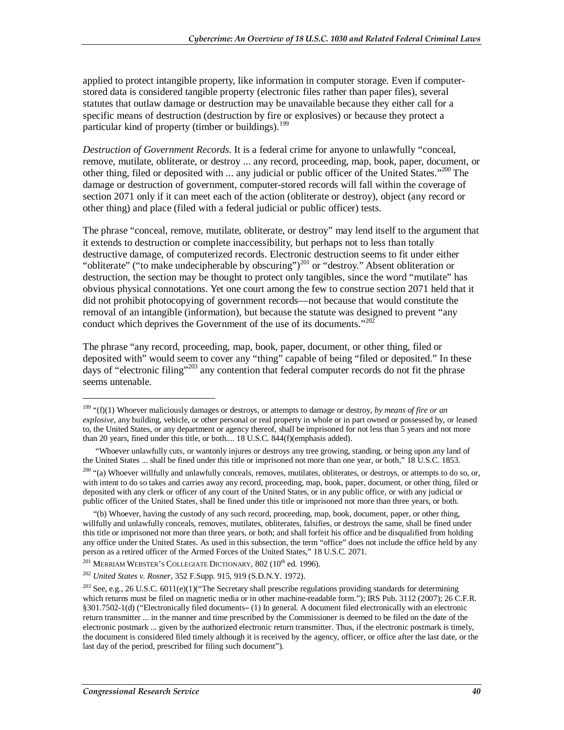applied to protect intangible property, like information in computer storage. Even if computerstored data is considered tangible property (electronic files rather than paper files), several statutes that outlaw damage or destruction may be unavailable because they either call for a specific means of destruction (destruction by fire or explosives) or because they protect a particular kind of property (timber or buildings).<sup>199</sup>

*Destruction of Government Records.* It is a federal crime for anyone to unlawfully "conceal, remove, mutilate, obliterate, or destroy ... any record, proceeding, map, book, paper, document, or other thing, filed or deposited with ... any judicial or public officer of the United States."<sup>200</sup> The damage or destruction of government, computer-stored records will fall within the coverage of section 2071 only if it can meet each of the action (obliterate or destroy), object (any record or other thing) and place (filed with a federal judicial or public officer) tests.

The phrase "conceal, remove, mutilate, obliterate, or destroy" may lend itself to the argument that it extends to destruction or complete inaccessibility, but perhaps not to less than totally destructive damage, of computerized records. Electronic destruction seems to fit under either "obliterate" ("to make undecipherable by obscuring")<sup>201</sup> or "destroy." Absent obliteration or destruction, the section may be thought to protect only tangibles, since the word "mutilate" has obvious physical connotations. Yet one court among the few to construe section 2071 held that it did not prohibit photocopying of government records—not because that would constitute the removal of an intangible (information), but because the statute was designed to prevent "any conduct which deprives the Government of the use of its documents."<sup>202</sup>

The phrase "any record, proceeding, map, book, paper, document, or other thing, filed or deposited with" would seem to cover any "thing" capable of being "filed or deposited." In these days of "electronic filing"<sup>203</sup> any contention that federal computer records do not fit the phrase seems untenable.

<u>.</u>

<sup>199 &</sup>quot;(f)(1) Whoever maliciously damages or destroys, or attempts to damage or destroy, *by means of fire or an explosive*, any building, vehicle, or other personal or real property in whole or in part owned or possessed by, or leased to, the United States, or any department or agency thereof, shall be imprisoned for not less than 5 years and not more than 20 years, fined under this title, or both.... 18 U.S.C. 844(f)(emphasis added).

 <sup>&</sup>quot;Whoever unlawfully cuts, or wantonly injures or destroys any tree growing, standing, or being upon any land of the United States ... shall be fined under this title or imprisoned not more than one year, or both," 18 U.S.C. 1853.

<sup>&</sup>lt;sup>200</sup> "(a) Whoever willfully and unlawfully conceals, removes, mutilates, obliterates, or destroys, or attempts to do so, or, with intent to do so takes and carries away any record, proceeding, map, book, paper, document, or other thing, filed or deposited with any clerk or officer of any court of the United States, or in any public office, or with any judicial or public officer of the United States, shall be fined under this title or imprisoned not more than three years, or both.

 <sup>&</sup>quot;(b) Whoever, having the custody of any such record, proceeding, map, book, document, paper, or other thing, willfully and unlawfully conceals, removes, mutilates, obliterates, falsifies, or destroys the same, shall be fined under this title or imprisoned not more than three years, or both; and shall forfeit his office and be disqualified from holding any office under the United States. As used in this subsection, the term "office" does not include the office held by any person as a retired officer of the Armed Forces of the United States," 18 U.S.C. 2071.

 $^{201}$  MERRIAM WEBSTER'S COLLEGIATE DICTIONARY,  $802$  ( $10^{th}$  ed. 1996).

<sup>202</sup> *United States v. Rosner*, 352 F.Supp. 915, 919 (S.D.N.Y. 1972).

<sup>&</sup>lt;sup>203</sup> See, e.g., 26 U.S.C. 6011(e)(1)("The Secretary shall prescribe regulations providing standards for determining which returns must be filed on magnetic media or in other machine-readable form."); IRS Pub. 3112 (2007); 26 C.F.R. §301.7502-1(d) ("Electronically filed documents-(1) In general. A document filed electronically with an electronic return transmitter ... in the manner and time prescribed by the Commissioner is deemed to be filed on the date of the electronic postmark ... given by the authorized electronic return transmitter. Thus, if the electronic postmark is timely, the document is considered filed timely although it is received by the agency, officer, or office after the last date, or the last day of the period, prescribed for filing such document").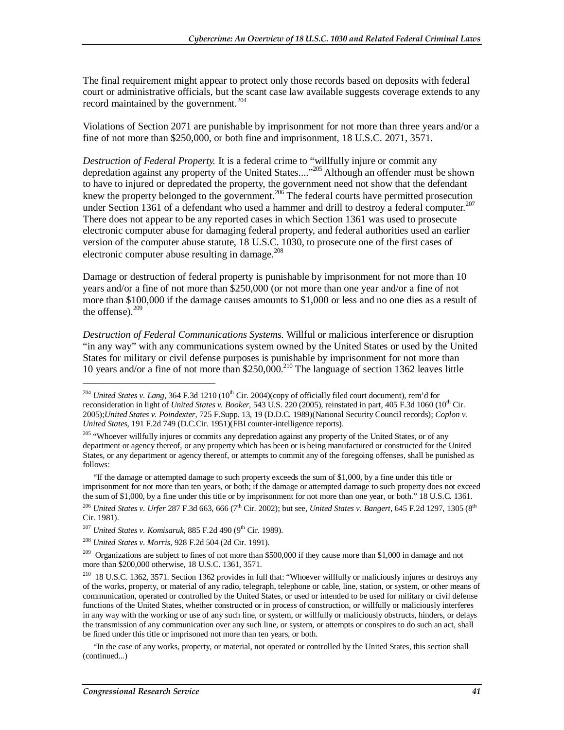The final requirement might appear to protect only those records based on deposits with federal court or administrative officials, but the scant case law available suggests coverage extends to any record maintained by the government.<sup>204</sup>

Violations of Section 2071 are punishable by imprisonment for not more than three years and/or a fine of not more than \$250,000, or both fine and imprisonment, 18 U.S.C. 2071, 3571.

*Destruction of Federal Property.* It is a federal crime to "willfully injure or commit any depredation against any property of the United States...."<sup>205</sup> Although an offender must be shown to have to injured or depredated the property, the government need not show that the defendant knew the property belonged to the government.<sup>206</sup> The federal courts have permitted prosecution under Section 1361 of a defendant who used a hammer and drill to destroy a federal computer.<sup>207</sup> There does not appear to be any reported cases in which Section 1361 was used to prosecute electronic computer abuse for damaging federal property, and federal authorities used an earlier version of the computer abuse statute, 18 U.S.C. 1030, to prosecute one of the first cases of electronic computer abuse resulting in damage. $^{208}$ 

Damage or destruction of federal property is punishable by imprisonment for not more than 10 years and/or a fine of not more than \$250,000 (or not more than one year and/or a fine of not more than \$100,000 if the damage causes amounts to \$1,000 or less and no one dies as a result of the offense). $209$ 

*Destruction of Federal Communications Systems.* Willful or malicious interference or disruption "in any way" with any communications system owned by the United States or used by the United States for military or civil defense purposes is punishable by imprisonment for not more than 10 years and/or a fine of not more than \$250,000.210 The language of section 1362 leaves little

<sup>&</sup>lt;sup>204</sup> *United States v. Lang*, 364 F.3d 1210 (10<sup>th</sup> Cir. 2004)(copy of officially filed court document), rem'd for reconsideration in light of *United States v. Booker*, 543 U.S. 220 (2005), reinstated in part, 405 F.3d 1060 (10<sup>th</sup> Cir. 2005);*United States v. Poindexter*, 725 F.Supp. 13, 19 (D.D.C. 1989)(National Security Council records); *Coplon v. United States*, 191 F.2d 749 (D.C.Cir. 1951)(FBI counter-intelligence reports).

<sup>&</sup>lt;sup>205</sup> "Whoever willfully injures or commits any depredation against any property of the United States, or of any department or agency thereof, or any property which has been or is being manufactured or constructed for the United States, or any department or agency thereof, or attempts to commit any of the foregoing offenses, shall be punished as follows:

 <sup>&</sup>quot;If the damage or attempted damage to such property exceeds the sum of \$1,000, by a fine under this title or imprisonment for not more than ten years, or both; if the damage or attempted damage to such property does not exceed the sum of \$1,000, by a fine under this title or by imprisonment for not more than one year, or both." 18 U.S.C. 1361.

<sup>&</sup>lt;sup>206</sup> *United States v. Urfer* 287 F.3d 663, 666 (7<sup>th</sup> Cir. 2002); but see, *United States v. Bangert*, 645 F.2d 1297, 1305 (8<sup>th</sup> Cir. 1981).

<sup>&</sup>lt;sup>207</sup> *United States v. Komisaruk*, 885 F.2d 490 (9<sup>th</sup> Cir. 1989).

<sup>208</sup> *United States v. Morris*, 928 F.2d 504 (2d Cir. 1991).

 $209$  Organizations are subject to fines of not more than \$500,000 if they cause more than \$1,000 in damage and not more than \$200,000 otherwise, 18 U.S.C. 1361, 3571.

<sup>210 18</sup> U.S.C. 1362, 3571. Section 1362 provides in full that: "Whoever willfully or maliciously injures or destroys any of the works, property, or material of any radio, telegraph, telephone or cable, line, station, or system, or other means of communication, operated or controlled by the United States, or used or intended to be used for military or civil defense functions of the United States, whether constructed or in process of construction, or willfully or maliciously interferes in any way with the working or use of any such line, or system, or willfully or maliciously obstructs, hinders, or delays the transmission of any communication over any such line, or system, or attempts or conspires to do such an act, shall be fined under this title or imprisoned not more than ten years, or both.

 <sup>&</sup>quot;In the case of any works, property, or material, not operated or controlled by the United States, this section shall (continued...)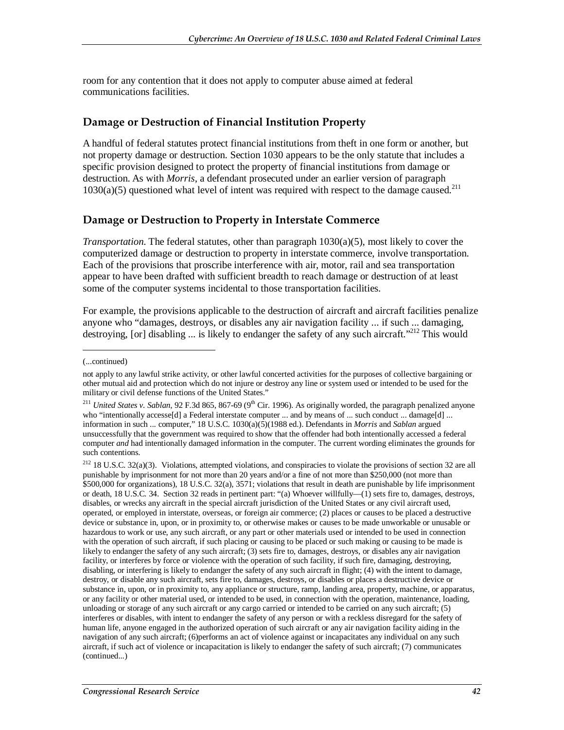room for any contention that it does not apply to computer abuse aimed at federal communications facilities.

#### **Damage or Destruction of Financial Institution Property**

A handful of federal statutes protect financial institutions from theft in one form or another, but not property damage or destruction. Section 1030 appears to be the only statute that includes a specific provision designed to protect the property of financial institutions from damage or destruction. As with *Morris*, a defendant prosecuted under an earlier version of paragraph 1030(a)(5) questioned what level of intent was required with respect to the damage caused.<sup>211</sup>

#### **Damage or Destruction to Property in Interstate Commerce**

*Transportation.* The federal statutes, other than paragraph 1030(a)(5), most likely to cover the computerized damage or destruction to property in interstate commerce, involve transportation. Each of the provisions that proscribe interference with air, motor, rail and sea transportation appear to have been drafted with sufficient breadth to reach damage or destruction of at least some of the computer systems incidental to those transportation facilities.

For example, the provisions applicable to the destruction of aircraft and aircraft facilities penalize anyone who "damages, destroys, or disables any air navigation facility ... if such ... damaging, destroying, [or] disabling ... is likely to endanger the safety of any such aircraft."<sup>212</sup> This would

<sup>(...</sup>continued)

not apply to any lawful strike activity, or other lawful concerted activities for the purposes of collective bargaining or other mutual aid and protection which do not injure or destroy any line or system used or intended to be used for the military or civil defense functions of the United States."

<sup>&</sup>lt;sup>211</sup> *United States v. Sablan*, 92 F.3d 865, 867-69 (9<sup>th</sup> Cir. 1996). As originally worded, the paragraph penalized anyone who "intentionally accesse[d] a Federal interstate computer ... and by means of ... such conduct ... damage[d] ... information in such ... computer," 18 U.S.C. 1030(a)(5)(1988 ed.). Defendants in *Morris* and *Sablan* argued unsuccessfully that the government was required to show that the offender had both intentionally accessed a federal computer *and* had intentionally damaged information in the computer. The current wording eliminates the grounds for such contentions.

 $212$  18 U.S.C. 32(a)(3). Violations, attempted violations, and conspiracies to violate the provisions of section 32 are all punishable by imprisonment for not more than 20 years and/or a fine of not more than \$250,000 (not more than \$500,000 for organizations), 18 U.S.C. 32(a), 3571; violations that result in death are punishable by life imprisonment or death, 18 U.S.C. 34. Section 32 reads in pertinent part: "(a) Whoever willfully—(1) sets fire to, damages, destroys, disables, or wrecks any aircraft in the special aircraft jurisdiction of the United States or any civil aircraft used, operated, or employed in interstate, overseas, or foreign air commerce; (2) places or causes to be placed a destructive device or substance in, upon, or in proximity to, or otherwise makes or causes to be made unworkable or unusable or hazardous to work or use, any such aircraft, or any part or other materials used or intended to be used in connection with the operation of such aircraft, if such placing or causing to be placed or such making or causing to be made is likely to endanger the safety of any such aircraft; (3) sets fire to, damages, destroys, or disables any air navigation facility, or interferes by force or violence with the operation of such facility, if such fire, damaging, destroying, disabling, or interfering is likely to endanger the safety of any such aircraft in flight; (4) with the intent to damage, destroy, or disable any such aircraft, sets fire to, damages, destroys, or disables or places a destructive device or substance in, upon, or in proximity to, any appliance or structure, ramp, landing area, property, machine, or apparatus, or any facility or other material used, or intended to be used, in connection with the operation, maintenance, loading, unloading or storage of any such aircraft or any cargo carried or intended to be carried on any such aircraft; (5) interferes or disables, with intent to endanger the safety of any person or with a reckless disregard for the safety of human life, anyone engaged in the authorized operation of such aircraft or any air navigation facility aiding in the navigation of any such aircraft; (6)performs an act of violence against or incapacitates any individual on any such aircraft, if such act of violence or incapacitation is likely to endanger the safety of such aircraft; (7) communicates (continued...)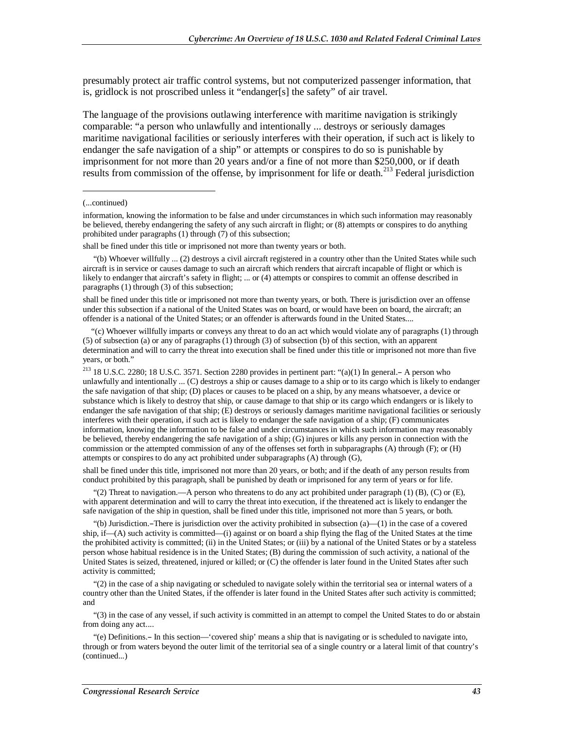presumably protect air traffic control systems, but not computerized passenger information, that is, gridlock is not proscribed unless it "endanger[s] the safety" of air travel.

The language of the provisions outlawing interference with maritime navigation is strikingly comparable: "a person who unlawfully and intentionally ... destroys or seriously damages maritime navigational facilities or seriously interferes with their operation, if such act is likely to endanger the safe navigation of a ship" or attempts or conspires to do so is punishable by imprisonment for not more than 20 years and/or a fine of not more than \$250,000, or if death results from commission of the offense, by imprisonment for life or death.<sup>213</sup> Federal jurisdiction

1

shall be fined under this title or imprisoned not more than twenty years or both.

shall be fined under this title or imprisoned not more than twenty years, or both. There is jurisdiction over an offense under this subsection if a national of the United States was on board, or would have been on board, the aircraft; an offender is a national of the United States; or an offender is afterwards found in the United States....

 "(c) Whoever willfully imparts or conveys any threat to do an act which would violate any of paragraphs (1) through (5) of subsection (a) or any of paragraphs (1) through (3) of subsection (b) of this section, with an apparent determination and will to carry the threat into execution shall be fined under this title or imprisoned not more than five years, or both."

<sup>213</sup> 18 U.S.C. 2280; 18 U.S.C. 3571. Section 2280 provides in pertinent part: "(a)(1) In general.- A person who unlawfully and intentionally ... (C) destroys a ship or causes damage to a ship or to its cargo which is likely to endanger the safe navigation of that ship; (D) places or causes to be placed on a ship, by any means whatsoever, a device or substance which is likely to destroy that ship, or cause damage to that ship or its cargo which endangers or is likely to endanger the safe navigation of that ship; (E) destroys or seriously damages maritime navigational facilities or seriously interferes with their operation, if such act is likely to endanger the safe navigation of a ship; (F) communicates information, knowing the information to be false and under circumstances in which such information may reasonably be believed, thereby endangering the safe navigation of a ship; (G) injures or kills any person in connection with the commission or the attempted commission of any of the offenses set forth in subparagraphs (A) through (F); or (H) attempts or conspires to do any act prohibited under subparagraphs  $(A)$  through  $(G)$ ,

shall be fined under this title, imprisoned not more than 20 years, or both; and if the death of any person results from conduct prohibited by this paragraph, shall be punished by death or imprisoned for any term of years or for life.

"(2) Threat to navigation.—A person who threatens to do any act prohibited under paragraph  $(1)$  (B), (C) or (E), with apparent determination and will to carry the threat into execution, if the threatened act is likely to endanger the safe navigation of the ship in question, shall be fined under this title, imprisoned not more than 5 years, or both.

"(b) Jurisdiction.-There is jurisdiction over the activity prohibited in subsection  $(a)$ — $(1)$  in the case of a covered ship, if—(A) such activity is committed—(i) against or on board a ship flying the flag of the United States at the time the prohibited activity is committed; (ii) in the United States; or (iii) by a national of the United States or by a stateless person whose habitual residence is in the United States; (B) during the commission of such activity, a national of the United States is seized, threatened, injured or killed; or (C) the offender is later found in the United States after such activity is committed;

 "(2) in the case of a ship navigating or scheduled to navigate solely within the territorial sea or internal waters of a country other than the United States, if the offender is later found in the United States after such activity is committed; and

 "(3) in the case of any vessel, if such activity is committed in an attempt to compel the United States to do or abstain from doing any act....

"(e) Definitions.- In this section—'covered ship' means a ship that is navigating or is scheduled to navigate into, through or from waters beyond the outer limit of the territorial sea of a single country or a lateral limit of that country's (continued...)

<sup>(...</sup>continued)

information, knowing the information to be false and under circumstances in which such information may reasonably be believed, thereby endangering the safety of any such aircraft in flight; or (8) attempts or conspires to do anything prohibited under paragraphs (1) through (7) of this subsection;

 <sup>&</sup>quot;(b) Whoever willfully ... (2) destroys a civil aircraft registered in a country other than the United States while such aircraft is in service or causes damage to such an aircraft which renders that aircraft incapable of flight or which is likely to endanger that aircraft's safety in flight; ... or (4) attempts or conspires to commit an offense described in paragraphs (1) through (3) of this subsection;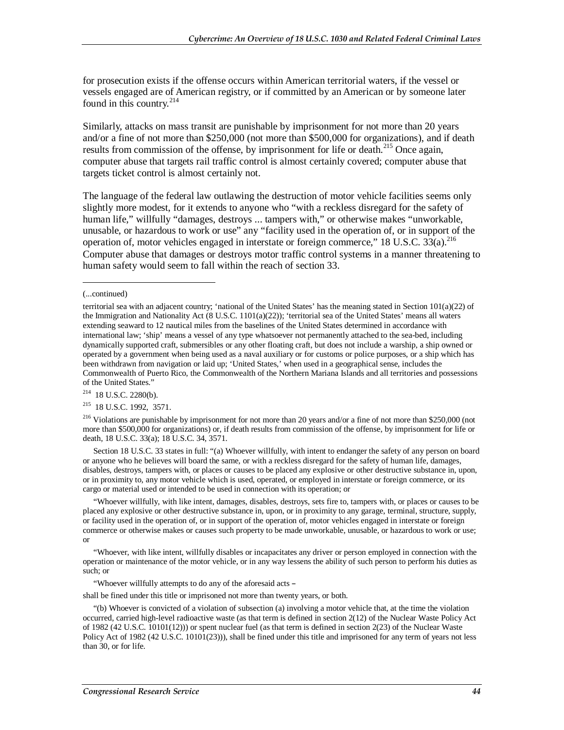for prosecution exists if the offense occurs within American territorial waters, if the vessel or vessels engaged are of American registry, or if committed by an American or by someone later found in this country.  $2^{14}$ 

Similarly, attacks on mass transit are punishable by imprisonment for not more than 20 years and/or a fine of not more than \$250,000 (not more than \$500,000 for organizations), and if death results from commission of the offense, by imprisonment for life or death.<sup>215</sup> Once again, computer abuse that targets rail traffic control is almost certainly covered; computer abuse that targets ticket control is almost certainly not.

The language of the federal law outlawing the destruction of motor vehicle facilities seems only slightly more modest, for it extends to anyone who "with a reckless disregard for the safety of human life," willfully "damages, destroys ... tampers with," or otherwise makes "unworkable, unusable, or hazardous to work or use" any "facility used in the operation of, or in support of the operation of, motor vehicles engaged in interstate or foreign commerce," 18 U.S.C.  $33(a)$ .<sup>216</sup> Computer abuse that damages or destroys motor traffic control systems in a manner threatening to human safety would seem to fall within the reach of section 33.

1

<sup>216</sup> Violations are punishable by imprisonment for not more than 20 years and/or a fine of not more than \$250,000 (not more than \$500,000 for organizations) or, if death results from commission of the offense, by imprisonment for life or death, 18 U.S.C. 33(a); 18 U.S.C. 34, 3571.

 Section 18 U.S.C. 33 states in full: "(a) Whoever willfully, with intent to endanger the safety of any person on board or anyone who he believes will board the same, or with a reckless disregard for the safety of human life, damages, disables, destroys, tampers with, or places or causes to be placed any explosive or other destructive substance in, upon, or in proximity to, any motor vehicle which is used, operated, or employed in interstate or foreign commerce, or its cargo or material used or intended to be used in connection with its operation; or

 "Whoever willfully, with like intent, damages, disables, destroys, sets fire to, tampers with, or places or causes to be placed any explosive or other destructive substance in, upon, or in proximity to any garage, terminal, structure, supply, or facility used in the operation of, or in support of the operation of, motor vehicles engaged in interstate or foreign commerce or otherwise makes or causes such property to be made unworkable, unusable, or hazardous to work or use; or

 "Whoever, with like intent, willfully disables or incapacitates any driver or person employed in connection with the operation or maintenance of the motor vehicle, or in any way lessens the ability of such person to perform his duties as such; or

"Whoever willfully attempts to do any of the aforesaid acts -

shall be fined under this title or imprisoned not more than twenty years, or both.

 "(b) Whoever is convicted of a violation of subsection (a) involving a motor vehicle that, at the time the violation occurred, carried high-level radioactive waste (as that term is defined in section 2(12) of the Nuclear Waste Policy Act of 1982 (42 U.S.C. 10101(12))) or spent nuclear fuel (as that term is defined in section 2(23) of the Nuclear Waste Policy Act of 1982 (42 U.S.C. 10101(23))), shall be fined under this title and imprisoned for any term of years not less than 30, or for life.

<sup>(...</sup>continued)

territorial sea with an adjacent country; 'national of the United States' has the meaning stated in Section 101(a)(22) of the Immigration and Nationality Act (8 U.S.C. 1101(a)(22)); 'territorial sea of the United States' means all waters extending seaward to 12 nautical miles from the baselines of the United States determined in accordance with international law; 'ship' means a vessel of any type whatsoever not permanently attached to the sea-bed, including dynamically supported craft, submersibles or any other floating craft, but does not include a warship, a ship owned or operated by a government when being used as a naval auxiliary or for customs or police purposes, or a ship which has been withdrawn from navigation or laid up; 'United States,' when used in a geographical sense, includes the Commonwealth of Puerto Rico, the Commonwealth of the Northern Mariana Islands and all territories and possessions of the United States."

<sup>214 18</sup> U.S.C. 2280(b).

<sup>215 18</sup> U.S.C. 1992, 3571.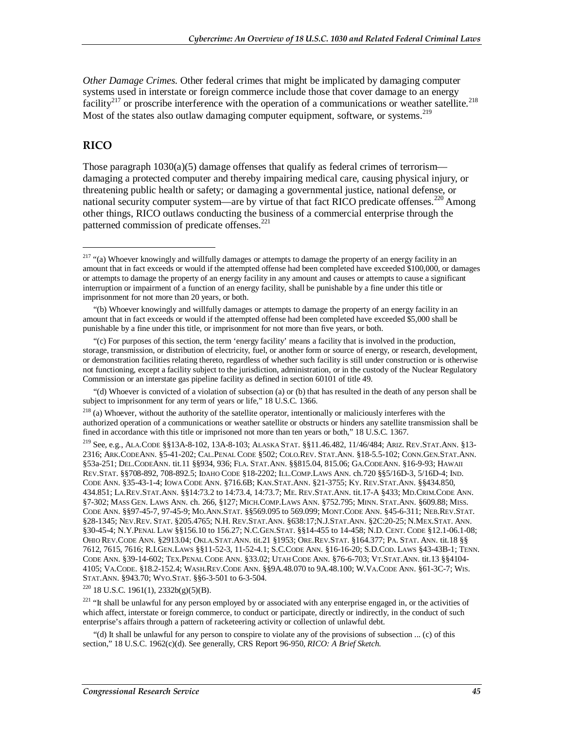*Other Damage Crimes.* Other federal crimes that might be implicated by damaging computer systems used in interstate or foreign commerce include those that cover damage to an energy facility<sup>217</sup> or proscribe interference with the operation of a communications or weather satellite.<sup>218</sup> Most of the states also outlaw damaging computer equipment, software, or systems.<sup>219</sup>

### **RICO**

1

Those paragraph  $1030(a)(5)$  damage offenses that qualify as federal crimes of terrorism damaging a protected computer and thereby impairing medical care, causing physical injury, or threatening public health or safety; or damaging a governmental justice, national defense, or national security computer system—are by virtue of that fact RICO predicate offenses.<sup>220</sup> Among other things, RICO outlaws conducting the business of a commercial enterprise through the patterned commission of predicate offenses.<sup>221</sup>

#### $220$  18 U.S.C. 1961(1), 2332b(g)(5)(B).

<sup>221</sup> "It shall be unlawful for any person employed by or associated with any enterprise engaged in, or the activities of which affect, interstate or foreign commerce, to conduct or participate, directly or indirectly, in the conduct of such enterprise's affairs through a pattern of racketeering activity or collection of unlawful debt.

 "(d) It shall be unlawful for any person to conspire to violate any of the provisions of subsection ... (c) of this section," 18 U.S.C. 1962(c)(d). See generally, CRS Report 96-950, *RICO: A Brief Sketch*.

<sup>&</sup>lt;sup>217</sup> "(a) Whoever knowingly and willfully damages or attempts to damage the property of an energy facility in an amount that in fact exceeds or would if the attempted offense had been completed have exceeded \$100,000, or damages or attempts to damage the property of an energy facility in any amount and causes or attempts to cause a significant interruption or impairment of a function of an energy facility, shall be punishable by a fine under this title or imprisonment for not more than 20 years, or both.

 <sup>&</sup>quot;(b) Whoever knowingly and willfully damages or attempts to damage the property of an energy facility in an amount that in fact exceeds or would if the attempted offense had been completed have exceeded \$5,000 shall be punishable by a fine under this title, or imprisonment for not more than five years, or both.

 <sup>&</sup>quot;(c) For purposes of this section, the term 'energy facility' means a facility that is involved in the production, storage, transmission, or distribution of electricity, fuel, or another form or source of energy, or research, development, or demonstration facilities relating thereto, regardless of whether such facility is still under construction or is otherwise not functioning, except a facility subject to the jurisdiction, administration, or in the custody of the Nuclear Regulatory Commission or an interstate gas pipeline facility as defined in section 60101 of title 49.

 <sup>&</sup>quot;(d) Whoever is convicted of a violation of subsection (a) or (b) that has resulted in the death of any person shall be subject to imprisonment for any term of years or life," 18 U.S.C. 1366.

<sup>&</sup>lt;sup>218</sup> (a) Whoever, without the authority of the satellite operator, intentionally or maliciously interferes with the authorized operation of a communications or weather satellite or obstructs or hinders any satellite transmission shall be fined in accordance with this title or imprisoned not more than ten years or both," 18 U.S.C. 1367.

<sup>219</sup> See, e.g., ALA.CODE §§13A-8-102, 13A-8-103; ALASKA STAT. §§11.46.482, 11/46/484; ARIZ. REV.STAT.ANN. §13- 2316; ARK.CODEANN. §5-41-202; CAL.PENAL CODE §502; COLO.REV. STAT.ANN. §18-5.5-102; CONN.GEN.STAT.ANN. §53a-251; DEL.CODEANN. tit.11 §§934, 936; FLA. STAT.ANN. §§815.04, 815.06; GA.CODEANN. §16-9-93; HAWAII REV.STAT. §§708-892, 708-892.5; IDAHO CODE §18-2202; ILL.COMP.LAWS ANN. ch.720 §§5/16D-3, 5/16D-4; IND. CODE ANN. §35-43-1-4; IOWA CODE ANN. §716.6B; KAN.STAT.ANN. §21-3755; KY. REV.STAT.ANN. §§434.850, 434.851; LA.REV.STAT.ANN. §§14:73.2 to 14:73.4, 14:73.7; ME. REV.STAT.ANN. tit.17-A §433; MD.CRIM.CODE ANN. §7-302; MASS GEN. LAWS ANN. ch. 266, §127; MICH.COMP.LAWS ANN. §752.795; MINN. STAT.ANN. §609.88; MISS. CODE ANN. §§97-45-7, 97-45-9; MO.ANN.STAT. §§569.095 to 569.099; MONT.CODE ANN. §45-6-311; NEB.REV.STAT. §28-1345; NEV.REV. STAT. §205.4765; N.H. REV.STAT.ANN. §638:17;N.J.STAT.ANN. §2C:20-25; N.MEX.STAT. ANN. §30-45-4; N.Y.PENAL LAW §§156.10 to 156.27; N.C.GEN.STAT. §§14-455 to 14-458; N.D. CENT. CODE §12.1-06.1-08; OHIO REV.CODE ANN. §2913.04; OKLA.STAT.ANN. tit.21 §1953; ORE.REV.STAT. §164.377; PA. STAT. ANN. tit.18 §§ 7612, 7615, 7616; R.I.GEN.LAWS §§11-52-3, 11-52-4.1; S.C.CODE ANN. §16-16-20; S.D.COD. LAWS §43-43B-1; TENN. CODE ANN. §39-14-602; TEX.PENAL CODE ANN. §33.02; UTAH CODE ANN. §76-6-703; VT.STAT.ANN. tit.13 §§4104- 4105; VA.CODE. §18.2-152.4; WASH.REV.CODE ANN. §§9A.48.070 to 9A.48.100; W.VA.CODE ANN. §61-3C-7; WIS.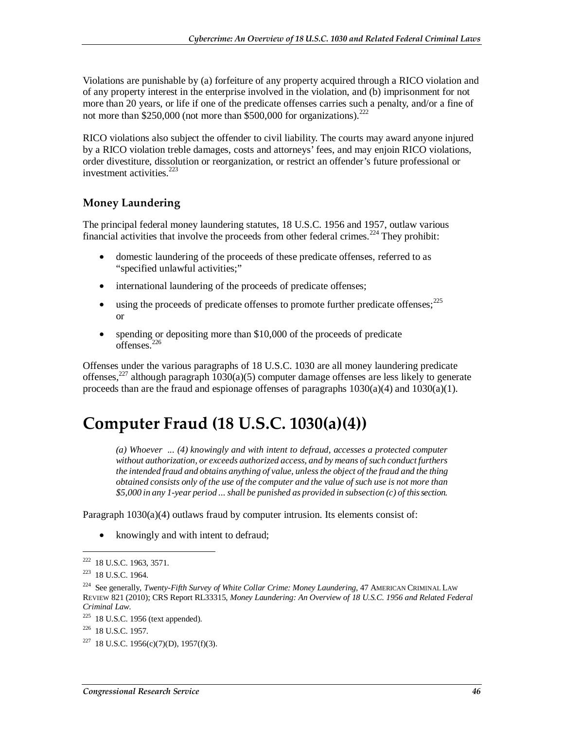Violations are punishable by (a) forfeiture of any property acquired through a RICO violation and of any property interest in the enterprise involved in the violation, and (b) imprisonment for not more than 20 years, or life if one of the predicate offenses carries such a penalty, and/or a fine of not more than \$250,000 (not more than \$500,000 for organizations).<sup>222</sup>

RICO violations also subject the offender to civil liability. The courts may award anyone injured by a RICO violation treble damages, costs and attorneys' fees, and may enjoin RICO violations, order divestiture, dissolution or reorganization, or restrict an offender's future professional or investment activities. $^{223}$ 

### **Money Laundering**

The principal federal money laundering statutes, 18 U.S.C. 1956 and 1957, outlaw various financial activities that involve the proceeds from other federal crimes.<sup>224</sup> They prohibit:

- domestic laundering of the proceeds of these predicate offenses, referred to as "specified unlawful activities;"
- international laundering of the proceeds of predicate offenses;
- using the proceeds of predicate offenses to promote further predicate offenses;<sup>225</sup> or
- spending or depositing more than \$10,000 of the proceeds of predicate offenses.<sup>226</sup>

Offenses under the various paragraphs of 18 U.S.C. 1030 are all money laundering predicate offenses.<sup>227</sup> although paragraph  $1030(a)(5)$  computer damage offenses are less likely to generate proceeds than are the fraud and espionage offenses of paragraphs  $1030(a)(4)$  and  $1030(a)(1)$ .

# **Computer Fraud (18 U.S.C. 1030(a)(4))**

*(a) Whoever ... (4) knowingly and with intent to defraud, accesses a protected computer without authorization, or exceeds authorized access, and by means of such conduct furthers the intended fraud and obtains anything of value, unless the object of the fraud and the thing obtained consists only of the use of the computer and the value of such use is not more than \$5,000 in any 1-year period ... shall be punished as provided in subsection (c) of this section.*

Paragraph 1030(a)(4) outlaws fraud by computer intrusion. Its elements consist of:

• knowingly and with intent to defraud;

<u>.</u>

<sup>222 18</sup> U.S.C. 1963, 3571.

<sup>223 18</sup> U.S.C. 1964.

<sup>&</sup>lt;sup>224</sup> See generally, *Twenty-Fifth Survey of White Collar Crime: Money Laundering*, 47 AMERICAN CRIMINAL LAW REVIEW 821 (2010); CRS Report RL33315, *Money Laundering: An Overview of 18 U.S.C. 1956 and Related Federal Criminal Law*.

 $225$  18 U.S.C. 1956 (text appended).

 $226$  18 U.S.C. 1957.

 $227$  18 U.S.C. 1956(c)(7)(D), 1957(f)(3).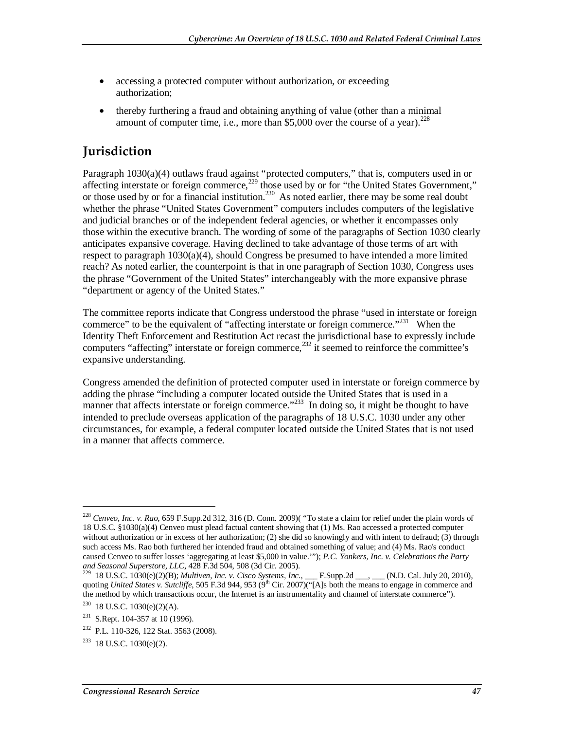- accessing a protected computer without authorization, or exceeding authorization;
- thereby furthering a fraud and obtaining anything of value (other than a minimal amount of computer time, i.e., more than \$5,000 over the course of a year).<sup>228</sup>

# **Jurisdiction**

Paragraph 1030(a)(4) outlaws fraud against "protected computers," that is, computers used in or affecting interstate or foreign commerce,<sup>229</sup> those used by or for "the United States Government," or those used by or for a financial institution.<sup>230</sup> As noted earlier, there may be some real doubt whether the phrase "United States Government" computers includes computers of the legislative and judicial branches or of the independent federal agencies, or whether it encompasses only those within the executive branch. The wording of some of the paragraphs of Section 1030 clearly anticipates expansive coverage. Having declined to take advantage of those terms of art with respect to paragraph 1030(a)(4), should Congress be presumed to have intended a more limited reach? As noted earlier, the counterpoint is that in one paragraph of Section 1030, Congress uses the phrase "Government of the United States" interchangeably with the more expansive phrase "department or agency of the United States."

The committee reports indicate that Congress understood the phrase "used in interstate or foreign commerce" to be the equivalent of "affecting interstate or foreign commerce."<sup>231</sup> When the Identity Theft Enforcement and Restitution Act recast the jurisdictional base to expressly include computers "affecting" interstate or foreign commerce,<sup>232</sup> it seemed to reinforce the committee's expansive understanding.

Congress amended the definition of protected computer used in interstate or foreign commerce by adding the phrase "including a computer located outside the United States that is used in a manner that affects interstate or foreign commerce."<sup>233</sup> In doing so, it might be thought to have intended to preclude overseas application of the paragraphs of 18 U.S.C. 1030 under any other circumstances, for example, a federal computer located outside the United States that is not used in a manner that affects commerce.

<u>.</u>

<sup>228</sup> *Cenveo, Inc. v. Rao*, 659 F.Supp.2d 312, 316 (D. Conn. 2009)( "To state a claim for relief under the plain words of 18 U.S.C. §1030(a)(4) Cenveo must plead factual content showing that (1) Ms. Rao accessed a protected computer without authorization or in excess of her authorization; (2) she did so knowingly and with intent to defraud; (3) through such access Ms. Rao both furthered her intended fraud and obtained something of value; and (4) Ms. Rao's conduct caused Cenveo to suffer losses 'aggregating at least \$5,000 in value.'"); *P.C. Yonkers, Inc. v. Celebrations the Party and Seasonal Superstore, LLC*, 428 F.3d 504, 508 (3d Cir. 2005).<br><sup>229</sup> 18 U.S.C. 1020(a)(2)(D), 14 U.S

<sup>18</sup> U.S.C. 1030(e)(2)(B); *Multiven, Inc. v. Cisco Systems, Inc.*, \_\_\_ F.Supp.2d \_\_, \_\_\_ (N.D. Cal. July 20, 2010), quoting *United States v. Sutcliffe*, 505 F.3d 944, 953 (9<sup>th</sup> Cir. 2007)("[A]s both the means to engage in commerce and the method by which transactions occur, the Internet is an instrumentality and channel of interstate commerce").

<sup>230 18</sup> U.S.C. 1030(e)(2)(A).

<sup>231</sup> S.Rept. 104-357 at 10 (1996).

<sup>232</sup> P.L. 110-326, 122 Stat. 3563 (2008).

 $233$  18 U.S.C. 1030(e)(2).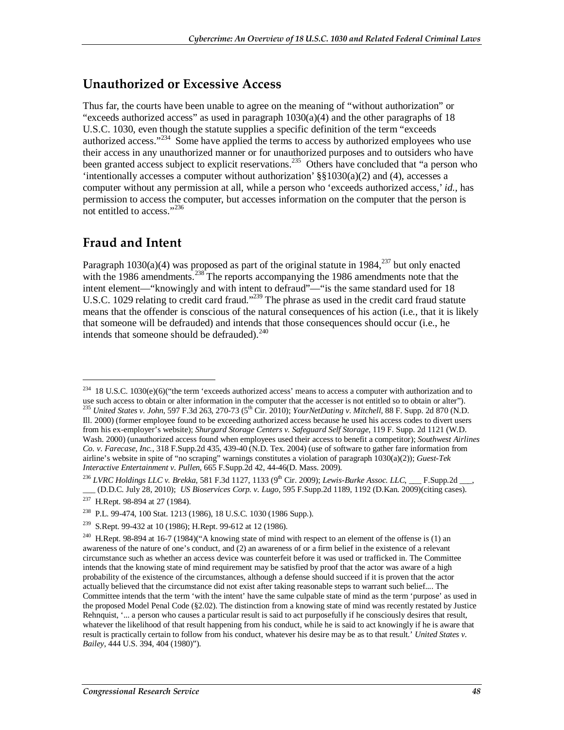# **Unauthorized or Excessive Access**

Thus far, the courts have been unable to agree on the meaning of "without authorization" or "exceeds authorized access" as used in paragraph  $1030(a)(4)$  and the other paragraphs of 18 U.S.C. 1030, even though the statute supplies a specific definition of the term "exceeds authorized access."<sup>234</sup> Some have applied the terms to access by authorized employees who use their access in any unauthorized manner or for unauthorized purposes and to outsiders who have been granted access subject to explicit reservations.<sup>235</sup> Others have concluded that "a person who 'intentionally accesses a computer without authorization'  $\S$ §1030(a)(2) and (4), accesses a computer without any permission at all, while a person who 'exceeds authorized access,' *id.,* has permission to access the computer, but accesses information on the computer that the person is not entitled to access."<sup>236</sup>

# **Fraud and Intent**

1

Paragraph  $1030(a)(4)$  was proposed as part of the original statute in  $1984$ <sup>237</sup> but only enacted with the 1986 amendments.<sup>238</sup> The reports accompanying the 1986 amendments note that the intent element—"knowingly and with intent to defraud"—"is the same standard used for 18 U.S.C. 1029 relating to credit card fraud."<sup>239</sup> The phrase as used in the credit card fraud statute means that the offender is conscious of the natural consequences of his action (i.e., that it is likely that someone will be defrauded) and intends that those consequences should occur (i.e., he intends that someone should be defrauded). $240$ 

<sup>234 18</sup> U.S.C. 1030(e)(6)("the term 'exceeds authorized access' means to access a computer with authorization and to use such access to obtain or alter information in the computer that the accesser is not entitled so to obtain or alter").

<sup>&</sup>lt;sup>235</sup> United States v. John, 597 F.3d 263, 270-73 (5<sup>th</sup> Cir. 2010); *YourNetDating v. Mitchell*, 88 F. Supp. 2d 870 (N.D. Ill. 2000) (former employee found to be exceeding authorized access because he used his access codes to divert users from his ex-employer's website); *Shurgard Storage Centers v. Safeguard Self Storage*, 119 F. Supp. 2d 1121 (W.D. Wash. 2000) (unauthorized access found when employees used their access to benefit a competitor); *Southwest Airlines Co. v. Farecase, Inc.*, 318 F.Supp.2d 435, 439-40 (N.D. Tex. 2004) (use of software to gather fare information from airline's website in spite of "no scraping" warnings constitutes a violation of paragraph 1030(a)(2)); *Guest-Tek Interactive Entertainment v. Pullen*, 665 F.Supp.2d 42, 44-46(D. Mass. 2009).

<sup>&</sup>lt;sup>236</sup> LVRC Holdings LLC v. Brekka, 581 F.3d 1127, 1133 (9<sup>th</sup> Cir. 2009); *Lewis-Burke Assoc. LLC*, \_\_\_ F.Supp.2d \_ \_\_\_ (D.D.C. July 28, 2010); *US Bioservices Corp. v. Lugo*, 595 F.Supp.2d 1189, 1192 (D.Kan. 2009)(citing cases).

 $237$  H.Rept. 98-894 at 27 (1984).

<sup>238</sup> P.L. 99-474, 100 Stat. 1213 (1986), 18 U.S.C. 1030 (1986 Supp.).

<sup>239</sup> S.Rept. 99-432 at 10 (1986); H.Rept. 99-612 at 12 (1986).

<sup>&</sup>lt;sup>240</sup> H.Rept. 98-894 at 16-7 (1984)("A knowing state of mind with respect to an element of the offense is (1) an awareness of the nature of one's conduct, and (2) an awareness of or a firm belief in the existence of a relevant circumstance such as whether an access device was counterfeit before it was used or trafficked in. The Committee intends that the knowing state of mind requirement may be satisfied by proof that the actor was aware of a high probability of the existence of the circumstances, although a defense should succeed if it is proven that the actor actually believed that the circumstance did not exist after taking reasonable steps to warrant such belief.... The Committee intends that the term 'with the intent' have the same culpable state of mind as the term 'purpose' as used in the proposed Model Penal Code (§2.02). The distinction from a knowing state of mind was recently restated by Justice Rehnquist, '... a person who causes a particular result is said to act purposefully if he consciously desires that result, whatever the likelihood of that result happening from his conduct, while he is said to act knowingly if he is aware that result is practically certain to follow from his conduct, whatever his desire may be as to that result.' *United States v. Bailey*, 444 U.S. 394, 404 (1980)").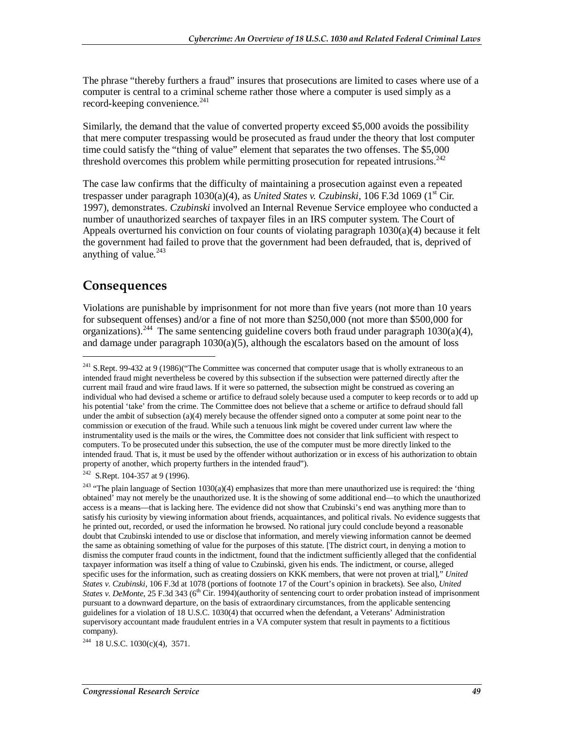The phrase "thereby furthers a fraud" insures that prosecutions are limited to cases where use of a computer is central to a criminal scheme rather those where a computer is used simply as a record-keeping convenience.<sup>241</sup>

Similarly, the demand that the value of converted property exceed \$5,000 avoids the possibility that mere computer trespassing would be prosecuted as fraud under the theory that lost computer time could satisfy the "thing of value" element that separates the two offenses. The \$5,000 threshold overcomes this problem while permitting prosecution for repeated intrusions.<sup>242</sup>

The case law confirms that the difficulty of maintaining a prosecution against even a repeated trespasser under paragraph 1030(a)(4), as *United States v. Czubinski*, 106 F.3d 1069 (1<sup>st</sup> Cir. 1997), demonstrates. *Czubinski* involved an Internal Revenue Service employee who conducted a number of unauthorized searches of taxpayer files in an IRS computer system. The Court of Appeals overturned his conviction on four counts of violating paragraph 1030(a)(4) because it felt the government had failed to prove that the government had been defrauded, that is, deprived of anything of value. $^{243}$ 

### **Consequences**

<u>.</u>

Violations are punishable by imprisonment for not more than five years (not more than 10 years for subsequent offenses) and/or a fine of not more than \$250,000 (not more than \$500,000 for organizations).<sup>244</sup> The same sentencing guideline covers both fraud under paragraph  $1030(a)(4)$ , and damage under paragraph 1030(a)(5), although the escalators based on the amount of loss

<sup>&</sup>lt;sup>241</sup> S.Rept. 99-432 at 9 (1986)("The Committee was concerned that computer usage that is wholly extraneous to an intended fraud might nevertheless be covered by this subsection if the subsection were patterned directly after the current mail fraud and wire fraud laws. If it were so patterned, the subsection might be construed as covering an individual who had devised a scheme or artifice to defraud solely because used a computer to keep records or to add up his potential 'take' from the crime. The Committee does not believe that a scheme or artifice to defraud should fall under the ambit of subsection (a)(4) merely because the offender signed onto a computer at some point near to the commission or execution of the fraud. While such a tenuous link might be covered under current law where the instrumentality used is the mails or the wires, the Committee does not consider that link sufficient with respect to computers. To be prosecuted under this subsection, the use of the computer must be more directly linked to the intended fraud. That is, it must be used by the offender without authorization or in excess of his authorization to obtain property of another, which property furthers in the intended fraud").

<sup>&</sup>lt;sup>242</sup> S.Rept. 104-357 at 9 (1996).

<sup>&</sup>lt;sup>243</sup> "The plain language of Section 1030(a)(4) emphasizes that more than mere unauthorized use is required: the 'thing obtained' may not merely be the unauthorized use. It is the showing of some additional end—to which the unauthorized access is a means—that is lacking here. The evidence did not show that Czubinski's end was anything more than to satisfy his curiosity by viewing information about friends, acquaintances, and political rivals. No evidence suggests that he printed out, recorded, or used the information he browsed. No rational jury could conclude beyond a reasonable doubt that Czubinski intended to use or disclose that information, and merely viewing information cannot be deemed the same as obtaining something of value for the purposes of this statute. [The district court, in denying a motion to dismiss the computer fraud counts in the indictment, found that the indictment sufficiently alleged that the confidential taxpayer information was itself a thing of value to Czubinski, given his ends. The indictment, or course, alleged specific uses for the information, such as creating dossiers on KKK members, that were not proven at trial]," *United States v. Czubinski*, 106 F.3d at 1078 (portions of footnote 17 of the Court's opinion in brackets). See also, *United States v. DeMonte*, 25 F.3d 343 (6<sup>th</sup> Cir. 1994)(authority of sentencing court to order probation instead of imprisonment pursuant to a downward departure, on the basis of extraordinary circumstances, from the applicable sentencing guidelines for a violation of 18 U.S.C. 1030(4) that occurred when the defendant, a Veterans' Administration supervisory accountant made fraudulent entries in a VA computer system that result in payments to a fictitious company).

<sup>244 18</sup> U.S.C. 1030(c)(4), 3571.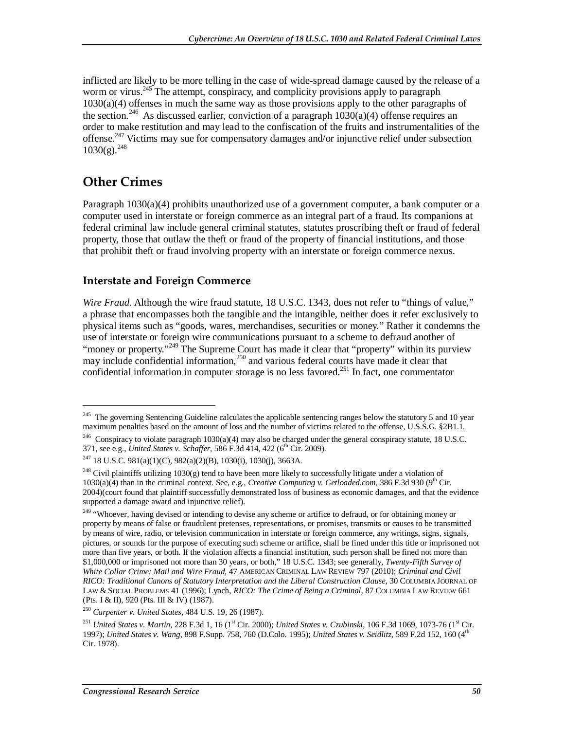inflicted are likely to be more telling in the case of wide-spread damage caused by the release of a worm or virus.<sup>245</sup> The attempt, conspiracy, and complicity provisions apply to paragraph 1030(a)(4) offenses in much the same way as those provisions apply to the other paragraphs of the section.<sup>246</sup> As discussed earlier, conviction of a paragraph  $1030(a)(4)$  offense requires an order to make restitution and may lead to the confiscation of the fruits and instrumentalities of the offense.247 Victims may sue for compensatory damages and/or injunctive relief under subsection  $1030(g)$ <sup>248</sup>

# **Other Crimes**

1

Paragraph 1030(a)(4) prohibits unauthorized use of a government computer, a bank computer or a computer used in interstate or foreign commerce as an integral part of a fraud. Its companions at federal criminal law include general criminal statutes, statutes proscribing theft or fraud of federal property, those that outlaw the theft or fraud of the property of financial institutions, and those that prohibit theft or fraud involving property with an interstate or foreign commerce nexus.

### **Interstate and Foreign Commerce**

*Wire Fraud.* Although the wire fraud statute, 18 U.S.C. 1343, does not refer to "things of value," a phrase that encompasses both the tangible and the intangible, neither does it refer exclusively to physical items such as "goods, wares, merchandises, securities or money." Rather it condemns the use of interstate or foreign wire communications pursuant to a scheme to defraud another of "money or property."<sup>249</sup> The Supreme Court has made it clear that "property" within its purview may include confidential information,<sup>250</sup> and various federal courts have made it clear that confidential information in computer storage is no less favored.<sup>251</sup> In fact, one commentator

<sup>&</sup>lt;sup>245</sup> The governing Sentencing Guideline calculates the applicable sentencing ranges below the statutory 5 and 10 year maximum penalties based on the amount of loss and the number of victims related to the offense, U.S.S.G. §2B1.1.

<sup>&</sup>lt;sup>246</sup> Conspiracy to violate paragraph 1030(a)(4) may also be charged under the general conspiracy statute, 18 U.S.C. 371, see e.g., *United States v. Schaffer*, 586 F.3d 414, 422 (6<sup>th</sup> Cir. 2009).

<sup>247 18</sup> U.S.C. 981(a)(1)(C), 982(a)(2)(B), 1030(i), 1030(j), 3663A.

<sup>&</sup>lt;sup>248</sup> Civil plaintiffs utilizing  $1030(g)$  tend to have been more likely to successfully litigate under a violation of  $1030(a)\dot{4}$ ) than in the criminal context. See, e.g., *Creative Computing v. Getloaded.com*, 386 F.3d 930 (9<sup>th</sup> Cir. 2004)(court found that plaintiff successfully demonstrated loss of business as economic damages, and that the evidence supported a damage award and injunctive relief).

<sup>&</sup>lt;sup>249</sup> "Whoever, having devised or intending to devise any scheme or artifice to defraud, or for obtaining money or property by means of false or fraudulent pretenses, representations, or promises, transmits or causes to be transmitted by means of wire, radio, or television communication in interstate or foreign commerce, any writings, signs, signals, pictures, or sounds for the purpose of executing such scheme or artifice, shall be fined under this title or imprisoned not more than five years, or both. If the violation affects a financial institution, such person shall be fined not more than \$1,000,000 or imprisoned not more than 30 years, or both," 18 U.S.C. 1343; see generally, *Twenty-Fifth Survey of White Collar Crime: Mail and Wire Fraud*, 47 AMERICAN CRIMINAL LAW REVIEW 797 (2010); *Criminal and Civil RICO: Traditional Canons of Statutory Interpretation and the Liberal Construction Clause*, 30 COLUMBIA JOURNAL OF LAW & SOCIAL PROBLEMS 41 (1996); Lynch, *RICO: The Crime of Being a Criminal*, 87 COLUMBIA LAW REVIEW 661 (Pts. I & II), 920 (Pts. III & IV) (1987).

<sup>250</sup> *Carpenter v. United States*, 484 U.S. 19, 26 (1987).

<sup>&</sup>lt;sup>251</sup> *United States v. Martin*, 228 F.3d 1, 16 (1<sup>st</sup> Cir. 2000); *United States v. Czubinski*, 106 F.3d 1069, 1073-76 (1<sup>st</sup> Cir. 1997); *United States v. Wang*, 898 F.Supp. 758, 760 (D.Colo. 1995); *United States v. Seidlitz*, 589 F.2d 152, 160 (4th Cir. 1978).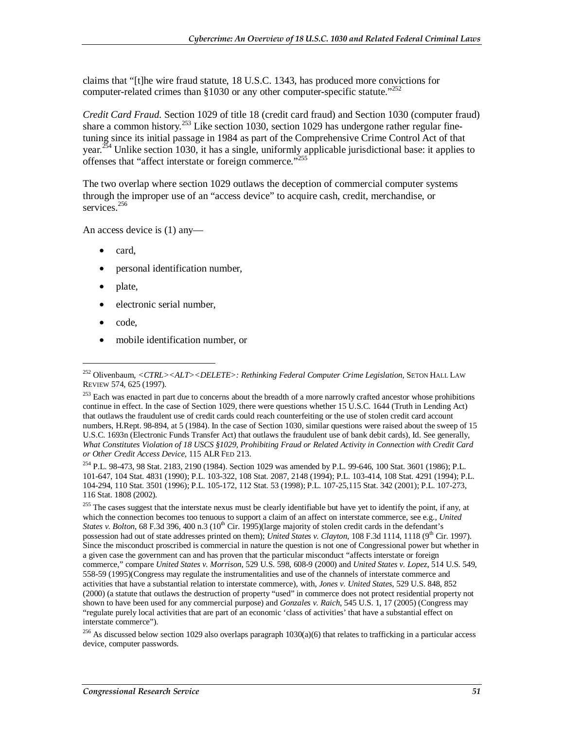claims that "[t]he wire fraud statute, 18 U.S.C. 1343, has produced more convictions for computer-related crimes than §1030 or any other computer-specific statute.<sup> $252$ </sup>

*Credit Card Fraud.* Section 1029 of title 18 (credit card fraud) and Section 1030 (computer fraud) share a common history.<sup>253</sup> Like section 1030, section 1029 has undergone rather regular finetuning since its initial passage in 1984 as part of the Comprehensive Crime Control Act of that year.<sup>254</sup> Unlike section 1030, it has a single, uniformly applicable jurisdictional base: it applies to offenses that "affect interstate or foreign commerce."<sup>255</sup>

The two overlap where section 1029 outlaws the deception of commercial computer systems through the improper use of an "access device" to acquire cash, credit, merchandise, or services.<sup>256</sup>

An access device is (1) any—

- card,
- personal identification number,
- plate,
- electronic serial number,
- code,

<u>.</u>

• mobile identification number, or

<sup>254</sup> P.L. 98-473, 98 Stat. 2183, 2190 (1984). Section 1029 was amended by P.L. 99-646, 100 Stat. 3601 (1986); P.L. 101-647, 104 Stat. 4831 (1990); P.L. 103-322, 108 Stat. 2087, 2148 (1994); P.L. 103-414, 108 Stat. 4291 (1994); P.L. 104-294, 110 Stat. 3501 (1996); P.L. 105-172, 112 Stat. 53 (1998); P.L. 107-25,115 Stat. 342 (2001); P.L. 107-273, 116 Stat. 1808 (2002).

<sup>252</sup> Olivenbaum, *<CTRL><ALT><DELETE>: Rethinking Federal Computer Crime Legislation*, SETON HALL LAW REVIEW 574, 625 (1997).

<sup>&</sup>lt;sup>253</sup> Each was enacted in part due to concerns about the breadth of a more narrowly crafted ancestor whose prohibitions continue in effect. In the case of Section 1029, there were questions whether 15 U.S.C. 1644 (Truth in Lending Act) that outlaws the fraudulent use of credit cards could reach counterfeiting or the use of stolen credit card account numbers, H.Rept. 98-894, at 5 (1984). In the case of Section 1030, similar questions were raised about the sweep of 15 U.S.C. 1693n (Electronic Funds Transfer Act) that outlaws the fraudulent use of bank debit cards), Id. See generally, *What Constitutes Violation of 18 USCS §1029, Prohibiting Fraud or Related Activity in Connection with Credit Card or Other Credit Access Device*, 115 ALR FED 213.

<sup>&</sup>lt;sup>255</sup> The cases suggest that the interstate nexus must be clearly identifiable but have yet to identify the point, if any, at which the connection becomes too tenuous to support a claim of an affect on interstate commerce, see e.g., *United States v. Bolton*, 68 F.3d 396, 400 n.3 (10<sup>th</sup> Cir. 1995)(large majority of stolen credit cards in the defendant's possession had out of state addresses printed on them); *United States v. Clayton*, 108 F.3d 1114, 1118 (9<sup>th</sup> Cir. 1997). Since the misconduct proscribed is commercial in nature the question is not one of Congressional power but whether in a given case the government can and has proven that the particular misconduct "affects interstate or foreign commerce," compare *United States v. Morrison*, 529 U.S. 598, 608-9 (2000) and *United States v. Lopez*, 514 U.S. 549, 558-59 (1995)(Congress may regulate the instrumentalities and use of the channels of interstate commerce and activities that have a substantial relation to interstate commerce), with, *Jones v. United States*, 529 U.S. 848, 852 (2000) (a statute that outlaws the destruction of property "used" in commerce does not protect residential property not shown to have been used for any commercial purpose) and *Gonzales v. Raich*, 545 U.S. 1, 17 (2005) (Congress may "regulate purely local activities that are part of an economic 'class of activities' that have a substantial effect on interstate commerce").

 $256$  As discussed below section 1029 also overlaps paragraph  $1030(a)(6)$  that relates to trafficking in a particular access device, computer passwords.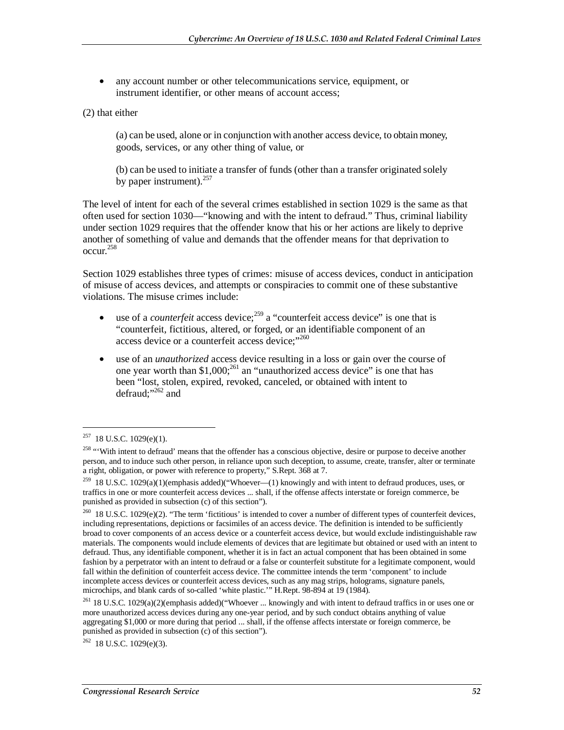• any account number or other telecommunications service, equipment, or instrument identifier, or other means of account access;

(2) that either

(a) can be used, alone or in conjunction with another access device, to obtain money, goods, services, or any other thing of value, or

(b) can be used to initiate a transfer of funds (other than a transfer originated solely by paper instrument). $^{257}$ 

The level of intent for each of the several crimes established in section 1029 is the same as that often used for section 1030—"knowing and with the intent to defraud." Thus, criminal liability under section 1029 requires that the offender know that his or her actions are likely to deprive another of something of value and demands that the offender means for that deprivation to occur.<sup>258</sup>

Section 1029 establishes three types of crimes: misuse of access devices, conduct in anticipation of misuse of access devices, and attempts or conspiracies to commit one of these substantive violations. The misuse crimes include:

- use of a *counterfeit* access device;<sup>259</sup> a "counterfeit access device" is one that is "counterfeit, fictitious, altered, or forged, or an identifiable component of an access device or a counterfeit access device;"<sup>260</sup>
- use of an *unauthorized* access device resulting in a loss or gain over the course of one year worth than  $$1,000;^{261}$  an "unauthorized access device" is one that has been "lost, stolen, expired, revoked, canceled, or obtained with intent to defraud;"262 and

1

 $262$  18 U.S.C. 1029(e)(3).

 $257$  18 U.S.C. 1029(e)(1).

<sup>&</sup>lt;sup>258</sup> "'With intent to defraud' means that the offender has a conscious objective, desire or purpose to deceive another person, and to induce such other person, in reliance upon such deception, to assume, create, transfer, alter or terminate a right, obligation, or power with reference to property," S.Rept. 368 at 7.

<sup>&</sup>lt;sup>259</sup> 18 U.S.C. 1029(a)(1)(emphasis added)("Whoever—(1) knowingly and with intent to defraud produces, uses, or traffics in one or more counterfeit access devices ... shall, if the offense affects interstate or foreign commerce, be punished as provided in subsection (c) of this section").

 $260$  18 U.S.C. 1029(e)(2). "The term 'fictitious' is intended to cover a number of different types of counterfeit devices, including representations, depictions or facsimiles of an access device. The definition is intended to be sufficiently broad to cover components of an access device or a counterfeit access device, but would exclude indistinguishable raw materials. The components would include elements of devices that are legitimate but obtained or used with an intent to defraud. Thus, any identifiable component, whether it is in fact an actual component that has been obtained in some fashion by a perpetrator with an intent to defraud or a false or counterfeit substitute for a legitimate component, would fall within the definition of counterfeit access device. The committee intends the term 'component' to include incomplete access devices or counterfeit access devices, such as any mag strips, holograms, signature panels, microchips, and blank cards of so-called 'white plastic.'" H.Rept. 98-894 at 19 (1984).

 $^{261}$  18 U.S.C. 1029(a)(2)(emphasis added)("Whoever ... knowingly and with intent to defraud traffics in or uses one or more unauthorized access devices during any one-year period, and by such conduct obtains anything of value aggregating \$1,000 or more during that period ... shall, if the offense affects interstate or foreign commerce, be punished as provided in subsection (c) of this section").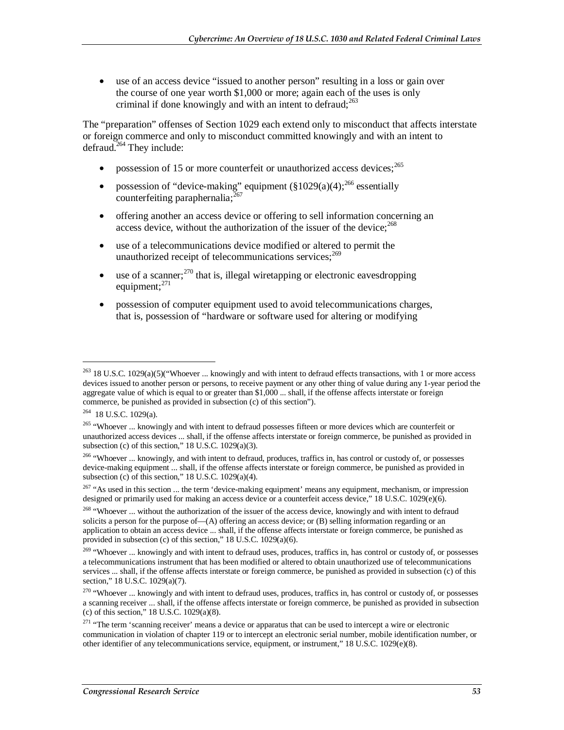• use of an access device "issued to another person" resulting in a loss or gain over the course of one year worth \$1,000 or more; again each of the uses is only criminal if done knowingly and with an intent to defraud: $^{263}$ 

The "preparation" offenses of Section 1029 each extend only to misconduct that affects interstate or foreign commerce and only to misconduct committed knowingly and with an intent to defraud.<sup>264</sup> They include:

- possession of 15 or more counterfeit or unauthorized access devices;  $^{265}$
- possession of "device-making" equipment  $(\S 1029(a)(4))$ <sup>266</sup> essentially counterfeiting paraphernalia;  $267$
- offering another an access device or offering to sell information concerning an access device, without the authorization of the issuer of the device;<sup>268</sup>
- use of a telecommunications device modified or altered to permit the unauthorized receipt of telecommunications services;<sup>269</sup>
- use of a scanner:  $270$  that is, illegal wiretapping or electronic eavesdropping equipment; $^{271}$
- possession of computer equipment used to avoid telecommunications charges, that is, possession of "hardware or software used for altering or modifying

1

<sup>268</sup> "Whoever ... without the authorization of the issuer of the access device, knowingly and with intent to defraud solicits a person for the purpose of—(A) offering an access device; or (B) selling information regarding or an application to obtain an access device ... shall, if the offense affects interstate or foreign commerce, be punished as provided in subsection (c) of this section,"  $18 \text{ U.S.C. } 1029(a)(6)$ .

<sup>&</sup>lt;sup>263</sup> 18 U.S.C. 1029(a)(5)("Whoever ... knowingly and with intent to defraud effects transactions, with 1 or more access devices issued to another person or persons, to receive payment or any other thing of value during any 1-year period the aggregate value of which is equal to or greater than \$1,000 ... shall, if the offense affects interstate or foreign commerce, be punished as provided in subsection (c) of this section").

<sup>264 18</sup> U.S.C. 1029(a).

<sup>&</sup>lt;sup>265</sup> "Whoever ... knowingly and with intent to defraud possesses fifteen or more devices which are counterfeit or unauthorized access devices ... shall, if the offense affects interstate or foreign commerce, be punished as provided in subsection (c) of this section,"  $18$  U.S.C.  $1029(a)(3)$ .

<sup>&</sup>lt;sup>266</sup> "Whoever ... knowingly, and with intent to defraud, produces, traffics in, has control or custody of, or possesses device-making equipment ... shall, if the offense affects interstate or foreign commerce, be punished as provided in subsection (c) of this section,"  $18$  U.S.C.  $1029(a)(4)$ .

<sup>&</sup>lt;sup>267</sup> "As used in this section ... the term 'device-making equipment' means any equipment, mechanism, or impression designed or primarily used for making an access device or a counterfeit access device," 18 U.S.C. 1029(e)(6).

<sup>&</sup>lt;sup>269</sup> "Whoever ... knowingly and with intent to defraud uses, produces, traffics in, has control or custody of, or possesses a telecommunications instrument that has been modified or altered to obtain unauthorized use of telecommunications services ... shall, if the offense affects interstate or foreign commerce, be punished as provided in subsection (c) of this section," 18 U.S.C. 1029(a)(7).

<sup>&</sup>lt;sup>270</sup> "Whoever ... knowingly and with intent to defraud uses, produces, traffics in, has control or custody of, or possesses a scanning receiver ... shall, if the offense affects interstate or foreign commerce, be punished as provided in subsection (c) of this section," 18 U.S.C. 1029(a)(8).

<sup>&</sup>lt;sup>271</sup> "The term 'scanning receiver' means a device or apparatus that can be used to intercept a wire or electronic communication in violation of chapter 119 or to intercept an electronic serial number, mobile identification number, or other identifier of any telecommunications service, equipment, or instrument," 18 U.S.C. 1029(e)(8).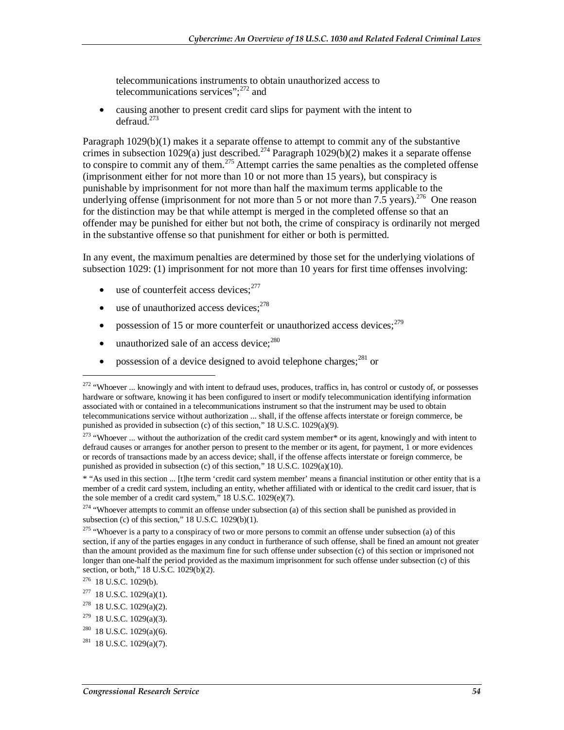telecommunications instruments to obtain unauthorized access to telecommunications services"; $^{272}$  and

• causing another to present credit card slips for payment with the intent to defraud.273

Paragraph 1029(b)(1) makes it a separate offense to attempt to commit any of the substantive crimes in subsection 1029(a) just described.<sup>274</sup> Paragraph 1029(b)(2) makes it a separate offense to conspire to commit any of them.<sup>275</sup> Attempt carries the same penalties as the completed offense (imprisonment either for not more than 10 or not more than 15 years), but conspiracy is punishable by imprisonment for not more than half the maximum terms applicable to the underlying offense (imprisonment for not more than 5 or not more than  $7.5$  years).<sup>276</sup> One reason for the distinction may be that while attempt is merged in the completed offense so that an offender may be punished for either but not both, the crime of conspiracy is ordinarily not merged in the substantive offense so that punishment for either or both is permitted.

In any event, the maximum penalties are determined by those set for the underlying violations of subsection 1029: (1) imprisonment for not more than 10 years for first time offenses involving:

- use of counterfeit access devices; $277$
- use of unauthorized access devices; $278$
- possession of 15 or more counterfeit or unauthorized access devices;  $279$
- unauthorized sale of an access device: $280$
- possession of a device designed to avoid telephone charges; $^{281}$  or

<u>.</u>

<sup>&</sup>lt;sup>272</sup> "Whoever ... knowingly and with intent to defraud uses, produces, traffics in, has control or custody of, or possesses hardware or software, knowing it has been configured to insert or modify telecommunication identifying information associated with or contained in a telecommunications instrument so that the instrument may be used to obtain telecommunications service without authorization ... shall, if the offense affects interstate or foreign commerce, be punished as provided in subsection (c) of this section," 18 U.S.C. 1029(a)(9).

 $273$  "Whoever ... without the authorization of the credit card system member\* or its agent, knowingly and with intent to defraud causes or arranges for another person to present to the member or its agent, for payment, 1 or more evidences or records of transactions made by an access device; shall, if the offense affects interstate or foreign commerce, be punished as provided in subsection (c) of this section," 18 U.S.C. 1029(a)(10).

<sup>\* &</sup>quot;As used in this section ... [t]he term 'credit card system member' means a financial institution or other entity that is a member of a credit card system, including an entity, whether affiliated with or identical to the credit card issuer, that is the sole member of a credit card system," 18 U.S.C. 1029(e)(7).

<sup>&</sup>lt;sup>274</sup> "Whoever attempts to commit an offense under subsection (a) of this section shall be punished as provided in subsection (c) of this section," 18 U.S.C. 1029(b)(1).

<sup>&</sup>lt;sup>275</sup> "Whoever is a party to a conspiracy of two or more persons to commit an offense under subsection (a) of this section, if any of the parties engages in any conduct in furtherance of such offense, shall be fined an amount not greater than the amount provided as the maximum fine for such offense under subsection (c) of this section or imprisoned not longer than one-half the period provided as the maximum imprisonment for such offense under subsection (c) of this section, or both," 18 U.S.C. 1029(b)(2).

<sup>276 18</sup> U.S.C. 1029(b).

 $277$  18 U.S.C. 1029(a)(1).

 $278$  18 U.S.C. 1029(a)(2).

<sup>279 18</sup> U.S.C. 1029(a)(3).

 $280$  18 U.S.C. 1029(a)(6).

 $281$  18 U.S.C. 1029(a)(7).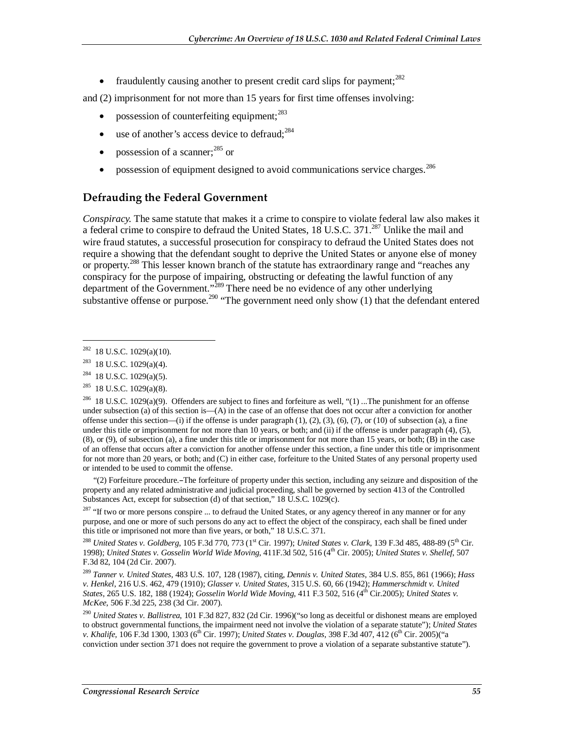• fraudulently causing another to present credit card slips for payment; $^{282}$ 

and (2) imprisonment for not more than 15 years for first time offenses involving:

- possession of counterfeiting equipment;<sup>283</sup>
- use of another's access device to defraud; $^{284}$
- possession of a scanner; $^{285}$  or
- possession of equipment designed to avoid communications service charges.<sup>286</sup>

### **Defrauding the Federal Government**

*Conspiracy.* The same statute that makes it a crime to conspire to violate federal law also makes it a federal crime to conspire to defraud the United States,  $18$  U.S.C. 371.<sup>287</sup> Unlike the mail and wire fraud statutes, a successful prosecution for conspiracy to defraud the United States does not require a showing that the defendant sought to deprive the United States or anyone else of money or property.<sup>288</sup> This lesser known branch of the statute has extraordinary range and "reaches any conspiracy for the purpose of impairing, obstructing or defeating the lawful function of any department of the Government."<sup>289</sup> There need be no evidence of any other underlying substantive offense or purpose.<sup>290</sup> "The government need only show  $(1)$  that the defendant entered

1

"(2) Forfeiture procedure.-The forfeiture of property under this section, including any seizure and disposition of the property and any related administrative and judicial proceeding, shall be governed by section 413 of the Controlled Substances Act, except for subsection (d) of that section," 18 U.S.C. 1029(c).

<sup>287</sup> "If two or more persons conspire ... to defraud the United States, or any agency thereof in any manner or for any purpose, and one or more of such persons do any act to effect the object of the conspiracy, each shall be fined under this title or imprisoned not more than five years, or both," 18 U.S.C. 371.

<sup>288</sup> *United States v. Goldberg*, 105 F.3d 770, 773 (1<sup>st</sup> Cir. 1997); *United States v. Clark*, 139 F.3d 485, 488-89 (5<sup>th</sup> Cir. 1998); *United States v. Gosselin World Wide Moving*, 411F.3d 502, 516 (4th Cir. 2005); *United States v. Shellef*, 507 F.3d 82, 104 (2d Cir. 2007).

<sup>289</sup> *Tanner v. United States*, 483 U.S. 107, 128 (1987), citing, *Dennis v. United States*, 384 U.S. 855, 861 (1966); *Hass v. Henkel*, 216 U.S. 462, 479 (1910); *Glasser v. United States*, 315 U.S. 60, 66 (1942); *Hammerschmidt v. United States*, 265 U.S. 182, 188 (1924); *Gosselin World Wide Moving*, 411 F.3 502, 516 (4th Cir.2005); *United States v. McKee*, 506 F.3d 225, 238 (3d Cir. 2007).

 $282$  18 U.S.C. 1029(a)(10).

 $283$  18 U.S.C. 1029(a)(4).

 $284$  18 U.S.C. 1029(a)(5).

 $285$  18 U.S.C. 1029(a)(8).

 $286$  18 U.S.C. 1029(a)(9). Offenders are subject to fines and forfeiture as well, "(1) ... The punishment for an offense under subsection (a) of this section is—(A) in the case of an offense that does not occur after a conviction for another offense under this section—(i) if the offense is under paragraph  $(1)$ ,  $(2)$ ,  $(3)$ ,  $(6)$ ,  $(7)$ , or  $(10)$  of subsection (a), a fine under this title or imprisonment for not more than 10 years, or both; and (ii) if the offense is under paragraph (4), (5), (8), or (9), of subsection (a), a fine under this title or imprisonment for not more than 15 years, or both; (B) in the case of an offense that occurs after a conviction for another offense under this section, a fine under this title or imprisonment for not more than 20 years, or both; and (C) in either case, forfeiture to the United States of any personal property used or intended to be used to commit the offense.

<sup>290</sup> *United States v. Ballistrea*, 101 F.3d 827, 832 (2d Cir. 1996)("so long as deceitful or dishonest means are employed to obstruct governmental functions, the impairment need not involve the violation of a separate statute"); *United States v. Khalife*, 106 F.3d 1300, 1303 (6<sup>th</sup> Cir. 1997); *United States v. Douglas*, 398 F.3d 407, 412 (6<sup>th</sup> Cir. 2005)("a conviction under section 371 does not require the government to prove a violation of a separate substantive statute").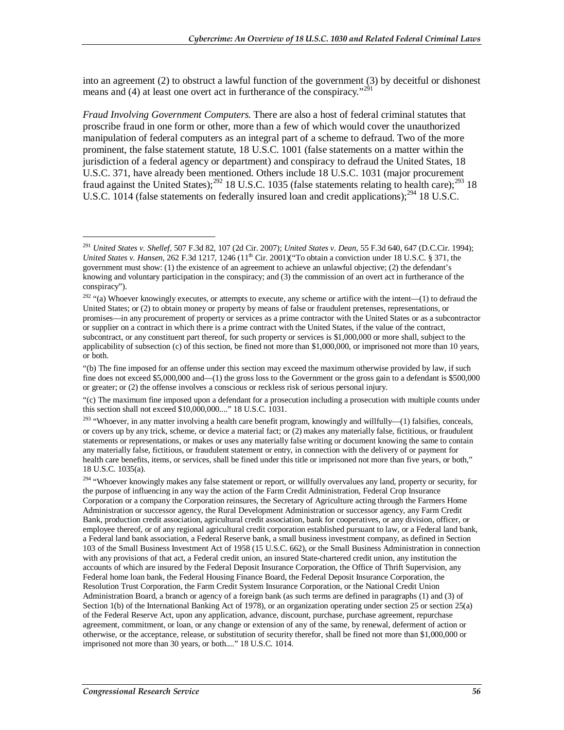into an agreement (2) to obstruct a lawful function of the government (3) by deceitful or dishonest means and  $(4)$  at least one overt act in furtherance of the conspiracy."<sup>291</sup>

*Fraud Involving Government Computers.* There are also a host of federal criminal statutes that proscribe fraud in one form or other, more than a few of which would cover the unauthorized manipulation of federal computers as an integral part of a scheme to defraud. Two of the more prominent, the false statement statute, 18 U.S.C. 1001 (false statements on a matter within the jurisdiction of a federal agency or department) and conspiracy to defraud the United States, 18 U.S.C. 371, have already been mentioned. Others include 18 U.S.C. 1031 (major procurement fraud against the United States);<sup>292</sup> 18 U.S.C. 1035 (false statements relating to health care);<sup>293</sup> 18 U.S.C. 1014 (false statements on federally insured loan and credit applications);<sup>294</sup> 18 U.S.C.

<u>.</u>

<sup>291</sup> *United States v. Shellef*, 507 F.3d 82, 107 (2d Cir. 2007); *United States v. Dean*, 55 F.3d 640, 647 (D.C.Cir. 1994); *United States v. Hansen*, 262 F.3d 1217, 1246  $(11<sup>th</sup> Cir. 2001)$  ("To obtain a conviction under 18 U.S.C. § 371, the government must show: (1) the existence of an agreement to achieve an unlawful objective; (2) the defendant's knowing and voluntary participation in the conspiracy; and (3) the commission of an overt act in furtherance of the conspiracy").

 $292$  "(a) Whoever knowingly executes, or attempts to execute, any scheme or artifice with the intent—(1) to defraud the United States; or (2) to obtain money or property by means of false or fraudulent pretenses, representations, or promises—in any procurement of property or services as a prime contractor with the United States or as a subcontractor or supplier on a contract in which there is a prime contract with the United States, if the value of the contract, subcontract, or any constituent part thereof, for such property or services is \$1,000,000 or more shall, subject to the applicability of subsection (c) of this section, be fined not more than \$1,000,000, or imprisoned not more than 10 years, or both.

<sup>&</sup>quot;(b) The fine imposed for an offense under this section may exceed the maximum otherwise provided by law, if such fine does not exceed \$5,000,000 and—(1) the gross loss to the Government or the gross gain to a defendant is \$500,000 or greater; or (2) the offense involves a conscious or reckless risk of serious personal injury.

<sup>&</sup>quot;(c) The maximum fine imposed upon a defendant for a prosecution including a prosecution with multiple counts under this section shall not exceed \$10,000,000...." 18 U.S.C. 1031.

 $293$  "Whoever, in any matter involving a health care benefit program, knowingly and willfully—(1) falsifies, conceals, or covers up by any trick, scheme, or device a material fact; or (2) makes any materially false, fictitious, or fraudulent statements or representations, or makes or uses any materially false writing or document knowing the same to contain any materially false, fictitious, or fraudulent statement or entry, in connection with the delivery of or payment for health care benefits, items, or services, shall be fined under this title or imprisoned not more than five years, or both," 18 U.S.C. 1035(a).

<sup>&</sup>lt;sup>294</sup> "Whoever knowingly makes any false statement or report, or willfully overvalues any land, property or security, for the purpose of influencing in any way the action of the Farm Credit Administration, Federal Crop Insurance Corporation or a company the Corporation reinsures, the Secretary of Agriculture acting through the Farmers Home Administration or successor agency, the Rural Development Administration or successor agency, any Farm Credit Bank, production credit association, agricultural credit association, bank for cooperatives, or any division, officer, or employee thereof, or of any regional agricultural credit corporation established pursuant to law, or a Federal land bank, a Federal land bank association, a Federal Reserve bank, a small business investment company, as defined in Section 103 of the Small Business Investment Act of 1958 (15 U.S.C. 662), or the Small Business Administration in connection with any provisions of that act, a Federal credit union, an insured State-chartered credit union, any institution the accounts of which are insured by the Federal Deposit Insurance Corporation, the Office of Thrift Supervision, any Federal home loan bank, the Federal Housing Finance Board, the Federal Deposit Insurance Corporation, the Resolution Trust Corporation, the Farm Credit System Insurance Corporation, or the National Credit Union Administration Board, a branch or agency of a foreign bank (as such terms are defined in paragraphs (1) and (3) of Section 1(b) of the International Banking Act of 1978), or an organization operating under section 25 or section 25(a) of the Federal Reserve Act, upon any application, advance, discount, purchase, purchase agreement, repurchase agreement, commitment, or loan, or any change or extension of any of the same, by renewal, deferment of action or otherwise, or the acceptance, release, or substitution of security therefor, shall be fined not more than \$1,000,000 or imprisoned not more than 30 years, or both...." 18 U.S.C. 1014.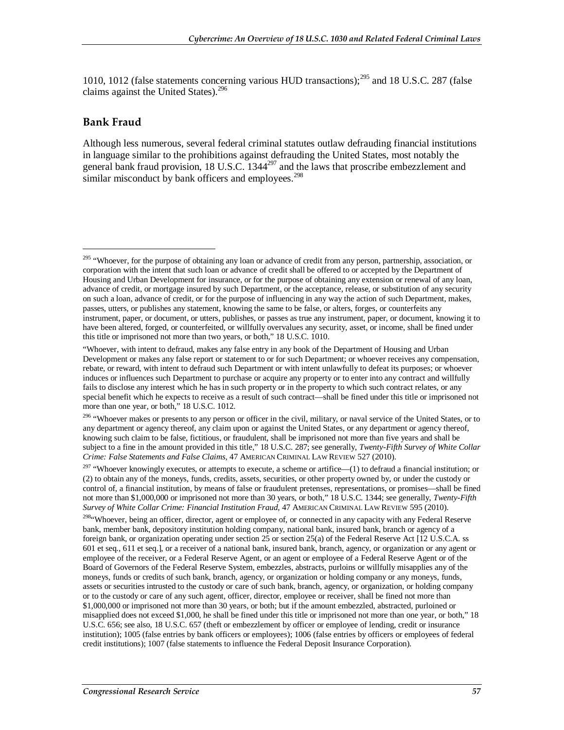1010, 1012 (false statements concerning various HUD transactions);<sup>295</sup> and 18 U.S.C. 287 (false claims against the United States). $296$ 

#### **Bank Fraud**

1

Although less numerous, several federal criminal statutes outlaw defrauding financial institutions in language similar to the prohibitions against defrauding the United States, most notably the general bank fraud provision,  $18$  U.S.C.  $1344^{297}$  and the laws that proscribe embezzlement and similar misconduct by bank officers and employees. $298$ 

<sup>298</sup>"Whoever, being an officer, director, agent or employee of, or connected in any capacity with any Federal Reserve bank, member bank, depository institution holding company, national bank, insured bank, branch or agency of a foreign bank, or organization operating under section 25 or section 25(a) of the Federal Reserve Act [12 U.S.C.A. ss 601 et seq., 611 et seq.], or a receiver of a national bank, insured bank, branch, agency, or organization or any agent or employee of the receiver, or a Federal Reserve Agent, or an agent or employee of a Federal Reserve Agent or of the Board of Governors of the Federal Reserve System, embezzles, abstracts, purloins or willfully misapplies any of the moneys, funds or credits of such bank, branch, agency, or organization or holding company or any moneys, funds, assets or securities intrusted to the custody or care of such bank, branch, agency, or organization, or holding company or to the custody or care of any such agent, officer, director, employee or receiver, shall be fined not more than \$1,000,000 or imprisoned not more than 30 years, or both; but if the amount embezzled, abstracted, purloined or misapplied does not exceed \$1,000, he shall be fined under this title or imprisoned not more than one year, or both," 18 U.S.C. 656; see also, 18 U.S.C. 657 (theft or embezzlement by officer or employee of lending, credit or insurance institution); 1005 (false entries by bank officers or employees); 1006 (false entries by officers or employees of federal credit institutions); 1007 (false statements to influence the Federal Deposit Insurance Corporation).

<sup>&</sup>lt;sup>295</sup> "Whoever, for the purpose of obtaining any loan or advance of credit from any person, partnership, association, or corporation with the intent that such loan or advance of credit shall be offered to or accepted by the Department of Housing and Urban Development for insurance, or for the purpose of obtaining any extension or renewal of any loan, advance of credit, or mortgage insured by such Department, or the acceptance, release, or substitution of any security on such a loan, advance of credit, or for the purpose of influencing in any way the action of such Department, makes, passes, utters, or publishes any statement, knowing the same to be false, or alters, forges, or counterfeits any instrument, paper, or document, or utters, publishes, or passes as true any instrument, paper, or document, knowing it to have been altered, forged, or counterfeited, or willfully overvalues any security, asset, or income, shall be fined under this title or imprisoned not more than two years, or both," 18 U.S.C. 1010.

<sup>&</sup>quot;Whoever, with intent to defraud, makes any false entry in any book of the Department of Housing and Urban Development or makes any false report or statement to or for such Department; or whoever receives any compensation, rebate, or reward, with intent to defraud such Department or with intent unlawfully to defeat its purposes; or whoever induces or influences such Department to purchase or acquire any property or to enter into any contract and willfully fails to disclose any interest which he has in such property or in the property to which such contract relates, or any special benefit which he expects to receive as a result of such contract—shall be fined under this title or imprisoned not more than one year, or both," 18 U.S.C. 1012.

<sup>&</sup>lt;sup>296</sup> "Whoever makes or presents to any person or officer in the civil, military, or naval service of the United States, or to any department or agency thereof, any claim upon or against the United States, or any department or agency thereof, knowing such claim to be false, fictitious, or fraudulent, shall be imprisoned not more than five years and shall be subject to a fine in the amount provided in this title," 18 U.S.C. 287; see generally, *Twenty-Fifth Survey of White Collar Crime: False Statements and False Claims*, 47 AMERICAN CRIMINAL LAW REVIEW 527 (2010).

<sup>&</sup>lt;sup>297</sup> "Whoever knowingly executes, or attempts to execute, a scheme or artifice— $(1)$  to defraud a financial institution; or (2) to obtain any of the moneys, funds, credits, assets, securities, or other property owned by, or under the custody or control of, a financial institution, by means of false or fraudulent pretenses, representations, or promises—shall be fined not more than \$1,000,000 or imprisoned not more than 30 years, or both," 18 U.S.C. 1344; see generally, *Twenty-Fifth Survey of White Collar Crime: Financial Institution Fraud*, 47 AMERICAN CRIMINAL LAW REVIEW 595 (2010).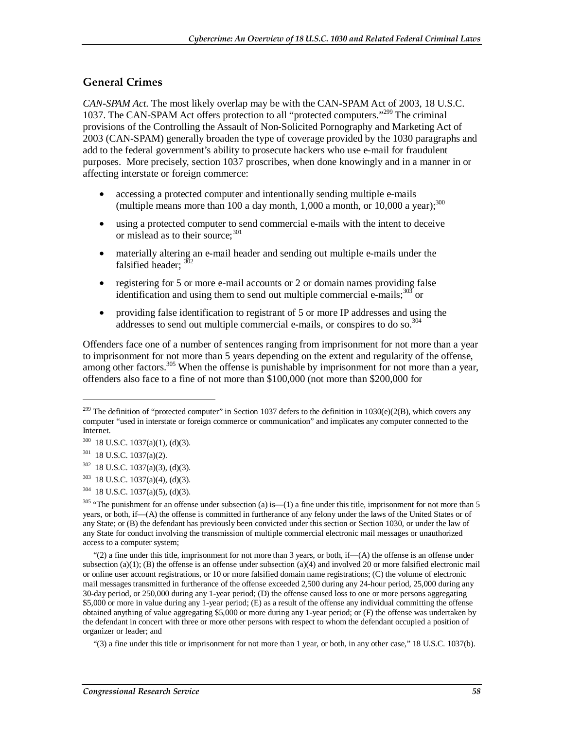#### **General Crimes**

*CAN-SPAM Act.* The most likely overlap may be with the CAN-SPAM Act of 2003, 18 U.S.C. 1037. The CAN-SPAM Act offers protection to all "protected computers."299 The criminal provisions of the Controlling the Assault of Non-Solicited Pornography and Marketing Act of 2003 (CAN-SPAM) generally broaden the type of coverage provided by the 1030 paragraphs and add to the federal government's ability to prosecute hackers who use e-mail for fraudulent purposes. More precisely, section 1037 proscribes, when done knowingly and in a manner in or affecting interstate or foreign commerce:

- accessing a protected computer and intentionally sending multiple e-mails (multiple means more than 100 a day month, 1,000 a month, or 10,000 a year); $^{300}$
- using a protected computer to send commercial e-mails with the intent to deceive or mislead as to their source; $301$
- materially altering an e-mail header and sending out multiple e-mails under the falsified header:  $3$
- registering for 5 or more e-mail accounts or 2 or domain names providing false identification and using them to send out multiple commercial e-mails; $303$  or
- providing false identification to registrant of 5 or more IP addresses and using the addresses to send out multiple commercial e-mails, or conspires to do so.  $304$

Offenders face one of a number of sentences ranging from imprisonment for not more than a year to imprisonment for not more than 5 years depending on the extent and regularity of the offense, among other factors.<sup>305</sup> When the offense is punishable by imprisonment for not more than a year, offenders also face to a fine of not more than \$100,000 (not more than \$200,000 for

<sup>&</sup>lt;sup>299</sup> The definition of "protected computer" in Section 1037 defers to the definition in  $1030(e)(2(B))$ , which covers any computer "used in interstate or foreign commerce or communication" and implicates any computer connected to the Internet.

<sup>300 18</sup> U.S.C. 1037(a)(1), (d)(3).

<sup>301 18</sup> U.S.C. 1037(a)(2).

 $302$  18 U.S.C. 1037(a)(3), (d)(3).

 $303$  18 U.S.C. 1037(a)(4), (d)(3).

 $304$  18 U.S.C. 1037(a)(5), (d)(3).

<sup>&</sup>lt;sup>305</sup> "The punishment for an offense under subsection (a) is—(1) a fine under this title, imprisonment for not more than 5 years, or both, if—(A) the offense is committed in furtherance of any felony under the laws of the United States or of any State; or (B) the defendant has previously been convicted under this section or Section 1030, or under the law of any State for conduct involving the transmission of multiple commercial electronic mail messages or unauthorized access to a computer system;

 <sup>&</sup>quot;(2) a fine under this title, imprisonment for not more than 3 years, or both, if—(A) the offense is an offense under subsection (a)(1); (B) the offense is an offense under subsection (a)(4) and involved 20 or more falsified electronic mail or online user account registrations, or 10 or more falsified domain name registrations; (C) the volume of electronic mail messages transmitted in furtherance of the offense exceeded 2,500 during any 24-hour period, 25,000 during any 30-day period, or 250,000 during any 1-year period; (D) the offense caused loss to one or more persons aggregating \$5,000 or more in value during any 1-year period; (E) as a result of the offense any individual committing the offense obtained anything of value aggregating \$5,000 or more during any 1-year period; or (F) the offense was undertaken by the defendant in concert with three or more other persons with respect to whom the defendant occupied a position of organizer or leader; and

 <sup>&</sup>quot;(3) a fine under this title or imprisonment for not more than 1 year, or both, in any other case," 18 U.S.C. 1037(b).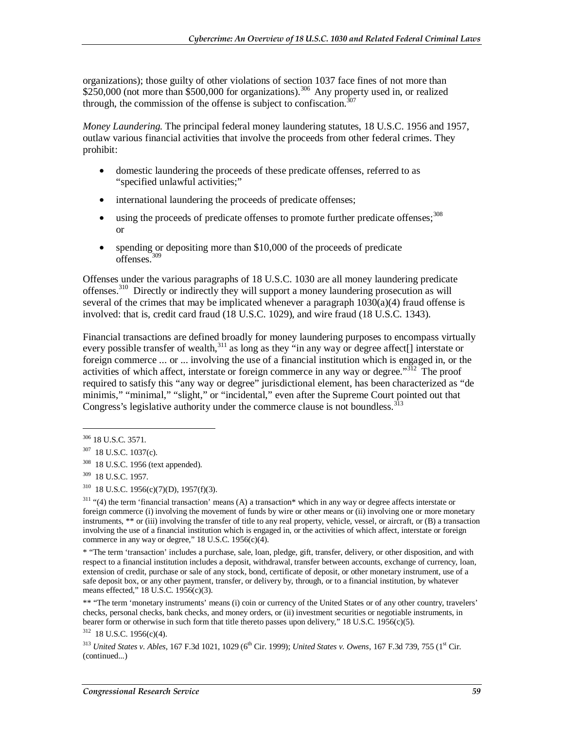organizations); those guilty of other violations of section 1037 face fines of not more than \$250,000 (not more than \$500,000 for organizations).<sup>306</sup> Any property used in, or realized through, the commission of the offense is subject to confiscation.<sup>307</sup>

*Money Laundering.* The principal federal money laundering statutes, 18 U.S.C. 1956 and 1957, outlaw various financial activities that involve the proceeds from other federal crimes. They prohibit:

- domestic laundering the proceeds of these predicate offenses, referred to as "specified unlawful activities;"
- international laundering the proceeds of predicate offenses;
- $\bullet$  using the proceeds of predicate offenses to promote further predicate offenses:  $308$ or
- spending or depositing more than \$10,000 of the proceeds of predicate offenses.<sup>309</sup>

Offenses under the various paragraphs of 18 U.S.C. 1030 are all money laundering predicate offenses.310 Directly or indirectly they will support a money laundering prosecution as will several of the crimes that may be implicated whenever a paragraph  $1030(a)(4)$  fraud offense is involved: that is, credit card fraud (18 U.S.C. 1029), and wire fraud (18 U.S.C. 1343).

Financial transactions are defined broadly for money laundering purposes to encompass virtually every possible transfer of wealth,  $311$  as long as they "in any way or degree affect[] interstate or foreign commerce ... or ... involving the use of a financial institution which is engaged in, or the activities of which affect, interstate or foreign commerce in any way or degree.<sup>"312</sup> The proof required to satisfy this "any way or degree" jurisdictional element, has been characterized as "de minimis," "minimal," "slight," or "incidental," even after the Supreme Court pointed out that Congress's legislative authority under the commerce clause is not boundless.<sup>313</sup>

1

\* "The term 'transaction' includes a purchase, sale, loan, pledge, gift, transfer, delivery, or other disposition, and with respect to a financial institution includes a deposit, withdrawal, transfer between accounts, exchange of currency, loan, extension of credit, purchase or sale of any stock, bond, certificate of deposit, or other monetary instrument, use of a safe deposit box, or any other payment, transfer, or delivery by, through, or to a financial institution, by whatever means effected," 18 U.S.C. 1956(c)(3).

\*\* "The term 'monetary instruments' means (i) coin or currency of the United States or of any other country, travelers' checks, personal checks, bank checks, and money orders, or (ii) investment securities or negotiable instruments, in bearer form or otherwise in such form that title thereto passes upon delivery," 18 U.S.C. 1956(c)(5).

<sup>306 18</sup> U.S.C. 3571.

<sup>307 18</sup> U.S.C. 1037(c).

<sup>308 18</sup> U.S.C. 1956 (text appended).

<sup>309 18</sup> U.S.C. 1957.

 $310$  18 U.S.C. 1956(c)(7)(D), 1957(f)(3).

<sup>311 &</sup>quot;(4) the term 'financial transaction' means (A) a transaction\* which in any way or degree affects interstate or foreign commerce (i) involving the movement of funds by wire or other means or (ii) involving one or more monetary instruments, \*\* or (iii) involving the transfer of title to any real property, vehicle, vessel, or aircraft, or (B) a transaction involving the use of a financial institution which is engaged in, or the activities of which affect, interstate or foreign commerce in any way or degree,"  $18$  U.S.C.  $1956(c)(4)$ .

 $312$  18 U.S.C. 1956(c)(4).

<sup>313</sup> *United States v. Ables*, 167 F.3d 1021, 1029 (6th Cir. 1999); *United States v. Owens*, 167 F.3d 739, 755 (1st Cir. (continued...)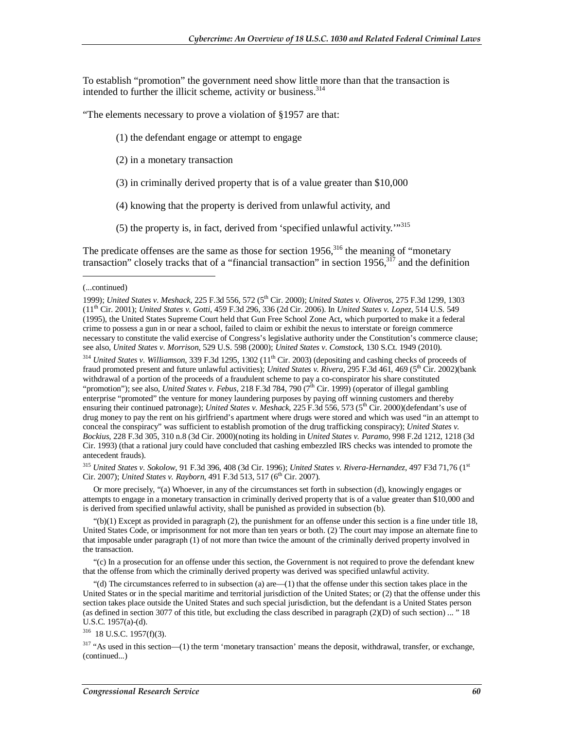To establish "promotion" the government need show little more than that the transaction is intended to further the illicit scheme, activity or business.<sup>314</sup>

"The elements necessary to prove a violation of §1957 are that:

- (1) the defendant engage or attempt to engage
- (2) in a monetary transaction
- (3) in criminally derived property that is of a value greater than \$10,000
- (4) knowing that the property is derived from unlawful activity, and
- (5) the property is, in fact, derived from 'specified unlawful activity.'"<sup>315</sup>

The predicate offenses are the same as those for section  $1956$ ,<sup>316</sup> the meaning of "monetary" transaction" closely tracks that of a "financial transaction" in section 1956,  $3^{17}$  and the definition

<u>.</u>

<sup>315</sup> *United States v. Sokolow*, 91 F.3d 396, 408 (3d Cir. 1996); *United States v. Rivera-Hernandez*, 497 F3d 71,76 (1st Cir. 2007); *United States v. Rayborn*, 491 F.3d 513, 517 (6<sup>th</sup> Cir. 2007).

 Or more precisely, "(a) Whoever, in any of the circumstances set forth in subsection (d), knowingly engages or attempts to engage in a monetary transaction in criminally derived property that is of a value greater than \$10,000 and is derived from specified unlawful activity, shall be punished as provided in subsection (b).

 $\mathcal{L}(b)(1)$  Except as provided in paragraph (2), the punishment for an offense under this section is a fine under title 18, United States Code, or imprisonment for not more than ten years or both. (2) The court may impose an alternate fine to that imposable under paragraph (1) of not more than twice the amount of the criminally derived property involved in the transaction.

 "(c) In a prosecution for an offense under this section, the Government is not required to prove the defendant knew that the offense from which the criminally derived property was derived was specified unlawful activity.

 "(d) The circumstances referred to in subsection (a) are—(1) that the offense under this section takes place in the United States or in the special maritime and territorial jurisdiction of the United States; or (2) that the offense under this section takes place outside the United States and such special jurisdiction, but the defendant is a United States person (as defined in section 3077 of this title, but excluding the class described in paragraph  $(2)(D)$  of such section) ... "18 U.S.C. 1957(a)-(d).

#### 316 18 U.S.C. 1957(f)(3).

<sup>(...</sup>continued)

<sup>1999);</sup> *United States v. Meshack*, 225 F.3d 556, 572 (5th Cir. 2000); *United States v. Oliveros*, 275 F.3d 1299, 1303 (11th Cir. 2001); *United States v. Gotti*, 459 F.3d 296, 336 (2d Cir. 2006). In *United States v. Lopez*, 514 U.S. 549 (1995), the United States Supreme Court held that Gun Free School Zone Act, which purported to make it a federal crime to possess a gun in or near a school, failed to claim or exhibit the nexus to interstate or foreign commerce necessary to constitute the valid exercise of Congress's legislative authority under the Constitution's commerce clause; see also, *United States v. Morrison*, 529 U.S. 598 (2000); *United States v. Comstock*, 130 S.Ct. 1949 (2010).

<sup>&</sup>lt;sup>314</sup> *United States v. Williamson*, 339 F.3d 1295, 1302 (11<sup>th</sup> Cir. 2003) (depositing and cashing checks of proceeds of fraud promoted present and future unlawful activities); *United States v. Rivera*, 295 F.3d 461, 469 (5<sup>th</sup> Cir. 2002)(bank withdrawal of a portion of the proceeds of a fraudulent scheme to pay a co-conspirator his share constituted "promotion"); see also, *United States v. Febus*, 218 F.3d 784, 790 (7<sup>th</sup> Cir. 1999) (operator of illegal gambling enterprise "promoted" the venture for money laundering purposes by paying off winning customers and thereby ensuring their continued patronage); *United States v. Meshack*, 225 F.3d 556, 573 (5<sup>th</sup> Cir. 2000)(defendant's use of drug money to pay the rent on his girlfriend's apartment where drugs were stored and which was used "in an attempt to conceal the conspiracy" was sufficient to establish promotion of the drug trafficking conspiracy); *United States v. Bockius*, 228 F.3d 305, 310 n.8 (3d Cir. 2000)(noting its holding in *United States v. Paramo*, 998 F.2d 1212, 1218 (3d Cir. 1993) (that a rational jury could have concluded that cashing embezzled IRS checks was intended to promote the antecedent frauds).

<sup>&</sup>lt;sup>317</sup> "As used in this section—(1) the term 'monetary transaction' means the deposit, withdrawal, transfer, or exchange, (continued...)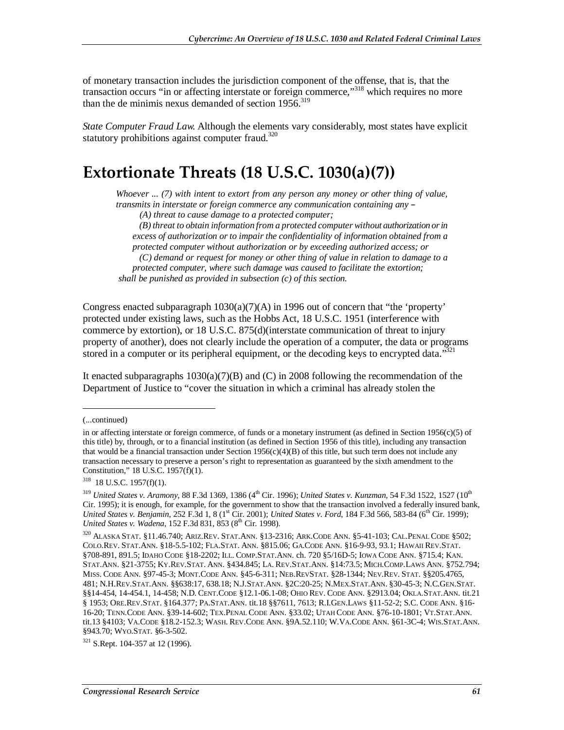of monetary transaction includes the jurisdiction component of the offense, that is, that the transaction occurs "in or affecting interstate or foreign commerce,"318 which requires no more than the de minimis nexus demanded of section  $1956$ <sup>319</sup>

*State Computer Fraud Law.* Although the elements vary considerably, most states have explicit statutory prohibitions against computer fraud. $320$ 

# **Extortionate Threats (18 U.S.C. 1030(a)(7))**

*Whoever ... (7) with intent to extort from any person any money or other thing of value, transmits in interstate or foreign commerce any communication containing any –* 

 *(A) threat to cause damage to a protected computer;* 

 *(B) threat to obtain information from a protected computer without authorization or in excess of authorization or to impair the confidentiality of information obtained from a protected computer without authorization or by exceeding authorized access; or* 

 *(C) demand or request for money or other thing of value in relation to damage to a protected computer, where such damage was caused to facilitate the extortion; shall be punished as provided in subsection (c) of this section.*

Congress enacted subparagraph  $1030(a)(7)(A)$  in 1996 out of concern that "the 'property' protected under existing laws, such as the Hobbs Act, 18 U.S.C. 1951 (interference with commerce by extortion), or 18 U.S.C. 875(d)(interstate communication of threat to injury property of another), does not clearly include the operation of a computer, the data or programs stored in a computer or its peripheral equipment, or the decoding keys to encrypted data." $32$ 

It enacted subparagraphs  $1030(a)(7)(B)$  and (C) in 2008 following the recommendation of the Department of Justice to "cover the situation in which a criminal has already stolen the

<sup>(...</sup>continued)

in or affecting interstate or foreign commerce, of funds or a monetary instrument (as defined in Section 1956(c)(5) of this title) by, through, or to a financial institution (as defined in Section 1956 of this title), including any transaction that would be a financial transaction under Section  $1956(c)(4)(B)$  of this title, but such term does not include any transaction necessary to preserve a person's right to representation as guaranteed by the sixth amendment to the Constitution," 18 U.S.C. 1957(f)(1).

 $318$  18 U.S.C. 1957(f)(1).

<sup>&</sup>lt;sup>319</sup> *United States v. Aramony*, 88 F.3d 1369, 1386 (4<sup>th</sup> Cir. 1996); *United States v. Kunzman*, 54 F.3d 1522, 1527 (10<sup>th</sup> Cir. 1995); it is enough, for example, for the government to show that the transaction involved a federally insured bank, *United States v. Benjamin, 252 F.3d 1, 8 (1<sup>st</sup> Cir. 2001); <i>United States v. Ford, 184 F.3d 566, 583-84 (6<sup>th</sup> Cir. 1999)*; *United States v. Wadena*, 152 F.3d 831, 853 (8<sup>th</sup> Cir. 1998).

<sup>320</sup> ALASKA STAT. §11.46.740; ARIZ.REV. STAT.ANN. §13-2316; ARK.CODE ANN. §5-41-103; CAL.PENAL CODE §502; COLO.REV. STAT.ANN. §18-5.5-102; FLA.STAT. ANN. §815.06; GA.CODE ANN. §16-9-93, 93.1; HAWAII REV.STAT. §708-891, 891.5; IDAHO CODE §18-2202; ILL. COMP.STAT.ANN. ch. 720 §5/16D-5; IOWA CODE ANN. §715.4; KAN. STAT.ANN. §21-3755; KY.REV.STAT. ANN. §434.845; LA. REV.STAT.ANN. §14:73.5; MICH.COMP.LAWS ANN. §752.794; MISS. CODE ANN. §97-45-3; MONT.CODE ANN. §45-6-311; NEB.REVSTAT. §28-1344; NEV.REV. STAT. §§205.4765, 481; N.H.REV.STAT.ANN. §§638:17, 638.18; N.J.STAT.ANN. §2C:20-25; N.MEX.STAT.ANN. §30-45-3; N.C.GEN.STAT. §§14-454, 14-454.1, 14-458; N.D. CENT.CODE §12.1-06.1-08; OHIO REV. CODE ANN. §2913.04; OKLA.STAT.ANN. tit.21 § 1953; ORE.REV.STAT. §164.377; PA.STAT.ANN. tit.18 §§7611, 7613; R.I.GEN.LAWS §11-52-2; S.C. CODE ANN. §16- 16-20; TENN.CODE ANN. §39-14-602; TEX.PENAL CODE ANN. §33.02; UTAH CODE ANN. §76-10-1801; VT.STAT.ANN. tit.13 §4103; VA.CODE §18.2-152.3; WASH. REV.CODE ANN. §9A.52.110; W.VA.CODE ANN. §61-3C-4; WIS.STAT.ANN. §943.70; WYO.STAT. §6-3-502.

 $321$  S.Rept. 104-357 at 12 (1996).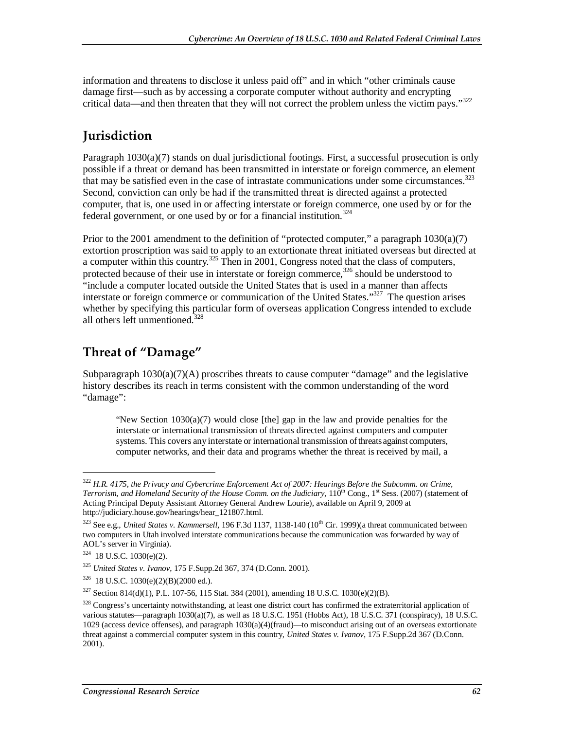information and threatens to disclose it unless paid off" and in which "other criminals cause damage first—such as by accessing a corporate computer without authority and encrypting critical data—and then threaten that they will not correct the problem unless the victim pays."<sup>322</sup>

# **Jurisdiction**

Paragraph 1030(a)(7) stands on dual jurisdictional footings. First, a successful prosecution is only possible if a threat or demand has been transmitted in interstate or foreign commerce, an element that may be satisfied even in the case of intrastate communications under some circumstances.<sup>323</sup> Second, conviction can only be had if the transmitted threat is directed against a protected computer, that is, one used in or affecting interstate or foreign commerce, one used by or for the federal government, or one used by or for a financial institution.<sup>324</sup>

Prior to the 2001 amendment to the definition of "protected computer," a paragraph  $1030(a)(7)$ extortion proscription was said to apply to an extortionate threat initiated overseas but directed at a computer within this country.<sup>325</sup> Then in 2001, Congress noted that the class of computers, protected because of their use in interstate or foreign commerce, $326$  should be understood to "include a computer located outside the United States that is used in a manner than affects interstate or foreign commerce or communication of the United States."<sup>327</sup> The question arises whether by specifying this particular form of overseas application Congress intended to exclude all others left unmentioned. $328$ 

# **Threat of "Damage"**

Subparagraph  $1030(a)(7)(A)$  proscribes threats to cause computer "damage" and the legislative history describes its reach in terms consistent with the common understanding of the word "damage":

"New Section 1030(a)(7) would close [the] gap in the law and provide penalties for the interstate or international transmission of threats directed against computers and computer systems. This covers any interstate or international transmission of threats against computers, computer networks, and their data and programs whether the threat is received by mail, a

<sup>322</sup> *H.R. 4175, the Privacy and Cybercrime Enforcement Act of 2007: Hearings Before the Subcomm. on Crime, Terrorism, and Homeland Security of the House Comm. on the Judiciary*, 110<sup>th</sup> Cong., 1<sup>st</sup> Sess. (2007) (statement of Acting Principal Deputy Assistant Attorney General Andrew Lourie), available on April 9, 2009 at http://judiciary.house.gov/hearings/hear\_121807.html.

<sup>&</sup>lt;sup>323</sup> See e.g., *United States v. Kammersell*, 196 F.3d 1137, 1138-140 (10<sup>th</sup> Cir. 1999)(a threat communicated between two computers in Utah involved interstate communications because the communication was forwarded by way of AOL's server in Virginia).

<sup>324 18</sup> U.S.C. 1030(e)(2).

<sup>325</sup> *United States v. Ivanov*, 175 F.Supp.2d 367, 374 (D.Conn. 2001).

<sup>326 18</sup> U.S.C. 1030(e)(2)(B)(2000 ed.).

 $327$  Section 814(d)(1), P.L. 107-56, 115 Stat. 384 (2001), amending 18 U.S.C. 1030(e)(2)(B).

<sup>&</sup>lt;sup>328</sup> Congress's uncertainty notwithstanding, at least one district court has confirmed the extraterritorial application of various statutes—paragraph 1030(a)(7), as well as 18 U.S.C. 1951 (Hobbs Act), 18 U.S.C. 371 (conspiracy), 18 U.S.C.  $1029$  (access device offenses), and paragraph  $1030(a)(4)$ (fraud)—to misconduct arising out of an overseas extortionate threat against a commercial computer system in this country, *United States v. Ivanov*, 175 F.Supp.2d 367 (D.Conn. 2001).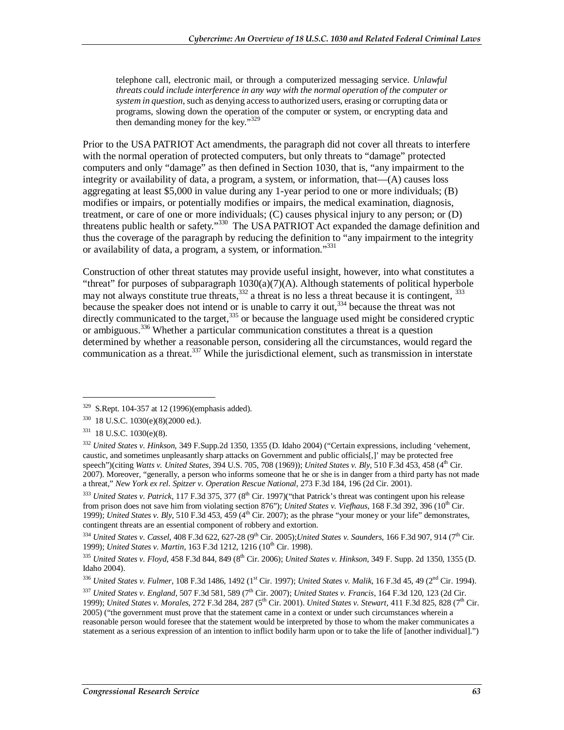telephone call, electronic mail, or through a computerized messaging service. *Unlawful threats could include interference in any way with the normal operation of the computer or system in question*, such as denying access to authorized users, erasing or corrupting data or programs, slowing down the operation of the computer or system, or encrypting data and then demanding money for the key."<sup>329</sup>

Prior to the USA PATRIOT Act amendments, the paragraph did not cover all threats to interfere with the normal operation of protected computers, but only threats to "damage" protected computers and only "damage" as then defined in Section 1030, that is, "any impairment to the integrity or availability of data, a program, a system, or information, that—(A) causes loss aggregating at least \$5,000 in value during any 1-year period to one or more individuals; (B) modifies or impairs, or potentially modifies or impairs, the medical examination, diagnosis, treatment, or care of one or more individuals; (C) causes physical injury to any person; or (D) threatens public health or safety."330 The USA PATRIOT Act expanded the damage definition and thus the coverage of the paragraph by reducing the definition to "any impairment to the integrity or availability of data, a program, a system, or information."331

Construction of other threat statutes may provide useful insight, however, into what constitutes a "threat" for purposes of subparagraph 1030(a)(7)(A). Although statements of political hyperbole may not always constitute true threats,<sup>332</sup> a threat is no less a threat because it is contingent, <sup>333</sup> because the speaker does not intend or is unable to carry it out,<sup>334</sup> because the threat was not directly communicated to the target, $335$  or because the language used might be considered cryptic or ambiguous.<sup>336</sup> Whether a particular communication constitutes a threat is a question determined by whether a reasonable person, considering all the circumstances, would regard the communication as a threat.<sup>337</sup> While the jurisdictional element, such as transmission in interstate

1

 $333$  *United States v. Patrick*, 117 F.3d 375, 377 ( $8<sup>th</sup>$  Cir. 1997)("that Patrick's threat was contingent upon his release from prison does not save him from violating section 876"); *United States v. Viefhaus*, 168 F.3d 392, 396 ( $10^{\text{th}}$  Cir. 1999); *United States v. Bly*, 510 F.3d 453, 459 ( $4<sup>th</sup>$  Cir. 2007); as the phrase "your money or your life" demonstrates, contingent threats are an essential component of robbery and extortion.

 $^{334}$  *United States v. Cassel*, 408 F.3d 622, 627-28 (9<sup>th</sup> Cir. 2005);*United States v. Saunders*, 166 F.3d 907, 914 (7<sup>th</sup> Cir. 1999); *United States v. Martin*, 163 F.3d 1212, 1216 (10<sup>th</sup> Cir. 1998).

335 *United States v. Floyd*, 458 F.3d 844, 849 (8<sup>th</sup> Cir. 2006); *United States v. Hinkson*, 349 F. Supp. 2d 1350, 1355 (D. Idaho 2004).

<sup>336</sup> *United States v. Fulmer*, 108 F.3d 1486, 1492 (1st Cir. 1997); *United States v. Malik*, 16 F.3d 45, 49 (2nd Cir. 1994).

<sup>329</sup> S.Rept. 104-357 at 12 (1996)(emphasis added).

<sup>330 18</sup> U.S.C. 1030(e)(8)(2000 ed.).

 $331$  18 U.S.C. 1030(e)(8).

<sup>332</sup> *United States v. Hinkson,* 349 F.Supp.2d 1350, 1355 (D. Idaho 2004) ("Certain expressions, including 'vehement, caustic, and sometimes unpleasantly sharp attacks on Government and public officials[,]' may be protected free speech")(citing *Watts v. United States*, 394 U.S. 705, 708 (1969)); *United States v. Bly*, 510 F.3d 453, 458 (4th Cir. 2007). Moreover, "generally, a person who informs someone that he or she is in danger from a third party has not made a threat," *New York ex rel. Spitzer v. Operation Rescue National*, 273 F.3d 184, 196 (2d Cir. 2001).

<sup>337</sup> *United States v. England*, 507 F.3d 581, 589 (7th Cir. 2007); *United States v. Francis*, 164 F.3d 120, 123 (2d Cir. 1999); *United States v. Morales*, 272 F.3d 284, 287 (5<sup>th</sup> Cir. 2001). *United States v. Stewart*, 411 F.3d 825, 828 (7<sup>th</sup> Cir. 2005) ("the government must prove that the statement came in a context or under such circumstances wherein a reasonable person would foresee that the statement would be interpreted by those to whom the maker communicates a statement as a serious expression of an intention to inflict bodily harm upon or to take the life of [another individual].")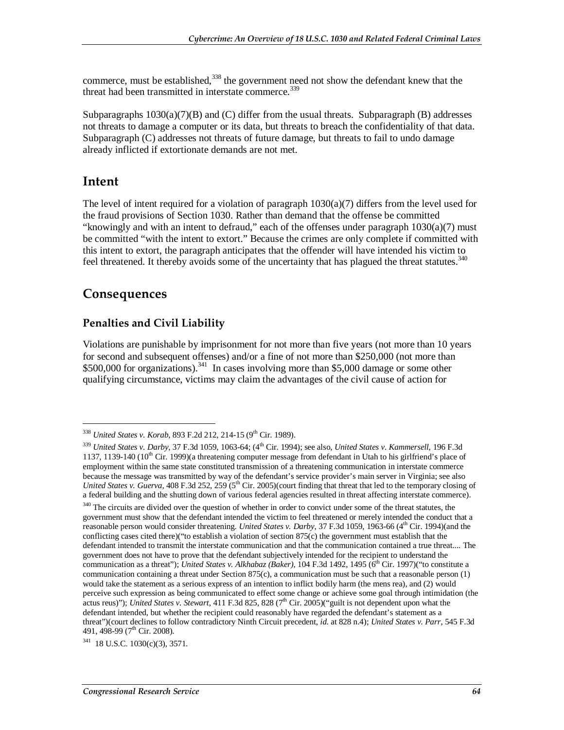commerce, must be established, $338$  the government need not show the defendant knew that the threat had been transmitted in interstate commerce.<sup>339</sup>

Subparagraphs  $1030(a)(7)(B)$  and (C) differ from the usual threats. Subparagraph (B) addresses not threats to damage a computer or its data, but threats to breach the confidentiality of that data. Subparagraph (C) addresses not threats of future damage, but threats to fail to undo damage already inflicted if extortionate demands are not met.

### **Intent**

1

The level of intent required for a violation of paragraph  $1030(a)(7)$  differs from the level used for the fraud provisions of Section 1030. Rather than demand that the offense be committed "knowingly and with an intent to defraud," each of the offenses under paragraph  $1030(a)(7)$  must be committed "with the intent to extort." Because the crimes are only complete if committed with this intent to extort, the paragraph anticipates that the offender will have intended his victim to feel threatened. It thereby avoids some of the uncertainty that has plagued the threat statutes.<sup>340</sup>

### **Consequences**

### **Penalties and Civil Liability**

Violations are punishable by imprisonment for not more than five years (not more than 10 years for second and subsequent offenses) and/or a fine of not more than \$250,000 (not more than \$500,000 for organizations).<sup>341</sup> In cases involving more than \$5,000 damage or some other qualifying circumstance, victims may claim the advantages of the civil cause of action for

<sup>&</sup>lt;sup>338</sup> *United States v. Korab*, 893 F.2d 212, 214-15 (9<sup>th</sup> Cir. 1989).

<sup>339</sup> *United States v. Darby*, 37 F.3d 1059, 1063-64; (4th Cir. 1994); see also, *United States v. Kammersell*, 196 F.3d 1137, 1139-140 ( $10^{th}$  Cir. 1999)(a threatening computer message from defendant in Utah to his girlfriend's place of employment within the same state constituted transmission of a threatening communication in interstate commerce because the message was transmitted by way of the defendant's service provider's main server in Virginia; see also *United States v. Guerva*, 408 F.3d 252, 259 (5<sup>th</sup> Cir. 2005)(court finding that threat that led to the temporary closing of a federal building and the shutting down of various federal agencies resulted in threat affecting interstate commerce).

<sup>&</sup>lt;sup>340</sup> The circuits are divided over the question of whether in order to convict under some of the threat statutes, the government must show that the defendant intended the victim to feel threatened or merely intended the conduct that a reasonable person would consider threatening. *United States v. Darby*, 37 F.3d 1059, 1963-66 (4th Cir. 1994)(and the conflicting cases cited there)("to establish a violation of section 875(c) the government must establish that the defendant intended to transmit the interstate communication and that the communication contained a true threat.... The government does not have to prove that the defendant subjectively intended for the recipient to understand the communication as a threat"); *United States v. Alkhabaz (Baker)*, 104 F.3d 1492, 1495 (6<sup>th</sup> Cir. 1997)("to constitute a communication containing a threat under Section 875 $(c)$ , a communication must be such that a reasonable person  $(1)$ would take the statement as a serious express of an intention to inflict bodily harm (the mens rea), and (2) would perceive such expression as being communicated to effect some change or achieve some goal through intimidation (the actus reus)"); *United States v. Stewart*, 411 F.3d 825, 828 ( $7<sup>th</sup>$  Cir. 2005)("guilt is not dependent upon what the defendant intended, but whether the recipient could reasonably have regarded the defendant's statement as a threat")(court declines to follow contradictory Ninth Circuit precedent, *id*. at 828 n.4); *United States v. Parr*, 545 F.3d 491, 498-99 ( $7<sup>th</sup>$  Cir. 2008).

 $341$  18 U.S.C. 1030(c)(3), 3571.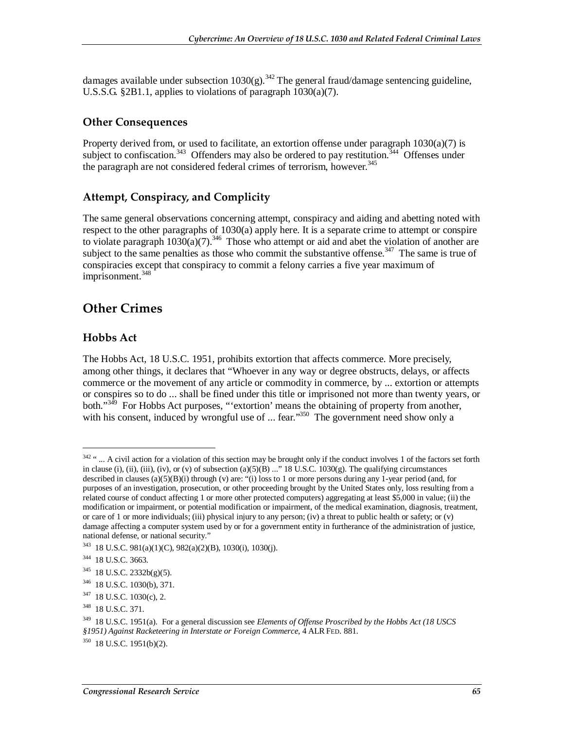damages available under subsection  $1030(g)$ .<sup>342</sup> The general fraud/damage sentencing guideline, U.S.S.G. §2B1.1, applies to violations of paragraph 1030(a)(7).

#### **Other Consequences**

Property derived from, or used to facilitate, an extortion offense under paragraph 1030(a)(7) is subject to confiscation.<sup>343</sup> Offenders may also be ordered to pay restitution.<sup>344</sup> Offenses under the paragraph are not considered federal crimes of terrorism. however.<sup>345</sup>

### **Attempt, Conspiracy, and Complicity**

The same general observations concerning attempt, conspiracy and aiding and abetting noted with respect to the other paragraphs of 1030(a) apply here. It is a separate crime to attempt or conspire to violate paragraph  $1030(a)(7)$ <sup>346</sup> Those who attempt or aid and abet the violation of another are subject to the same penalties as those who commit the substantive offense.<sup>347</sup> The same is true of conspiracies except that conspiracy to commit a felony carries a five year maximum of imprisonment.<sup>348</sup>

### **Other Crimes**

### **Hobbs Act**

1

The Hobbs Act, 18 U.S.C. 1951, prohibits extortion that affects commerce. More precisely, among other things, it declares that "Whoever in any way or degree obstructs, delays, or affects commerce or the movement of any article or commodity in commerce, by ... extortion or attempts or conspires so to do ... shall be fined under this title or imprisoned not more than twenty years, or both."<sup>349</sup> For Hobbs Act purposes, "'extortion' means the obtaining of property from another, with his consent, induced by wrongful use of ... fear."<sup>350</sup> The government need show only a

<sup>&</sup>lt;sup>342</sup> " ... A civil action for a violation of this section may be brought only if the conduct involves 1 of the factors set forth in clause (i), (ii), (iii), (iv), or (v) of subsection (a)(5)(B) ..." 18 U.S.C. 1030(g). The qualifying circumstances described in clauses (a)(5)(B)(i) through (v) are: "(i) loss to 1 or more persons during any 1-year period (and, for purposes of an investigation, prosecution, or other proceeding brought by the United States only, loss resulting from a related course of conduct affecting 1 or more other protected computers) aggregating at least \$5,000 in value; (ii) the modification or impairment, or potential modification or impairment, of the medical examination, diagnosis, treatment, or care of 1 or more individuals; (iii) physical injury to any person; (iv) a threat to public health or safety; or (v) damage affecting a computer system used by or for a government entity in furtherance of the administration of justice, national defense, or national security."

<sup>343 18</sup> U.S.C. 981(a)(1)(C), 982(a)(2)(B), 1030(i), 1030(j).

<sup>344 18</sup> U.S.C. 3663.

 $345$  18 U.S.C. 2332b(g)(5).

<sup>346 18</sup> U.S.C. 1030(b), 371.

 $347$  18 U.S.C. 1030(c), 2.

<sup>348 18</sup> U.S.C. 371.

<sup>349 18</sup> U.S.C. 1951(a). For a general discussion see *Elements of Offense Proscribed by the Hobbs Act (18 USCS §1951) Against Racketeering in Interstate or Foreign Commerce*, 4 ALR FED. 881.

 $350$  18 U.S.C. 1951(b)(2).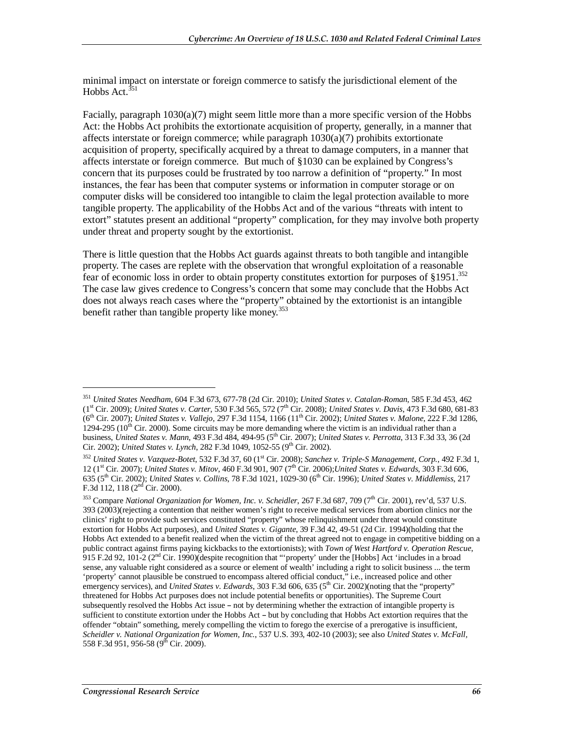minimal impact on interstate or foreign commerce to satisfy the jurisdictional element of the Hobbs Act. $351$ 

Facially, paragraph 1030(a)(7) might seem little more than a more specific version of the Hobbs Act: the Hobbs Act prohibits the extortionate acquisition of property, generally, in a manner that affects interstate or foreign commerce; while paragraph  $1030(a)(7)$  prohibits extortionate acquisition of property, specifically acquired by a threat to damage computers, in a manner that affects interstate or foreign commerce. But much of §1030 can be explained by Congress's concern that its purposes could be frustrated by too narrow a definition of "property." In most instances, the fear has been that computer systems or information in computer storage or on computer disks will be considered too intangible to claim the legal protection available to more tangible property. The applicability of the Hobbs Act and of the various "threats with intent to extort" statutes present an additional "property" complication, for they may involve both property under threat and property sought by the extortionist.

There is little question that the Hobbs Act guards against threats to both tangible and intangible property. The cases are replete with the observation that wrongful exploitation of a reasonable fear of economic loss in order to obtain property constitutes extortion for purposes of §1951.<sup>352</sup> The case law gives credence to Congress's concern that some may conclude that the Hobbs Act does not always reach cases where the "property" obtained by the extortionist is an intangible benefit rather than tangible property like money.<sup>353</sup>

<sup>351</sup> *United States Needham*, 604 F.3d 673, 677-78 (2d Cir. 2010); *United States v. Catalan-Roman*, 585 F.3d 453, 462 (1st Cir. 2009); *United States v. Carter*, 530 F.3d 565, 572 (7th Cir. 2008); *United States v. Davis*, 473 F.3d 680, 681-83 (6th Cir. 2007); *United States v. Vallejo*, 297 F.3d 1154, 1166 (11th Cir. 2002); *United States v. Malone*, 222 F.3d 1286, 1294-295 ( $10^{th}$  Cir. 2000). Some circuits may be more demanding where the victim is an individual rather than a business, *United States v. Mann*, 493 F.3d 484, 494-95 (5th Cir. 2007); *United States v. Perrotta*, 313 F.3d 33, 36 (2d Cir. 2002); *United States v. Lynch*, 282 F.3d 1049, 1052-55 (9<sup>th</sup> Cir. 2002).

<sup>352</sup> *United States v. Vazquez-Botet*, 532 F.3d 37, 60 (1st Cir. 2008); *Sanchez v. Triple-S Management, Corp.*, 492 F.3d 1, 12 (1st Cir. 2007); *United States v. Mitov*, 460 F.3d 901, 907 (7th Cir. 2006);*United States v. Edwards*, 303 F.3d 606, 635 (5th Cir. 2002); *United States v. Collins*, 78 F.3d 1021, 1029-30 (6th Cir. 1996); *United States v. Middlemiss*, 217 F.3d 112, 118 ( $2<sup>nd</sup>$  Cir. 2000).

<sup>&</sup>lt;sup>353</sup> Compare *National Organization for Women, Inc. v. Scheidler*, 267 F.3d 687, 709 (7<sup>th</sup> Cir. 2001), rev'd, 537 U.S. 393 (2003)(rejecting a contention that neither women's right to receive medical services from abortion clinics nor the clinics' right to provide such services constituted "property" whose relinquishment under threat would constitute extortion for Hobbs Act purposes), and *United States v. Gigante*, 39 F.3d 42, 49-51 (2d Cir. 1994)(holding that the Hobbs Act extended to a benefit realized when the victim of the threat agreed not to engage in competitive bidding on a public contract against firms paying kickbacks to the extortionists); with *Town of West Hartford v. Operation Rescue*, 915 F.2d 92, 101-2 ( $2<sup>nd</sup>$  Cir. 1990)(despite recognition that "property' under the [Hobbs] Act 'includes in a broad sense, any valuable right considered as a source or element of wealth' including a right to solicit business ... the term 'property' cannot plausible be construed to encompass altered official conduct," i.e., increased police and other emergency services), and *United States v. Edwards*, 303 F.3d 606, 635 (5<sup>th</sup> Cir. 2002)(noting that the "property" threatened for Hobbs Act purposes does not include potential benefits or opportunities). The Supreme Court subsequently resolved the Hobbs Act issue – not by determining whether the extraction of intangible property is sufficient to constitute extortion under the Hobbs Act – but by concluding that Hobbs Act extortion requires that the offender "obtain" something, merely compelling the victim to forego the exercise of a prerogative is insufficient, *Scheidler v. National Organization for Women, Inc.*, 537 U.S. 393, 402-10 (2003); see also *United States v. McFall,*  558 F.3d 951, 956-58 (9<sup>th</sup> Cir. 2009).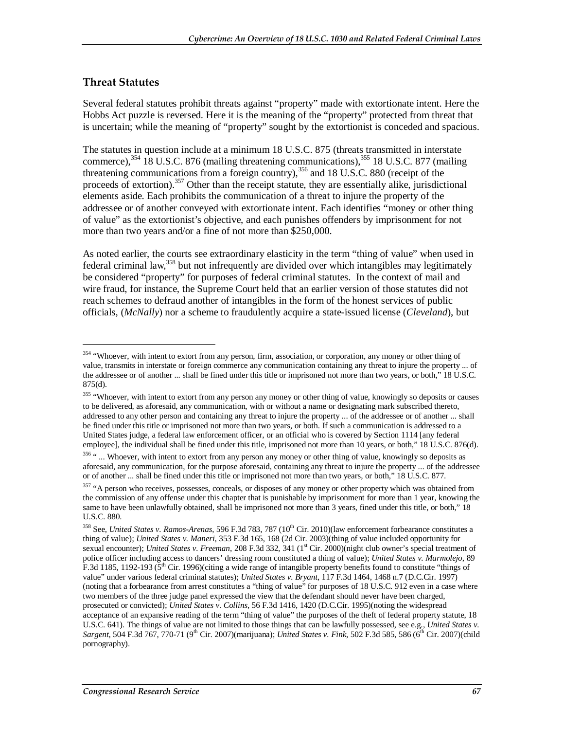#### **Threat Statutes**

1

Several federal statutes prohibit threats against "property" made with extortionate intent. Here the Hobbs Act puzzle is reversed. Here it is the meaning of the "property" protected from threat that is uncertain; while the meaning of "property" sought by the extortionist is conceded and spacious.

The statutes in question include at a minimum 18 U.S.C. 875 (threats transmitted in interstate commerce),  $354$  18 U.S.C. 876 (mailing threatening communications),  $355$  18 U.S.C. 877 (mailing threatening communications from a foreign country),  $356$  and 18 U.S.C. 880 (receipt of the proceeds of extortion).<sup>357</sup> Other than the receipt statute, they are essentially alike, jurisdictional elements aside. Each prohibits the communication of a threat to injure the property of the addressee or of another conveyed with extortionate intent. Each identifies "money or other thing of value" as the extortionist's objective, and each punishes offenders by imprisonment for not more than two years and/or a fine of not more than \$250,000.

As noted earlier, the courts see extraordinary elasticity in the term "thing of value" when used in federal criminal law,<sup>358</sup> but not infrequently are divided over which intangibles may legitimately be considered "property" for purposes of federal criminal statutes. In the context of mail and wire fraud, for instance, the Supreme Court held that an earlier version of those statutes did not reach schemes to defraud another of intangibles in the form of the honest services of public officials, (*McNally*) nor a scheme to fraudulently acquire a state-issued license (*Cleveland*), but

<sup>&</sup>lt;sup>354</sup> "Whoever, with intent to extort from any person, firm, association, or corporation, any money or other thing of value, transmits in interstate or foreign commerce any communication containing any threat to injure the property ... of the addressee or of another ... shall be fined under this title or imprisoned not more than two years, or both," 18 U.S.C. 875(d).

<sup>&</sup>lt;sup>355</sup> "Whoever, with intent to extort from any person any money or other thing of value, knowingly so deposits or causes to be delivered, as aforesaid, any communication, with or without a name or designating mark subscribed thereto, addressed to any other person and containing any threat to injure the property ... of the addressee or of another ... shall be fined under this title or imprisoned not more than two years, or both. If such a communication is addressed to a United States judge, a federal law enforcement officer, or an official who is covered by Section 1114 [any federal employee], the individual shall be fined under this title, imprisoned not more than 10 years, or both," 18 U.S.C. 876(d).

<sup>&</sup>lt;sup>356</sup> " ... Whoever, with intent to extort from any person any money or other thing of value, knowingly so deposits as aforesaid, any communication, for the purpose aforesaid, containing any threat to injure the property ... of the addressee or of another ... shall be fined under this title or imprisoned not more than two years, or both," 18 U.S.C. 877.

<sup>&</sup>lt;sup>357</sup> "A person who receives, possesses, conceals, or disposes of any money or other property which was obtained from the commission of any offense under this chapter that is punishable by imprisonment for more than 1 year, knowing the same to have been unlawfully obtained, shall be imprisoned not more than 3 years, fined under this title, or both," 18 U.S.C. 880.

<sup>&</sup>lt;sup>358</sup> See, *United States v. Ramos-Arenas*, 596 F.3d 783, 787 (10<sup>th</sup> Cir. 2010)(law enforcement forbearance constitutes a thing of value); *United States v. Maneri,* 353 F.3d 165, 168 (2d Cir. 2003)(thing of value included opportunity for sexual encounter); *United States v. Freeman*, 208 F.3d 332, 341 (1<sup>st</sup> Cir. 2000)(night club owner's special treatment of police officer including access to dancers' dressing room constituted a thing of value); *United States v. Marmolejo*, 89 F.3d 1185, 1192-193 ( $5<sup>th</sup>$  Cir. 1996)(citing a wide range of intangible property benefits found to constitute "things of value" under various federal criminal statutes); *United States v. Bryant*, 117 F.3d 1464, 1468 n.7 (D.C.Cir. 1997) (noting that a forbearance from arrest constitutes a "thing of value" for purposes of 18 U.S.C. 912 even in a case where two members of the three judge panel expressed the view that the defendant should never have been charged, prosecuted or convicted); *United States v. Collins*, 56 F.3d 1416, 1420 (D.C.Cir. 1995)(noting the widespread acceptance of an expansive reading of the term "thing of value" the purposes of the theft of federal property statute, 18 U.S.C. 641). The things of value are not limited to those things that can be lawfully possessed, see e.g., *United States v. Sargent*, 504 F.3d 767, 770-71 (9th Cir. 2007)(marijuana); *United States v. Fink*, 502 F.3d 585, 586 (6th Cir. 2007)(child pornography).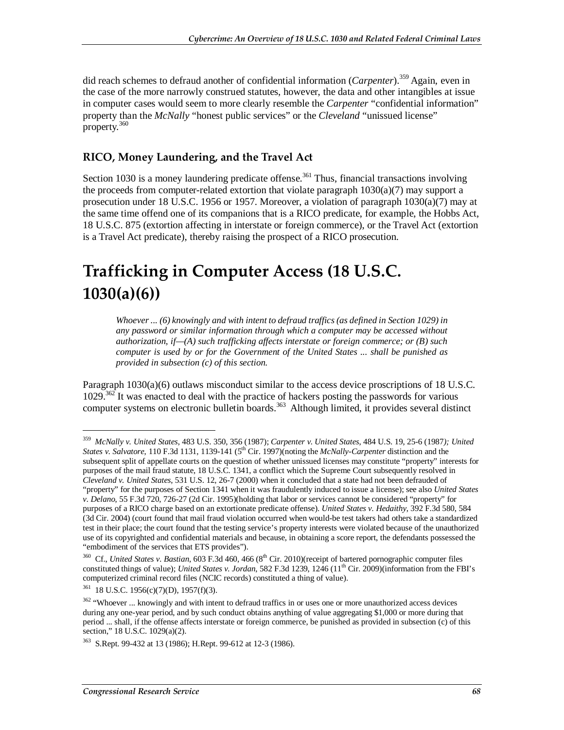did reach schemes to defraud another of confidential information (*Carpenter*).359 Again, even in the case of the more narrowly construed statutes, however, the data and other intangibles at issue in computer cases would seem to more clearly resemble the *Carpenter* "confidential information" property than the *McNally* "honest public services" or the *Cleveland* "unissued license" property.  $360$ 

#### **RICO, Money Laundering, and the Travel Act**

Section 1030 is a money laundering predicate offense.<sup>361</sup> Thus, financial transactions involving the proceeds from computer-related extortion that violate paragraph 1030(a)(7) may support a prosecution under 18 U.S.C. 1956 or 1957. Moreover, a violation of paragraph 1030(a)(7) may at the same time offend one of its companions that is a RICO predicate, for example, the Hobbs Act, 18 U.S.C. 875 (extortion affecting in interstate or foreign commerce), or the Travel Act (extortion is a Travel Act predicate), thereby raising the prospect of a RICO prosecution.

## **Trafficking in Computer Access (18 U.S.C. 1030(a)(6))**

*Whoever ... (6) knowingly and with intent to defraud traffics (as defined in Section 1029) in any password or similar information through which a computer may be accessed without authorization, if—(A) such trafficking affects interstate or foreign commerce; or (B) such computer is used by or for the Government of the United States ... shall be punished as provided in subsection (c) of this section.* 

Paragraph 1030(a)(6) outlaws misconduct similar to the access device proscriptions of 18 U.S.C.  $1029$ .<sup>362</sup> It was enacted to deal with the practice of hackers posting the passwords for various computer systems on electronic bulletin boards.<sup>363</sup> Although limited, it provides several distinct

<sup>359</sup> *McNally v. United States*, 483 U.S. 350, 356 (1987); *Carpenter v. United States*, 484 U.S. 19, 25-6 (1987*); United States v. Salvatore*, 110 F.3d 1131, 1139-141 (5<sup>th</sup> Cir. 1997)(noting the *McNally-Carpenter* distinction and the subsequent split of appellate courts on the question of whether unissued licenses may constitute "property" interests for purposes of the mail fraud statute, 18 U.S.C. 1341, a conflict which the Supreme Court subsequently resolved in *Cleveland v. United States*, 531 U.S. 12, 26-7 (2000) when it concluded that a state had not been defrauded of "property" for the purposes of Section 1341 when it was fraudulently induced to issue a license); see also *United States* 

*v. Delano*, 55 F.3d 720, 726-27 (2d Cir. 1995)(holding that labor or services cannot be considered "property" for purposes of a RICO charge based on an extortionate predicate offense). *United States v. Hedaithy*, 392 F.3d 580, 584 (3d Cir. 2004) (court found that mail fraud violation occurred when would-be test takers had others take a standardized test in their place; the court found that the testing service's property interests were violated because of the unauthorized use of its copyrighted and confidential materials and because, in obtaining a score report, the defendants possessed the "embodiment of the services that ETS provides").

<sup>&</sup>lt;sup>360</sup> Cf., *United States v. Bastian*, 603 F.3d 460, 466 (8<sup>th</sup> Cir. 2010)(receipt of bartered pornographic computer files constituted things of value); *United States v. Jordan*, 582 F.3d 1239, 1246 (11<sup>th</sup> Cir. 2009)(information from the FBI's computerized criminal record files (NCIC records) constituted a thing of value).

<sup>361 18</sup> U.S.C. 1956(c)(7)(D), 1957(f)(3).

<sup>&</sup>lt;sup>362</sup> "Whoever ... knowingly and with intent to defraud traffics in or uses one or more unauthorized access devices during any one-year period, and by such conduct obtains anything of value aggregating \$1,000 or more during that period ... shall, if the offense affects interstate or foreign commerce, be punished as provided in subsection (c) of this section," 18 U.S.C. 1029(a)(2).

<sup>363</sup> S.Rept. 99-432 at 13 (1986); H.Rept. 99-612 at 12-3 (1986).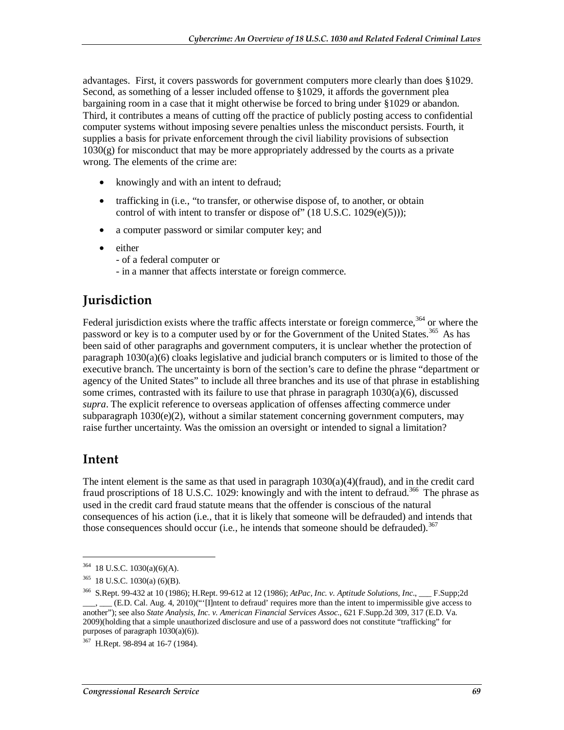advantages. First, it covers passwords for government computers more clearly than does §1029. Second, as something of a lesser included offense to §1029, it affords the government plea bargaining room in a case that it might otherwise be forced to bring under §1029 or abandon. Third, it contributes a means of cutting off the practice of publicly posting access to confidential computer systems without imposing severe penalties unless the misconduct persists. Fourth, it supplies a basis for private enforcement through the civil liability provisions of subsection  $1030(g)$  for misconduct that may be more appropriately addressed by the courts as a private wrong. The elements of the crime are:

- knowingly and with an intent to defraud;
- trafficking in (i.e., "to transfer, or otherwise dispose of, to another, or obtain control of with intent to transfer or dispose of" (18 U.S.C. 1029(e)(5)));
- a computer password or similar computer key; and
- either
	- of a federal computer or
	- in a manner that affects interstate or foreign commerce.

## **Jurisdiction**

Federal jurisdiction exists where the traffic affects interstate or foreign commerce,  $364$  or where the password or key is to a computer used by or for the Government of the United States.<sup>365</sup> As has been said of other paragraphs and government computers, it is unclear whether the protection of paragraph 1030(a)(6) cloaks legislative and judicial branch computers or is limited to those of the executive branch. The uncertainty is born of the section's care to define the phrase "department or agency of the United States" to include all three branches and its use of that phrase in establishing some crimes, contrasted with its failure to use that phrase in paragraph  $1030(a)(6)$ , discussed *supra*. The explicit reference to overseas application of offenses affecting commerce under subparagraph  $1030(e)(2)$ , without a similar statement concerning government computers, may raise further uncertainty. Was the omission an oversight or intended to signal a limitation?

#### **Intent**

<u>.</u>

The intent element is the same as that used in paragraph  $1030(a)(4)$ (fraud), and in the credit card fraud proscriptions of 18 U.S.C. 1029: knowingly and with the intent to defraud.<sup>366</sup> The phrase as used in the credit card fraud statute means that the offender is conscious of the natural consequences of his action (i.e., that it is likely that someone will be defrauded) and intends that those consequences should occur (i.e., he intends that someone should be defrauded).<sup>367</sup>

 $364$  18 U.S.C. 1030(a)(6)(A).

 $365$  18 U.S.C. 1030(a) (6)(B).

<sup>366</sup> S.Rept. 99-432 at 10 (1986); H.Rept. 99-612 at 12 (1986); *AtPac, Inc. v. Aptitude Solutions, Inc*., \_\_\_ F.Supp;2d \_\_\_, \_\_\_ (E.D. Cal. Aug. 4, 2010)("'[I]ntent to defraud' requires more than the intent to impermissible give access to another"); see also *State Analysis, Inc. v. American Financial Services Assoc*., 621 F.Supp.2d 309, 317 (E.D. Va. 2009)(holding that a simple unauthorized disclosure and use of a password does not constitute "trafficking" for purposes of paragraph 1030(a)(6)).

 $367$  H.Rept. 98-894 at 16-7 (1984).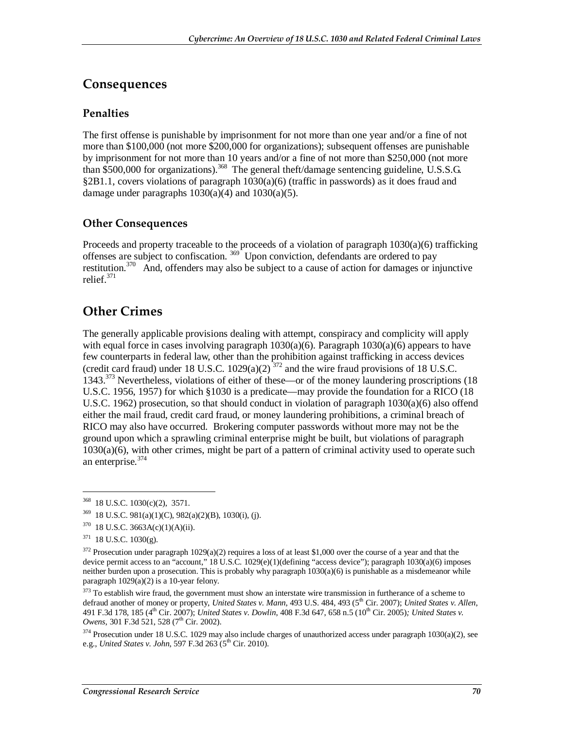### **Consequences**

#### **Penalties**

The first offense is punishable by imprisonment for not more than one year and/or a fine of not more than \$100,000 (not more \$200,000 for organizations); subsequent offenses are punishable by imprisonment for not more than 10 years and/or a fine of not more than \$250,000 (not more than  $$500,000$  for organizations).<sup>368</sup> The general theft/damage sentencing guideline, U.S.S.G. §2B1.1, covers violations of paragraph 1030(a)(6) (traffic in passwords) as it does fraud and damage under paragraphs  $1030(a)(4)$  and  $1030(a)(5)$ .

#### **Other Consequences**

Proceeds and property traceable to the proceeds of a violation of paragraph 1030(a)(6) trafficking offenses are subject to confiscation.  $369$  Upon conviction, defendants are ordered to pay restitution.370 And, offenders may also be subject to a cause of action for damages or injunctive relief $371$ 

## **Other Crimes**

The generally applicable provisions dealing with attempt, conspiracy and complicity will apply with equal force in cases involving paragraph  $1030(a)(6)$ . Paragraph  $1030(a)(6)$  appears to have few counterparts in federal law, other than the prohibition against trafficking in access devices (credit card fraud) under 18 U.S.C.  $1029(a)(2)^{372}$  and the wire fraud provisions of 18 U.S.C. 1343.<sup>373</sup> Nevertheless, violations of either of these—or of the money laundering proscriptions (18) U.S.C. 1956, 1957) for which §1030 is a predicate—may provide the foundation for a RICO (18 U.S.C. 1962) prosecution, so that should conduct in violation of paragraph 1030(a)(6) also offend either the mail fraud, credit card fraud, or money laundering prohibitions, a criminal breach of RICO may also have occurred. Brokering computer passwords without more may not be the ground upon which a sprawling criminal enterprise might be built, but violations of paragraph  $1030(a)(6)$ , with other crimes, might be part of a pattern of criminal activity used to operate such an enterprise.<sup>374</sup>

1

<sup>368 18</sup> U.S.C. 1030(c)(2), 3571.

 $369$  18 U.S.C.  $981(a)(1)(C)$ ,  $982(a)(2)(B)$ ,  $1030(i)$ , (j).

 $370$  18 U.S.C. 3663A(c)(1)(A)(ii).

 $371$  18 U.S.C. 1030(g).

 $372$  Prosecution under paragraph 1029(a)(2) requires a loss of at least \$1,000 over the course of a year and that the device permit access to an "account," 18 U.S.C. 1029(e)(1)(defining "access device"); paragraph  $1030(a)(6)$  imposes neither burden upon a prosecution. This is probably why paragraph 1030(a)(6) is punishable as a misdemeanor while paragraph 1029(a)(2) is a 10-year felony.

<sup>&</sup>lt;sup>373</sup> To establish wire fraud, the government must show an interstate wire transmission in furtherance of a scheme to defraud another of money or property, *United States v. Mann*, 493 U.S. 484, 493 (5<sup>th</sup> Cir. 2007); *United States v. Allen*, 491 F.3d 178, 185 (4<sup>th</sup> Cir. 2007); *United States v. Dowlin*, 408 F.3d 647, 658 n.5 (10<sup>th</sup> Cir. 2005); *United States v. Owens*, 301 F.3d 521, 528 (7<sup>th</sup> Cir. 2002).

<sup>&</sup>lt;sup>374</sup> Prosecution under 18 U.S.C. 1029 may also include charges of unauthorized access under paragraph 1030(a)(2), see e.g., *United States v. John*, 597 F.3d 263 (5<sup>th</sup> Cir. 2010).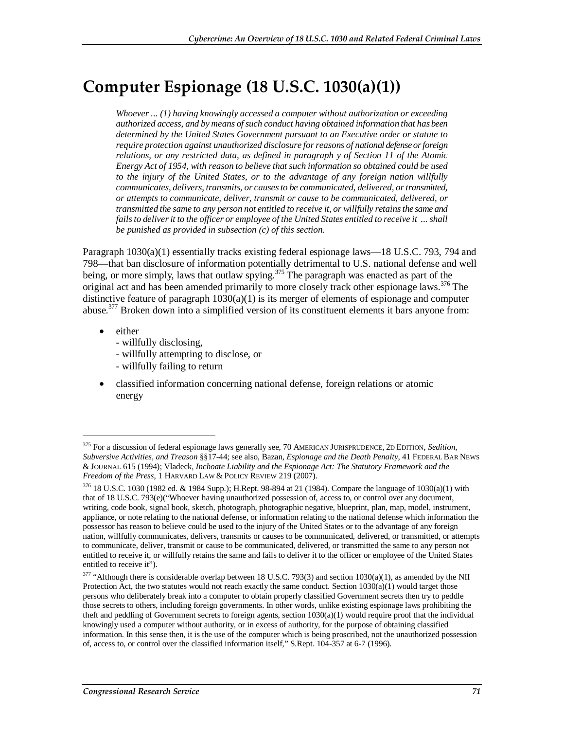## **Computer Espionage (18 U.S.C. 1030(a)(1))**

*Whoever ... (1) having knowingly accessed a computer without authorization or exceeding authorized access, and by means of such conduct having obtained information that has been determined by the United States Government pursuant to an Executive order or statute to require protection against unauthorized disclosure for reasons of national defense or foreign relations, or any restricted data, as defined in paragraph y of Section 11 of the Atomic Energy Act of 1954, with reason to believe that such information so obtained could be used to the injury of the United States, or to the advantage of any foreign nation willfully communicates, delivers, transmits, or causes to be communicated, delivered, or transmitted, or attempts to communicate, deliver, transmit or cause to be communicated, delivered, or transmitted the same to any person not entitled to receive it, or willfully retains the same and fails to deliver it to the officer or employee of the United States entitled to receive it ... shall be punished as provided in subsection (c) of this section.*

Paragraph 1030(a)(1) essentially tracks existing federal espionage laws—18 U.S.C. 793, 794 and 798—that ban disclosure of information potentially detrimental to U.S. national defense and well being, or more simply, laws that outlaw spying.<sup>375</sup> The paragraph was enacted as part of the original act and has been amended primarily to more closely track other espionage laws.<sup>376</sup> The distinctive feature of paragraph  $1030(a)(1)$  is its merger of elements of espionage and computer abuse.377 Broken down into a simplified version of its constituent elements it bars anyone from:

• either

- willfully disclosing,
- willfully attempting to disclose, or
- willfully failing to return
- classified information concerning national defense, foreign relations or atomic energy

<sup>375</sup> For a discussion of federal espionage laws generally see, 70 AMERICAN JURISPRUDENCE, 2D EDITION, *Sedition, Subversive Activities, and Treason* §§17-44; see also, Bazan, *Espionage and the Death Penalty*, 41 FEDERAL BAR NEWS & JOURNAL 615 (1994); Vladeck, *Inchoate Liability and the Espionage Act: The Statutory Framework and the Freedom of the Press*, 1 HARVARD LAW & POLICY REVIEW 219 (2007).

<sup>376 18</sup> U.S.C. 1030 (1982 ed. & 1984 Supp.); H.Rept. 98-894 at 21 (1984). Compare the language of 1030(a)(1) with that of 18 U.S.C. 793(e)("Whoever having unauthorized possession of, access to, or control over any document, writing, code book, signal book, sketch, photograph, photographic negative, blueprint, plan, map, model, instrument, appliance, or note relating to the national defense, or information relating to the national defense which information the possessor has reason to believe could be used to the injury of the United States or to the advantage of any foreign nation, willfully communicates, delivers, transmits or causes to be communicated, delivered, or transmitted, or attempts to communicate, deliver, transmit or cause to be communicated, delivered, or transmitted the same to any person not entitled to receive it, or willfully retains the same and fails to deliver it to the officer or employee of the United States entitled to receive it").

 $377$  "Although there is considerable overlap between 18 U.S.C. 793(3) and section 1030(a)(1), as amended by the NII Protection Act, the two statutes would not reach exactly the same conduct. Section 1030(a)(1) would target those persons who deliberately break into a computer to obtain properly classified Government secrets then try to peddle those secrets to others, including foreign governments. In other words, unlike existing espionage laws prohibiting the theft and peddling of Government secrets to foreign agents, section  $1030(a)(1)$  would require proof that the individual knowingly used a computer without authority, or in excess of authority, for the purpose of obtaining classified information. In this sense then, it is the use of the computer which is being proscribed, not the unauthorized possession of, access to, or control over the classified information itself," S.Rept. 104-357 at 6-7 (1996).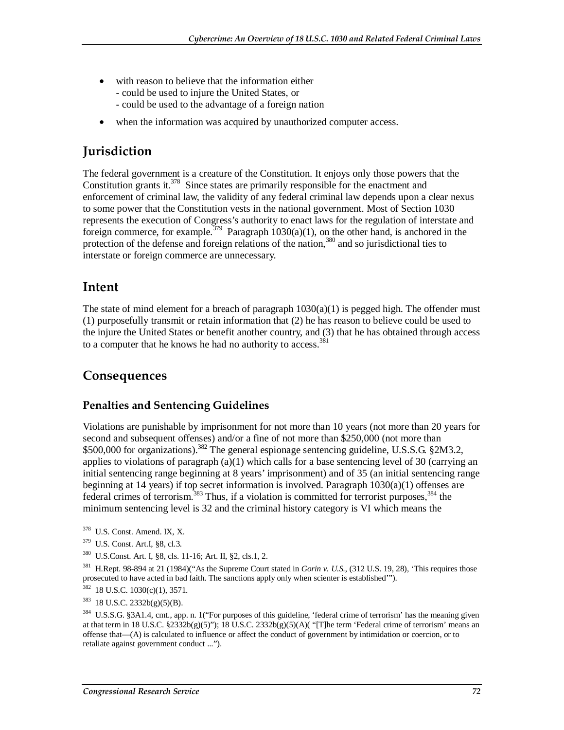- with reason to believe that the information either
	- could be used to injure the United States, or
	- could be used to the advantage of a foreign nation
- when the information was acquired by unauthorized computer access.

### **Jurisdiction**

The federal government is a creature of the Constitution. It enjoys only those powers that the Constitution grants it.<sup>378</sup> Since states are primarily responsible for the enactment and enforcement of criminal law, the validity of any federal criminal law depends upon a clear nexus to some power that the Constitution vests in the national government. Most of Section 1030 represents the execution of Congress's authority to enact laws for the regulation of interstate and foreign commerce, for example.<sup>379</sup> Paragraph  $1030(a)(1)$ , on the other hand, is anchored in the protection of the defense and foreign relations of the nation,<sup>380</sup> and so jurisdictional ties to interstate or foreign commerce are unnecessary.

#### **Intent**

The state of mind element for a breach of paragraph  $1030(a)(1)$  is pegged high. The offender must (1) purposefully transmit or retain information that (2) he has reason to believe could be used to the injure the United States or benefit another country, and (3) that he has obtained through access to a computer that he knows he had no authority to access.<sup>381</sup>

#### **Consequences**

#### **Penalties and Sentencing Guidelines**

Violations are punishable by imprisonment for not more than 10 years (not more than 20 years for second and subsequent offenses) and/or a fine of not more than \$250,000 (not more than \$500,000 for organizations).<sup>382</sup> The general espionage sentencing guideline, U.S.S.G. §2M3.2, applies to violations of paragraph  $(a)(1)$  which calls for a base sentencing level of 30 (carrying an initial sentencing range beginning at 8 years' imprisonment) and of 35 (an initial sentencing range beginning at 14 years) if top secret information is involved. Paragraph 1030(a)(1) offenses are federal crimes of terrorism.<sup>383</sup> Thus, if a violation is committed for terrorist purposes,<sup>384</sup> the minimum sentencing level is 32 and the criminal history category is VI which means the

<sup>378</sup> U.S. Const. Amend. IX, X.

<sup>379</sup> U.S. Const. Art.I, §8, cl.3.

<sup>380</sup> U.S.Const. Art. I, §8, cls. 11-16; Art. II, §2, cls.1, 2.

<sup>381</sup> H.Rept. 98-894 at 21 (1984)("As the Supreme Court stated in *Gorin v. U.S.*, (312 U.S. 19, 28), 'This requires those prosecuted to have acted in bad faith. The sanctions apply only when scienter is established'").

 $382$  18 U.S.C. 1030(c)(1), 3571.

 $383$  18 U.S.C. 2332b(g)(5)(B).

<sup>&</sup>lt;sup>384</sup> U.S.S.G. §3A1.4, cmt., app. n. 1("For purposes of this guideline, 'federal crime of terrorism' has the meaning given at that term in 18 U.S.C.  $\S2332b(g)(5)$ "); 18 U.S.C.  $2332b(g)(5)(A)$ ("The term 'Federal crime of terrorism' means an offense that—(A) is calculated to influence or affect the conduct of government by intimidation or coercion, or to retaliate against government conduct ...").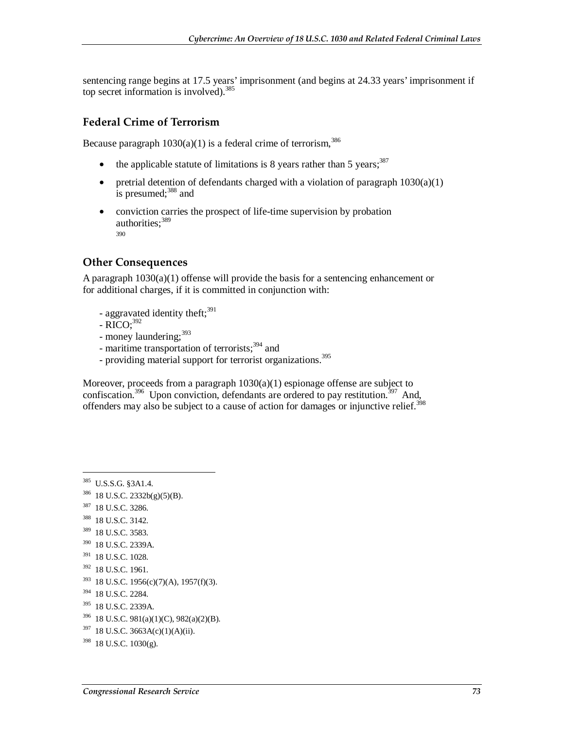sentencing range begins at 17.5 years' imprisonment (and begins at 24.33 years' imprisonment if top secret information is involved).<sup>385</sup>

#### **Federal Crime of Terrorism**

Because paragraph  $1030(a)(1)$  is a federal crime of terrorism.<sup>386</sup>

- the applicable statute of limitations is 8 years rather than 5 years;  $387$
- pretrial detention of defendants charged with a violation of paragraph  $1030(a)(1)$ is presumed; $388$  and
- conviction carries the prospect of life-time supervision by probation authorities;  $389$

#### **Other Consequences**

A paragraph  $1030(a)(1)$  offense will provide the basis for a sentencing enhancement or for additional charges, if it is committed in conjunction with:

- aggravated identity theft: $391$
- $-$  RICO;<sup>392</sup>
- money laundering;<sup>393</sup>
- maritime transportation of terrorists;<sup>394</sup> and
- providing material support for terrorist organizations.<sup>395</sup>

Moreover, proceeds from a paragraph 1030(a)(1) espionage offense are subject to confiscation.<sup>396</sup> Upon conviction, defendants are ordered to pay restitution.<sup>397</sup> And, offenders may also be subject to a cause of action for damages or injunctive relief.<sup>398</sup>

- $386$  18 U.S.C. 2332b(g)(5)(B).
- 387 18 U.S.C. 3286.
- 388 18 U.S.C. 3142.
- 389 18 U.S.C. 3583.
- 390 18 U.S.C. 2339A.
- 391 18 U.S.C. 1028.
- <sup>392</sup> 18 U.S.C. 1961.
- $393$  18 U.S.C. 1956(c)(7)(A), 1957(f)(3).
- 394 18 U.S.C. 2284.
- 395 18 U.S.C. 2339A.
- 396 18 U.S.C. 981(a)(1)(C), 982(a)(2)(B).
- $397$  18 U.S.C. 3663A(c)(1)(A)(ii).
- $398$  18 U.S.C. 1030(g).

<sup>385</sup> U.S.S.G. §3A1.4.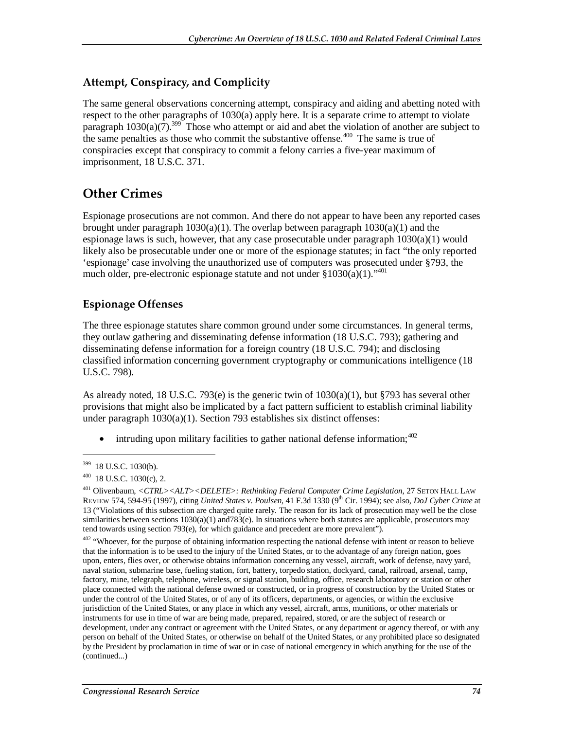#### **Attempt, Conspiracy, and Complicity**

The same general observations concerning attempt, conspiracy and aiding and abetting noted with respect to the other paragraphs of 1030(a) apply here. It is a separate crime to attempt to violate paragraph  $1030(a)(7)$ <sup>399</sup> Those who attempt or aid and abet the violation of another are subject to the same penalties as those who commit the substantive offense.<sup> $400$ </sup> The same is true of conspiracies except that conspiracy to commit a felony carries a five-year maximum of imprisonment, 18 U.S.C. 371.

### **Other Crimes**

Espionage prosecutions are not common. And there do not appear to have been any reported cases brought under paragraph  $1030(a)(1)$ . The overlap between paragraph  $1030(a)(1)$  and the espionage laws is such, however, that any case prosecutable under paragraph  $1030(a)(1)$  would likely also be prosecutable under one or more of the espionage statutes; in fact "the only reported 'espionage' case involving the unauthorized use of computers was prosecuted under §793, the much older, pre-electronic espionage statute and not under  $$1030(a)(1)$ .<sup>401</sup>

#### **Espionage Offenses**

The three espionage statutes share common ground under some circumstances. In general terms, they outlaw gathering and disseminating defense information (18 U.S.C. 793); gathering and disseminating defense information for a foreign country (18 U.S.C. 794); and disclosing classified information concerning government cryptography or communications intelligence (18 U.S.C. 798).

As already noted, 18 U.S.C. 793(e) is the generic twin of 1030(a)(1), but §793 has several other provisions that might also be implicated by a fact pattern sufficient to establish criminal liability under paragraph 1030(a)(1). Section 793 establishes six distinct offenses:

• intruding upon military facilities to gather national defense information;  $402$ 

1

<sup>402</sup> "Whoever, for the purpose of obtaining information respecting the national defense with intent or reason to believe that the information is to be used to the injury of the United States, or to the advantage of any foreign nation, goes upon, enters, flies over, or otherwise obtains information concerning any vessel, aircraft, work of defense, navy yard, naval station, submarine base, fueling station, fort, battery, torpedo station, dockyard, canal, railroad, arsenal, camp, factory, mine, telegraph, telephone, wireless, or signal station, building, office, research laboratory or station or other place connected with the national defense owned or constructed, or in progress of construction by the United States or under the control of the United States, or of any of its officers, departments, or agencies, or within the exclusive jurisdiction of the United States, or any place in which any vessel, aircraft, arms, munitions, or other materials or instruments for use in time of war are being made, prepared, repaired, stored, or are the subject of research or development, under any contract or agreement with the United States, or any department or agency thereof, or with any person on behalf of the United States, or otherwise on behalf of the United States, or any prohibited place so designated by the President by proclamation in time of war or in case of national emergency in which anything for the use of the (continued...)

<sup>399 18</sup> U.S.C. 1030(b).

 $400$  18 U.S.C. 1030(c), 2.

<sup>401</sup> Olivenbaum, *<CTRL><ALT><DELETE>: Rethinking Federal Computer Crime Legislation*, 27 SETON HALL LAW REVIEW 574, 594-95 (1997), citing *United States v. Poulsen*, 41 F.3d 1330 (9<sup>th</sup> Cir. 1994); see also, *DoJ Cyber Crime* at 13 ("Violations of this subsection are charged quite rarely. The reason for its lack of prosecution may well be the close similarities between sections  $1030(a)(1)$  and  $783(e)$ . In situations where both statutes are applicable, prosecutors may tend towards using section 793(e), for which guidance and precedent are more prevalent").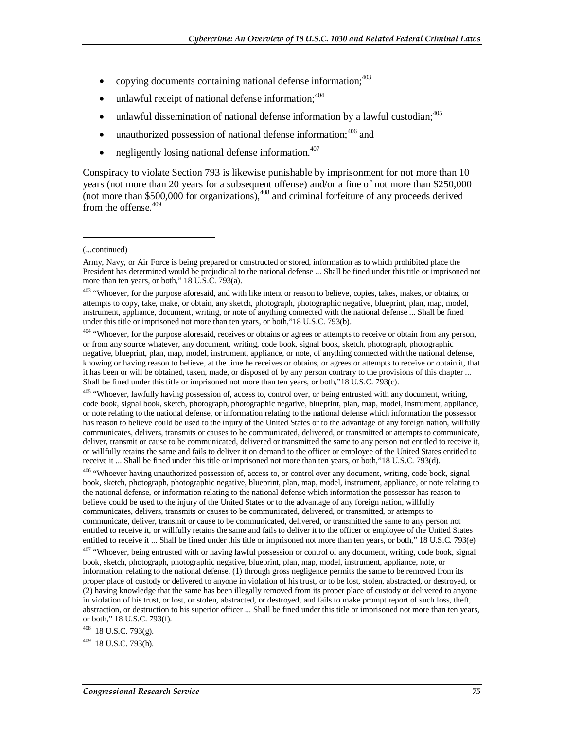- copying documents containing national defense information;<sup>403</sup>
- $\bullet$  unlawful receipt of national defense information:  $404$
- unlawful dissemination of national defense information by a lawful custodian;  $405$
- unauthorized possession of national defense information; $406$  and
- negligently losing national defense information. $407$

Conspiracy to violate Section 793 is likewise punishable by imprisonment for not more than 10 years (not more than 20 years for a subsequent offense) and/or a fine of not more than \$250,000 (not more than \$500,000 for organizations),408 and criminal forfeiture of any proceeds derived from the offense.<sup>409</sup>

1

<sup>404</sup> "Whoever, for the purpose aforesaid, receives or obtains or agrees or attempts to receive or obtain from any person, or from any source whatever, any document, writing, code book, signal book, sketch, photograph, photographic negative, blueprint, plan, map, model, instrument, appliance, or note, of anything connected with the national defense, knowing or having reason to believe, at the time he receives or obtains, or agrees or attempts to receive or obtain it, that it has been or will be obtained, taken, made, or disposed of by any person contrary to the provisions of this chapter ... Shall be fined under this title or imprisoned not more than ten years, or both,"18 U.S.C. 793(c).

<sup>405</sup> "Whoever, lawfully having possession of, access to, control over, or being entrusted with any document, writing, code book, signal book, sketch, photograph, photographic negative, blueprint, plan, map, model, instrument, appliance, or note relating to the national defense, or information relating to the national defense which information the possessor has reason to believe could be used to the injury of the United States or to the advantage of any foreign nation, willfully communicates, delivers, transmits or causes to be communicated, delivered, or transmitted or attempts to communicate, deliver, transmit or cause to be communicated, delivered or transmitted the same to any person not entitled to receive it, or willfully retains the same and fails to deliver it on demand to the officer or employee of the United States entitled to receive it ... Shall be fined under this title or imprisoned not more than ten years, or both,"18 U.S.C. 793(d).

<sup>406</sup> "Whoever having unauthorized possession of, access to, or control over any document, writing, code book, signal book, sketch, photograph, photographic negative, blueprint, plan, map, model, instrument, appliance, or note relating to the national defense, or information relating to the national defense which information the possessor has reason to believe could be used to the injury of the United States or to the advantage of any foreign nation, willfully communicates, delivers, transmits or causes to be communicated, delivered, or transmitted, or attempts to communicate, deliver, transmit or cause to be communicated, delivered, or transmitted the same to any person not entitled to receive it, or willfully retains the same and fails to deliver it to the officer or employee of the United States entitled to receive it ... Shall be fined under this title or imprisoned not more than ten years, or both," 18 U.S.C. 793(e)

<sup>407</sup> "Whoever, being entrusted with or having lawful possession or control of any document, writing, code book, signal book, sketch, photograph, photographic negative, blueprint, plan, map, model, instrument, appliance, note, or information, relating to the national defense, (1) through gross negligence permits the same to be removed from its proper place of custody or delivered to anyone in violation of his trust, or to be lost, stolen, abstracted, or destroyed, or (2) having knowledge that the same has been illegally removed from its proper place of custody or delivered to anyone in violation of his trust, or lost, or stolen, abstracted, or destroyed, and fails to make prompt report of such loss, theft, abstraction, or destruction to his superior officer ... Shall be fined under this title or imprisoned not more than ten years, or both," 18 U.S.C. 793(f).

408 18 U.S.C. 793(g).

 $409$  18 U.S.C. 793(h).

<sup>(...</sup>continued)

Army, Navy, or Air Force is being prepared or constructed or stored, information as to which prohibited place the President has determined would be prejudicial to the national defense ... Shall be fined under this title or imprisoned not more than ten years, or both," 18 U.S.C. 793(a).

<sup>&</sup>lt;sup>403</sup> "Whoever, for the purpose aforesaid, and with like intent or reason to believe, copies, takes, makes, or obtains, or attempts to copy, take, make, or obtain, any sketch, photograph, photographic negative, blueprint, plan, map, model, instrument, appliance, document, writing, or note of anything connected with the national defense ... Shall be fined under this title or imprisoned not more than ten years, or both,"18 U.S.C. 793(b).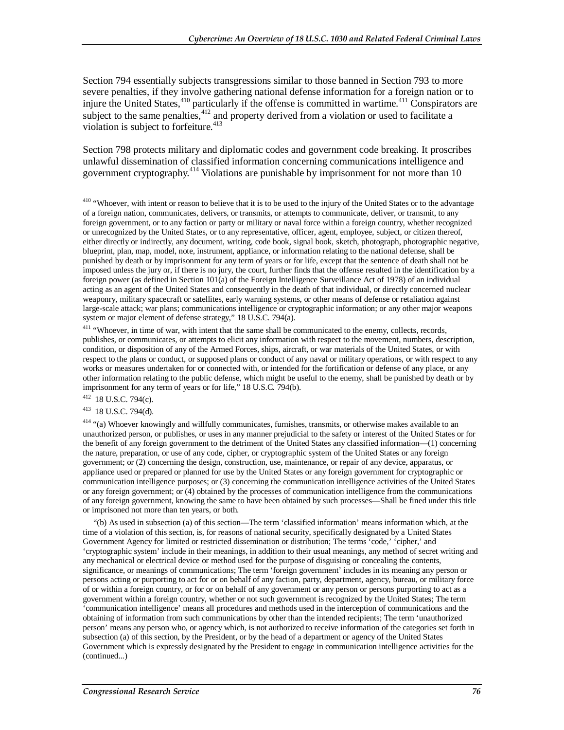Section 794 essentially subjects transgressions similar to those banned in Section 793 to more severe penalties, if they involve gathering national defense information for a foreign nation or to injure the United States,<sup>410</sup> particularly if the offense is committed in wartime.<sup>411</sup> Conspirators are subject to the same penalties, $4^{12}$  and property derived from a violation or used to facilitate a violation is subject to forfeiture. $413$ 

Section 798 protects military and diplomatic codes and government code breaking. It proscribes unlawful dissemination of classified information concerning communications intelligence and government cryptography.414 Violations are punishable by imprisonment for not more than 10

<sup>411</sup> "Whoever, in time of war, with intent that the same shall be communicated to the enemy, collects, records, publishes, or communicates, or attempts to elicit any information with respect to the movement, numbers, description, condition, or disposition of any of the Armed Forces, ships, aircraft, or war materials of the United States, or with respect to the plans or conduct, or supposed plans or conduct of any naval or military operations, or with respect to any works or measures undertaken for or connected with, or intended for the fortification or defense of any place, or any other information relating to the public defense, which might be useful to the enemy, shall be punished by death or by imprisonment for any term of years or for life," 18 U.S.C. 794(b).

412 18 U.S.C. 794(c).

1

413 18 U.S.C. 794(d).

414 "(a) Whoever knowingly and willfully communicates, furnishes, transmits, or otherwise makes available to an unauthorized person, or publishes, or uses in any manner prejudicial to the safety or interest of the United States or for the benefit of any foreign government to the detriment of the United States any classified information—(1) concerning the nature, preparation, or use of any code, cipher, or cryptographic system of the United States or any foreign government; or (2) concerning the design, construction, use, maintenance, or repair of any device, apparatus, or appliance used or prepared or planned for use by the United States or any foreign government for cryptographic or communication intelligence purposes; or (3) concerning the communication intelligence activities of the United States or any foreign government; or (4) obtained by the processes of communication intelligence from the communications of any foreign government, knowing the same to have been obtained by such processes—Shall be fined under this title or imprisoned not more than ten years, or both.

 "(b) As used in subsection (a) of this section—The term 'classified information' means information which, at the time of a violation of this section, is, for reasons of national security, specifically designated by a United States Government Agency for limited or restricted dissemination or distribution; The terms 'code,' 'cipher,' and 'cryptographic system' include in their meanings, in addition to their usual meanings, any method of secret writing and any mechanical or electrical device or method used for the purpose of disguising or concealing the contents, significance, or meanings of communications; The term 'foreign government' includes in its meaning any person or persons acting or purporting to act for or on behalf of any faction, party, department, agency, bureau, or military force of or within a foreign country, or for or on behalf of any government or any person or persons purporting to act as a government within a foreign country, whether or not such government is recognized by the United States; The term 'communication intelligence' means all procedures and methods used in the interception of communications and the obtaining of information from such communications by other than the intended recipients; The term 'unauthorized person' means any person who, or agency which, is not authorized to receive information of the categories set forth in subsection (a) of this section, by the President, or by the head of a department or agency of the United States Government which is expressly designated by the President to engage in communication intelligence activities for the (continued...)

<sup>&</sup>lt;sup>410</sup> "Whoever, with intent or reason to believe that it is to be used to the injury of the United States or to the advantage of a foreign nation, communicates, delivers, or transmits, or attempts to communicate, deliver, or transmit, to any foreign government, or to any faction or party or military or naval force within a foreign country, whether recognized or unrecognized by the United States, or to any representative, officer, agent, employee, subject, or citizen thereof, either directly or indirectly, any document, writing, code book, signal book, sketch, photograph, photographic negative, blueprint, plan, map, model, note, instrument, appliance, or information relating to the national defense, shall be punished by death or by imprisonment for any term of years or for life, except that the sentence of death shall not be imposed unless the jury or, if there is no jury, the court, further finds that the offense resulted in the identification by a foreign power (as defined in Section 101(a) of the Foreign Intelligence Surveillance Act of 1978) of an individual acting as an agent of the United States and consequently in the death of that individual, or directly concerned nuclear weaponry, military spacecraft or satellites, early warning systems, or other means of defense or retaliation against large-scale attack; war plans; communications intelligence or cryptographic information; or any other major weapons system or major element of defense strategy," 18 U.S.C. 794(a).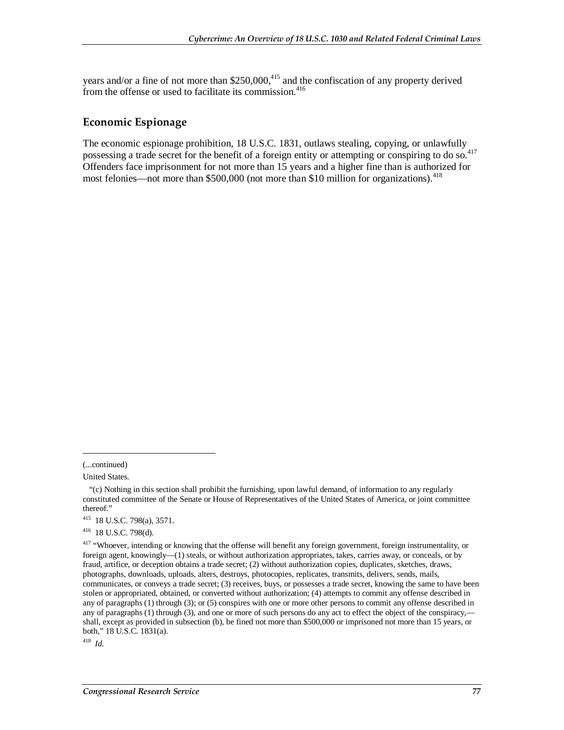years and/or a fine of not more than \$250,000,<sup>415</sup> and the confiscation of any property derived from the offense or used to facilitate its commission.<sup>416</sup>

#### **Economic Espionage**

The economic espionage prohibition, 18 U.S.C. 1831, outlaws stealing, copying, or unlawfully possessing a trade secret for the benefit of a foreign entity or attempting or conspiring to do so.<sup>417</sup> Offenders face imprisonment for not more than 15 years and a higher fine than is authorized for most felonies—not more than \$500,000 (not more than \$10 million for organizations).<sup>418</sup>

1

418 *Id*.

<sup>(...</sup>continued)

United States.

 <sup>&</sup>quot;(c) Nothing in this section shall prohibit the furnishing, upon lawful demand, of information to any regularly constituted committee of the Senate or House of Representatives of the United States of America, or joint committee thereof."

<sup>415 18</sup> U.S.C. 798(a), 3571.

<sup>416 18</sup> U.S.C. 798(d).

<sup>&</sup>lt;sup>417</sup> "Whoever, intending or knowing that the offense will benefit any foreign government, foreign instrumentality, or foreign agent, knowingly—(1) steals, or without authorization appropriates, takes, carries away, or conceals, or by fraud, artifice, or deception obtains a trade secret; (2) without authorization copies, duplicates, sketches, draws, photographs, downloads, uploads, alters, destroys, photocopies, replicates, transmits, delivers, sends, mails, communicates, or conveys a trade secret; (3) receives, buys, or possesses a trade secret, knowing the same to have been stolen or appropriated, obtained, or converted without authorization; (4) attempts to commit any offense described in any of paragraphs (1) through (3); or (5) conspires with one or more other persons to commit any offense described in any of paragraphs (1) through (3), and one or more of such persons do any act to effect the object of the conspiracy, shall, except as provided in subsection (b), be fined not more than \$500,000 or imprisoned not more than 15 years, or both," 18 U.S.C. 1831(a).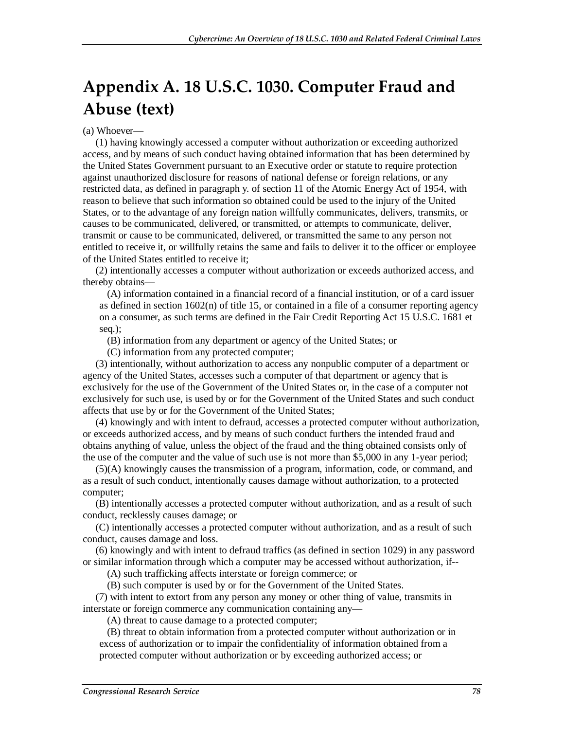# **Appendix A. 18 U.S.C. 1030. Computer Fraud and Abuse (text)**

(a) Whoever—

(1) having knowingly accessed a computer without authorization or exceeding authorized access, and by means of such conduct having obtained information that has been determined by the United States Government pursuant to an Executive order or statute to require protection against unauthorized disclosure for reasons of national defense or foreign relations, or any restricted data, as defined in paragraph y. of section 11 of the Atomic Energy Act of 1954, with reason to believe that such information so obtained could be used to the injury of the United States, or to the advantage of any foreign nation willfully communicates, delivers, transmits, or causes to be communicated, delivered, or transmitted, or attempts to communicate, deliver, transmit or cause to be communicated, delivered, or transmitted the same to any person not entitled to receive it, or willfully retains the same and fails to deliver it to the officer or employee of the United States entitled to receive it;

 (2) intentionally accesses a computer without authorization or exceeds authorized access, and thereby obtains—

 (A) information contained in a financial record of a financial institution, or of a card issuer as defined in section  $1602(n)$  of title 15, or contained in a file of a consumer reporting agency on a consumer, as such terms are defined in the Fair Credit Reporting Act 15 U.S.C. 1681 et seq.);

(B) information from any department or agency of the United States; or

(C) information from any protected computer;

 (3) intentionally, without authorization to access any nonpublic computer of a department or agency of the United States, accesses such a computer of that department or agency that is exclusively for the use of the Government of the United States or, in the case of a computer not exclusively for such use, is used by or for the Government of the United States and such conduct affects that use by or for the Government of the United States;

 (4) knowingly and with intent to defraud, accesses a protected computer without authorization, or exceeds authorized access, and by means of such conduct furthers the intended fraud and obtains anything of value, unless the object of the fraud and the thing obtained consists only of the use of the computer and the value of such use is not more than \$5,000 in any 1-year period;

 (5)(A) knowingly causes the transmission of a program, information, code, or command, and as a result of such conduct, intentionally causes damage without authorization, to a protected computer;

 (B) intentionally accesses a protected computer without authorization, and as a result of such conduct, recklessly causes damage; or

 (C) intentionally accesses a protected computer without authorization, and as a result of such conduct, causes damage and loss.

 (6) knowingly and with intent to defraud traffics (as defined in section 1029) in any password or similar information through which a computer may be accessed without authorization, if--

(A) such trafficking affects interstate or foreign commerce; or

(B) such computer is used by or for the Government of the United States.

 (7) with intent to extort from any person any money or other thing of value, transmits in interstate or foreign commerce any communication containing any—

(A) threat to cause damage to a protected computer;

 (B) threat to obtain information from a protected computer without authorization or in excess of authorization or to impair the confidentiality of information obtained from a protected computer without authorization or by exceeding authorized access; or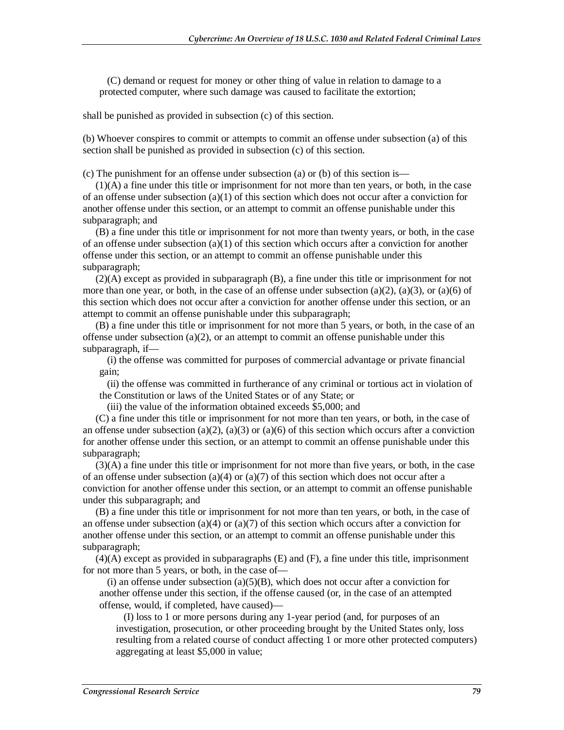(C) demand or request for money or other thing of value in relation to damage to a protected computer, where such damage was caused to facilitate the extortion;

shall be punished as provided in subsection (c) of this section.

(b) Whoever conspires to commit or attempts to commit an offense under subsection (a) of this section shall be punished as provided in subsection (c) of this section.

(c) The punishment for an offense under subsection (a) or (b) of this section is—

 (1)(A) a fine under this title or imprisonment for not more than ten years, or both, in the case of an offense under subsection  $(a)(1)$  of this section which does not occur after a conviction for another offense under this section, or an attempt to commit an offense punishable under this subparagraph; and

 (B) a fine under this title or imprisonment for not more than twenty years, or both, in the case of an offense under subsection  $(a)(1)$  of this section which occurs after a conviction for another offense under this section, or an attempt to commit an offense punishable under this subparagraph;

 (2)(A) except as provided in subparagraph (B), a fine under this title or imprisonment for not more than one year, or both, in the case of an offense under subsection  $(a)(2)$ ,  $(a)(3)$ , or  $(a)(6)$  of this section which does not occur after a conviction for another offense under this section, or an attempt to commit an offense punishable under this subparagraph;

 (B) a fine under this title or imprisonment for not more than 5 years, or both, in the case of an offense under subsection (a)(2), or an attempt to commit an offense punishable under this subparagraph, if—

 (i) the offense was committed for purposes of commercial advantage or private financial gain;

 (ii) the offense was committed in furtherance of any criminal or tortious act in violation of the Constitution or laws of the United States or of any State; or

(iii) the value of the information obtained exceeds \$5,000; and

 (C) a fine under this title or imprisonment for not more than ten years, or both, in the case of an offense under subsection (a)(2), (a)(3) or (a)(6) of this section which occurs after a conviction for another offense under this section, or an attempt to commit an offense punishable under this subparagraph;

 (3)(A) a fine under this title or imprisonment for not more than five years, or both, in the case of an offense under subsection (a)(4) or (a)(7) of this section which does not occur after a conviction for another offense under this section, or an attempt to commit an offense punishable under this subparagraph; and

 (B) a fine under this title or imprisonment for not more than ten years, or both, in the case of an offense under subsection (a)(4) or (a)(7) of this section which occurs after a conviction for another offense under this section, or an attempt to commit an offense punishable under this subparagraph;

 $(4)(A)$  except as provided in subparagraphs  $(E)$  and  $(F)$ , a fine under this title, imprisonment for not more than 5 years, or both, in the case of—

 $(i)$  an offense under subsection  $(a)(5)(B)$ , which does not occur after a conviction for another offense under this section, if the offense caused (or, in the case of an attempted offense, would, if completed, have caused)—

 (I) loss to 1 or more persons during any 1-year period (and, for purposes of an investigation, prosecution, or other proceeding brought by the United States only, loss resulting from a related course of conduct affecting 1 or more other protected computers) aggregating at least \$5,000 in value;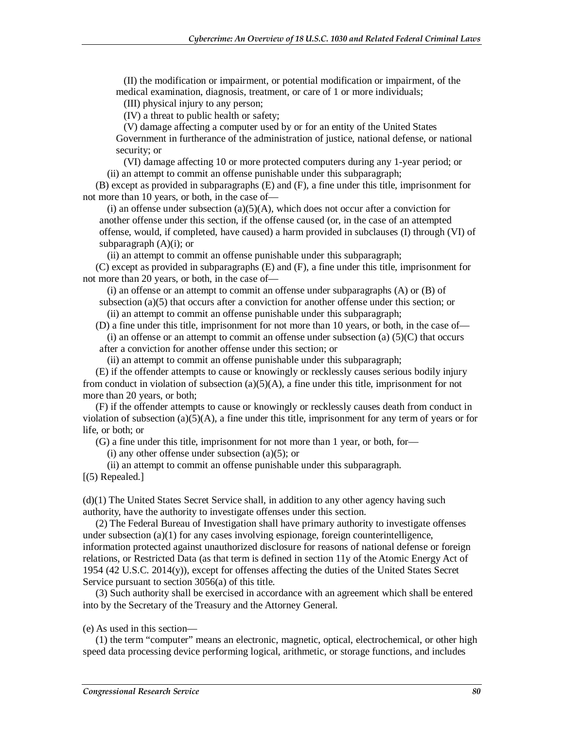(II) the modification or impairment, or potential modification or impairment, of the medical examination, diagnosis, treatment, or care of 1 or more individuals;

(III) physical injury to any person;

(IV) a threat to public health or safety;

 (V) damage affecting a computer used by or for an entity of the United States Government in furtherance of the administration of justice, national defense, or national security; or

 (VI) damage affecting 10 or more protected computers during any 1-year period; or (ii) an attempt to commit an offense punishable under this subparagraph;

 (B) except as provided in subparagraphs (E) and (F), a fine under this title, imprisonment for not more than 10 years, or both, in the case of—

(i) an offense under subsection  $(a)(5)(A)$ , which does not occur after a conviction for another offense under this section, if the offense caused (or, in the case of an attempted offense, would, if completed, have caused) a harm provided in subclauses (I) through (VI) of subparagraph  $(A)(i)$ ; or

(ii) an attempt to commit an offense punishable under this subparagraph;

 (C) except as provided in subparagraphs (E) and (F), a fine under this title, imprisonment for not more than 20 years, or both, in the case of—

(i) an offense or an attempt to commit an offense under subparagraphs (A) or (B) of

subsection (a)(5) that occurs after a conviction for another offense under this section; or (ii) an attempt to commit an offense punishable under this subparagraph;

(D) a fine under this title, imprisonment for not more than 10 years, or both, in the case of—

 $(i)$  an offense or an attempt to commit an offense under subsection (a)  $(5)(C)$  that occurs after a conviction for another offense under this section; or

(ii) an attempt to commit an offense punishable under this subparagraph;

 (E) if the offender attempts to cause or knowingly or recklessly causes serious bodily injury from conduct in violation of subsection  $(a)(5)(A)$ , a fine under this title, imprisonment for not more than 20 years, or both;

 (F) if the offender attempts to cause or knowingly or recklessly causes death from conduct in violation of subsection (a)(5)(A), a fine under this title, imprisonment for any term of years or for life, or both; or

(G) a fine under this title, imprisonment for not more than 1 year, or both, for—

(i) any other offense under subsection  $(a)(5)$ ; or

(ii) an attempt to commit an offense punishable under this subparagraph.

 $(5)$  Repealed.]

(d)(1) The United States Secret Service shall, in addition to any other agency having such authority, have the authority to investigate offenses under this section.

 (2) The Federal Bureau of Investigation shall have primary authority to investigate offenses under subsection  $(a)(1)$  for any cases involving espionage, foreign counterintelligence, information protected against unauthorized disclosure for reasons of national defense or foreign relations, or Restricted Data (as that term is defined in section 11y of the Atomic Energy Act of 1954 (42 U.S.C. 2014(y)), except for offenses affecting the duties of the United States Secret Service pursuant to section 3056(a) of this title.

 (3) Such authority shall be exercised in accordance with an agreement which shall be entered into by the Secretary of the Treasury and the Attorney General.

(e) As used in this section—

 (1) the term "computer" means an electronic, magnetic, optical, electrochemical, or other high speed data processing device performing logical, arithmetic, or storage functions, and includes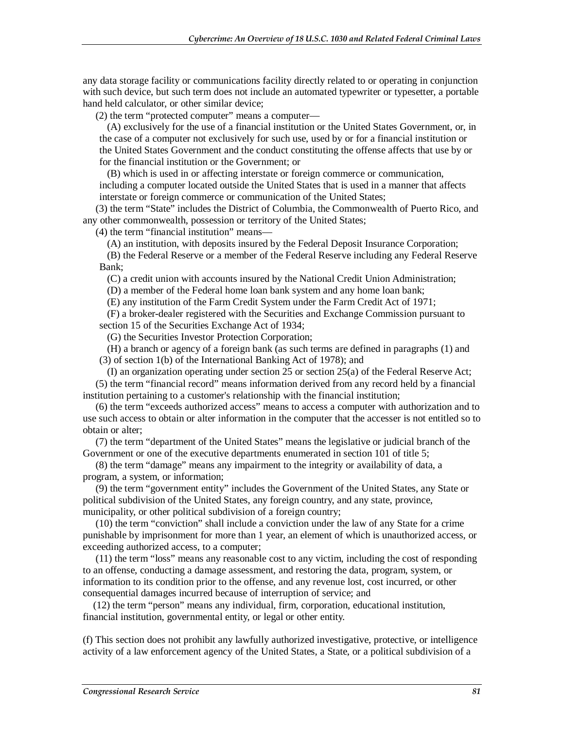any data storage facility or communications facility directly related to or operating in conjunction with such device, but such term does not include an automated typewriter or typesetter, a portable hand held calculator, or other similar device;

(2) the term "protected computer" means a computer—

 (A) exclusively for the use of a financial institution or the United States Government, or, in the case of a computer not exclusively for such use, used by or for a financial institution or the United States Government and the conduct constituting the offense affects that use by or for the financial institution or the Government; or

 (B) which is used in or affecting interstate or foreign commerce or communication, including a computer located outside the United States that is used in a manner that affects interstate or foreign commerce or communication of the United States;

 (3) the term "State" includes the District of Columbia, the Commonwealth of Puerto Rico, and any other commonwealth, possession or territory of the United States;

(4) the term "financial institution" means—

(A) an institution, with deposits insured by the Federal Deposit Insurance Corporation;

 (B) the Federal Reserve or a member of the Federal Reserve including any Federal Reserve Bank;

(C) a credit union with accounts insured by the National Credit Union Administration;

(D) a member of the Federal home loan bank system and any home loan bank;

(E) any institution of the Farm Credit System under the Farm Credit Act of 1971;

 (F) a broker-dealer registered with the Securities and Exchange Commission pursuant to section 15 of the Securities Exchange Act of 1934;

(G) the Securities Investor Protection Corporation;

 (H) a branch or agency of a foreign bank (as such terms are defined in paragraphs (1) and (3) of section 1(b) of the International Banking Act of 1978); and

(I) an organization operating under section 25 or section 25(a) of the Federal Reserve Act;

 (5) the term "financial record" means information derived from any record held by a financial institution pertaining to a customer's relationship with the financial institution;

 (6) the term "exceeds authorized access" means to access a computer with authorization and to use such access to obtain or alter information in the computer that the accesser is not entitled so to obtain or alter;

 (7) the term "department of the United States" means the legislative or judicial branch of the Government or one of the executive departments enumerated in section 101 of title 5;

 (8) the term "damage" means any impairment to the integrity or availability of data, a program, a system, or information;

 (9) the term "government entity" includes the Government of the United States, any State or political subdivision of the United States, any foreign country, and any state, province, municipality, or other political subdivision of a foreign country;

 (10) the term "conviction" shall include a conviction under the law of any State for a crime punishable by imprisonment for more than 1 year, an element of which is unauthorized access, or exceeding authorized access, to a computer;

 (11) the term "loss" means any reasonable cost to any victim, including the cost of responding to an offense, conducting a damage assessment, and restoring the data, program, system, or information to its condition prior to the offense, and any revenue lost, cost incurred, or other consequential damages incurred because of interruption of service; and

 (12) the term "person" means any individual, firm, corporation, educational institution, financial institution, governmental entity, or legal or other entity.

(f) This section does not prohibit any lawfully authorized investigative, protective, or intelligence activity of a law enforcement agency of the United States, a State, or a political subdivision of a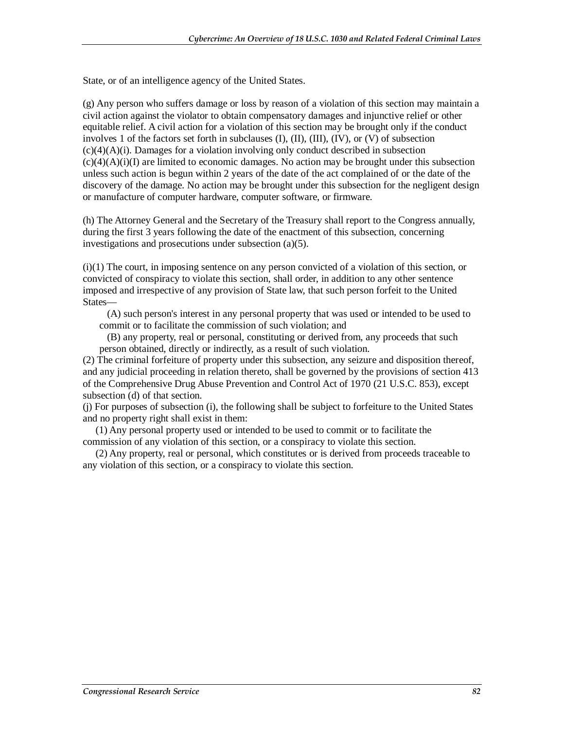State, or of an intelligence agency of the United States.

(g) Any person who suffers damage or loss by reason of a violation of this section may maintain a civil action against the violator to obtain compensatory damages and injunctive relief or other equitable relief. A civil action for a violation of this section may be brought only if the conduct involves 1 of the factors set forth in subclauses (I), (II), (III), (IV), or (V) of subsection  $(c)(4)(A)(i)$ . Damages for a violation involving only conduct described in subsection  $(c)(4)(A)(i)(I)$  are limited to economic damages. No action may be brought under this subsection unless such action is begun within 2 years of the date of the act complained of or the date of the discovery of the damage. No action may be brought under this subsection for the negligent design or manufacture of computer hardware, computer software, or firmware.

(h) The Attorney General and the Secretary of the Treasury shall report to the Congress annually, during the first 3 years following the date of the enactment of this subsection, concerning investigations and prosecutions under subsection (a)(5).

 $(i)(1)$  The court, in imposing sentence on any person convicted of a violation of this section, or convicted of conspiracy to violate this section, shall order, in addition to any other sentence imposed and irrespective of any provision of State law, that such person forfeit to the United States—

 (A) such person's interest in any personal property that was used or intended to be used to commit or to facilitate the commission of such violation; and

 (B) any property, real or personal, constituting or derived from, any proceeds that such person obtained, directly or indirectly, as a result of such violation.

(2) The criminal forfeiture of property under this subsection, any seizure and disposition thereof, and any judicial proceeding in relation thereto, shall be governed by the provisions of section 413 of the Comprehensive Drug Abuse Prevention and Control Act of 1970 (21 U.S.C. 853), except subsection (d) of that section.

(j) For purposes of subsection (i), the following shall be subject to forfeiture to the United States and no property right shall exist in them:

 (1) Any personal property used or intended to be used to commit or to facilitate the commission of any violation of this section, or a conspiracy to violate this section.

 (2) Any property, real or personal, which constitutes or is derived from proceeds traceable to any violation of this section, or a conspiracy to violate this section.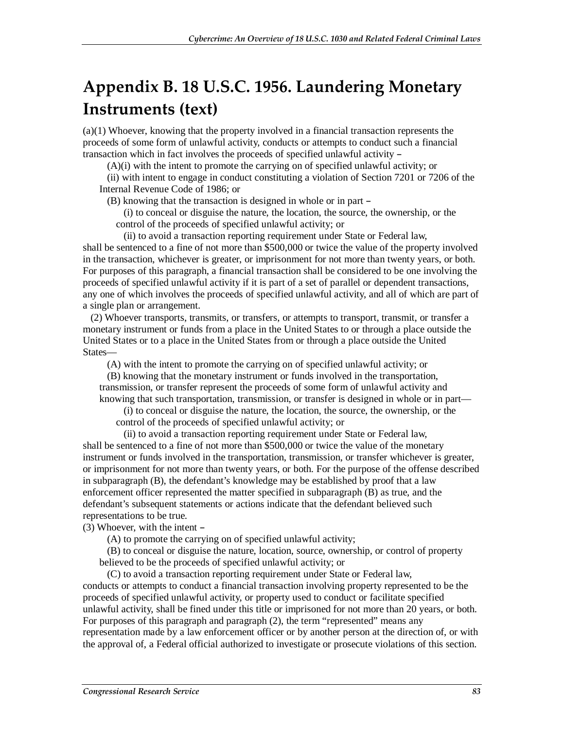# **Appendix B. 18 U.S.C. 1956. Laundering Monetary Instruments (text)**

(a)(1) Whoever, knowing that the property involved in a financial transaction represents the proceeds of some form of unlawful activity, conducts or attempts to conduct such a financial transaction which in fact involves the proceeds of specified unlawful activity -

(A)(i) with the intent to promote the carrying on of specified unlawful activity; or

 (ii) with intent to engage in conduct constituting a violation of Section 7201 or 7206 of the Internal Revenue Code of 1986; or

(B) knowing that the transaction is designed in whole or in part –

 (i) to conceal or disguise the nature, the location, the source, the ownership, or the control of the proceeds of specified unlawful activity; or

(ii) to avoid a transaction reporting requirement under State or Federal law,

shall be sentenced to a fine of not more than \$500,000 or twice the value of the property involved in the transaction, whichever is greater, or imprisonment for not more than twenty years, or both. For purposes of this paragraph, a financial transaction shall be considered to be one involving the proceeds of specified unlawful activity if it is part of a set of parallel or dependent transactions, any one of which involves the proceeds of specified unlawful activity, and all of which are part of a single plan or arrangement.

 (2) Whoever transports, transmits, or transfers, or attempts to transport, transmit, or transfer a monetary instrument or funds from a place in the United States to or through a place outside the United States or to a place in the United States from or through a place outside the United States—

(A) with the intent to promote the carrying on of specified unlawful activity; or

 (B) knowing that the monetary instrument or funds involved in the transportation, transmission, or transfer represent the proceeds of some form of unlawful activity and knowing that such transportation, transmission, or transfer is designed in whole or in part—

 (i) to conceal or disguise the nature, the location, the source, the ownership, or the control of the proceeds of specified unlawful activity; or

 (ii) to avoid a transaction reporting requirement under State or Federal law, shall be sentenced to a fine of not more than \$500,000 or twice the value of the monetary instrument or funds involved in the transportation, transmission, or transfer whichever is greater, or imprisonment for not more than twenty years, or both. For the purpose of the offense described in subparagraph (B), the defendant's knowledge may be established by proof that a law enforcement officer represented the matter specified in subparagraph (B) as true, and the defendant's subsequent statements or actions indicate that the defendant believed such representations to be true.

 $(3)$  Whoever, with the intent  $-\frac{1}{2}$ 

(A) to promote the carrying on of specified unlawful activity;

 (B) to conceal or disguise the nature, location, source, ownership, or control of property believed to be the proceeds of specified unlawful activity; or

(C) to avoid a transaction reporting requirement under State or Federal law,

conducts or attempts to conduct a financial transaction involving property represented to be the proceeds of specified unlawful activity, or property used to conduct or facilitate specified unlawful activity, shall be fined under this title or imprisoned for not more than 20 years, or both. For purposes of this paragraph and paragraph (2), the term "represented" means any representation made by a law enforcement officer or by another person at the direction of, or with the approval of, a Federal official authorized to investigate or prosecute violations of this section.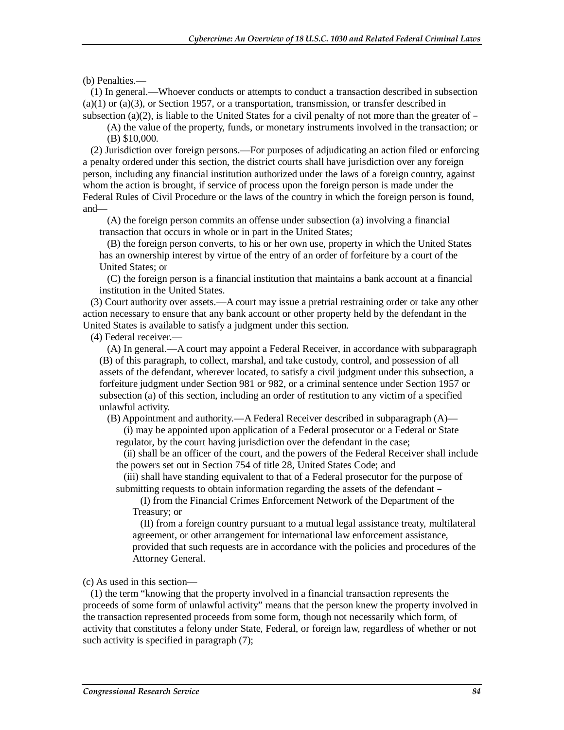(b) Penalties.—

 (1) In general.—Whoever conducts or attempts to conduct a transaction described in subsection  $(a)(1)$  or  $(a)(3)$ , or Section 1957, or a transportation, transmission, or transfer described in subsection (a)(2), is liable to the United States for a civil penalty of not more than the greater of  $-\frac{1}{2}$ 

 (A) the value of the property, funds, or monetary instruments involved in the transaction; or (B) \$10,000.

 (2) Jurisdiction over foreign persons.—For purposes of adjudicating an action filed or enforcing a penalty ordered under this section, the district courts shall have jurisdiction over any foreign person, including any financial institution authorized under the laws of a foreign country, against whom the action is brought, if service of process upon the foreign person is made under the Federal Rules of Civil Procedure or the laws of the country in which the foreign person is found, and—

 (A) the foreign person commits an offense under subsection (a) involving a financial transaction that occurs in whole or in part in the United States;

 (B) the foreign person converts, to his or her own use, property in which the United States has an ownership interest by virtue of the entry of an order of forfeiture by a court of the United States; or

 (C) the foreign person is a financial institution that maintains a bank account at a financial institution in the United States.

 (3) Court authority over assets.—A court may issue a pretrial restraining order or take any other action necessary to ensure that any bank account or other property held by the defendant in the United States is available to satisfy a judgment under this section.

(4) Federal receiver.—

 (A) In general.—A court may appoint a Federal Receiver, in accordance with subparagraph (B) of this paragraph, to collect, marshal, and take custody, control, and possession of all assets of the defendant, wherever located, to satisfy a civil judgment under this subsection, a forfeiture judgment under Section 981 or 982, or a criminal sentence under Section 1957 or subsection (a) of this section, including an order of restitution to any victim of a specified unlawful activity.

(B) Appointment and authority.—A Federal Receiver described in subparagraph (A)—

 (i) may be appointed upon application of a Federal prosecutor or a Federal or State regulator, by the court having jurisdiction over the defendant in the case;

 (ii) shall be an officer of the court, and the powers of the Federal Receiver shall include the powers set out in Section 754 of title 28, United States Code; and

 (iii) shall have standing equivalent to that of a Federal prosecutor for the purpose of submitting requests to obtain information regarding the assets of the defendant –

 (I) from the Financial Crimes Enforcement Network of the Department of the Treasury; or

 (II) from a foreign country pursuant to a mutual legal assistance treaty, multilateral agreement, or other arrangement for international law enforcement assistance, provided that such requests are in accordance with the policies and procedures of the Attorney General.

(c) As used in this section—

 (1) the term "knowing that the property involved in a financial transaction represents the proceeds of some form of unlawful activity" means that the person knew the property involved in the transaction represented proceeds from some form, though not necessarily which form, of activity that constitutes a felony under State, Federal, or foreign law, regardless of whether or not such activity is specified in paragraph (7);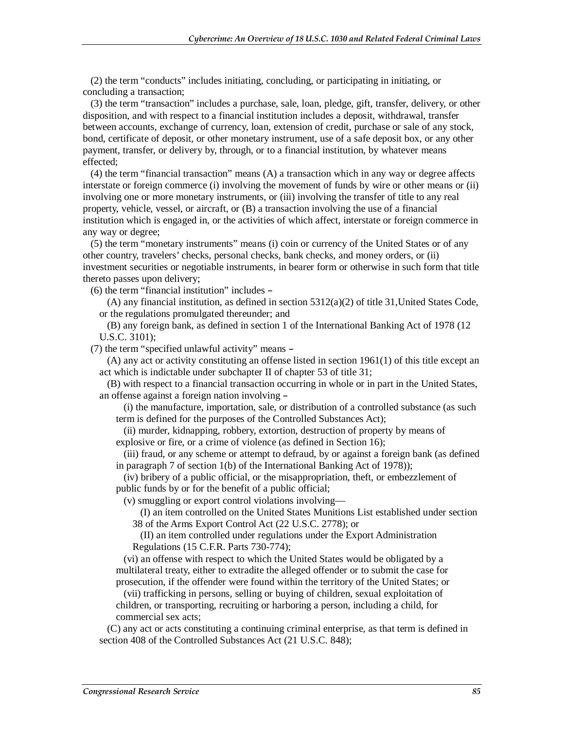(2) the term "conducts" includes initiating, concluding, or participating in initiating, or concluding a transaction;

 (3) the term "transaction" includes a purchase, sale, loan, pledge, gift, transfer, delivery, or other disposition, and with respect to a financial institution includes a deposit, withdrawal, transfer between accounts, exchange of currency, loan, extension of credit, purchase or sale of any stock, bond, certificate of deposit, or other monetary instrument, use of a safe deposit box, or any other payment, transfer, or delivery by, through, or to a financial institution, by whatever means effected;

 (4) the term "financial transaction" means (A) a transaction which in any way or degree affects interstate or foreign commerce (i) involving the movement of funds by wire or other means or (ii) involving one or more monetary instruments, or (iii) involving the transfer of title to any real property, vehicle, vessel, or aircraft, or (B) a transaction involving the use of a financial institution which is engaged in, or the activities of which affect, interstate or foreign commerce in any way or degree;

 (5) the term "monetary instruments" means (i) coin or currency of the United States or of any other country, travelers' checks, personal checks, bank checks, and money orders, or (ii) investment securities or negotiable instruments, in bearer form or otherwise in such form that title thereto passes upon delivery;

 $(6)$  the term "financial institution" includes  $-\frac{1}{2}$ 

(A) any financial institution, as defined in section  $5312(a)(2)$  of title 31, United States Code, or the regulations promulgated thereunder; and

 (B) any foreign bank, as defined in section 1 of the International Banking Act of 1978 (12 U.S.C. 3101);

 $(7)$  the term "specified unlawful activity" means  $-\frac{1}{2}$ 

 (A) any act or activity constituting an offense listed in section 1961(1) of this title except an act which is indictable under subchapter II of chapter 53 of title 31;

 (B) with respect to a financial transaction occurring in whole or in part in the United States, an offense against a foreign nation involving -

 (i) the manufacture, importation, sale, or distribution of a controlled substance (as such term is defined for the purposes of the Controlled Substances Act);

 (ii) murder, kidnapping, robbery, extortion, destruction of property by means of explosive or fire, or a crime of violence (as defined in Section 16);

 (iii) fraud, or any scheme or attempt to defraud, by or against a foreign bank (as defined in paragraph 7 of section 1(b) of the International Banking Act of 1978));

 (iv) bribery of a public official, or the misappropriation, theft, or embezzlement of public funds by or for the benefit of a public official;

(v) smuggling or export control violations involving—

 (I) an item controlled on the United States Munitions List established under section 38 of the Arms Export Control Act (22 U.S.C. 2778); or

 (II) an item controlled under regulations under the Export Administration Regulations (15 C.F.R. Parts 730-774);

 (vi) an offense with respect to which the United States would be obligated by a multilateral treaty, either to extradite the alleged offender or to submit the case for prosecution, if the offender were found within the territory of the United States; or

 (vii) trafficking in persons, selling or buying of children, sexual exploitation of children, or transporting, recruiting or harboring a person, including a child, for commercial sex acts;

 (C) any act or acts constituting a continuing criminal enterprise, as that term is defined in section 408 of the Controlled Substances Act (21 U.S.C. 848);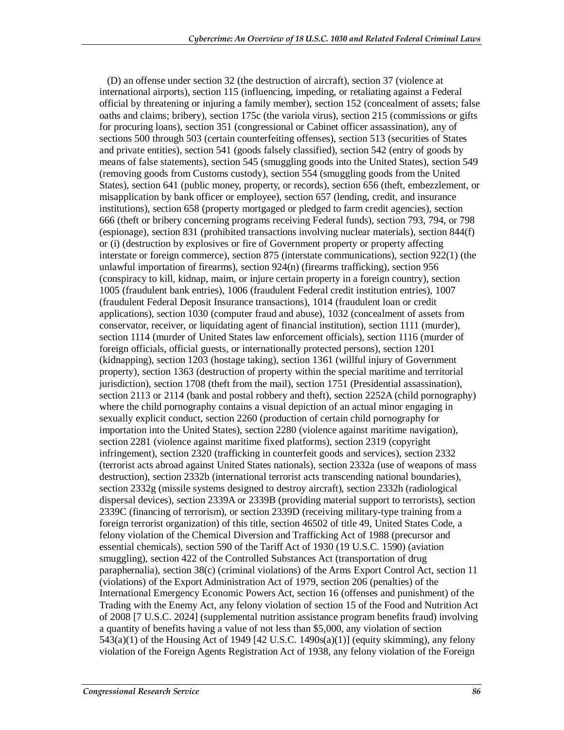(D) an offense under section 32 (the destruction of aircraft), section 37 (violence at international airports), section 115 (influencing, impeding, or retaliating against a Federal official by threatening or injuring a family member), section 152 (concealment of assets; false oaths and claims; bribery), section 175c (the variola virus), section 215 (commissions or gifts for procuring loans), section 351 (congressional or Cabinet officer assassination), any of sections 500 through 503 (certain counterfeiting offenses), section 513 (securities of States and private entities), section 541 (goods falsely classified), section 542 (entry of goods by means of false statements), section 545 (smuggling goods into the United States), section 549 (removing goods from Customs custody), section 554 (smuggling goods from the United States), section 641 (public money, property, or records), section 656 (theft, embezzlement, or misapplication by bank officer or employee), section 657 (lending, credit, and insurance institutions), section 658 (property mortgaged or pledged to farm credit agencies), section 666 (theft or bribery concerning programs receiving Federal funds), section 793, 794, or 798 (espionage), section 831 (prohibited transactions involving nuclear materials), section 844(f) or (i) (destruction by explosives or fire of Government property or property affecting interstate or foreign commerce), section 875 (interstate communications), section 922(1) (the unlawful importation of firearms), section 924(n) (firearms trafficking), section 956 (conspiracy to kill, kidnap, maim, or injure certain property in a foreign country), section 1005 (fraudulent bank entries), 1006 (fraudulent Federal credit institution entries), 1007 (fraudulent Federal Deposit Insurance transactions), 1014 (fraudulent loan or credit applications), section 1030 (computer fraud and abuse), 1032 (concealment of assets from conservator, receiver, or liquidating agent of financial institution), section 1111 (murder), section 1114 (murder of United States law enforcement officials), section 1116 (murder of foreign officials, official guests, or internationally protected persons), section 1201 (kidnapping), section 1203 (hostage taking), section 1361 (willful injury of Government property), section 1363 (destruction of property within the special maritime and territorial jurisdiction), section 1708 (theft from the mail), section 1751 (Presidential assassination), section 2113 or 2114 (bank and postal robbery and theft), section 2252A (child pornography) where the child pornography contains a visual depiction of an actual minor engaging in sexually explicit conduct, section 2260 (production of certain child pornography for importation into the United States), section 2280 (violence against maritime navigation), section 2281 (violence against maritime fixed platforms), section 2319 (copyright infringement), section 2320 (trafficking in counterfeit goods and services), section 2332 (terrorist acts abroad against United States nationals), section 2332a (use of weapons of mass destruction), section 2332b (international terrorist acts transcending national boundaries), section 2332g (missile systems designed to destroy aircraft), section 2332h (radiological dispersal devices), section 2339A or 2339B (providing material support to terrorists), section 2339C (financing of terrorism), or section 2339D (receiving military-type training from a foreign terrorist organization) of this title, section 46502 of title 49, United States Code, a felony violation of the Chemical Diversion and Trafficking Act of 1988 (precursor and essential chemicals), section 590 of the Tariff Act of 1930 (19 U.S.C. 1590) (aviation smuggling), section 422 of the Controlled Substances Act (transportation of drug paraphernalia), section 38(c) (criminal violations) of the Arms Export Control Act, section 11 (violations) of the Export Administration Act of 1979, section 206 (penalties) of the International Emergency Economic Powers Act, section 16 (offenses and punishment) of the Trading with the Enemy Act, any felony violation of section 15 of the Food and Nutrition Act of 2008 [7 U.S.C. 2024] (supplemental nutrition assistance program benefits fraud) involving a quantity of benefits having a value of not less than \$5,000, any violation of section  $543(a)(1)$  of the Housing Act of 1949 [42 U.S.C. 1490s(a)(1)] (equity skimming), any felony violation of the Foreign Agents Registration Act of 1938, any felony violation of the Foreign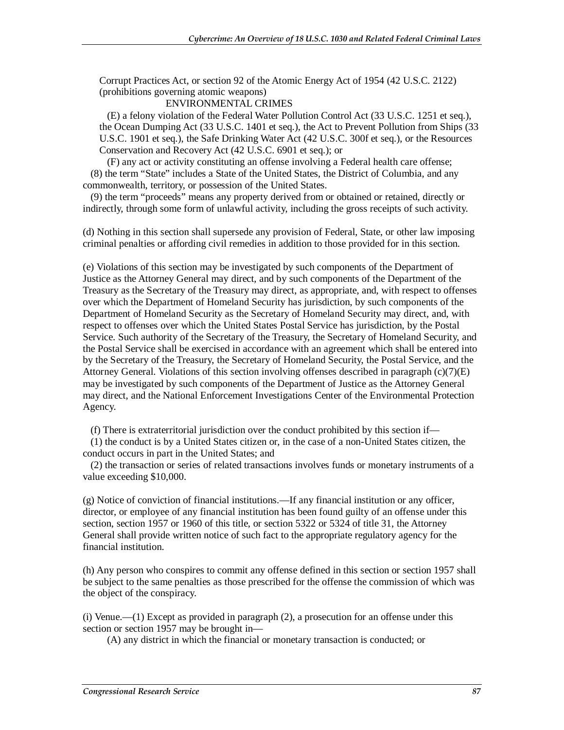Corrupt Practices Act, or section 92 of the Atomic Energy Act of 1954 (42 U.S.C. 2122) (prohibitions governing atomic weapons)

ENVIRONMENTAL CRIMES

 (E) a felony violation of the Federal Water Pollution Control Act (33 U.S.C. 1251 et seq.), the Ocean Dumping Act (33 U.S.C. 1401 et seq.), the Act to Prevent Pollution from Ships (33 U.S.C. 1901 et seq.), the Safe Drinking Water Act (42 U.S.C. 300f et seq.), or the Resources Conservation and Recovery Act (42 U.S.C. 6901 et seq.); or

 (F) any act or activity constituting an offense involving a Federal health care offense; (8) the term "State" includes a State of the United States, the District of Columbia, and any commonwealth, territory, or possession of the United States.

 (9) the term "proceeds" means any property derived from or obtained or retained, directly or indirectly, through some form of unlawful activity, including the gross receipts of such activity.

(d) Nothing in this section shall supersede any provision of Federal, State, or other law imposing criminal penalties or affording civil remedies in addition to those provided for in this section.

(e) Violations of this section may be investigated by such components of the Department of Justice as the Attorney General may direct, and by such components of the Department of the Treasury as the Secretary of the Treasury may direct, as appropriate, and, with respect to offenses over which the Department of Homeland Security has jurisdiction, by such components of the Department of Homeland Security as the Secretary of Homeland Security may direct, and, with respect to offenses over which the United States Postal Service has jurisdiction, by the Postal Service. Such authority of the Secretary of the Treasury, the Secretary of Homeland Security, and the Postal Service shall be exercised in accordance with an agreement which shall be entered into by the Secretary of the Treasury, the Secretary of Homeland Security, the Postal Service, and the Attorney General. Violations of this section involving offenses described in paragraph (c)(7)(E) may be investigated by such components of the Department of Justice as the Attorney General may direct, and the National Enforcement Investigations Center of the Environmental Protection Agency.

(f) There is extraterritorial jurisdiction over the conduct prohibited by this section if—

 (1) the conduct is by a United States citizen or, in the case of a non-United States citizen, the conduct occurs in part in the United States; and

 (2) the transaction or series of related transactions involves funds or monetary instruments of a value exceeding \$10,000.

(g) Notice of conviction of financial institutions.—If any financial institution or any officer, director, or employee of any financial institution has been found guilty of an offense under this section, section 1957 or 1960 of this title, or section 5322 or 5324 of title 31, the Attorney General shall provide written notice of such fact to the appropriate regulatory agency for the financial institution.

(h) Any person who conspires to commit any offense defined in this section or section 1957 shall be subject to the same penalties as those prescribed for the offense the commission of which was the object of the conspiracy.

(i) Venue.—(1) Except as provided in paragraph (2), a prosecution for an offense under this section or section 1957 may be brought in—

(A) any district in which the financial or monetary transaction is conducted; or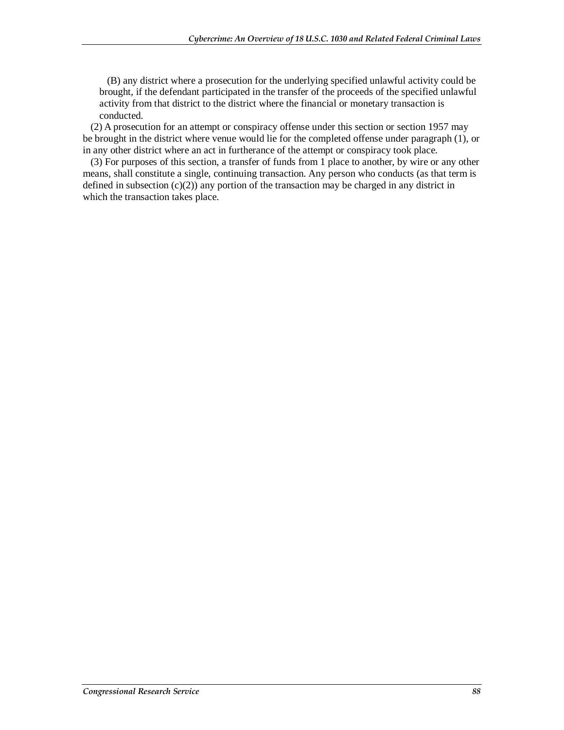(B) any district where a prosecution for the underlying specified unlawful activity could be brought, if the defendant participated in the transfer of the proceeds of the specified unlawful activity from that district to the district where the financial or monetary transaction is conducted.

 (2) A prosecution for an attempt or conspiracy offense under this section or section 1957 may be brought in the district where venue would lie for the completed offense under paragraph (1), or in any other district where an act in furtherance of the attempt or conspiracy took place.

 (3) For purposes of this section, a transfer of funds from 1 place to another, by wire or any other means, shall constitute a single, continuing transaction. Any person who conducts (as that term is defined in subsection  $(c)(2)$  any portion of the transaction may be charged in any district in which the transaction takes place.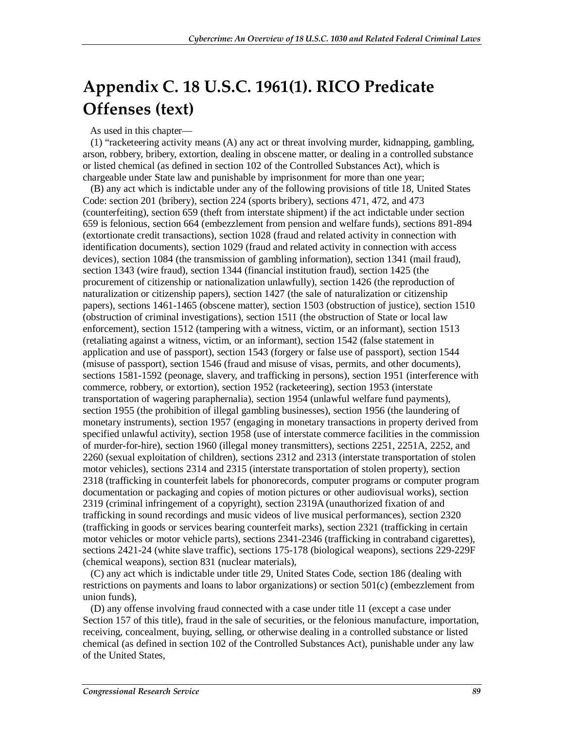## **Appendix C. 18 U.S.C. 1961(1). RICO Predicate Offenses (text)**

As used in this chapter—

 (1) "racketeering activity means (A) any act or threat involving murder, kidnapping, gambling, arson, robbery, bribery, extortion, dealing in obscene matter, or dealing in a controlled substance or listed chemical (as defined in section 102 of the Controlled Substances Act), which is chargeable under State law and punishable by imprisonment for more than one year;

 (B) any act which is indictable under any of the following provisions of title 18, United States Code: section 201 (bribery), section 224 (sports bribery), sections 471, 472, and 473 (counterfeiting), section 659 (theft from interstate shipment) if the act indictable under section 659 is felonious, section 664 (embezzlement from pension and welfare funds), sections 891-894 (extortionate credit transactions), section 1028 (fraud and related activity in connection with identification documents), section 1029 (fraud and related activity in connection with access devices), section 1084 (the transmission of gambling information), section 1341 (mail fraud), section 1343 (wire fraud), section 1344 (financial institution fraud), section 1425 (the procurement of citizenship or nationalization unlawfully), section 1426 (the reproduction of naturalization or citizenship papers), section 1427 (the sale of naturalization or citizenship papers), sections 1461-1465 (obscene matter), section 1503 (obstruction of justice), section 1510 (obstruction of criminal investigations), section 1511 (the obstruction of State or local law enforcement), section 1512 (tampering with a witness, victim, or an informant), section 1513 (retaliating against a witness, victim, or an informant), section 1542 (false statement in application and use of passport), section 1543 (forgery or false use of passport), section 1544 (misuse of passport), section 1546 (fraud and misuse of visas, permits, and other documents), sections 1581-1592 (peonage, slavery, and trafficking in persons), section 1951 (interference with commerce, robbery, or extortion), section 1952 (racketeering), section 1953 (interstate transportation of wagering paraphernalia), section 1954 (unlawful welfare fund payments), section 1955 (the prohibition of illegal gambling businesses), section 1956 (the laundering of monetary instruments), section 1957 (engaging in monetary transactions in property derived from specified unlawful activity), section 1958 (use of interstate commerce facilities in the commission of murder-for-hire), section 1960 (illegal money transmitters), sections 2251, 2251A, 2252, and 2260 (sexual exploitation of children), sections 2312 and 2313 (interstate transportation of stolen motor vehicles), sections 2314 and 2315 (interstate transportation of stolen property), section 2318 (trafficking in counterfeit labels for phonorecords, computer programs or computer program documentation or packaging and copies of motion pictures or other audiovisual works), section 2319 (criminal infringement of a copyright), section 2319A (unauthorized fixation of and trafficking in sound recordings and music videos of live musical performances), section 2320 (trafficking in goods or services bearing counterfeit marks), section 2321 (trafficking in certain motor vehicles or motor vehicle parts), sections 2341-2346 (trafficking in contraband cigarettes), sections 2421-24 (white slave traffic), sections 175-178 (biological weapons), sections 229-229F (chemical weapons), section 831 (nuclear materials),

 (C) any act which is indictable under title 29, United States Code, section 186 (dealing with restrictions on payments and loans to labor organizations) or section 501(c) (embezzlement from union funds),

 (D) any offense involving fraud connected with a case under title 11 (except a case under Section 157 of this title), fraud in the sale of securities, or the felonious manufacture, importation, receiving, concealment, buying, selling, or otherwise dealing in a controlled substance or listed chemical (as defined in section 102 of the Controlled Substances Act), punishable under any law of the United States,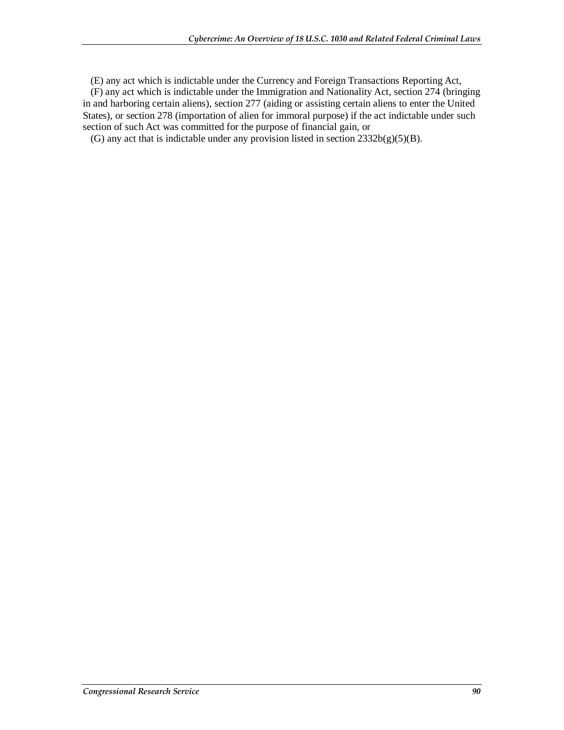(E) any act which is indictable under the Currency and Foreign Transactions Reporting Act,

 (F) any act which is indictable under the Immigration and Nationality Act, section 274 (bringing in and harboring certain aliens), section 277 (aiding or assisting certain aliens to enter the United States), or section 278 (importation of alien for immoral purpose) if the act indictable under such section of such Act was committed for the purpose of financial gain, or

(G) any act that is indictable under any provision listed in section  $2332b(g)(5)(B)$ .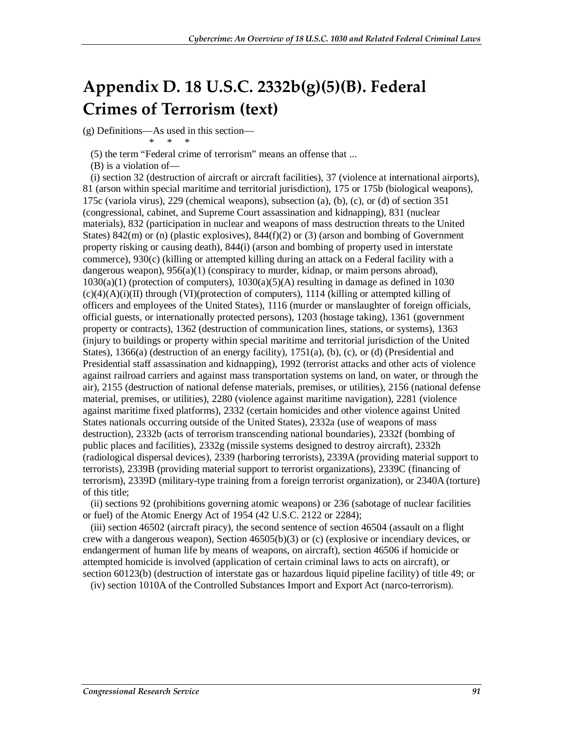# **Appendix D. 18 U.S.C. 2332b(g)(5)(B). Federal Crimes of Terrorism (text)**

(g) Definitions—As used in this section—

\* \* \* (5) the term "Federal crime of terrorism" means an offense that ...

(B) is a violation of—

 (i) section 32 (destruction of aircraft or aircraft facilities), 37 (violence at international airports), 81 (arson within special maritime and territorial jurisdiction), 175 or 175b (biological weapons), 175c (variola virus), 229 (chemical weapons), subsection (a), (b), (c), or (d) of section 351 (congressional, cabinet, and Supreme Court assassination and kidnapping), 831 (nuclear materials), 832 (participation in nuclear and weapons of mass destruction threats to the United States) 842(m) or (n) (plastic explosives), 844(f)(2) or (3) (arson and bombing of Government property risking or causing death), 844(i) (arson and bombing of property used in interstate commerce), 930(c) (killing or attempted killing during an attack on a Federal facility with a dangerous weapon), 956(a)(1) (conspiracy to murder, kidnap, or maim persons abroad),  $1030(a)(1)$  (protection of computers),  $1030(a)(5)(A)$  resulting in damage as defined in 1030  $(c)(4)(A)(i)(II)$  through (VI)(protection of computers), 1114 (killing or attempted killing of officers and employees of the United States), 1116 (murder or manslaughter of foreign officials, official guests, or internationally protected persons), 1203 (hostage taking), 1361 (government property or contracts), 1362 (destruction of communication lines, stations, or systems), 1363 (injury to buildings or property within special maritime and territorial jurisdiction of the United States),  $1366(a)$  (destruction of an energy facility),  $1751(a)$ , (b), (c), or (d) (Presidential and Presidential staff assassination and kidnapping), 1992 (terrorist attacks and other acts of violence against railroad carriers and against mass transportation systems on land, on water, or through the air), 2155 (destruction of national defense materials, premises, or utilities), 2156 (national defense material, premises, or utilities), 2280 (violence against maritime navigation), 2281 (violence against maritime fixed platforms), 2332 (certain homicides and other violence against United States nationals occurring outside of the United States), 2332a (use of weapons of mass destruction), 2332b (acts of terrorism transcending national boundaries), 2332f (bombing of public places and facilities), 2332g (missile systems designed to destroy aircraft), 2332h (radiological dispersal devices), 2339 (harboring terrorists), 2339A (providing material support to terrorists), 2339B (providing material support to terrorist organizations), 2339C (financing of terrorism), 2339D (military-type training from a foreign terrorist organization), or 2340A (torture) of this title;

 (ii) sections 92 (prohibitions governing atomic weapons) or 236 (sabotage of nuclear facilities or fuel) of the Atomic Energy Act of 1954 (42 U.S.C. 2122 or 2284);

 (iii) section 46502 (aircraft piracy), the second sentence of section 46504 (assault on a flight crew with a dangerous weapon), Section 46505(b)(3) or (c) (explosive or incendiary devices, or endangerment of human life by means of weapons, on aircraft), section 46506 if homicide or attempted homicide is involved (application of certain criminal laws to acts on aircraft), or section 60123(b) (destruction of interstate gas or hazardous liquid pipeline facility) of title 49; or

(iv) section 1010A of the Controlled Substances Import and Export Act (narco-terrorism).